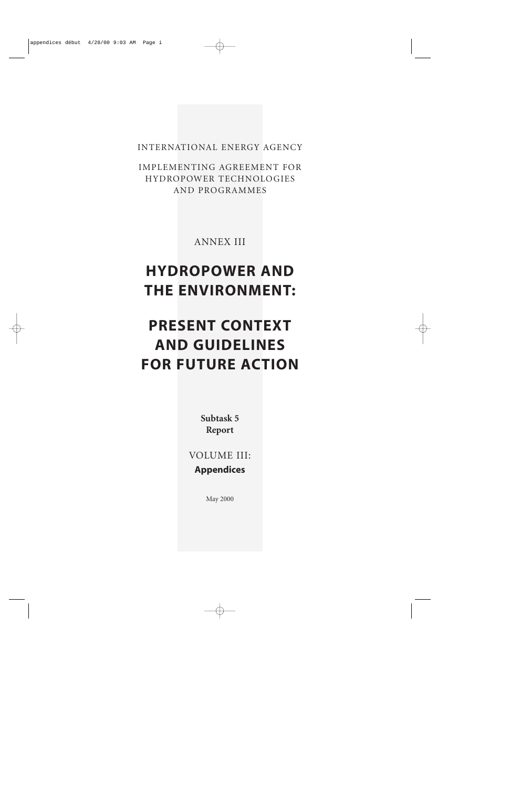INTERNATIONAL ENERGY AGENCY

IMPLEMENTING AGREEMENT FOR HYDROPOWER TECHNOLOGIES AND PROGRAMMES

ANNEX III

# **HYDROPOWER AND THE ENVIRONMENT:**

# **PRESENT CONTEXT AND GUIDELINES FOR FUTURE ACTION**

**Subtask 5 Report**

VOLUME III: **Appendices**

May 2000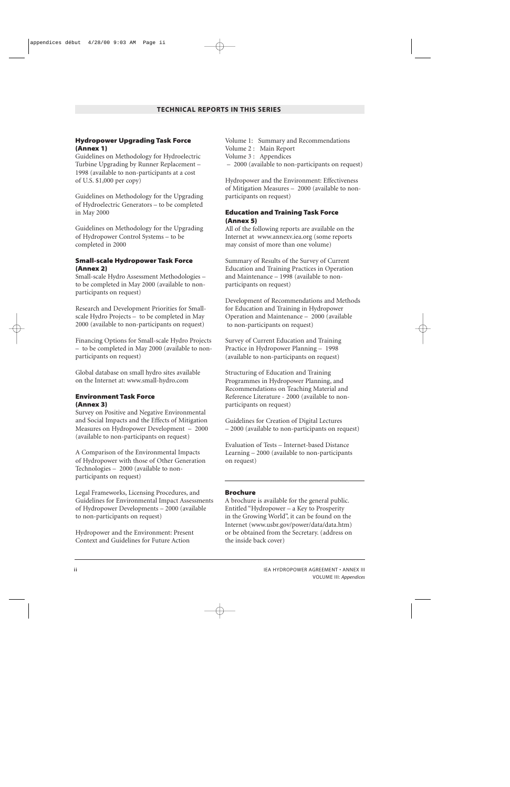#### **Hydropower Upgrading Task Force (Annex 1)**

Guidelines on Methodology for Hydroelectric Turbine Upgrading by Runner Replacement – 1998 (available to non-participants at a cost of U.S. \$1,000 per copy)

Guidelines on Methodology for the Upgrading of Hydroelectric Generators – to be completed in May 2000

Guidelines on Methodology for the Upgrading of Hydropower Control Systems – to be completed in 2000

#### **Small-scale Hydropower Task Force (Annex 2)**

Small-scale Hydro Assessment Methodologies – to be completed in May 2000 (available to nonparticipants on request)

Research and Development Priorities for Smallscale Hydro Projects – to be completed in May 2000 (available to non-participants on request)

Financing Options for Small-scale Hydro Projects – to be completed in May 2000 (available to nonparticipants on request)

Global database on small hydro sites available on the Internet at: www.small-hydro.com

#### **Environment Task Force (Annex 3)**

Survey on Positive and Negative Environmental and Social Impacts and the Effects of Mitigation Measures on Hydropower Development – 2000 (available to non-participants on request)

A Comparison of the Environmental Impacts of Hydropower with those of Other Generation Technologies – 2000 (available to nonparticipants on request)

Legal Frameworks, Licensing Procedures, and Guidelines for Environmental Impact Assessments of Hydropower Developments – 2000 (available to non-participants on request)

Hydropower and the Environment: Present Context and Guidelines for Future Action

Volume 1: Summary and Recommendations Volume 2 : Main Report Volume 3 : Appendices – 2000 (available to non-participants on request)

Hydropower and the Environment: Effectiveness of Mitigation Measures – 2000 (available to nonparticipants on request)

#### **Education and Training Task Force (Annex 5)**

All of the following reports are available on the Internet at www.annexv.iea.org (some reports may consist of more than one volume)

Summary of Results of the Survey of Current Education and Training Practices in Operation and Maintenance – 1998 (available to nonparticipants on request)

Development of Recommendations and Methods for Education and Training in Hydropower Operation and Maintenance – 2000 (available to non-participants on request)

Survey of Current Education and Training Practice in Hydropower Planning – 1998 (available to non-participants on request)

Structuring of Education and Training Programmes in Hydropower Planning, and Recommendations on Teaching Material and Reference Literature - 2000 (available to nonparticipants on request)

Guidelines for Creation of Digital Lectures – 2000 (available to non-participants on request)

Evaluation of Tests – Internet-based Distance Learning – 2000 (available to non-participants on request)

#### **Brochure**

A brochure is available for the general public. Entitled "Hydropower – a Key to Prosperity in the Growing World", it can be found on the Internet (www.usbr.gov/power/data/data.htm) or be obtained from the Secretary. (address on the inside back cover)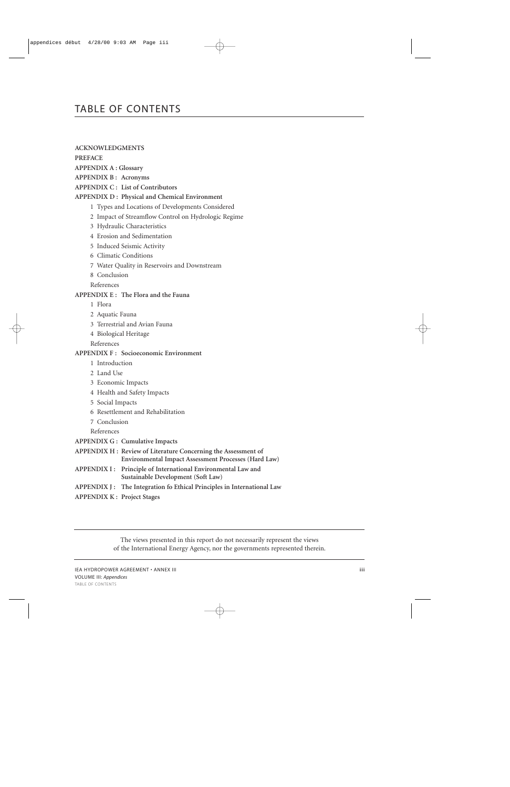# TABLE OF CONTENTS

**ACKNOWLEDGMENTS**

**PREFACE**

**APPENDIX A : Glossary**

**APPENDIX B : Acronyms**

**APPENDIX C : List of Contributors**

#### **APPENDIX D : Physical and Chemical Environment**

- 1 Types and Locations of Developments Considered
- 2 Impact of Streamflow Control on Hydrologic Regime
- 3 Hydraulic Characteristics
- 4 Erosion and Sedimentation
- 5 Induced Seismic Activity
- 6 Climatic Conditions
- 7 Water Quality in Reservoirs and Downstream
- 8 Conclusion

References

#### **APPENDIX E : The Flora and the Fauna**

- 1 Flora
- 2 Aquatic Fauna
- 3 Terrestrial and Avian Fauna
- 4 Biological Heritage

References

#### **APPENDIX F : Socioeconomic Environment**

- 1 Introduction
- 2 Land Use
- 3 Economic Impacts
- 4 Health and Safety Impacts
- 5 Social Impacts
- 6 Resettlement and Rehabilitation
- 7 Conclusion

References

- **APPENDIX G : Cumulative Impacts**
- **APPENDIX H : Review of Literature Concerning the Assessment of Environmental Impact Assessment Processes (Hard Law)**
- **APPENDIX I : Principle of International Environmental Law and Sustainable Development (Soft Law)**
- **APPENDIX J : The Integration fo Ethical Principles in International Law**
- **APPENDIX K : Project Stages**

The views presented in this report do not necessarily represent the views of the International Energy Agency, nor the governments represented therein.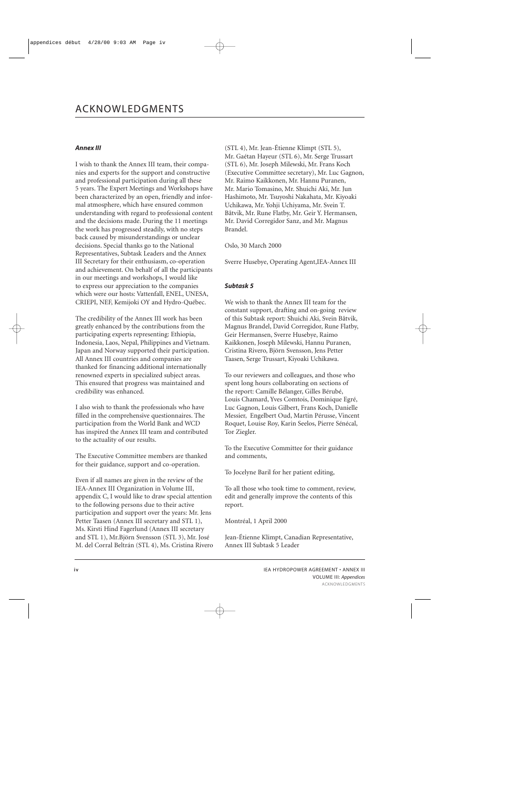#### *Annex III*

I wish to thank the Annex III team, their companies and experts for the support and constructive and professional participation during all these 5 years. The Expert Meetings and Workshops have been characterized by an open, friendly and informal atmosphere, which have ensured common understanding with regard to professional content and the decisions made. During the 11 meetings the work has progressed steadily, with no steps back caused by misunderstandings or unclear decisions. Special thanks go to the National Representatives, Subtask Leaders and the Annex III Secretary for their enthusiasm, co-operation and achievement. On behalf of all the participants in our meetings and workshops, I would like to express our appreciation to the companies which were our hosts: Vattenfall, ENEL, UNESA, CRIEPI, NEF, Kemijoki OY and Hydro-Québec.

The credibility of the Annex III work has been greatly enhanced by the contributions from the participating experts representing: Ethiopia, Indonesia, Laos, Nepal, Philippines and Vietnam. Japan and Norway supported their participation. All Annex III countries and companies are thanked for financing additional internationally renowned experts in specialized subject areas. This ensured that progress was maintained and credibility was enhanced.

I also wish to thank the professionals who have filled in the comprehensive questionnaires. The participation from the World Bank and WCD has inspired the Annex III team and contributed to the actuality of our results.

The Executive Committee members are thanked for their guidance, support and co-operation.

Even if all names are given in the review of the IEA-Annex III Organization in Volume III, appendix C, I would like to draw special attention to the following persons due to their active participation and support over the years: Mr. Jens Petter Taasen (Annex III secretary and STL 1), Ms. Kirsti Hind Fagerlund (Annex III secretary and STL 1), Mr.Björn Svensson (STL 3), Mr. José M. del Corral Beltrán (STL 4), Ms. Cristina Rivero (STL 4), Mr. Jean-Étienne Klimpt (STL 5), Mr. Gaétan Hayeur (STL 6), Mr. Serge Trussart (STL 6), Mr. Joseph Milewski, Mr. Frans Koch (Executive Committee secretary), Mr. Luc Gagnon, Mr. Raimo Kaikkonen, Mr. Hannu Puranen, Mr. Mario Tomasino, Mr. Shuichi Aki, Mr. Jun Hashimoto, Mr. Tsuyoshi Nakahata, Mr. Kiyoaki Uchikawa, Mr. Yohji Uchiyama, Mr. Svein T. Båtvik, Mr. Rune Flatby, Mr. Geir Y. Hermansen, Mr. David Corregidor Sanz, and Mr. Magnus Brandel.

Oslo, 30 March 2000

Sverre Husebye, Operating Agent,IEA-Annex III

#### *Subtask 5*

We wish to thank the Annex III team for the constant support, drafting and on-going review of this Subtask report: Shuichi Aki, Svein Båtvik, Magnus Brandel, David Corregidor, Rune Flatby, Geir Hermansen, Sverre Husebye, Raimo Kaikkonen, Joseph Milewski, Hannu Puranen, Cristina Rivero, Björn Svensson, Jens Petter Taasen, Serge Trussart, Kiyoaki Uchikawa.

To our reviewers and colleagues, and those who spent long hours collaborating on sections of the report: Camille Bélanger, Gilles Bérubé, Louis Chamard, Yves Comtois, Dominique Egré, Luc Gagnon, Louis Gilbert, Frans Koch, Danielle Messier, Engelbert Oud, Martin Pérusse, Vincent Roquet, Louise Roy, Karin Seelos, Pierre Sénécal, Tor Ziegler.

To the Executive Committee for their guidance and comments,

To Jocelyne Baril for her patient editing,

To all those who took time to comment, review, edit and generally improve the contents of this report.

Montréal, 1 April 2000

Jean-Étienne Klimpt, Canadian Representative, Annex III Subtask 5 Leader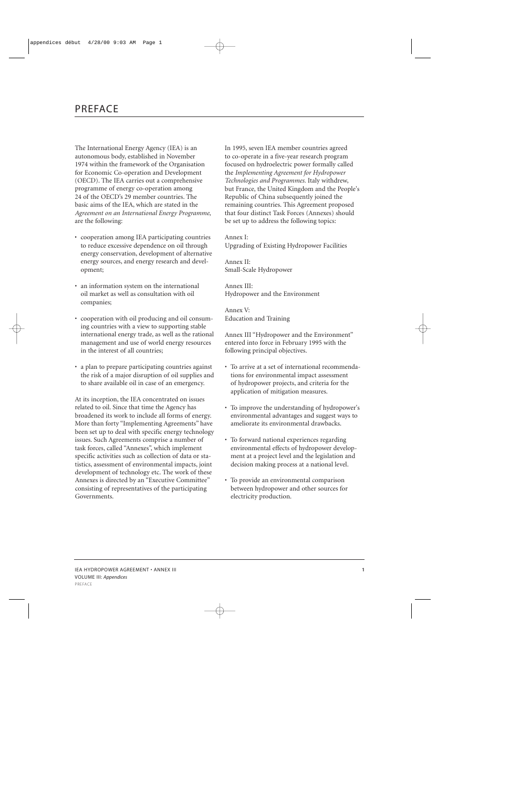# PREFACE

The International Energy Agency (IEA) is an autonomous body, established in November 1974 within the framework of the Organisation for Economic Co-operation and Development (OECD). The IEA carries out a comprehensive programme of energy co-operation among 24 of the OECD's 29 member countries. The basic aims of the IEA, which are stated in the *Agreement on an International Energy Programme*, are the following:

- cooperation among IEA participating countries to reduce excessive dependence on oil through energy conservation, development of alternative energy sources, and energy research and development;
- an information system on the international oil market as well as consultation with oil companies;
- cooperation with oil producing and oil consuming countries with a view to supporting stable international energy trade, as well as the rational management and use of world energy resources in the interest of all countries;
- a plan to prepare participating countries against the risk of a major disruption of oil supplies and to share available oil in case of an emergency.

At its inception, the IEA concentrated on issues related to oil. Since that time the Agency has broadened its work to include all forms of energy. More than forty "Implementing Agreements" have been set up to deal with specific energy technology issues. Such Agreements comprise a number of task forces, called "Annexes", which implement specific activities such as collection of data or statistics, assessment of environmental impacts, joint development of technology etc. The work of these Annexes is directed by an "Executive Committee" consisting of representatives of the participating Governments.

In 1995, seven IEA member countries agreed to co-operate in a five-year research program focused on hydroelectric power formally called the *Implementing Agreement for Hydropower Technologies and Programmes.* Italy withdrew, but France, the United Kingdom and the People's Republic of China subsequently joined the remaining countries. This Agreement proposed that four distinct Task Forces (Annexes) should be set up to address the following topics:

Annex I: Upgrading of Existing Hydropower Facilities

Annex II: Small-Scale Hydropower

Annex III: Hydropower and the Environment

Annex V: Education and Training

Annex III "Hydropower and the Environment" entered into force in February 1995 with the following principal objectives.

- To arrive at a set of international recommendations for environmental impact assessment of hydropower projects, and criteria for the application of mitigation measures.
- To improve the understanding of hydropower's environmental advantages and suggest ways to ameliorate its environmental drawbacks.
- To forward national experiences regarding environmental effects of hydropower development at a project level and the legislation and decision making process at a national level.
- To provide an environmental comparison between hydropower and other sources for electricity production.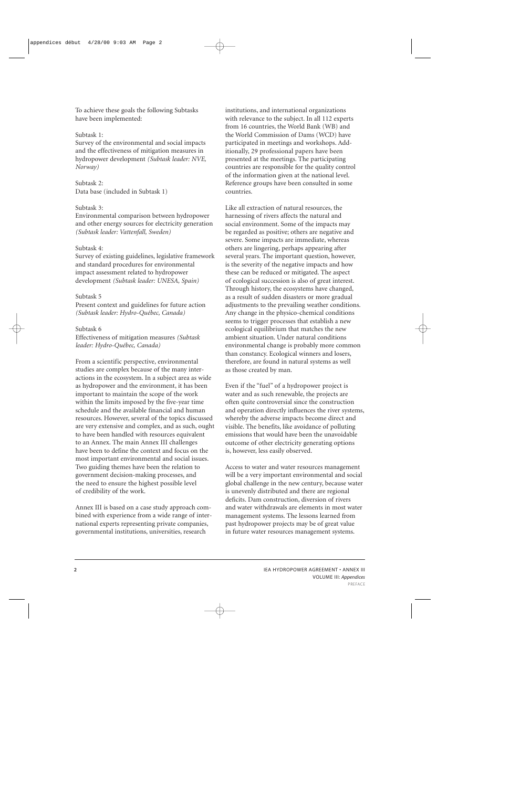To achieve these goals the following Subtasks have been implemented:

#### Subtask 1:

Survey of the environmental and social impacts and the effectiveness of mitigation measures in hydropower development *(Subtask leader: NVE, Norway)*

Subtask 2: Data base (included in Subtask 1)

#### Subtask 3:

Environmental comparison between hydropower and other energy sources for electricity generation *(Subtask leader: Vattenfall, Sweden)*

#### Subtask 4:

Survey of existing guidelines, legislative framework and standard procedures for environmental impact assessment related to hydropower development *(Subtask leader: UNESA, Spain)*

#### Subtask 5

Present context and guidelines for future action *(Subtask leader: Hydro-Québec, Canada)*

#### Subtask 6

Effectiveness of mitigation measures *(Subtask leader: Hydro-Québec, Canada)*

From a scientific perspective, environmental studies are complex because of the many interactions in the ecosystem. In a subject area as wide as hydropower and the environment, it has been important to maintain the scope of the work within the limits imposed by the five-year time schedule and the available financial and human resources. However, several of the topics discussed are very extensive and complex, and as such, ought to have been handled with resources equivalent to an Annex. The main Annex III challenges have been to define the context and focus on the most important environmental and social issues. Two guiding themes have been the relation to government decision-making processes, and the need to ensure the highest possible level of credibility of the work.

Annex III is based on a case study approach combined with experience from a wide range of international experts representing private companies, governmental institutions, universities, research

institutions, and international organizations with relevance to the subject. In all 112 experts from 16 countries, the World Bank (WB) and the World Commission of Dams (WCD) have participated in meetings and workshops. Additionally, 29 professional papers have been presented at the meetings. The participating countries are responsible for the quality control of the information given at the national level. Reference groups have been consulted in some countries.

Like all extraction of natural resources, the harnessing of rivers affects the natural and social environment. Some of the impacts may be regarded as positive; others are negative and severe. Some impacts are immediate, whereas others are lingering, perhaps appearing after several years. The important question, however, is the severity of the negative impacts and how these can be reduced or mitigated. The aspect of ecological succession is also of great interest. Through history, the ecosystems have changed, as a result of sudden disasters or more gradual adjustments to the prevailing weather conditions. Any change in the physico-chemical conditions seems to trigger processes that establish a new ecological equilibrium that matches the new ambient situation. Under natural conditions environmental change is probably more common than constancy. Ecological winners and losers, therefore, are found in natural systems as well as those created by man.

Even if the "fuel" of a hydropower project is water and as such renewable, the projects are often quite controversial since the construction and operation directly influences the river systems, whereby the adverse impacts become direct and visible. The benefits, like avoidance of polluting emissions that would have been the unavoidable outcome of other electricity generating options is, however, less easily observed.

Access to water and water resources management will be a very important environmental and social global challenge in the new century, because water is unevenly distributed and there are regional deficits. Dam construction, diversion of rivers and water withdrawals are elements in most water management systems. The lessons learned from past hydropower projects may be of great value in future water resources management systems.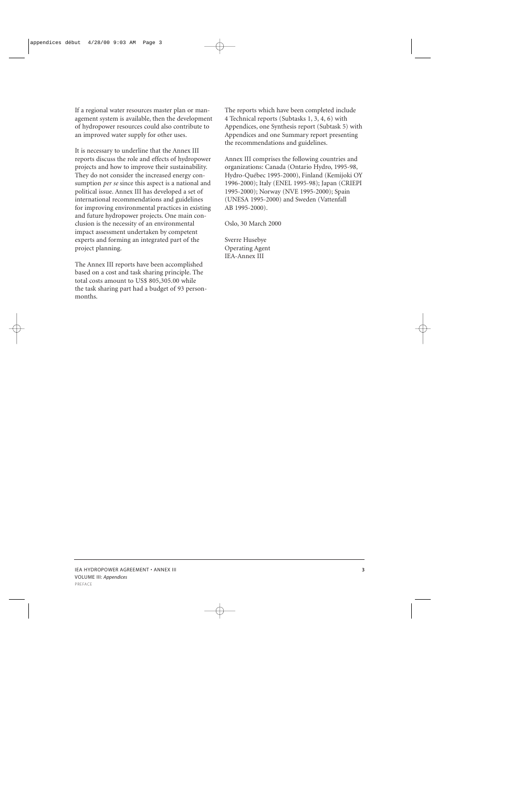If a regional water resources master plan or management system is available, then the development of hydropower resources could also contribute to an improved water supply for other uses.

It is necessary to underline that the Annex III reports discuss the role and effects of hydropower projects and how to improve their sustainability. They do not consider the increased energy consumption *per se* since this aspect is a national and political issue. Annex III has developed a set of international recommendations and guidelines for improving environmental practices in existing and future hydropower projects. One main conclusion is the necessity of an environmental impact assessment undertaken by competent experts and forming an integrated part of the project planning.

The Annex III reports have been accomplished based on a cost and task sharing principle. The total costs amount to US\$ 805,305.00 while the task sharing part had a budget of 93 personmonths.

The reports which have been completed include 4 Technical reports (Subtasks 1, 3, 4, 6) with Appendices, one Synthesis report (Subtask 5) with Appendices and one Summary report presenting the recommendations and guidelines.

Annex III comprises the following countries and organizations: Canada (Ontario Hydro, 1995-98, Hydro-Québec 1995-2000), Finland (Kemijoki OY 1996-2000); Italy (ENEL 1995-98); Japan (CRIEPI 1995-2000); Norway (NVE 1995-2000); Spain (UNESA 1995-2000) and Sweden (Vattenfall AB 1995-2000).

Oslo, 30 March 2000

Sverre Husebye Operating Agent IEA-Annex III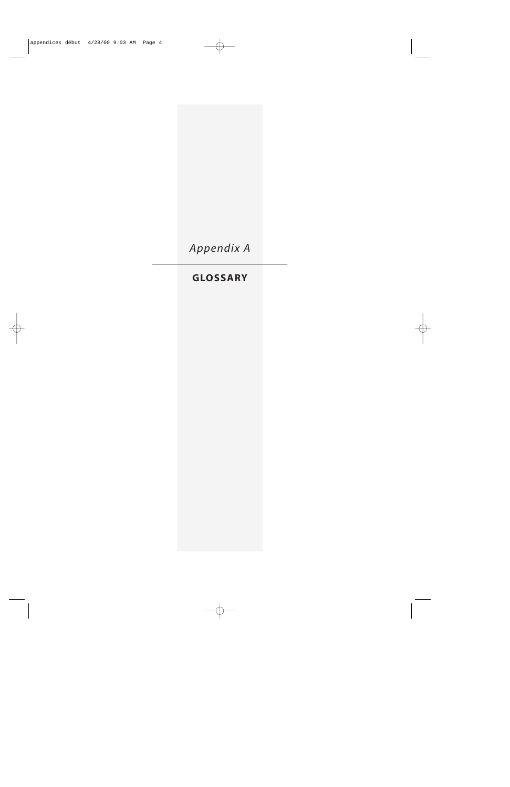*Appendix A*

# **GLOSSARY**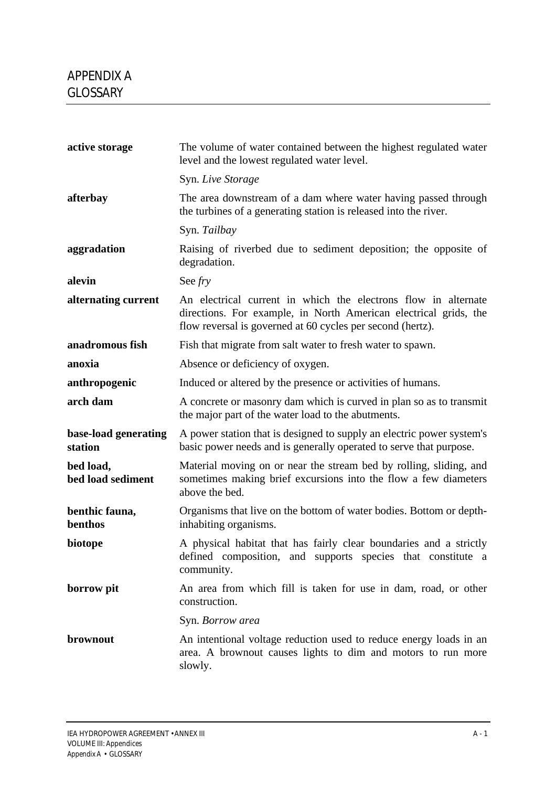| active storage                  | The volume of water contained between the highest regulated water<br>level and the lowest regulated water level.                                                                                 |
|---------------------------------|--------------------------------------------------------------------------------------------------------------------------------------------------------------------------------------------------|
|                                 | Syn. Live Storage                                                                                                                                                                                |
| afterbay                        | The area downstream of a dam where water having passed through<br>the turbines of a generating station is released into the river.                                                               |
|                                 | Syn. Tailbay                                                                                                                                                                                     |
| aggradation                     | Raising of riverbed due to sediment deposition; the opposite of<br>degradation.                                                                                                                  |
| alevin                          | See fry                                                                                                                                                                                          |
| alternating current             | An electrical current in which the electrons flow in alternate<br>directions. For example, in North American electrical grids, the<br>flow reversal is governed at 60 cycles per second (hertz). |
| anadromous fish                 | Fish that migrate from salt water to fresh water to spawn.                                                                                                                                       |
| anoxia                          | Absence or deficiency of oxygen.                                                                                                                                                                 |
| anthropogenic                   | Induced or altered by the presence or activities of humans.                                                                                                                                      |
| arch dam                        | A concrete or masonry dam which is curved in plan so as to transmit<br>the major part of the water load to the abutments.                                                                        |
| base-load generating<br>station | A power station that is designed to supply an electric power system's<br>basic power needs and is generally operated to serve that purpose.                                                      |
| bed load,<br>bed load sediment  | Material moving on or near the stream bed by rolling, sliding, and<br>sometimes making brief excursions into the flow a few diameters<br>above the bed.                                          |
| benthic fauna,<br>benthos       | Organisms that live on the bottom of water bodies. Bottom or depth-<br>inhabiting organisms.                                                                                                     |
| biotope                         | A physical habitat that has fairly clear boundaries and a strictly<br>defined composition, and supports species that constitute a<br>community.                                                  |
| borrow pit                      | An area from which fill is taken for use in dam, road, or other<br>construction.                                                                                                                 |
|                                 | Syn. Borrow area                                                                                                                                                                                 |
| brownout                        | An intentional voltage reduction used to reduce energy loads in an<br>area. A brownout causes lights to dim and motors to run more<br>slowly.                                                    |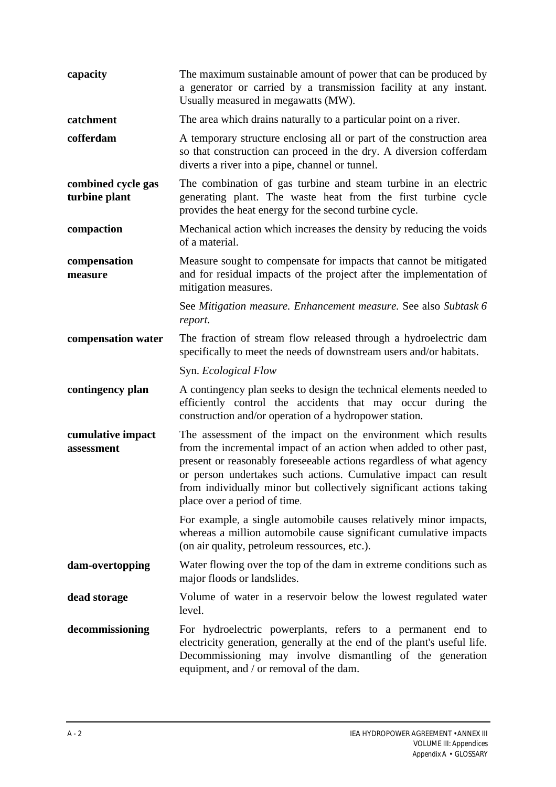| capacity                            | The maximum sustainable amount of power that can be produced by<br>a generator or carried by a transmission facility at any instant.<br>Usually measured in megawatts (MW).                                                                                                                                                                                                          |
|-------------------------------------|--------------------------------------------------------------------------------------------------------------------------------------------------------------------------------------------------------------------------------------------------------------------------------------------------------------------------------------------------------------------------------------|
| catchment                           | The area which drains naturally to a particular point on a river.                                                                                                                                                                                                                                                                                                                    |
| cofferdam                           | A temporary structure enclosing all or part of the construction area<br>so that construction can proceed in the dry. A diversion cofferdam<br>diverts a river into a pipe, channel or tunnel.                                                                                                                                                                                        |
| combined cycle gas<br>turbine plant | The combination of gas turbine and steam turbine in an electric<br>generating plant. The waste heat from the first turbine cycle<br>provides the heat energy for the second turbine cycle.                                                                                                                                                                                           |
| compaction                          | Mechanical action which increases the density by reducing the voids<br>of a material.                                                                                                                                                                                                                                                                                                |
| compensation<br>measure             | Measure sought to compensate for impacts that cannot be mitigated<br>and for residual impacts of the project after the implementation of<br>mitigation measures.                                                                                                                                                                                                                     |
|                                     | See Mitigation measure. Enhancement measure. See also Subtask 6<br>report.                                                                                                                                                                                                                                                                                                           |
| compensation water                  | The fraction of stream flow released through a hydroelectric dam<br>specifically to meet the needs of downstream users and/or habitats.                                                                                                                                                                                                                                              |
|                                     | Syn. Ecological Flow                                                                                                                                                                                                                                                                                                                                                                 |
| contingency plan                    | A contingency plan seeks to design the technical elements needed to<br>efficiently control the accidents that may occur during the<br>construction and/or operation of a hydropower station.                                                                                                                                                                                         |
| cumulative impact<br>assessment     | The assessment of the impact on the environment which results<br>from the incremental impact of an action when added to other past,<br>present or reasonably foreseeable actions regardless of what agency<br>or person undertakes such actions. Cumulative impact can result<br>from individually minor but collectively significant actions taking<br>place over a period of time. |
|                                     | For example, a single automobile causes relatively minor impacts,<br>whereas a million automobile cause significant cumulative impacts<br>(on air quality, petroleum ressources, etc.).                                                                                                                                                                                              |
| dam-overtopping                     | Water flowing over the top of the dam in extreme conditions such as<br>major floods or landslides.                                                                                                                                                                                                                                                                                   |
| dead storage                        | Volume of water in a reservoir below the lowest regulated water<br>level.                                                                                                                                                                                                                                                                                                            |
| decommissioning                     | For hydroelectric powerplants, refers to a permanent end to<br>electricity generation, generally at the end of the plant's useful life.<br>Decommissioning may involve dismantling of the generation<br>equipment, and / or removal of the dam.                                                                                                                                      |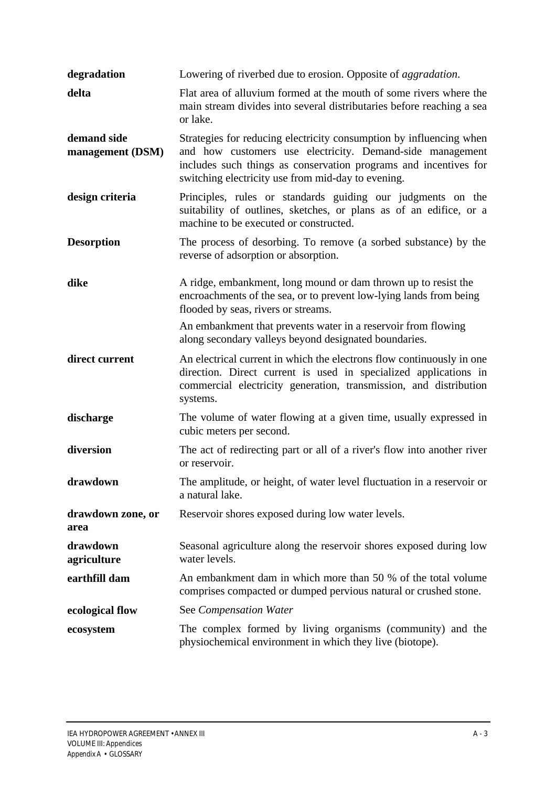| degradation                     | Lowering of riverbed due to erosion. Opposite of <i>aggradation</i> .                                                                                                                                                                                      |
|---------------------------------|------------------------------------------------------------------------------------------------------------------------------------------------------------------------------------------------------------------------------------------------------------|
| delta                           | Flat area of alluvium formed at the mouth of some rivers where the<br>main stream divides into several distributaries before reaching a sea<br>or lake.                                                                                                    |
| demand side<br>management (DSM) | Strategies for reducing electricity consumption by influencing when<br>and how customers use electricity. Demand-side management<br>includes such things as conservation programs and incentives for<br>switching electricity use from mid-day to evening. |
| design criteria                 | Principles, rules or standards guiding our judgments on the<br>suitability of outlines, sketches, or plans as of an edifice, or a<br>machine to be executed or constructed.                                                                                |
| <b>Desorption</b>               | The process of desorbing. To remove (a sorbed substance) by the<br>reverse of adsorption or absorption.                                                                                                                                                    |
| dike                            | A ridge, embankment, long mound or dam thrown up to resist the<br>encroachments of the sea, or to prevent low-lying lands from being<br>flooded by seas, rivers or streams.                                                                                |
|                                 | An embankment that prevents water in a reservoir from flowing<br>along secondary valleys beyond designated boundaries.                                                                                                                                     |
| direct current                  | An electrical current in which the electrons flow continuously in one<br>direction. Direct current is used in specialized applications in<br>commercial electricity generation, transmission, and distribution<br>systems.                                 |
| discharge                       | The volume of water flowing at a given time, usually expressed in<br>cubic meters per second.                                                                                                                                                              |
| diversion                       | The act of redirecting part or all of a river's flow into another river<br>or reservoir.                                                                                                                                                                   |
| drawdown                        | The amplitude, or height, of water level fluctuation in a reservoir or<br>a natural lake.                                                                                                                                                                  |
| drawdown zone, or<br>area       | Reservoir shores exposed during low water levels.                                                                                                                                                                                                          |
| drawdown<br>agriculture         | Seasonal agriculture along the reservoir shores exposed during low<br>water levels.                                                                                                                                                                        |
| earthfill dam                   | An embankment dam in which more than 50 % of the total volume<br>comprises compacted or dumped pervious natural or crushed stone.                                                                                                                          |
| ecological flow                 | See Compensation Water                                                                                                                                                                                                                                     |
| ecosystem                       | The complex formed by living organisms (community) and the<br>physiochemical environment in which they live (biotope).                                                                                                                                     |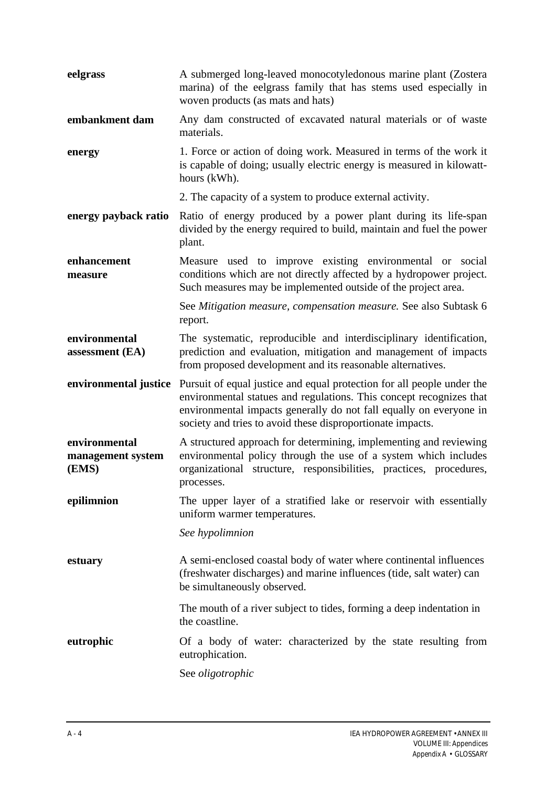| eelgrass                                    | A submerged long-leaved monocotyledonous marine plant (Zostera<br>marina) of the eelgrass family that has stems used especially in<br>woven products (as mats and hats)                                                                                                           |
|---------------------------------------------|-----------------------------------------------------------------------------------------------------------------------------------------------------------------------------------------------------------------------------------------------------------------------------------|
| embankment dam                              | Any dam constructed of excavated natural materials or of waste<br>materials.                                                                                                                                                                                                      |
| energy                                      | 1. Force or action of doing work. Measured in terms of the work it<br>is capable of doing; usually electric energy is measured in kilowatt-<br>hours (kWh).                                                                                                                       |
|                                             | 2. The capacity of a system to produce external activity.                                                                                                                                                                                                                         |
| energy payback ratio                        | Ratio of energy produced by a power plant during its life-span<br>divided by the energy required to build, maintain and fuel the power<br>plant.                                                                                                                                  |
| enhancement<br>measure                      | Measure used to improve existing environmental or social<br>conditions which are not directly affected by a hydropower project.<br>Such measures may be implemented outside of the project area.                                                                                  |
|                                             | See Mitigation measure, compensation measure. See also Subtask 6<br>report.                                                                                                                                                                                                       |
| environmental<br>assessment (EA)            | The systematic, reproducible and interdisciplinary identification,<br>prediction and evaluation, mitigation and management of impacts<br>from proposed development and its reasonable alternatives.                                                                               |
| environmental justice                       | Pursuit of equal justice and equal protection for all people under the<br>environmental statues and regulations. This concept recognizes that<br>environmental impacts generally do not fall equally on everyone in<br>society and tries to avoid these disproportionate impacts. |
| environmental<br>management system<br>(EMS) | A structured approach for determining, implementing and reviewing<br>environmental policy through the use of a system which includes<br>organizational structure, responsibilities, practices, procedures,<br>processes.                                                          |
| epilimnion                                  | The upper layer of a stratified lake or reservoir with essentially<br>uniform warmer temperatures.                                                                                                                                                                                |
|                                             | See hypolimnion                                                                                                                                                                                                                                                                   |
| estuary                                     | A semi-enclosed coastal body of water where continental influences<br>(freshwater discharges) and marine influences (tide, salt water) can<br>be simultaneously observed.                                                                                                         |
|                                             | The mouth of a river subject to tides, forming a deep indentation in<br>the coastline.                                                                                                                                                                                            |
| eutrophic                                   | Of a body of water: characterized by the state resulting from<br>eutrophication.                                                                                                                                                                                                  |
|                                             | See <i>oligotrophic</i>                                                                                                                                                                                                                                                           |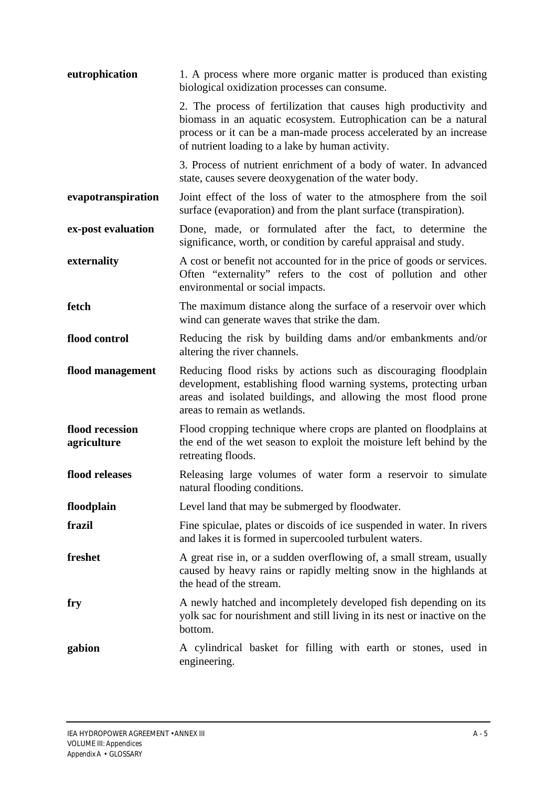| eutrophication                 | 1. A process where more organic matter is produced than existing<br>biological oxidization processes can consume.                                                                                                                                               |
|--------------------------------|-----------------------------------------------------------------------------------------------------------------------------------------------------------------------------------------------------------------------------------------------------------------|
|                                | 2. The process of fertilization that causes high productivity and<br>biomass in an aquatic ecosystem. Eutrophication can be a natural<br>process or it can be a man-made process accelerated by an increase<br>of nutrient loading to a lake by human activity. |
|                                | 3. Process of nutrient enrichment of a body of water. In advanced<br>state, causes severe deoxygenation of the water body.                                                                                                                                      |
| evapotranspiration             | Joint effect of the loss of water to the atmosphere from the soil<br>surface (evaporation) and from the plant surface (transpiration).                                                                                                                          |
| ex-post evaluation             | Done, made, or formulated after the fact, to determine the<br>significance, worth, or condition by careful appraisal and study.                                                                                                                                 |
| externality                    | A cost or benefit not accounted for in the price of goods or services.<br>Often "externality" refers to the cost of pollution and other<br>environmental or social impacts.                                                                                     |
| fetch                          | The maximum distance along the surface of a reservoir over which<br>wind can generate waves that strike the dam.                                                                                                                                                |
| flood control                  | Reducing the risk by building dams and/or embankments and/or<br>altering the river channels.                                                                                                                                                                    |
| flood management               | Reducing flood risks by actions such as discouraging floodplain<br>development, establishing flood warning systems, protecting urban<br>areas and isolated buildings, and allowing the most flood prone<br>areas to remain as wetlands.                         |
| flood recession<br>agriculture | Flood cropping technique where crops are planted on floodplains at<br>the end of the wet season to exploit the moisture left behind by the<br>retreating floods.                                                                                                |
| flood releases                 | Releasing large volumes of water form a reservoir to simulate<br>natural flooding conditions.                                                                                                                                                                   |
| floodplain                     | Level land that may be submerged by floodwater.                                                                                                                                                                                                                 |
| frazil                         | Fine spiculae, plates or discoids of ice suspended in water. In rivers<br>and lakes it is formed in supercooled turbulent waters.                                                                                                                               |
| freshet                        | A great rise in, or a sudden overflowing of, a small stream, usually<br>caused by heavy rains or rapidly melting snow in the highlands at<br>the head of the stream.                                                                                            |
| fry                            | A newly hatched and incompletely developed fish depending on its<br>yolk sac for nourishment and still living in its nest or inactive on the<br>bottom.                                                                                                         |
| gabion                         | A cylindrical basket for filling with earth or stones, used in<br>engineering.                                                                                                                                                                                  |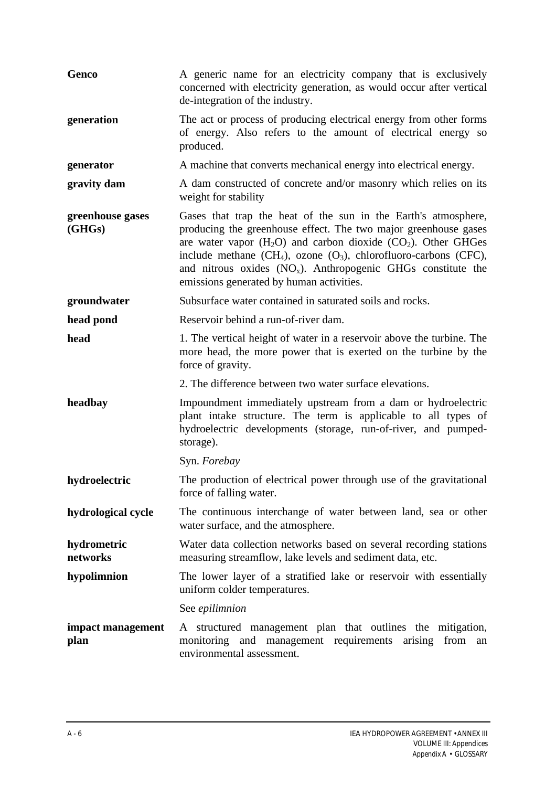| Genco                      | A generic name for an electricity company that is exclusively<br>concerned with electricity generation, as would occur after vertical<br>de-integration of the industry.                                                                                                                                                                                                                         |
|----------------------------|--------------------------------------------------------------------------------------------------------------------------------------------------------------------------------------------------------------------------------------------------------------------------------------------------------------------------------------------------------------------------------------------------|
| generation                 | The act or process of producing electrical energy from other forms<br>of energy. Also refers to the amount of electrical energy so<br>produced.                                                                                                                                                                                                                                                  |
| generator                  | A machine that converts mechanical energy into electrical energy.                                                                                                                                                                                                                                                                                                                                |
| gravity dam                | A dam constructed of concrete and/or masonry which relies on its<br>weight for stability                                                                                                                                                                                                                                                                                                         |
| greenhouse gases<br>(GHGs) | Gases that trap the heat of the sun in the Earth's atmosphere,<br>producing the greenhouse effect. The two major greenhouse gases<br>are water vapor $(H_2O)$ and carbon dioxide $(CO_2)$ . Other GHGes<br>include methane $(CH_4)$ , ozone $(O_3)$ , chlorofluoro-carbons (CFC),<br>and nitrous oxides $(NO_x)$ . Anthropogenic GHGs constitute the<br>emissions generated by human activities. |
| groundwater                | Subsurface water contained in saturated soils and rocks.                                                                                                                                                                                                                                                                                                                                         |
| head pond                  | Reservoir behind a run-of-river dam.                                                                                                                                                                                                                                                                                                                                                             |
| head                       | 1. The vertical height of water in a reservoir above the turbine. The<br>more head, the more power that is exerted on the turbine by the<br>force of gravity.                                                                                                                                                                                                                                    |
|                            | 2. The difference between two water surface elevations.                                                                                                                                                                                                                                                                                                                                          |
| headbay                    | Impoundment immediately upstream from a dam or hydroelectric<br>plant intake structure. The term is applicable to all types of<br>hydroelectric developments (storage, run-of-river, and pumped-<br>storage).                                                                                                                                                                                    |
|                            | Syn. Forebay                                                                                                                                                                                                                                                                                                                                                                                     |
| hydroelectric              | The production of electrical power through use of the gravitational<br>force of falling water.                                                                                                                                                                                                                                                                                                   |
| hydrological cycle         | The continuous interchange of water between land, sea or other<br>water surface, and the atmosphere.                                                                                                                                                                                                                                                                                             |
| hydrometric<br>networks    | Water data collection networks based on several recording stations<br>measuring streamflow, lake levels and sediment data, etc.                                                                                                                                                                                                                                                                  |
| hypolimnion                | The lower layer of a stratified lake or reservoir with essentially<br>uniform colder temperatures.                                                                                                                                                                                                                                                                                               |
|                            | See epilimnion                                                                                                                                                                                                                                                                                                                                                                                   |
| impact management<br>plan  | A structured management plan that outlines the mitigation,<br>monitoring and management requirements<br>arising<br>from<br>an<br>environmental assessment.                                                                                                                                                                                                                                       |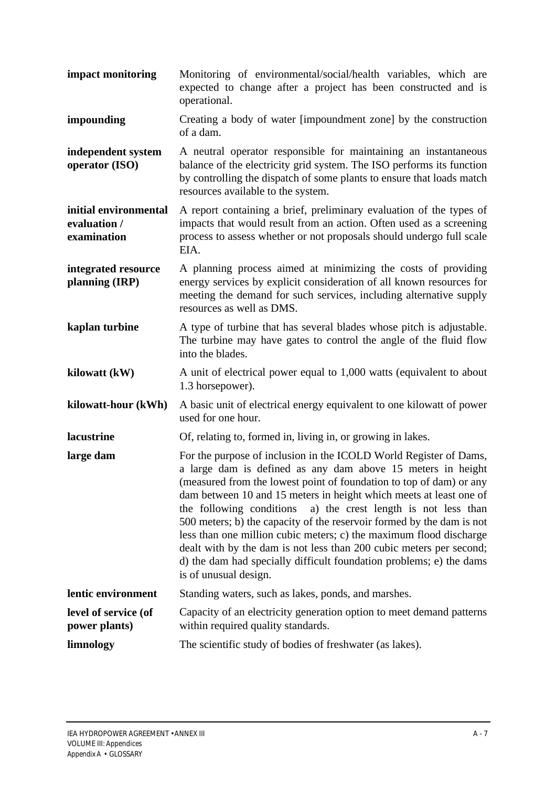- **impact monitoring** Monitoring of environmental/social/health variables, which are expected to change after a project has been constructed and is operational.
- **impounding** Creating a body of water [impoundment zone] by the construction of a dam.
- **independent system operator (ISO)** A neutral operator responsible for maintaining an instantaneous balance of the electricity grid system. The ISO performs its function by controlling the dispatch of some plants to ensure that loads match resources available to the system.

**initial environmental evaluation / examination** A report containing a brief, preliminary evaluation of the types of impacts that would result from an action. Often used as a screening process to assess whether or not proposals should undergo full scale EIA.

- **integrated resource planning (IRP)** A planning process aimed at minimizing the costs of providing energy services by explicit consideration of all known resources for meeting the demand for such services, including alternative supply resources as well as DMS.
- **kaplan turbine** A type of turbine that has several blades whose pitch is adjustable. The turbine may have gates to control the angle of the fluid flow into the blades.
- **kilowatt (kW)** A unit of electrical power equal to 1,000 watts (equivalent to about 1.3 horsepower).
- **kilowatt-hour (kWh)** A basic unit of electrical energy equivalent to one kilowatt of power used for one hour.
- **lacustrine** Of, relating to, formed in, living in, or growing in lakes.
- **large dam** For the purpose of inclusion in the ICOLD World Register of Dams, a large dam is defined as any dam above 15 meters in height (measured from the lowest point of foundation to top of dam) or any dam between 10 and 15 meters in height which meets at least one of the following conditions a) the crest length is not less than 500 meters; b) the capacity of the reservoir formed by the dam is not less than one million cubic meters; c) the maximum flood discharge dealt with by the dam is not less than 200 cubic meters per second; d) the dam had specially difficult foundation problems; e) the dams is of unusual design. **lentic environment** Standing waters, such as lakes, ponds, and marshes.
- **level of service (of power plants)** Capacity of an electricity generation option to meet demand patterns within required quality standards.
- **limnology** The scientific study of bodies of freshwater (as lakes).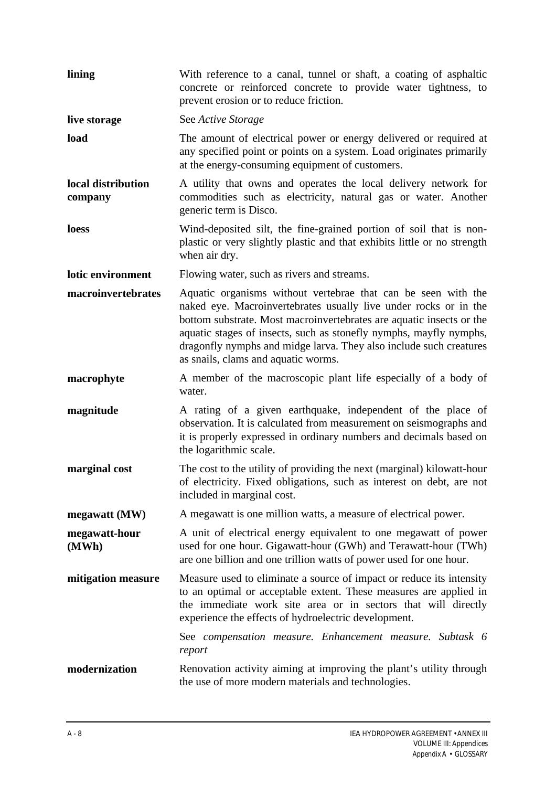| lining                        | With reference to a canal, tunnel or shaft, a coating of asphaltic<br>concrete or reinforced concrete to provide water tightness, to<br>prevent erosion or to reduce friction.                                                                                                                                                                                                               |
|-------------------------------|----------------------------------------------------------------------------------------------------------------------------------------------------------------------------------------------------------------------------------------------------------------------------------------------------------------------------------------------------------------------------------------------|
| live storage                  | See Active Storage                                                                                                                                                                                                                                                                                                                                                                           |
| load                          | The amount of electrical power or energy delivered or required at<br>any specified point or points on a system. Load originates primarily<br>at the energy-consuming equipment of customers.                                                                                                                                                                                                 |
| local distribution<br>company | A utility that owns and operates the local delivery network for<br>commodities such as electricity, natural gas or water. Another<br>generic term is Disco.                                                                                                                                                                                                                                  |
| loess                         | Wind-deposited silt, the fine-grained portion of soil that is non-<br>plastic or very slightly plastic and that exhibits little or no strength<br>when air dry.                                                                                                                                                                                                                              |
| lotic environment             | Flowing water, such as rivers and streams.                                                                                                                                                                                                                                                                                                                                                   |
| macroinvertebrates            | Aquatic organisms without vertebrae that can be seen with the<br>naked eye. Macroinvertebrates usually live under rocks or in the<br>bottom substrate. Most macroinvertebrates are aquatic insects or the<br>aquatic stages of insects, such as stonefly nymphs, mayfly nymphs,<br>dragonfly nymphs and midge larva. They also include such creatures<br>as snails, clams and aquatic worms. |
| macrophyte                    | A member of the macroscopic plant life especially of a body of<br>water.                                                                                                                                                                                                                                                                                                                     |
| magnitude                     | A rating of a given earthquake, independent of the place of<br>observation. It is calculated from measurement on seismographs and<br>it is properly expressed in ordinary numbers and decimals based on<br>the logarithmic scale.                                                                                                                                                            |
| marginal cost                 | The cost to the utility of providing the next (marginal) kilowatt-hour<br>of electricity. Fixed obligations, such as interest on debt, are not<br>included in marginal cost.                                                                                                                                                                                                                 |
| megawatt (MW)                 | A megawatt is one million watts, a measure of electrical power.                                                                                                                                                                                                                                                                                                                              |
| megawatt-hour<br>(MWh)        | A unit of electrical energy equivalent to one megawatt of power<br>used for one hour. Gigawatt-hour (GWh) and Terawatt-hour (TWh)<br>are one billion and one trillion watts of power used for one hour.                                                                                                                                                                                      |
| mitigation measure            | Measure used to eliminate a source of impact or reduce its intensity<br>to an optimal or acceptable extent. These measures are applied in<br>the immediate work site area or in sectors that will directly<br>experience the effects of hydroelectric development.                                                                                                                           |
|                               | See compensation measure. Enhancement measure. Subtask 6<br>report                                                                                                                                                                                                                                                                                                                           |
| modernization                 | Renovation activity aiming at improving the plant's utility through<br>the use of more modern materials and technologies.                                                                                                                                                                                                                                                                    |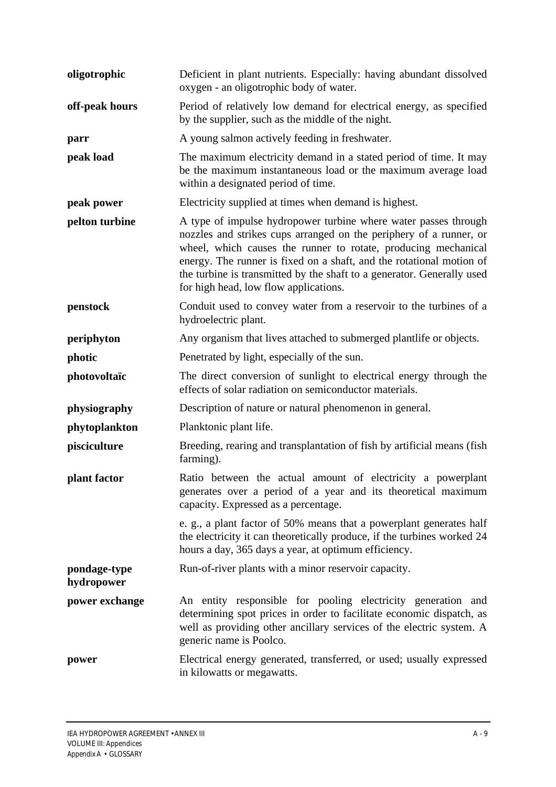| oligotrophic               | Deficient in plant nutrients. Especially: having abundant dissolved<br>oxygen - an oligotrophic body of water.                                                                                                                                                                                                                                                                                     |
|----------------------------|----------------------------------------------------------------------------------------------------------------------------------------------------------------------------------------------------------------------------------------------------------------------------------------------------------------------------------------------------------------------------------------------------|
| off-peak hours             | Period of relatively low demand for electrical energy, as specified<br>by the supplier, such as the middle of the night.                                                                                                                                                                                                                                                                           |
| parr                       | A young salmon actively feeding in freshwater.                                                                                                                                                                                                                                                                                                                                                     |
| peak load                  | The maximum electricity demand in a stated period of time. It may<br>be the maximum instantaneous load or the maximum average load<br>within a designated period of time.                                                                                                                                                                                                                          |
| peak power                 | Electricity supplied at times when demand is highest.                                                                                                                                                                                                                                                                                                                                              |
| pelton turbine             | A type of impulse hydropower turbine where water passes through<br>nozzles and strikes cups arranged on the periphery of a runner, or<br>wheel, which causes the runner to rotate, producing mechanical<br>energy. The runner is fixed on a shaft, and the rotational motion of<br>the turbine is transmitted by the shaft to a generator. Generally used<br>for high head, low flow applications. |
| penstock                   | Conduit used to convey water from a reservoir to the turbines of a<br>hydroelectric plant.                                                                                                                                                                                                                                                                                                         |
| periphyton                 | Any organism that lives attached to submerged plantlife or objects.                                                                                                                                                                                                                                                                                                                                |
| photic                     | Penetrated by light, especially of the sun.                                                                                                                                                                                                                                                                                                                                                        |
| photovoltaïc               | The direct conversion of sunlight to electrical energy through the<br>effects of solar radiation on semiconductor materials.                                                                                                                                                                                                                                                                       |
| physiography               | Description of nature or natural phenomenon in general.                                                                                                                                                                                                                                                                                                                                            |
| phytoplankton              | Planktonic plant life.                                                                                                                                                                                                                                                                                                                                                                             |
| pisciculture               | Breeding, rearing and transplantation of fish by artificial means (fish<br>farming).                                                                                                                                                                                                                                                                                                               |
| plant factor               | Ratio between the actual amount of electricity a powerplant<br>generates over a period of a year and its theoretical maximum<br>capacity. Expressed as a percentage.                                                                                                                                                                                                                               |
|                            | e. g., a plant factor of 50% means that a powerplant generates half<br>the electricity it can theoretically produce, if the turbines worked 24<br>hours a day, 365 days a year, at optimum efficiency.                                                                                                                                                                                             |
| pondage-type<br>hydropower | Run-of-river plants with a minor reservoir capacity.                                                                                                                                                                                                                                                                                                                                               |
| power exchange             | An entity responsible for pooling electricity generation and<br>determining spot prices in order to facilitate economic dispatch, as<br>well as providing other ancillary services of the electric system. A<br>generic name is Poolco.                                                                                                                                                            |
| power                      | Electrical energy generated, transferred, or used; usually expressed<br>in kilowatts or megawatts.                                                                                                                                                                                                                                                                                                 |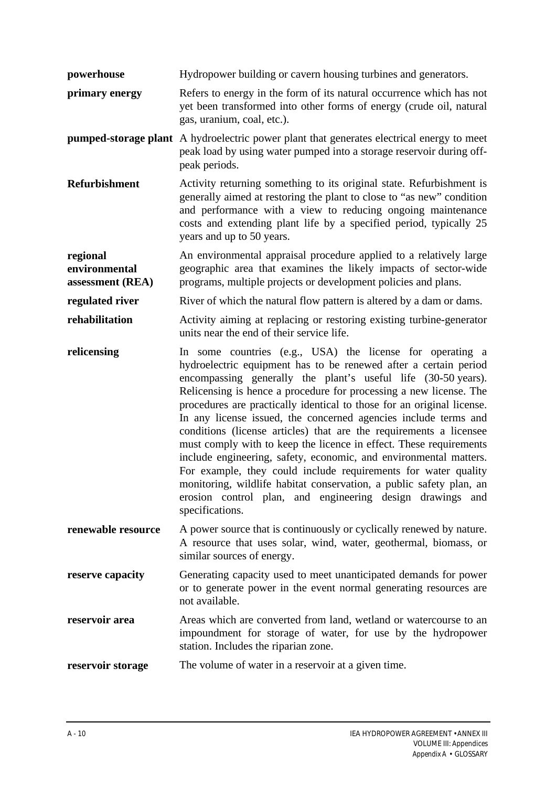- **powerhouse** Hydropower building or cavern housing turbines and generators.
- **primary energy** Refers to energy in the form of its natural occurrence which has not yet been transformed into other forms of energy (crude oil, natural gas, uranium, coal, etc.).

**pumped-storage plant** A hydroelectric power plant that generates electrical energy to meet peak load by using water pumped into a storage reservoir during offpeak periods.

**Refurbishment** Activity returning something to its original state. Refurbishment is generally aimed at restoring the plant to close to "as new" condition and performance with a view to reducing ongoing maintenance costs and extending plant life by a specified period, typically 25 years and up to 50 years.

**regional environmental assessment (REA)** An environmental appraisal procedure applied to a relatively large geographic area that examines the likely impacts of sector-wide programs, multiple projects or development policies and plans.

**regulated river** River of which the natural flow pattern is altered by a dam or dams.

- **rehabilitation** Activity aiming at replacing or restoring existing turbine-generator units near the end of their service life.
- **relicensing** In some countries (e.g., USA) the license for operating a hydroelectric equipment has to be renewed after a certain period encompassing generally the plant's useful life (30-50 years). Relicensing is hence a procedure for processing a new license. The procedures are practically identical to those for an original license. In any license issued, the concerned agencies include terms and conditions (license articles) that are the requirements a licensee must comply with to keep the licence in effect. These requirements include engineering, safety, economic, and environmental matters. For example, they could include requirements for water quality monitoring, wildlife habitat conservation, a public safety plan, an erosion control plan, and engineering design drawings and specifications.
- **renewable resource** A power source that is continuously or cyclically renewed by nature. A resource that uses solar, wind, water, geothermal, biomass, or similar sources of energy.
- **reserve capacity** Generating capacity used to meet unanticipated demands for power or to generate power in the event normal generating resources are not available.
- **reservoir area** Areas which are converted from land, wetland or watercourse to an impoundment for storage of water, for use by the hydropower station. Includes the riparian zone.

**reservoir storage** The volume of water in a reservoir at a given time.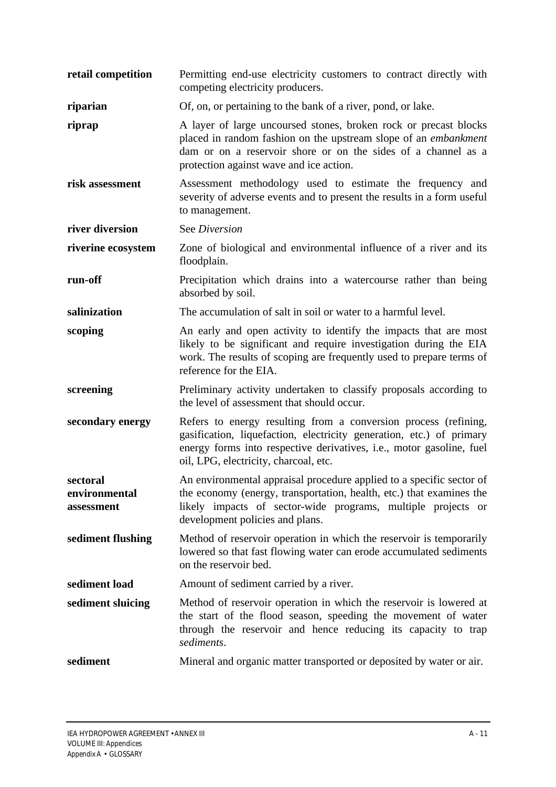| retail competition                      | Permitting end-use electricity customers to contract directly with<br>competing electricity producers.                                                                                                                                                   |
|-----------------------------------------|----------------------------------------------------------------------------------------------------------------------------------------------------------------------------------------------------------------------------------------------------------|
| riparian                                | Of, on, or pertaining to the bank of a river, pond, or lake.                                                                                                                                                                                             |
| riprap                                  | A layer of large uncoursed stones, broken rock or precast blocks<br>placed in random fashion on the upstream slope of an <i>embankment</i><br>dam or on a reservoir shore or on the sides of a channel as a<br>protection against wave and ice action.   |
| risk assessment                         | Assessment methodology used to estimate the frequency and<br>severity of adverse events and to present the results in a form useful<br>to management.                                                                                                    |
| river diversion                         | See Diversion                                                                                                                                                                                                                                            |
| riverine ecosystem                      | Zone of biological and environmental influence of a river and its<br>floodplain.                                                                                                                                                                         |
| run-off                                 | Precipitation which drains into a watercourse rather than being<br>absorbed by soil.                                                                                                                                                                     |
| salinization                            | The accumulation of salt in soil or water to a harmful level.                                                                                                                                                                                            |
| scoping                                 | An early and open activity to identify the impacts that are most<br>likely to be significant and require investigation during the EIA<br>work. The results of scoping are frequently used to prepare terms of<br>reference for the EIA.                  |
| screening                               | Preliminary activity undertaken to classify proposals according to<br>the level of assessment that should occur.                                                                                                                                         |
| secondary energy                        | Refers to energy resulting from a conversion process (refining,<br>gasification, liquefaction, electricity generation, etc.) of primary<br>energy forms into respective derivatives, i.e., motor gasoline, fuel<br>oil, LPG, electricity, charcoal, etc. |
| sectoral<br>environmental<br>assessment | An environmental appraisal procedure applied to a specific sector of<br>the economy (energy, transportation, health, etc.) that examines the<br>likely impacts of sector-wide programs, multiple projects or<br>development policies and plans.          |
| sediment flushing                       | Method of reservoir operation in which the reservoir is temporarily<br>lowered so that fast flowing water can erode accumulated sediments<br>on the reservoir bed.                                                                                       |
| sediment load                           | Amount of sediment carried by a river.                                                                                                                                                                                                                   |
| sediment sluicing                       | Method of reservoir operation in which the reservoir is lowered at<br>the start of the flood season, speeding the movement of water<br>through the reservoir and hence reducing its capacity to trap<br>sediments.                                       |
| sediment                                | Mineral and organic matter transported or deposited by water or air.                                                                                                                                                                                     |
|                                         |                                                                                                                                                                                                                                                          |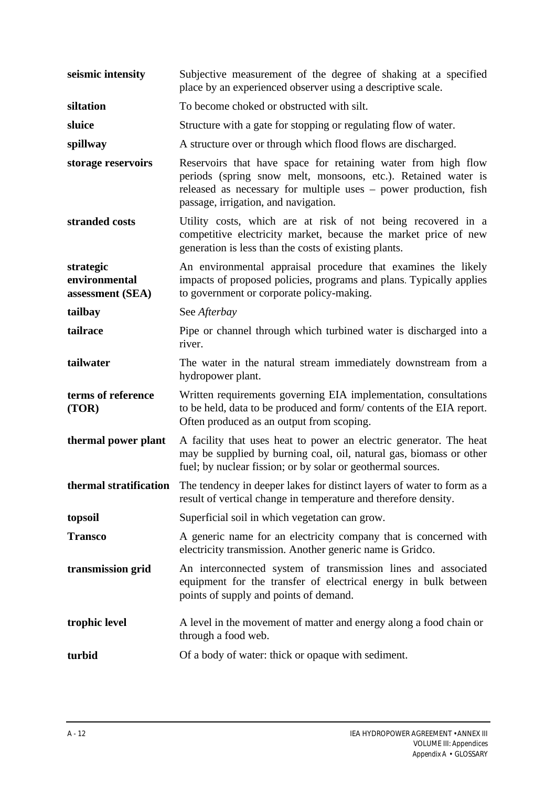**seismic intensity** Subjective measurement of the degree of shaking at a specified place by an experienced observer using a descriptive scale. **siltation** To become choked or obstructed with silt. **sluice** Structure with a gate for stopping or regulating flow of water. **spillway** A structure over or through which flood flows are discharged. **storage reservoirs** Reservoirs that have space for retaining water from high flow periods (spring snow melt, monsoons, etc.). Retained water is released as necessary for multiple uses – power production, fish passage, irrigation, and navigation. **stranded costs** Utility costs, which are at risk of not being recovered in a competitive electricity market, because the market price of new generation is less than the costs of existing plants. **strategic environmental assessment (SEA)** An environmental appraisal procedure that examines the likely impacts of proposed policies, programs and plans. Typically applies to government or corporate policy-making. **tailbay** See *Afterbay* **tailrace** Pipe or channel through which turbined water is discharged into a river. **tailwater** The water in the natural stream immediately downstream from a hydropower plant. **terms of reference (TOR)** Written requirements governing EIA implementation, consultations to be held, data to be produced and form/ contents of the EIA report. Often produced as an output from scoping. **thermal power plant** A facility that uses heat to power an electric generator. The heat may be supplied by burning coal, oil, natural gas, biomass or other fuel; by nuclear fission; or by solar or geothermal sources. **thermal stratification** The tendency in deeper lakes for distinct layers of water to form as a result of vertical change in temperature and therefore density. **topsoil** Superficial soil in which vegetation can grow. **Transco** A generic name for an electricity company that is concerned with electricity transmission. Another generic name is Gridco. **transmission grid** An interconnected system of transmission lines and associated equipment for the transfer of electrical energy in bulk between points of supply and points of demand. **trophic level** A level in the movement of matter and energy along a food chain or through a food web. **turbid** Of a body of water: thick or opaque with sediment.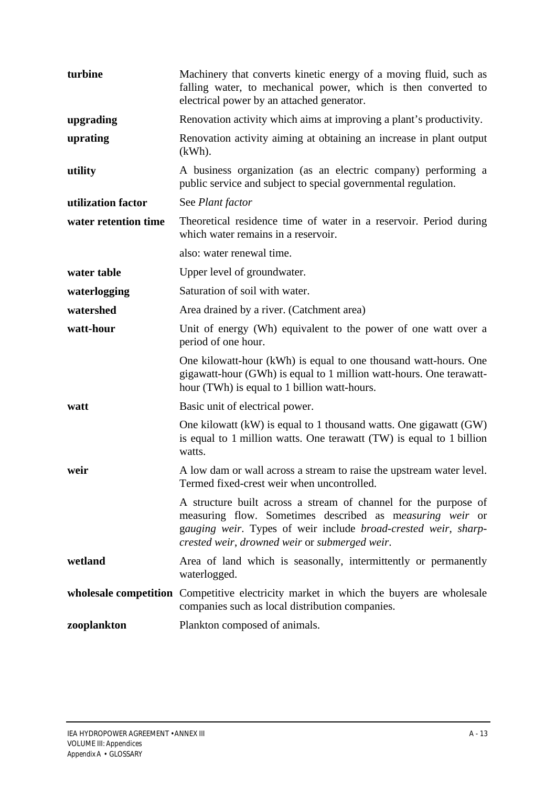| turbine              | Machinery that converts kinetic energy of a moving fluid, such as<br>falling water, to mechanical power, which is then converted to<br>electrical power by an attached generator.                                                              |
|----------------------|------------------------------------------------------------------------------------------------------------------------------------------------------------------------------------------------------------------------------------------------|
| upgrading            | Renovation activity which aims at improving a plant's productivity.                                                                                                                                                                            |
| uprating             | Renovation activity aiming at obtaining an increase in plant output<br>$(kWh)$ .                                                                                                                                                               |
| utility              | A business organization (as an electric company) performing a<br>public service and subject to special governmental regulation.                                                                                                                |
| utilization factor   | See Plant factor                                                                                                                                                                                                                               |
| water retention time | Theoretical residence time of water in a reservoir. Period during<br>which water remains in a reservoir.                                                                                                                                       |
|                      | also: water renewal time.                                                                                                                                                                                                                      |
| water table          | Upper level of groundwater.                                                                                                                                                                                                                    |
| waterlogging         | Saturation of soil with water.                                                                                                                                                                                                                 |
| watershed            | Area drained by a river. (Catchment area)                                                                                                                                                                                                      |
| watt-hour            | Unit of energy (Wh) equivalent to the power of one watt over a<br>period of one hour.                                                                                                                                                          |
|                      | One kilowatt-hour (kWh) is equal to one thousand watt-hours. One<br>gigawatt-hour (GWh) is equal to 1 million watt-hours. One terawatt-<br>hour (TWh) is equal to 1 billion watt-hours.                                                        |
| watt                 | Basic unit of electrical power.                                                                                                                                                                                                                |
|                      | One kilowatt $(kW)$ is equal to 1 thousand watts. One gigawatt $(GW)$<br>is equal to 1 million watts. One terawatt (TW) is equal to 1 billion<br>watts.                                                                                        |
| weir                 | A low dam or wall across a stream to raise the upstream water level.<br>Termed fixed-crest weir when uncontrolled.                                                                                                                             |
|                      | A structure built across a stream of channel for the purpose of<br>measuring flow. Sometimes described as measuring weir or<br>gauging weir. Types of weir include broad-crested weir, sharp-<br>crested weir, drowned weir or submerged weir. |
| wetland              | Area of land which is seasonally, intermittently or permanently<br>waterlogged.                                                                                                                                                                |
|                      | wholesale competition Competitive electricity market in which the buyers are wholesale<br>companies such as local distribution companies.                                                                                                      |
| zooplankton          | Plankton composed of animals.                                                                                                                                                                                                                  |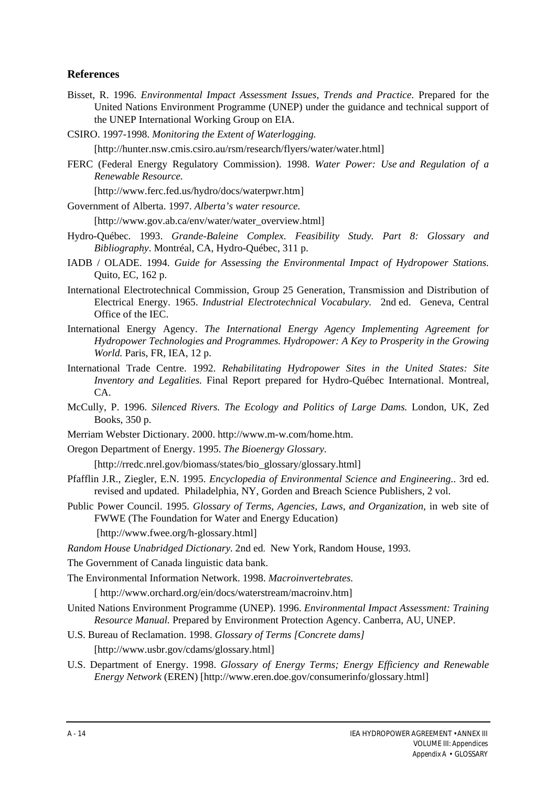#### **References**

- Bisset, R. 1996. *Environmental Impact Assessment Issues, Trends and Practice.* Prepared for the United Nations Environment Programme (UNEP) under the guidance and technical support of the UNEP International Working Group on EIA.
- CSIRO. 1997-1998. *Monitoring the Extent of Waterlogging.*

[http://hunter.nsw.cmis.csiro.au/rsm/research/flyers/water/water.html]

FERC (Federal Energy Regulatory Commission). 1998. *Water Power: Use and Regulation of a Renewable Resource.*

[http://www.ferc.fed.us/hydro/docs/waterpwr.htm]

Government of Alberta. 1997. *Alberta's water resource.*

[http://www.gov.ab.ca/env/water/water\_overview.html]

- Hydro-Québec. 1993. *Grande-Baleine Complex. Feasibility Study. Part 8: Glossary and Bibliography*. Montréal, CA, Hydro-Québec, 311 p.
- IADB / OLADE. 1994. *Guide for Assessing the Environmental Impact of Hydropower Stations.* Quito, EC, 162 p.
- International Electrotechnical Commission, Group 25 Generation, Transmission and Distribution of Electrical Energy. 1965. *Industrial Electrotechnical Vocabulary.* 2nd ed. Geneva, Central Office of the IEC.
- International Energy Agency. *The International Energy Agency Implementing Agreement for Hydropower Technologies and Programmes. Hydropower: A Key to Prosperity in the Growing World.* Paris, FR, IEA, 12 p.
- International Trade Centre. 1992. *Rehabilitating Hydropower Sites in the United States: Site Inventory and Legalities.* Final Report prepared for Hydro-Québec International. Montreal, CA.
- McCully, P. 1996. *Silenced Rivers. The Ecology and Politics of Large Dams.* London, UK, Zed Books, 350 p.
- Merriam Webster Dictionary. 2000. http://www.m-w.com/home.htm.
- Oregon Department of Energy. 1995. *The Bioenergy Glossary.*

[http://rredc.nrel.gov/biomass/states/bio\_glossary/glossary.html]

- Pfafflin J.R., Ziegler, E.N. 1995. *Encyclopedia of Environmental Science and Engineering*.. 3rd ed. revised and updated. Philadelphia, NY, Gorden and Breach Science Publishers, 2 vol.
- Public Power Council. 1995. *Glossary of Terms, Agencies, Laws, and Organization,* in web site of FWWE (The Foundation for Water and Energy Education)
	- [http://www.fwee.org/h-glossary.html]

*Random House Unabridged Dictionary.* 2nd ed. New York, Random House, 1993.

The Government of Canada linguistic data bank.

The Environmental Information Network. 1998. *Macroinvertebrates.*

[ http://www.orchard.org/ein/docs/waterstream/macroinv.htm]

- United Nations Environment Programme (UNEP). 1996. *Environmental Impact Assessment: Training Resource Manual.* Prepared by Environment Protection Agency. Canberra, AU, UNEP.
- U.S. Bureau of Reclamation. 1998. *Glossary of Terms [Concrete dams]* [http://www.usbr.gov/cdams/glossary.html]
- U.S. Department of Energy. 1998. *Glossary of Energy Terms; Energy Efficiency and Renewable Energy Network* (EREN) [http://www.eren.doe.gov/consumerinfo/glossary.html]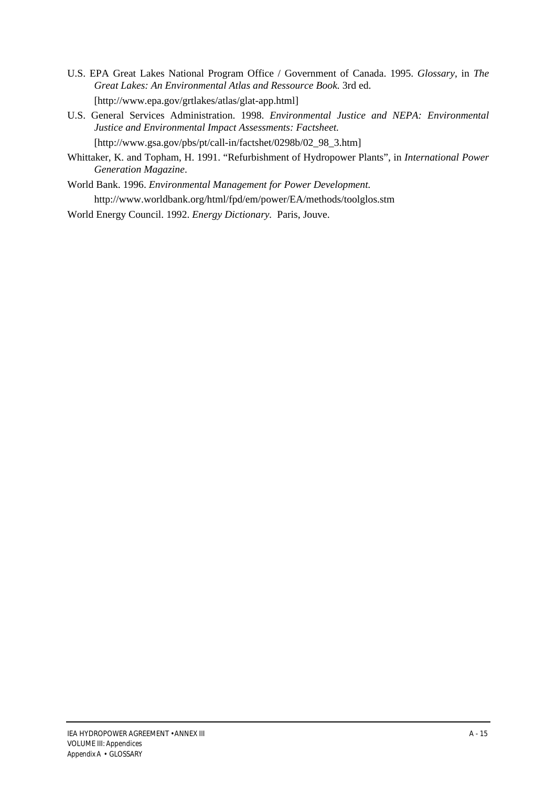- U.S. EPA Great Lakes National Program Office / Government of Canada. 1995. *Glossary*, in *The Great Lakes: An Environmental Atlas and Ressource Book.* 3rd ed. [http://www.epa.gov/grtlakes/atlas/glat-app.html]
- U.S. General Services Administration. 1998. *Environmental Justice and NEPA: Environmental Justice and Environmental Impact Assessments: Factsheet.* [http://www.gsa.gov/pbs/pt/call-in/factshet/0298b/02\_98\_3.htm]
- Whittaker, K. and Topham, H. 1991. "Refurbishment of Hydropower Plants", in *International Power Generation Magazine*.
- World Bank. 1996. *Environmental Management for Power Development.* http://www.worldbank.org/html/fpd/em/power/EA/methods/toolglos.stm
- World Energy Council. 1992. *Energy Dictionary.* Paris, Jouve.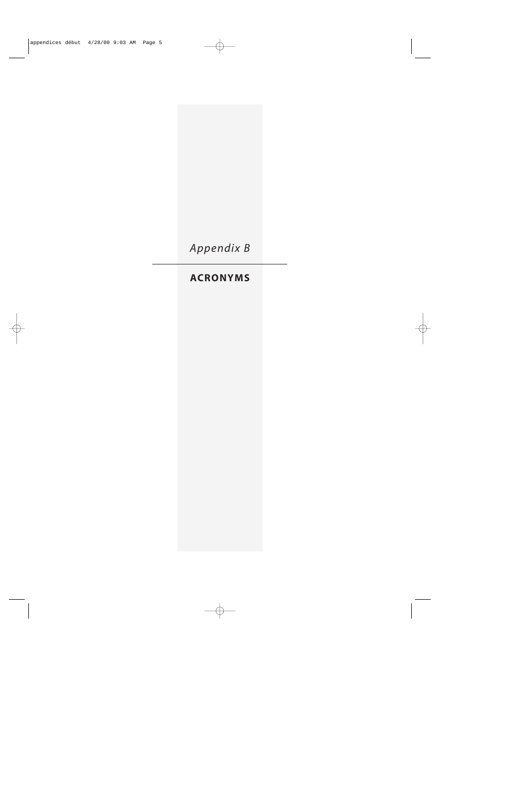

# **ACRONYMS**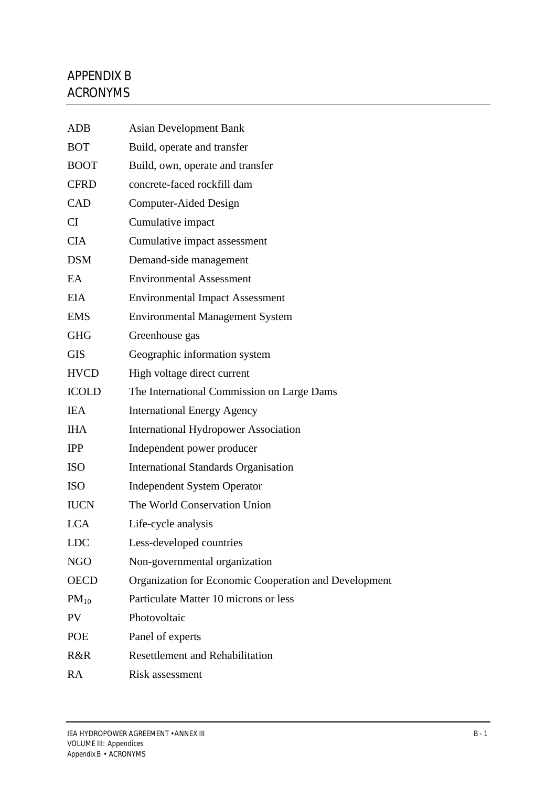# APPENDIX B ACRONYMS

| <b>ADB</b>   | <b>Asian Development Bank</b>                         |
|--------------|-------------------------------------------------------|
| <b>BOT</b>   | Build, operate and transfer                           |
| <b>BOOT</b>  | Build, own, operate and transfer                      |
| <b>CFRD</b>  | concrete-faced rockfill dam                           |
| <b>CAD</b>   | Computer-Aided Design                                 |
| CI           | Cumulative impact                                     |
| <b>CIA</b>   | Cumulative impact assessment                          |
| <b>DSM</b>   | Demand-side management                                |
| EA           | <b>Environmental Assessment</b>                       |
| EIA          | <b>Environmental Impact Assessment</b>                |
| <b>EMS</b>   | <b>Environmental Management System</b>                |
| <b>GHG</b>   | Greenhouse gas                                        |
| <b>GIS</b>   | Geographic information system                         |
| <b>HVCD</b>  | High voltage direct current                           |
| <b>ICOLD</b> | The International Commission on Large Dams            |
| <b>IEA</b>   | <b>International Energy Agency</b>                    |
| <b>IHA</b>   | <b>International Hydropower Association</b>           |
| <b>IPP</b>   | Independent power producer                            |
| <b>ISO</b>   | <b>International Standards Organisation</b>           |
| <b>ISO</b>   | <b>Independent System Operator</b>                    |
| <b>IUCN</b>  | The World Conservation Union                          |
| <b>LCA</b>   | Life-cycle analysis                                   |
| <b>LDC</b>   | Less-developed countries                              |
| <b>NGO</b>   | Non-governmental organization                         |
| <b>OECD</b>  | Organization for Economic Cooperation and Development |
| $PM_{10}$    | Particulate Matter 10 microns or less                 |
| <b>PV</b>    | Photovoltaic                                          |
| <b>POE</b>   | Panel of experts                                      |
| R&R          | <b>Resettlement and Rehabilitation</b>                |
| <b>RA</b>    | Risk assessment                                       |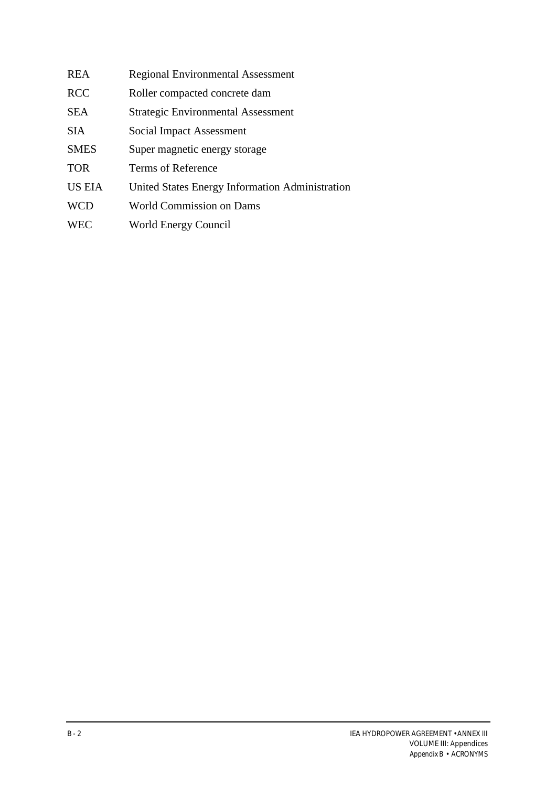| <b>REA</b>    | <b>Regional Environmental Assessment</b>        |
|---------------|-------------------------------------------------|
| <b>RCC</b>    | Roller compacted concrete dam                   |
| <b>SEA</b>    | <b>Strategic Environmental Assessment</b>       |
| <b>SIA</b>    | Social Impact Assessment                        |
| <b>SMES</b>   | Super magnetic energy storage                   |
| <b>TOR</b>    | <b>Terms of Reference</b>                       |
| <b>US EIA</b> | United States Energy Information Administration |
| <b>WCD</b>    | World Commission on Dams                        |
| <b>WEC</b>    | World Energy Council                            |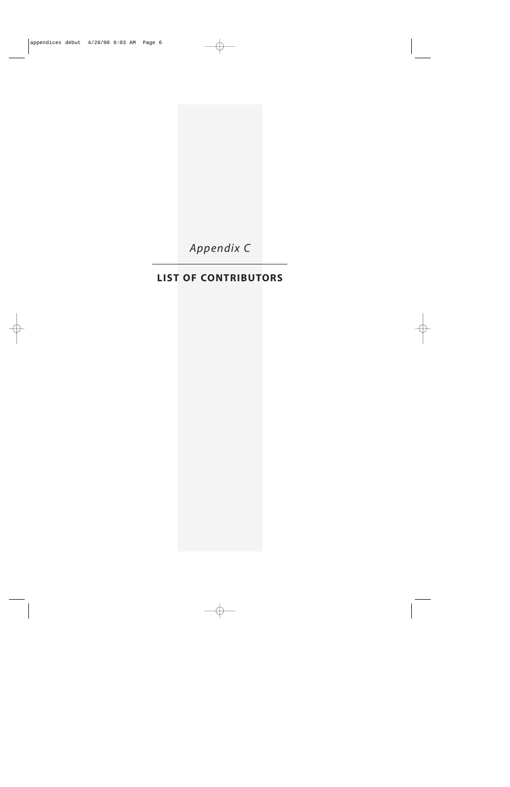

# **LIST OF CONTRIBUTORS**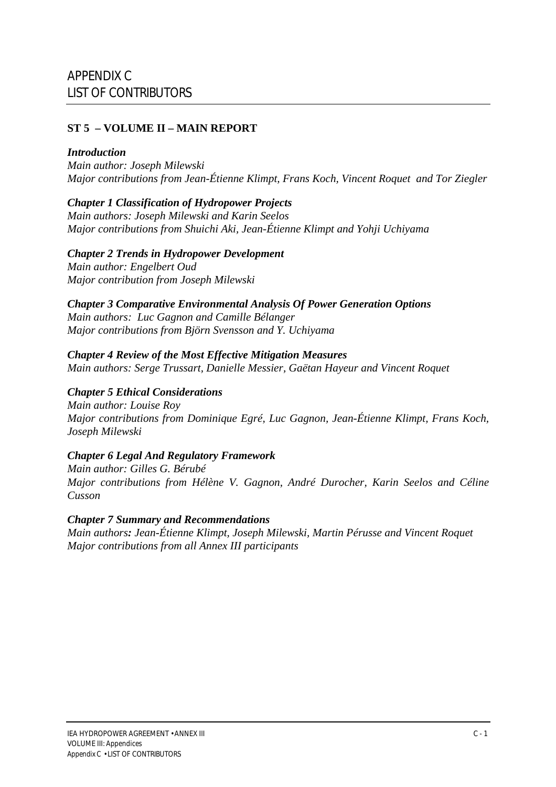### **ST 5 – VOLUME II – MAIN REPORT**

#### *Introduction*

*Main author: Joseph Milewski Major contributions from Jean-Étienne Klimpt, Frans Koch, Vincent Roquet and Tor Ziegler*

#### *Chapter 1 Classification of Hydropower Projects*

*Main authors: Joseph Milewski and Karin Seelos Major contributions from Shuichi Aki, Jean-Étienne Klimpt and Yohji Uchiyama*

### *Chapter 2 Trends in Hydropower Development*

*Main author: Engelbert Oud Major contribution from Joseph Milewski*

### *Chapter 3 Comparative Environmental Analysis Of Power Generation Options*

*Main authors: Luc Gagnon and Camille Bélanger Major contributions from Björn Svensson and Y. Uchiyama*

### *Chapter 4 Review of the Most Effective Mitigation Measures*

*Main authors: Serge Trussart, Danielle Messier, Gaëtan Hayeur and Vincent Roquet*

### *Chapter 5 Ethical Considerations*

*Main author: Louise Roy Major contributions from Dominique Egré, Luc Gagnon, Jean-Étienne Klimpt, Frans Koch, Joseph Milewski*

### *Chapter 6 Legal And Regulatory Framework*

*Main author: Gilles G. Bérubé Major contributions from Hélène V. Gagnon, André Durocher, Karin Seelos and Céline Cusson*

### *Chapter 7 Summary and Recommendations*

*Main authors: Jean-Étienne Klimpt, Joseph Milewski, Martin Pérusse and Vincent Roquet Major contributions from all Annex III participants*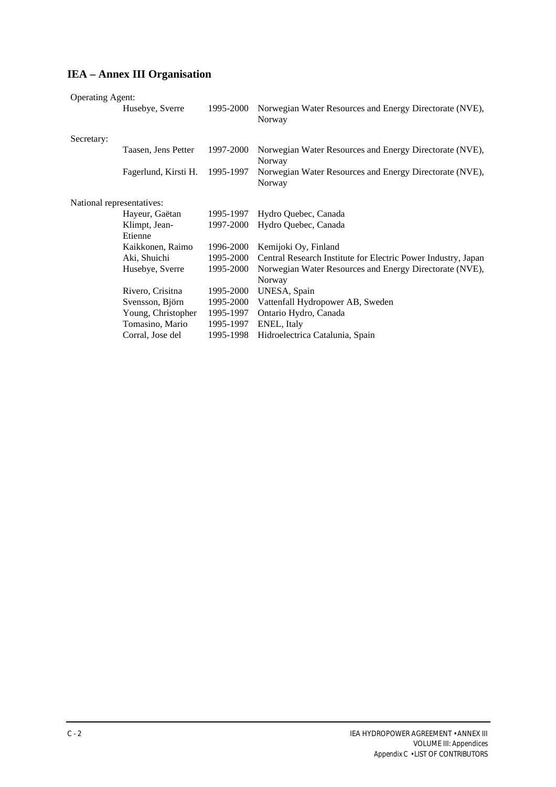## **IEA – Annex III Organisation**

| <b>Operating Agent:</b>   |                      |           |                                                                   |
|---------------------------|----------------------|-----------|-------------------------------------------------------------------|
|                           | Husebye, Sverre      | 1995-2000 | Norwegian Water Resources and Energy Directorate (NVE),<br>Norway |
| Secretary:                |                      |           |                                                                   |
|                           | Taasen, Jens Petter  | 1997-2000 | Norwegian Water Resources and Energy Directorate (NVE),<br>Norway |
|                           | Fagerlund, Kirsti H. | 1995-1997 | Norwegian Water Resources and Energy Directorate (NVE),<br>Norway |
| National representatives: |                      |           |                                                                   |
|                           | Hayeur, Gaëtan       | 1995-1997 | Hydro Quebec, Canada                                              |
|                           | Klimpt, Jean-        | 1997-2000 | Hydro Quebec, Canada                                              |
|                           | Etienne              |           |                                                                   |
|                           | Kaikkonen, Raimo     | 1996-2000 | Kemijoki Oy, Finland                                              |
|                           | Aki, Shuichi         | 1995-2000 | Central Research Institute for Electric Power Industry, Japan     |
|                           | Husebye, Sverre      | 1995-2000 | Norwegian Water Resources and Energy Directorate (NVE),           |
|                           |                      |           | Norway                                                            |
|                           | Rivero, Crisitna     | 1995-2000 | UNESA, Spain                                                      |
|                           | Svensson, Björn      | 1995-2000 | Vattenfall Hydropower AB, Sweden                                  |
|                           | Young, Christopher   | 1995-1997 | Ontario Hydro, Canada                                             |
|                           | Tomasino, Mario      | 1995-1997 | ENEL, Italy                                                       |
|                           | Corral, Jose del     | 1995-1998 | Hidroelectrica Catalunia, Spain                                   |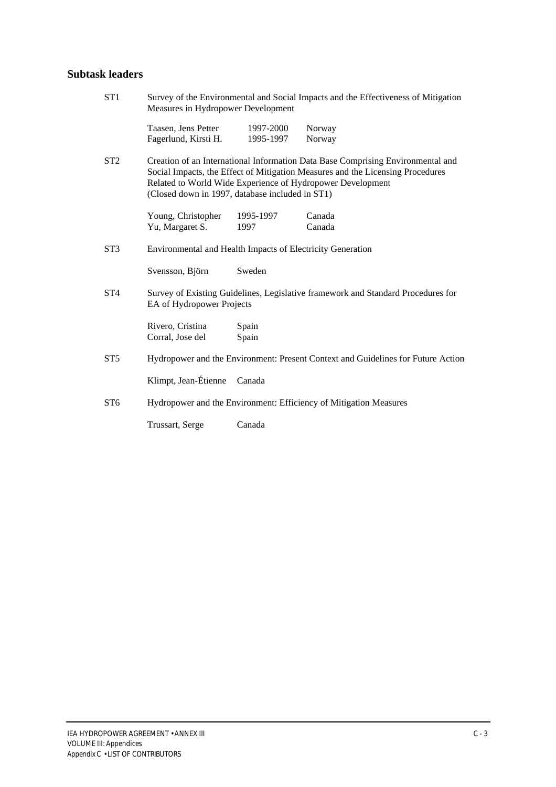### **Subtask leaders**

| Taasen, Jens Petter<br>Fagerlund, Kirsti H.                                                                                                                                                                                                                                        | 1997-2000<br>1995-1997 | Norway<br>Norway                                                                               |
|------------------------------------------------------------------------------------------------------------------------------------------------------------------------------------------------------------------------------------------------------------------------------------|------------------------|------------------------------------------------------------------------------------------------|
|                                                                                                                                                                                                                                                                                    |                        |                                                                                                |
| Creation of an International Information Data Base Comprising Environmental and<br>Social Impacts, the Effect of Mitigation Measures and the Licensing Procedures<br>Related to World Wide Experience of Hydropower Development<br>(Closed down in 1997, database included in ST1) |                        |                                                                                                |
| Young, Christopher<br>Yu, Margaret S.                                                                                                                                                                                                                                              | 1995-1997<br>1997      | Canada<br>Canada                                                                               |
| Environmental and Health Impacts of Electricity Generation                                                                                                                                                                                                                         |                        |                                                                                                |
| Svensson, Björn                                                                                                                                                                                                                                                                    | Sweden                 |                                                                                                |
|                                                                                                                                                                                                                                                                                    |                        | Survey of Existing Guidelines, Legislative framework and Standard Procedures for               |
| Rivero, Cristina<br>Corral, Jose del                                                                                                                                                                                                                                               | Spain<br>Spain         |                                                                                                |
| Hydropower and the Environment: Present Context and Guidelines for Future Action                                                                                                                                                                                                   |                        |                                                                                                |
| Klimpt, Jean-Étienne                                                                                                                                                                                                                                                               | Canada                 |                                                                                                |
|                                                                                                                                                                                                                                                                                    |                        |                                                                                                |
| Trussart, Serge                                                                                                                                                                                                                                                                    | Canada                 |                                                                                                |
|                                                                                                                                                                                                                                                                                    |                        | EA of Hydropower Projects<br>Hydropower and the Environment: Efficiency of Mitigation Measures |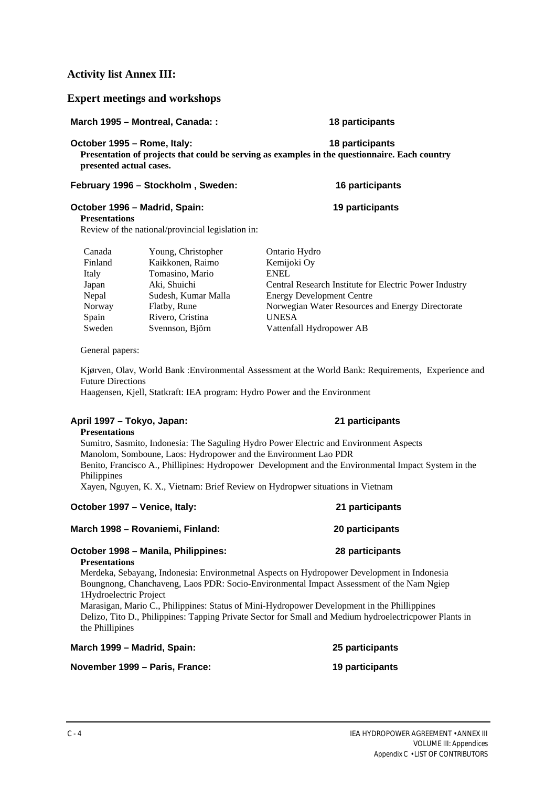**Expert meetings and workshops**

**Activity list Annex III:**

**October 1995 – Rome, Italy: 18 participants Presentation of projects that could be serving as examples in the questionnaire. Each country presented actual cases.**

February 1996 – Stockholm, Sweden: 16 participants

#### October 1996 – Madrid, Spain: 19 participants

#### **Presentations**

Review of the national/provincial legislation in:

| Canada  | Young, Christopher  | Ontario Hydro                                          |
|---------|---------------------|--------------------------------------------------------|
| Finland | Kaikkonen, Raimo    | Kemijoki Oy                                            |
| Italy   | Tomasino, Mario     | <b>ENEL</b>                                            |
| Japan   | Aki, Shuichi        | Central Research Institute for Electric Power Industry |
| Nepal   | Sudesh, Kumar Malla | <b>Energy Development Centre</b>                       |
| Norway  | Flatby, Rune        | Norwegian Water Resources and Energy Directorate       |
| Spain   | Rivero, Cristina    | <b>UNESA</b>                                           |
| Sweden  | Svennson, Björn     | Vattenfall Hydropower AB                               |
|         |                     |                                                        |

General papers:

Kjørven, Olav, World Bank :Environmental Assessment at the World Bank: Requirements, Experience and Future Directions

Haagensen, Kjell, Statkraft: IEA program: Hydro Power and the Environment

#### **April 1997 – Tokyo, Japan: 21 participants**

**Presentations** Sumitro, Sasmito, Indonesia: The Saguling Hydro Power Electric and Environment Aspects Manolom, Somboune, Laos: Hydropower and the Environment Lao PDR Benito, Francisco A., Phillipines: Hydropower Development and the Environmental Impact System in the Philippines Xayen, Nguyen, K. X., Vietnam: Brief Review on Hydropwer situations in Vietnam

## **October 1997 – Venice, Italy: 21 participants March 1998 – Rovaniemi, Finland: 20 participants October 1998 – Manila, Philippines: 28 participants Presentations**

Merdeka, Sebayang, Indonesia: Environmetnal Aspects on Hydropower Development in Indonesia Boungnong, Chanchaveng, Laos PDR: Socio-Environmental Impact Assessment of the Nam Ngiep 1Hydroelectric Project

Marasigan, Mario C., Philippines: Status of Mini-Hydropower Development in the Phillippines Delizo, Tito D., Philippines: Tapping Private Sector for Small and Medium hydroelectricpower Plants in the Phillipines

| March 1999 – Madrid, Spain:    | 25 participants        |
|--------------------------------|------------------------|
| November 1999 – Paris, France: | <b>19 participants</b> |

#### C - 4 IEA HYDROPOWER AGREEMENT • ANNEX III VOLUME III: *Appendices Appendix C* • LIST OF CONTRIBUTORS

**March 1995 – Montreal, Canada: : 18 participants**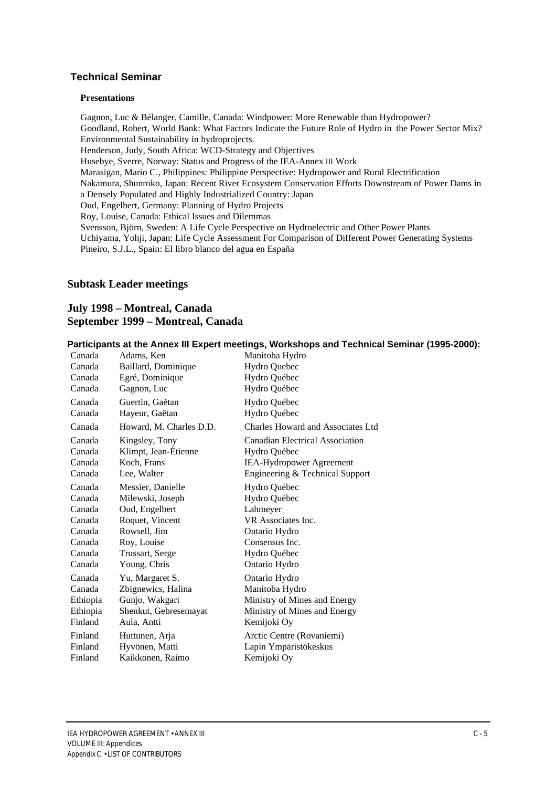#### **Technical Seminar**

#### **Presentations**

Gagnon, Luc & Bélanger, Camille, Canada: Windpower: More Renewable than Hydropower? Goodland, Robert, World Bank: What Factors Indicate the Future Role of Hydro in the Power Sector Mix? Environmental Sustainability in hydroprojects. Henderson, Judy, South Africa: WCD-Strategy and Objectives Husebye, Sverre, Norway: Status and Progress of the IEA-Annex ΙΙΙ Work Marasigan, Mario C., Philippines: Philippine Perspective: Hydropower and Rural Electrification Nakamura, Shunroko, Japan: Recent River Ecosystem Conservation Efforts Downstream of Power Dams in a Densely Populated and Highly Industrialized Country: Japan Oud, Engelbert, Germany: Planning of Hydro Projects Roy, Louise, Canada: Ethical Issues and Dilemmas Svensson, Björn, Sweden: A Life Cycle Perspective on Hydroelectric and Other Power Plants Uchiyama, Yohji, Japan: Life Cycle Assessment For Comparison of Different Power Generating Systems Pineiro, S.J.L., Spain: El libro blanco del agua en España

#### **Subtask Leader meetings**

#### **July 1998 – Montreal, Canada September 1999 – Montreal, Canada**

| Canada   | Adams, Ken              | r articipanto at the Annex in Expert meetings, workonopo and recimiear ochi |
|----------|-------------------------|-----------------------------------------------------------------------------|
| Canada   | Baillard, Dominique     | Manitoba Hydro<br>Hydro Quebec                                              |
| Canada   | Egré, Dominique         | Hydro Québec                                                                |
| Canada   | Gagnon, Luc             | Hydro Québec                                                                |
| Canada   | Guertin, Gaétan         | Hydro Québec                                                                |
| Canada   | Hayeur, Gaëtan          | Hydro Québec                                                                |
|          |                         |                                                                             |
| Canada   | Howard, M. Charles D.D. | Charles Howard and Associates Ltd                                           |
| Canada   | Kingsley, Tony          | Canadian Electrical Association                                             |
| Canada   | Klimpt, Jean-Étienne    | Hydro Québec                                                                |
| Canada   | Koch, Frans             | <b>IEA-Hydropower Agreement</b>                                             |
| Canada   | Lee, Walter             | Engineering & Technical Support                                             |
| Canada   | Messier, Danielle       | Hydro Québec                                                                |
| Canada   | Milewski, Joseph        | Hydro Québec                                                                |
| Canada   | Oud, Engelbert          | Lahmeyer                                                                    |
| Canada   | Roquet, Vincent         | VR Associates Inc.                                                          |
| Canada   | Rowsell, Jim            | Ontario Hydro                                                               |
| Canada   | Roy, Louise             | Consensus Inc.                                                              |
| Canada   | Trussart, Serge         | Hydro Québec                                                                |
| Canada   | Young, Chris            | Ontario Hydro                                                               |
| Canada   | Yu, Margaret S.         | Ontario Hydro                                                               |
| Canada   | Zbignewics, Halina      | Manitoba Hydro                                                              |
| Ethiopia | Gunjo, Wakgari          | Ministry of Mines and Energy                                                |
| Ethiopia | Shenkut, Gebresemayat   | Ministry of Mines and Energy                                                |
| Finland  | Aula, Antti             | Kemijoki Oy                                                                 |
| Finland  | Huttunen, Arja          | Arctic Centre (Rovaniemi)                                                   |
| Finland  | Hyvönen, Matti          | Lapin Ympäristökeskus                                                       |
| Finland  | Kaikkonen, Raimo        | Kemijoki Oy                                                                 |
|          |                         |                                                                             |

**Participants at the Annex III Expert meetings, Workshops and Technical Seminar (1995-2000):**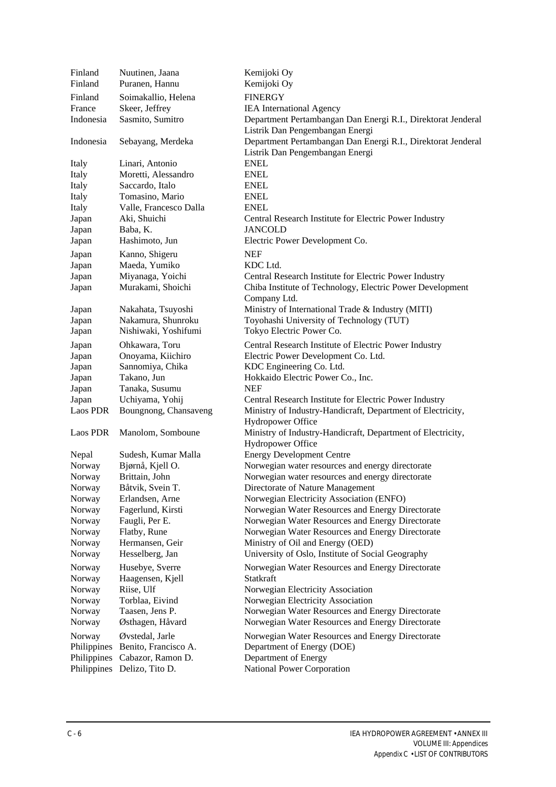| Finland<br>Finland | Nuutinen, Jaana<br>Puranen, Hannu | Kemijoki Oy<br>Kemijoki Oy                                                       |
|--------------------|-----------------------------------|----------------------------------------------------------------------------------|
| Finland            | Soimakallio, Helena               | <b>FINERGY</b>                                                                   |
| France             | Skeer, Jeffrey                    | <b>IEA</b> International Agency                                                  |
| Indonesia          | Sasmito, Sumitro                  | Department Pertambangan Dan Energi R.I., Direktorat Jenderal                     |
|                    |                                   | Listrik Dan Pengembangan Energi                                                  |
| Indonesia          |                                   | Department Pertambangan Dan Energi R.I., Direktorat Jenderal                     |
|                    | Sebayang, Merdeka                 |                                                                                  |
|                    |                                   | Listrik Dan Pengembangan Energi                                                  |
| Italy              | Linari, Antonio                   | <b>ENEL</b>                                                                      |
| Italy              | Moretti, Alessandro               | <b>ENEL</b>                                                                      |
| Italy              | Saccardo, Italo                   | <b>ENEL</b>                                                                      |
| Italy              | Tomasino, Mario                   | <b>ENEL</b>                                                                      |
| Italy              | Valle, Francesco Dalla            | <b>ENEL</b>                                                                      |
| Japan              | Aki, Shuichi                      | Central Research Institute for Electric Power Industry                           |
| Japan              | Baba, K.                          | <b>JANCOLD</b>                                                                   |
| Japan              | Hashimoto, Jun                    | Electric Power Development Co.                                                   |
| Japan              | Kanno, Shigeru                    | <b>NEF</b>                                                                       |
| Japan              | Maeda, Yumiko                     | KDC Ltd.                                                                         |
| Japan              | Miyanaga, Yoichi                  | Central Research Institute for Electric Power Industry                           |
| Japan              | Murakami, Shoichi                 | Chiba Institute of Technology, Electric Power Development                        |
|                    |                                   | Company Ltd.                                                                     |
| Japan              | Nakahata, Tsuyoshi                | Ministry of International Trade & Industry (MITI)                                |
| Japan              | Nakamura, Shunroku                | Toyohashi University of Technology (TUT)                                         |
| Japan              | Nishiwaki, Yoshifumi              | Tokyo Electric Power Co.                                                         |
| Japan              | Ohkawara, Toru                    | Central Research Institute of Electric Power Industry                            |
| Japan              | Onoyama, Kiichiro                 | Electric Power Development Co. Ltd.                                              |
| Japan              | Sannomiya, Chika                  | KDC Engineering Co. Ltd.                                                         |
| Japan              | Takano, Jun                       | Hokkaido Electric Power Co., Inc.                                                |
| Japan              | Tanaka, Susumu                    | <b>NEF</b>                                                                       |
| Japan              | Uchiyama, Yohij                   | Central Research Institute for Electric Power Industry                           |
| Laos PDR           | Boungnong, Chansaveng             | Ministry of Industry-Handicraft, Department of Electricity,<br>Hydropower Office |
| Laos PDR           | Manolom, Somboune                 | Ministry of Industry-Handicraft, Department of Electricity,<br>Hydropower Office |
| Nepal              | Sudesh, Kumar Malla               | <b>Energy Development Centre</b>                                                 |
| Norway             | Bjørnå, Kjell O.                  | Norwegian water resources and energy directorate                                 |
| Norway             | Brittain, John                    | Norwegian water resources and energy directorate                                 |
| Norway             | Båtvik, Svein T.                  | Directorate of Nature Management                                                 |
| Norway             | Erlandsen, Arne                   | Norwegian Electricity Association (ENFO)                                         |
| Norway             | Fagerlund, Kirsti                 | Norwegian Water Resources and Energy Directorate                                 |
| Norway             | Faugli, Per E.                    | Norwegian Water Resources and Energy Directorate                                 |
| Norway             | Flatby, Rune                      | Norwegian Water Resources and Energy Directorate                                 |
| Norway             | Hermansen, Geir                   | Ministry of Oil and Energy (OED)                                                 |
| Norway             | Hesselberg, Jan                   | University of Oslo, Institute of Social Geography                                |
|                    |                                   |                                                                                  |
| Norway             | Husebye, Sverre                   | Norwegian Water Resources and Energy Directorate                                 |
| Norway             | Haagensen, Kjell                  | Statkraft                                                                        |
| Norway             | Riise, Ulf                        | Norwegian Electricity Association                                                |
| Norway             | Torblaa, Eivind                   | Norwegian Electricity Association                                                |
| Norway             | Taasen, Jens P.                   | Norwegian Water Resources and Energy Directorate                                 |
| Norway             | Østhagen, Håvard                  | Norwegian Water Resources and Energy Directorate                                 |
| Norway             | Øvstedal, Jarle                   | Norwegian Water Resources and Energy Directorate                                 |
| Philippines        | Benito, Francisco A.              | Department of Energy (DOE)                                                       |
| Philippines        | Cabazor, Ramon D.                 | Department of Energy                                                             |
| Philippines        | Delizo, Tito D.                   | National Power Corporation                                                       |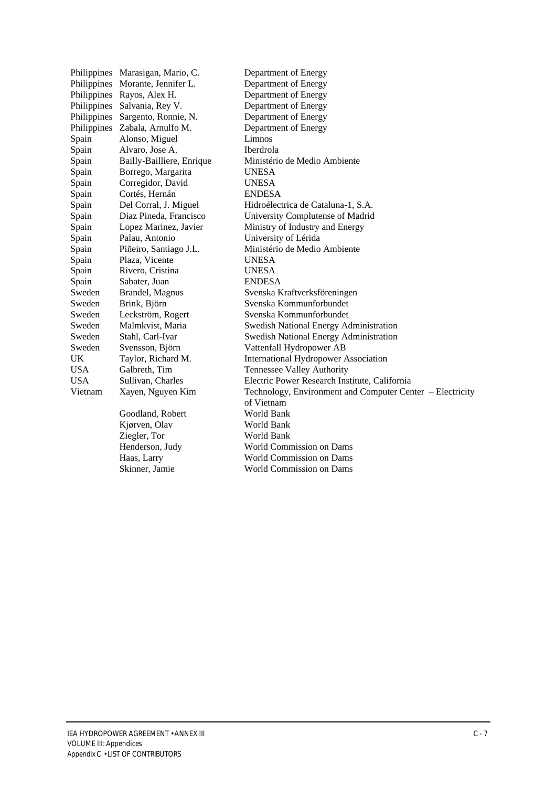|             | Philippines Marasigan, Mario, C. | Department of Energy                                      |
|-------------|----------------------------------|-----------------------------------------------------------|
| Philippines | Morante, Jennifer L.             | Department of Energy                                      |
| Philippines | Rayos, Alex H.                   | Department of Energy                                      |
| Philippines | Salvania, Rey V.                 | Department of Energy                                      |
| Philippines | Sargento, Ronnie, N.             | Department of Energy                                      |
| Philippines | Zabala, Arnulfo M.               | Department of Energy                                      |
| Spain       | Alonso, Miguel                   | Limnos                                                    |
| Spain       | Alvaro, Jose A.                  | Iberdrola                                                 |
| Spain       | Bailly-Bailliere, Enrique        | Ministério de Medio Ambiente                              |
| Spain       | Borrego, Margarita               | <b>UNESA</b>                                              |
| Spain       | Corregidor, David                | <b>UNESA</b>                                              |
| Spain       | Cortés, Hernán                   | <b>ENDESA</b>                                             |
| Spain       | Del Corral, J. Miguel            | Hidroélectrica de Cataluna-1, S.A.                        |
| Spain       | Diaz Pineda, Francisco           | University Complutense of Madrid                          |
| Spain       | Lopez Marinez, Javier            | Ministry of Industry and Energy                           |
| Spain       | Palau, Antonio                   | University of Lérida                                      |
| Spain       | Piñeiro, Santiago J.L.           | Ministério de Medio Ambiente                              |
| Spain       | Plaza, Vicente                   | <b>UNESA</b>                                              |
| Spain       | Rivero, Cristina                 | <b>UNESA</b>                                              |
| Spain       | Sabater, Juan                    | <b>ENDESA</b>                                             |
| Sweden      | Brandel, Magnus                  | Svenska Kraftverksföreningen                              |
| Sweden      | Brink, Björn                     | Svenska Kommunforbundet                                   |
| Sweden      | Leckström, Rogert                | Svenska Kommunforbundet                                   |
| Sweden      | Malmkvist, Maria                 | Swedish National Energy Administration                    |
| Sweden      | Stahl, Carl-Ivar                 | <b>Swedish National Energy Administration</b>             |
| Sweden      | Svensson, Björn                  | Vattenfall Hydropower AB                                  |
| UK          | Taylor, Richard M.               | <b>International Hydropower Association</b>               |
| USA         | Galbreth, Tim                    | <b>Tennessee Valley Authority</b>                         |
| USA         | Sullivan, Charles                | Electric Power Research Institute, California             |
| Vietnam     | Xayen, Nguyen Kim                | Technology, Environment and Computer Center - Electricity |
|             |                                  | of Vietnam                                                |
|             | Goodland, Robert                 | World Bank                                                |
|             | Kjørven, Olav                    | World Bank                                                |
|             | Ziegler, Tor                     | World Bank                                                |
|             | Henderson, Judy                  | <b>World Commission on Dams</b>                           |
|             | Haas, Larry                      | <b>World Commission on Dams</b>                           |
|             | Skinner, Jamie                   | <b>World Commission on Dams</b>                           |
|             |                                  |                                                           |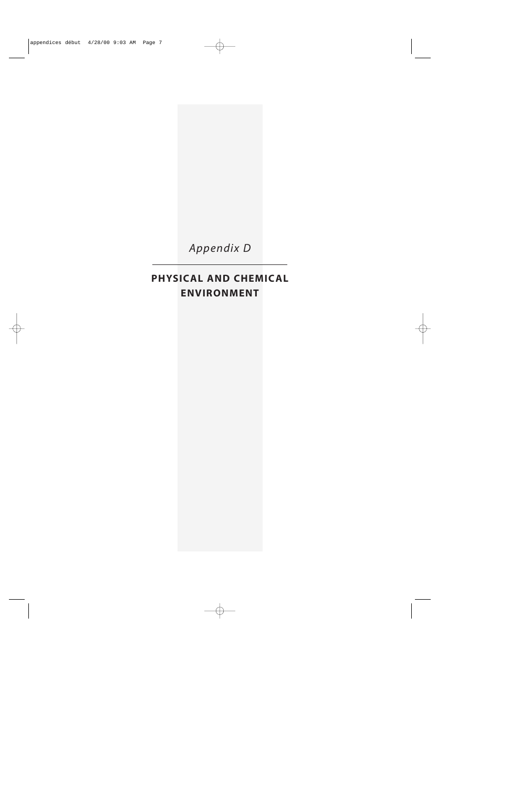

# **PHYSICAL AND CHEMICAL ENVIRONMENT**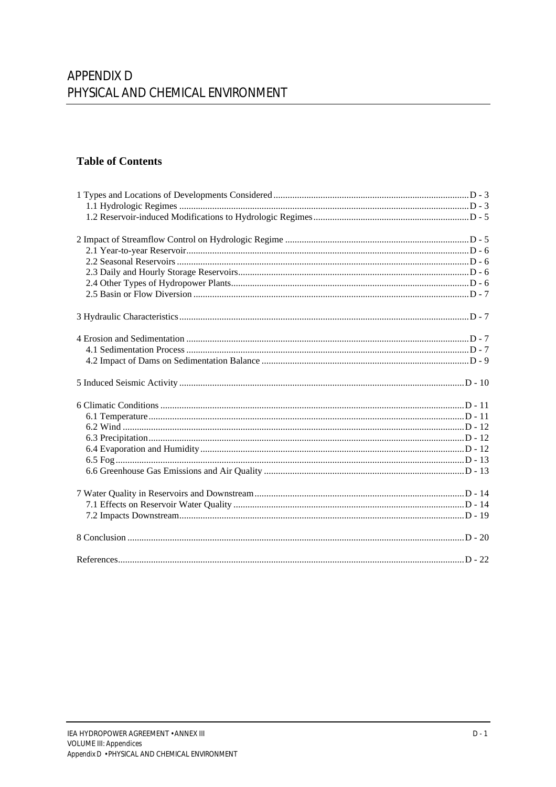### **Table of Contents**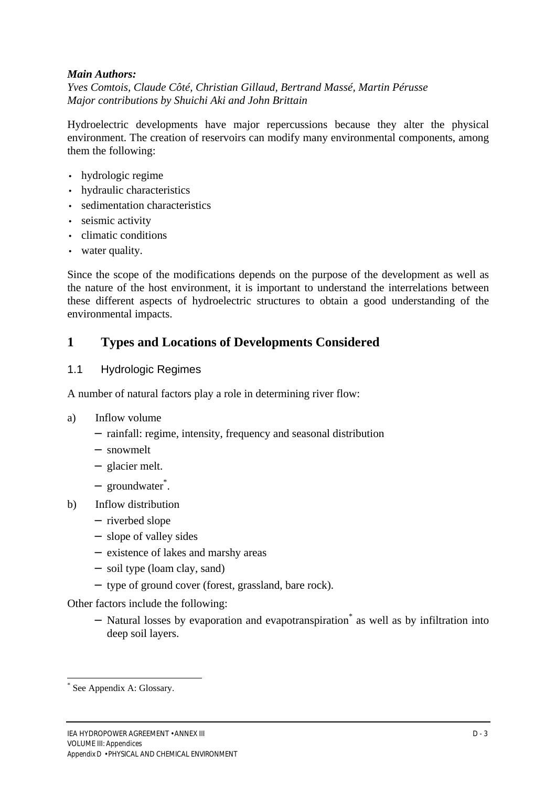#### *Main Authors:*

*Yves Comtois, Claude Côté, Christian Gillaud, Bertrand Massé, Martin Pérusse Major contributions by Shuichi Aki and John Brittain*

Hydroelectric developments have major repercussions because they alter the physical environment. The creation of reservoirs can modify many environmental components, among them the following:

- hydrologic regime
- hydraulic characteristics
- sedimentation characteristics
- seismic activity
- climatic conditions
- water quality.

Since the scope of the modifications depends on the purpose of the development as well as the nature of the host environment, it is important to understand the interrelations between these different aspects of hydroelectric structures to obtain a good understanding of the environmental impacts.

# **1 Types and Locations of Developments Considered**

#### 1.1 Hydrologic Regimes

A number of natural factors play a role in determining river flow:

- a) Inflow volume
	- − rainfall: regime, intensity, frequency and seasonal distribution
	- − snowmelt
	- − glacier melt.
	- − groundwater\* .
- b) Inflow distribution
	- − riverbed slope
	- − slope of valley sides
	- − existence of lakes and marshy areas
	- − soil type (loam clay, sand)
	- − type of ground cover (forest, grassland, bare rock).

Other factors include the following:

− Natural losses by evaporation and evapotranspiration\* as well as by infiltration into deep soil layers.

<sup>\*</sup> See Appendix A: Glossary.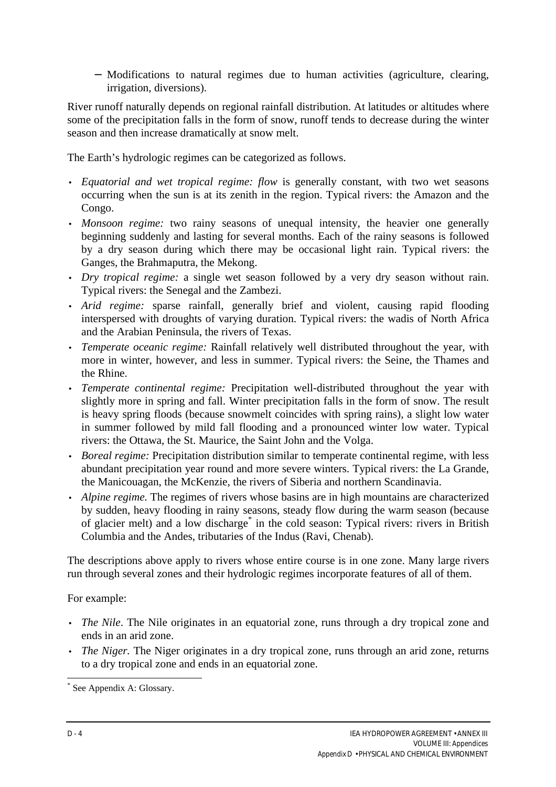− Modifications to natural regimes due to human activities (agriculture, clearing, irrigation, diversions).

River runoff naturally depends on regional rainfall distribution. At latitudes or altitudes where some of the precipitation falls in the form of snow, runoff tends to decrease during the winter season and then increase dramatically at snow melt.

The Earth's hydrologic regimes can be categorized as follows.

- *Equatorial and wet tropical regime: flow* is generally constant, with two wet seasons occurring when the sun is at its zenith in the region. Typical rivers: the Amazon and the Congo.
- *Monsoon regime:* two rainy seasons of unequal intensity, the heavier one generally beginning suddenly and lasting for several months. Each of the rainy seasons is followed by a dry season during which there may be occasional light rain. Typical rivers: the Ganges, the Brahmaputra, the Mekong.
- *Dry tropical regime:* a single wet season followed by a very dry season without rain. Typical rivers: the Senegal and the Zambezi.
- *Arid regime:* sparse rainfall, generally brief and violent, causing rapid flooding interspersed with droughts of varying duration. Typical rivers: the wadis of North Africa and the Arabian Peninsula, the rivers of Texas.
- *Temperate oceanic regime:* Rainfall relatively well distributed throughout the year, with more in winter, however, and less in summer. Typical rivers: the Seine, the Thames and the Rhine.
- *Temperate continental regime:* Precipitation well-distributed throughout the year with slightly more in spring and fall. Winter precipitation falls in the form of snow. The result is heavy spring floods (because snowmelt coincides with spring rains), a slight low water in summer followed by mild fall flooding and a pronounced winter low water. Typical rivers: the Ottawa, the St. Maurice, the Saint John and the Volga.
- *Boreal regime:* Precipitation distribution similar to temperate continental regime, with less abundant precipitation year round and more severe winters. Typical rivers: the La Grande, the Manicouagan, the McKenzie, the rivers of Siberia and northern Scandinavia.
- *Alpine regime.* The regimes of rivers whose basins are in high mountains are characterized by sudden, heavy flooding in rainy seasons, steady flow during the warm season (because of glacier melt) and a low discharge<sup>\*</sup> in the cold season: Typical rivers: rivers in British Columbia and the Andes, tributaries of the Indus (Ravi, Chenab).

The descriptions above apply to rivers whose entire course is in one zone. Many large rivers run through several zones and their hydrologic regimes incorporate features of all of them.

For example:

- *The Nile*. The Nile originates in an equatorial zone, runs through a dry tropical zone and ends in an arid zone.
- *The Niger.* The Niger originates in a dry tropical zone, runs through an arid zone, returns to a dry tropical zone and ends in an equatorial zone.

 $\overline{a}$ \* See Appendix A: Glossary.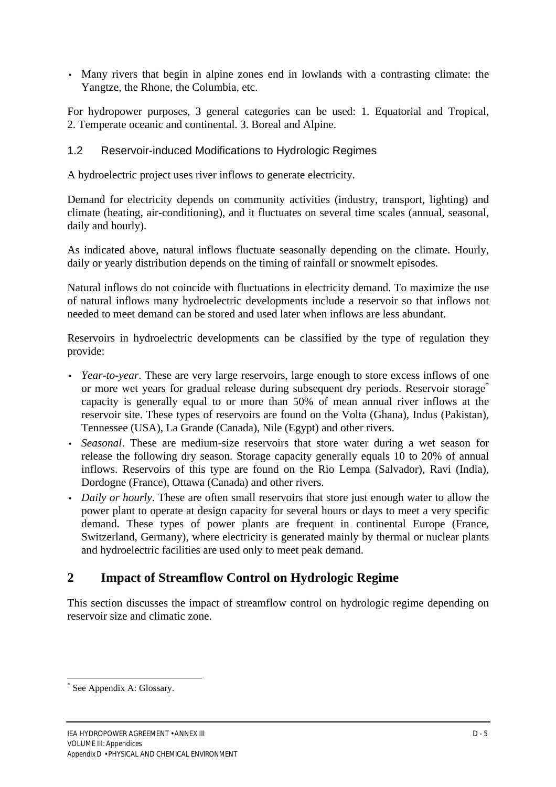• Many rivers that begin in alpine zones end in lowlands with a contrasting climate: the Yangtze, the Rhone, the Columbia, etc.

For hydropower purposes, 3 general categories can be used: 1. Equatorial and Tropical, 2. Temperate oceanic and continental. 3. Boreal and Alpine.

# 1.2 Reservoir-induced Modifications to Hydrologic Regimes

A hydroelectric project uses river inflows to generate electricity.

Demand for electricity depends on community activities (industry, transport, lighting) and climate (heating, air-conditioning), and it fluctuates on several time scales (annual, seasonal, daily and hourly).

As indicated above, natural inflows fluctuate seasonally depending on the climate. Hourly, daily or yearly distribution depends on the timing of rainfall or snowmelt episodes.

Natural inflows do not coincide with fluctuations in electricity demand. To maximize the use of natural inflows many hydroelectric developments include a reservoir so that inflows not needed to meet demand can be stored and used later when inflows are less abundant.

Reservoirs in hydroelectric developments can be classified by the type of regulation they provide:

- *Year-to-year*. These are very large reservoirs, large enough to store excess inflows of one or more wet years for gradual release during subsequent dry periods. Reservoir storage<sup>\*</sup> capacity is generally equal to or more than 50% of mean annual river inflows at the reservoir site. These types of reservoirs are found on the Volta (Ghana), Indus (Pakistan), Tennessee (USA), La Grande (Canada), Nile (Egypt) and other rivers.
- *Seasonal*. These are medium-size reservoirs that store water during a wet season for release the following dry season. Storage capacity generally equals 10 to 20% of annual inflows. Reservoirs of this type are found on the Rio Lempa (Salvador), Ravi (India), Dordogne (France), Ottawa (Canada) and other rivers.
- *Daily or hourly*. These are often small reservoirs that store just enough water to allow the power plant to operate at design capacity for several hours or days to meet a very specific demand. These types of power plants are frequent in continental Europe (France, Switzerland, Germany), where electricity is generated mainly by thermal or nuclear plants and hydroelectric facilities are used only to meet peak demand.

# **2 Impact of Streamflow Control on Hydrologic Regime**

This section discusses the impact of streamflow control on hydrologic regime depending on reservoir size and climatic zone.

<sup>\*</sup> See Appendix A: Glossary.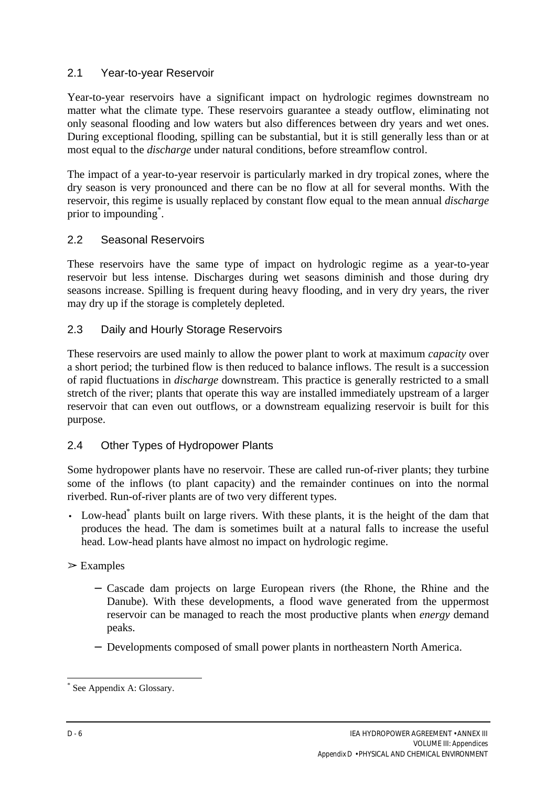# 2.1 Year-to-year Reservoir

Year-to-year reservoirs have a significant impact on hydrologic regimes downstream no matter what the climate type. These reservoirs guarantee a steady outflow, eliminating not only seasonal flooding and low waters but also differences between dry years and wet ones. During exceptional flooding, spilling can be substantial, but it is still generally less than or at most equal to the *discharge* under natural conditions, before streamflow control.

The impact of a year-to-year reservoir is particularly marked in dry tropical zones, where the dry season is very pronounced and there can be no flow at all for several months. With the reservoir, this regime is usually replaced by constant flow equal to the mean annual *discharge* prior to impounding<sup>\*</sup>.

# 2.2 Seasonal Reservoirs

These reservoirs have the same type of impact on hydrologic regime as a year-to-year reservoir but less intense. Discharges during wet seasons diminish and those during dry seasons increase. Spilling is frequent during heavy flooding, and in very dry years, the river may dry up if the storage is completely depleted.

# 2.3 Daily and Hourly Storage Reservoirs

These reservoirs are used mainly to allow the power plant to work at maximum *capacity* over a short period; the turbined flow is then reduced to balance inflows. The result is a succession of rapid fluctuations in *discharge* downstream. This practice is generally restricted to a small stretch of the river; plants that operate this way are installed immediately upstream of a larger reservoir that can even out outflows, or a downstream equalizing reservoir is built for this purpose.

# 2.4 Other Types of Hydropower Plants

Some hydropower plants have no reservoir. These are called run-of-river plants; they turbine some of the inflows (to plant capacity) and the remainder continues on into the normal riverbed. Run-of-river plants are of two very different types.

• Low-head<sup>\*</sup> plants built on large rivers. With these plants, it is the height of the dam that produces the head. The dam is sometimes built at a natural falls to increase the useful head. Low-head plants have almost no impact on hydrologic regime.

# $\triangleright$  Examples

- − Cascade dam projects on large European rivers (the Rhone, the Rhine and the Danube). With these developments, a flood wave generated from the uppermost reservoir can be managed to reach the most productive plants when *energy* demand peaks.
- − Developments composed of small power plants in northeastern North America.

 $\overline{a}$ \* See Appendix A: Glossary.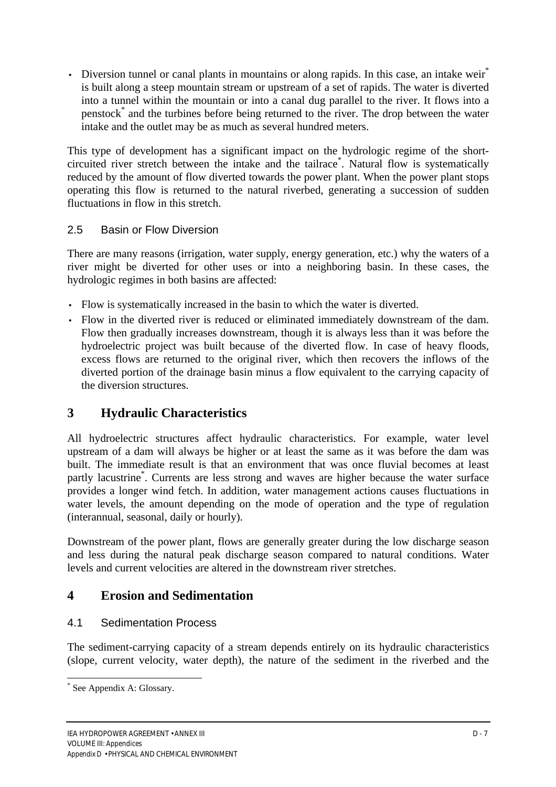• Diversion tunnel or canal plants in mountains or along rapids. In this case, an intake weir<sup>\*</sup> is built along a steep mountain stream or upstream of a set of rapids. The water is diverted into a tunnel within the mountain or into a canal dug parallel to the river. It flows into a penstock<sup>\*</sup> and the turbines before being returned to the river. The drop between the water intake and the outlet may be as much as several hundred meters.

This type of development has a significant impact on the hydrologic regime of the shortcircuited river stretch between the intake and the tailrace\* . Natural flow is systematically reduced by the amount of flow diverted towards the power plant. When the power plant stops operating this flow is returned to the natural riverbed, generating a succession of sudden fluctuations in flow in this stretch.

# 2.5 Basin or Flow Diversion

There are many reasons (irrigation, water supply, energy generation, etc.) why the waters of a river might be diverted for other uses or into a neighboring basin. In these cases, the hydrologic regimes in both basins are affected:

- Flow is systematically increased in the basin to which the water is diverted.
- Flow in the diverted river is reduced or eliminated immediately downstream of the dam. Flow then gradually increases downstream, though it is always less than it was before the hydroelectric project was built because of the diverted flow. In case of heavy floods, excess flows are returned to the original river, which then recovers the inflows of the diverted portion of the drainage basin minus a flow equivalent to the carrying capacity of the diversion structures.

# **3 Hydraulic Characteristics**

All hydroelectric structures affect hydraulic characteristics. For example, water level upstream of a dam will always be higher or at least the same as it was before the dam was built. The immediate result is that an environment that was once fluvial becomes at least partly lacustrine\* . Currents are less strong and waves are higher because the water surface provides a longer wind fetch. In addition, water management actions causes fluctuations in water levels, the amount depending on the mode of operation and the type of regulation (interannual, seasonal, daily or hourly).

Downstream of the power plant, flows are generally greater during the low discharge season and less during the natural peak discharge season compared to natural conditions. Water levels and current velocities are altered in the downstream river stretches.

# **4 Erosion and Sedimentation**

# 4.1 Sedimentation Process

The sediment-carrying capacity of a stream depends entirely on its hydraulic characteristics (slope, current velocity, water depth), the nature of the sediment in the riverbed and the

<sup>\*</sup> See Appendix A: Glossary.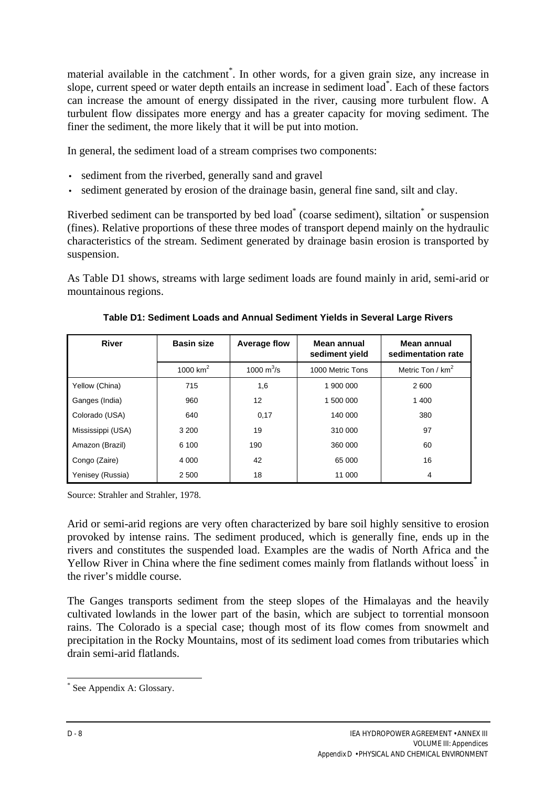material available in the catchment<sup>\*</sup>. In other words, for a given grain size, any increase in slope, current speed or water depth entails an increase in sediment load\* . Each of these factors can increase the amount of energy dissipated in the river, causing more turbulent flow. A turbulent flow dissipates more energy and has a greater capacity for moving sediment. The finer the sediment, the more likely that it will be put into motion.

In general, the sediment load of a stream comprises two components:

- sediment from the riverbed, generally sand and gravel
- sediment generated by erosion of the drainage basin, general fine sand, silt and clay.

Riverbed sediment can be transported by bed load<sup>\*</sup> (coarse sediment), siltation<sup>\*</sup> or suspension (fines). Relative proportions of these three modes of transport depend mainly on the hydraulic characteristics of the stream. Sediment generated by drainage basin erosion is transported by suspension.

As Table D1 shows, streams with large sediment loads are found mainly in arid, semi-arid or mountainous regions.

| <b>River</b>      | <b>Basin size</b> | <b>Average flow</b>            | Mean annual<br>sediment yield | Mean annual<br>sedimentation rate |
|-------------------|-------------------|--------------------------------|-------------------------------|-----------------------------------|
|                   | 1000 $km2$        | 1000 $\mathrm{m}^3/\mathrm{s}$ | 1000 Metric Tons              | Metric Ton / $km^2$               |
| Yellow (China)    | 715               | 1,6                            | 1 900 000                     | 2 600                             |
| Ganges (India)    | 960               | 12                             | 1 500 000                     | 1 400                             |
| Colorado (USA)    | 640               | 0,17                           | 140 000                       | 380                               |
| Mississippi (USA) | 3 2 0 0           | 19                             | 310 000                       | 97                                |
| Amazon (Brazil)   | 6 100             | 190                            | 360 000                       | 60                                |
| Congo (Zaire)     | 4 0 0 0           | 42                             | 65 000                        | 16                                |
| Yenisey (Russia)  | 2 500             | 18                             | 11 000                        | 4                                 |

**Table D1: Sediment Loads and Annual Sediment Yields in Several Large Rivers**

Source: Strahler and Strahler, 1978.

Arid or semi-arid regions are very often characterized by bare soil highly sensitive to erosion provoked by intense rains. The sediment produced, which is generally fine, ends up in the rivers and constitutes the suspended load. Examples are the wadis of North Africa and the Yellow River in China where the fine sediment comes mainly from flatlands without loess<sup>\*</sup> in the river's middle course.

The Ganges transports sediment from the steep slopes of the Himalayas and the heavily cultivated lowlands in the lower part of the basin, which are subject to torrential monsoon rains. The Colorado is a special case; though most of its flow comes from snowmelt and precipitation in the Rocky Mountains, most of its sediment load comes from tributaries which drain semi-arid flatlands.

<sup>\*</sup> See Appendix A: Glossary.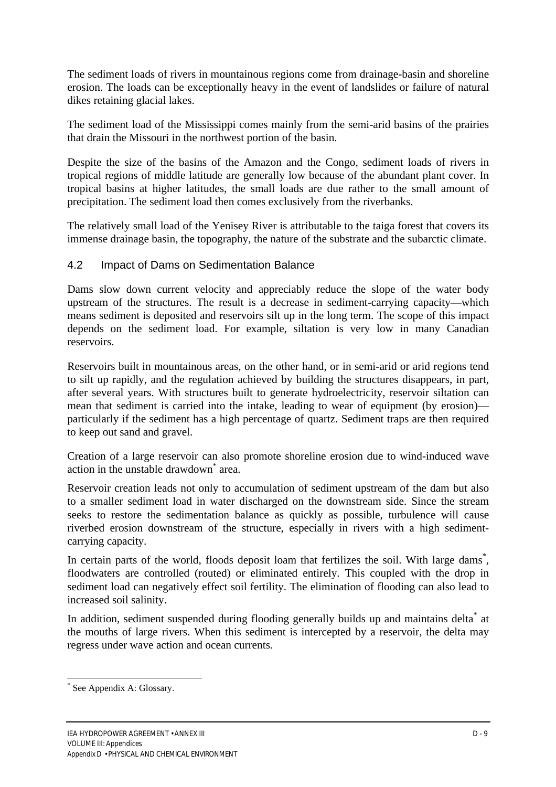The sediment loads of rivers in mountainous regions come from drainage-basin and shoreline erosion. The loads can be exceptionally heavy in the event of landslides or failure of natural dikes retaining glacial lakes.

The sediment load of the Mississippi comes mainly from the semi-arid basins of the prairies that drain the Missouri in the northwest portion of the basin.

Despite the size of the basins of the Amazon and the Congo, sediment loads of rivers in tropical regions of middle latitude are generally low because of the abundant plant cover. In tropical basins at higher latitudes, the small loads are due rather to the small amount of precipitation. The sediment load then comes exclusively from the riverbanks.

The relatively small load of the Yenisey River is attributable to the taiga forest that covers its immense drainage basin, the topography, the nature of the substrate and the subarctic climate.

## 4.2 Impact of Dams on Sedimentation Balance

Dams slow down current velocity and appreciably reduce the slope of the water body upstream of the structures. The result is a decrease in sediment-carrying capacity—which means sediment is deposited and reservoirs silt up in the long term. The scope of this impact depends on the sediment load. For example, siltation is very low in many Canadian reservoirs.

Reservoirs built in mountainous areas, on the other hand, or in semi-arid or arid regions tend to silt up rapidly, and the regulation achieved by building the structures disappears, in part, after several years. With structures built to generate hydroelectricity, reservoir siltation can mean that sediment is carried into the intake, leading to wear of equipment (by erosion) particularly if the sediment has a high percentage of quartz. Sediment traps are then required to keep out sand and gravel.

Creation of a large reservoir can also promote shoreline erosion due to wind-induced wave action in the unstable drawdown\* area.

Reservoir creation leads not only to accumulation of sediment upstream of the dam but also to a smaller sediment load in water discharged on the downstream side. Since the stream seeks to restore the sedimentation balance as quickly as possible, turbulence will cause riverbed erosion downstream of the structure, especially in rivers with a high sedimentcarrying capacity.

In certain parts of the world, floods deposit loam that fertilizes the soil. With large dams<sup>\*</sup>, floodwaters are controlled (routed) or eliminated entirely. This coupled with the drop in sediment load can negatively effect soil fertility. The elimination of flooding can also lead to increased soil salinity.

In addition, sediment suspended during flooding generally builds up and maintains delta<sup>\*</sup> at the mouths of large rivers. When this sediment is intercepted by a reservoir, the delta may regress under wave action and ocean currents.

<sup>\*</sup> See Appendix A: Glossary.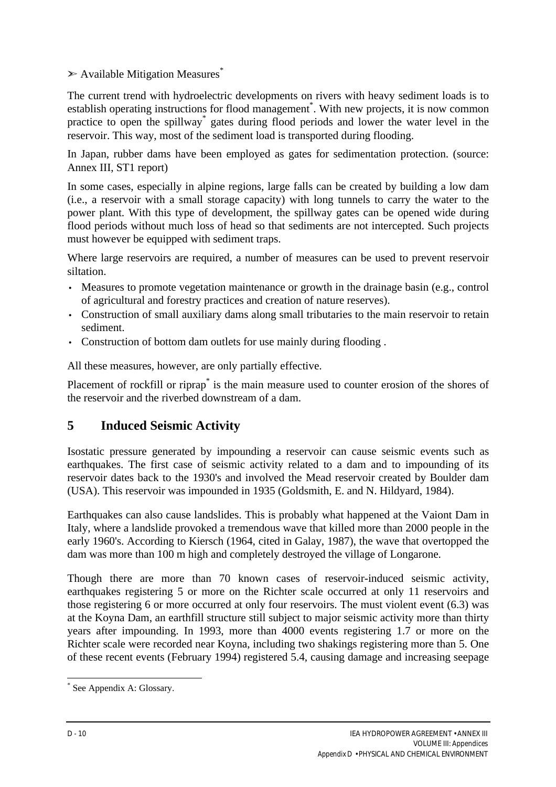$\triangleright$  Available Mitigation Measures<sup>\*</sup>

The current trend with hydroelectric developments on rivers with heavy sediment loads is to establish operating instructions for flood management<sup>\*</sup>. With new projects, it is now common practice to open the spillway<sup>\*</sup> gates during flood periods and lower the water level in the reservoir. This way, most of the sediment load is transported during flooding.

In Japan, rubber dams have been employed as gates for sedimentation protection. (source: Annex III, ST1 report)

In some cases, especially in alpine regions, large falls can be created by building a low dam (i.e., a reservoir with a small storage capacity) with long tunnels to carry the water to the power plant. With this type of development, the spillway gates can be opened wide during flood periods without much loss of head so that sediments are not intercepted. Such projects must however be equipped with sediment traps.

Where large reservoirs are required, a number of measures can be used to prevent reservoir siltation.

- Measures to promote vegetation maintenance or growth in the drainage basin (e.g., control of agricultural and forestry practices and creation of nature reserves).
- Construction of small auxiliary dams along small tributaries to the main reservoir to retain sediment.
- Construction of bottom dam outlets for use mainly during flooding .

All these measures, however, are only partially effective.

Placement of rockfill or riprap<sup>\*</sup> is the main measure used to counter erosion of the shores of the reservoir and the riverbed downstream of a dam.

# **5 Induced Seismic Activity**

Isostatic pressure generated by impounding a reservoir can cause seismic events such as earthquakes. The first case of seismic activity related to a dam and to impounding of its reservoir dates back to the 1930's and involved the Mead reservoir created by Boulder dam (USA). This reservoir was impounded in 1935 (Goldsmith, E. and N. Hildyard, 1984).

Earthquakes can also cause landslides. This is probably what happened at the Vaiont Dam in Italy, where a landslide provoked a tremendous wave that killed more than 2000 people in the early 1960's. According to Kiersch (1964, cited in Galay, 1987), the wave that overtopped the dam was more than 100 m high and completely destroyed the village of Longarone.

Though there are more than 70 known cases of reservoir-induced seismic activity, earthquakes registering 5 or more on the Richter scale occurred at only 11 reservoirs and those registering 6 or more occurred at only four reservoirs. The must violent event (6.3) was at the Koyna Dam, an earthfill structure still subject to major seismic activity more than thirty years after impounding. In 1993, more than 4000 events registering 1.7 or more on the Richter scale were recorded near Koyna, including two shakings registering more than 5. One of these recent events (February 1994) registered 5.4, causing damage and increasing seepage

 $\overline{a}$ \* See Appendix A: Glossary.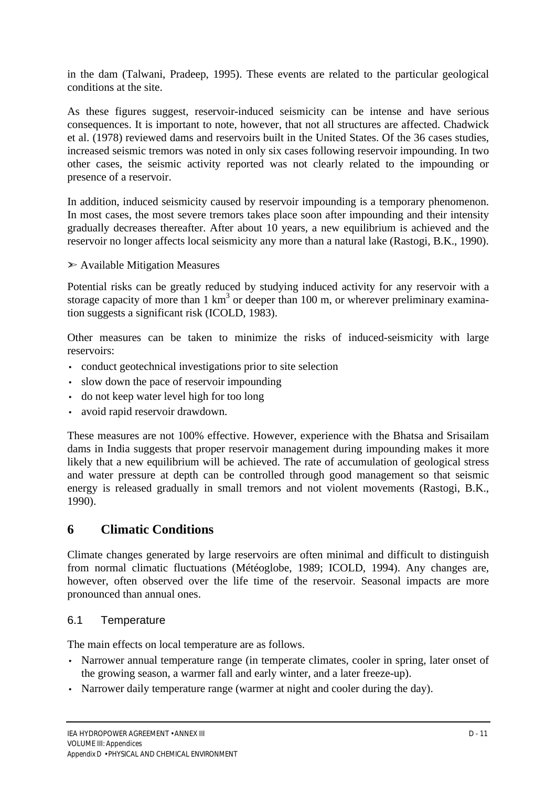in the dam (Talwani, Pradeep, 1995). These events are related to the particular geological conditions at the site.

As these figures suggest, reservoir-induced seismicity can be intense and have serious consequences. It is important to note, however, that not all structures are affected. Chadwick et al. (1978) reviewed dams and reservoirs built in the United States. Of the 36 cases studies, increased seismic tremors was noted in only six cases following reservoir impounding. In two other cases, the seismic activity reported was not clearly related to the impounding or presence of a reservoir.

In addition, induced seismicity caused by reservoir impounding is a temporary phenomenon. In most cases, the most severe tremors takes place soon after impounding and their intensity gradually decreases thereafter. After about 10 years, a new equilibrium is achieved and the reservoir no longer affects local seismicity any more than a natural lake (Rastogi, B.K., 1990).

#### $\triangleright$  Available Mitigation Measures

Potential risks can be greatly reduced by studying induced activity for any reservoir with a storage capacity of more than  $1 \text{ km}^3$  or deeper than 100 m, or wherever preliminary examination suggests a significant risk (ICOLD, 1983).

Other measures can be taken to minimize the risks of induced-seismicity with large reservoirs:

- conduct geotechnical investigations prior to site selection
- slow down the pace of reservoir impounding
- do not keep water level high for too long
- avoid rapid reservoir drawdown.

These measures are not 100% effective. However, experience with the Bhatsa and Srisailam dams in India suggests that proper reservoir management during impounding makes it more likely that a new equilibrium will be achieved. The rate of accumulation of geological stress and water pressure at depth can be controlled through good management so that seismic energy is released gradually in small tremors and not violent movements (Rastogi, B.K., 1990).

# **6 Climatic Conditions**

Climate changes generated by large reservoirs are often minimal and difficult to distinguish from normal climatic fluctuations (Météoglobe, 1989; ICOLD, 1994). Any changes are, however, often observed over the life time of the reservoir. Seasonal impacts are more pronounced than annual ones.

#### 6.1 Temperature

The main effects on local temperature are as follows.

- Narrower annual temperature range (in temperate climates, cooler in spring, later onset of the growing season, a warmer fall and early winter, and a later freeze-up).
- Narrower daily temperature range (warmer at night and cooler during the day).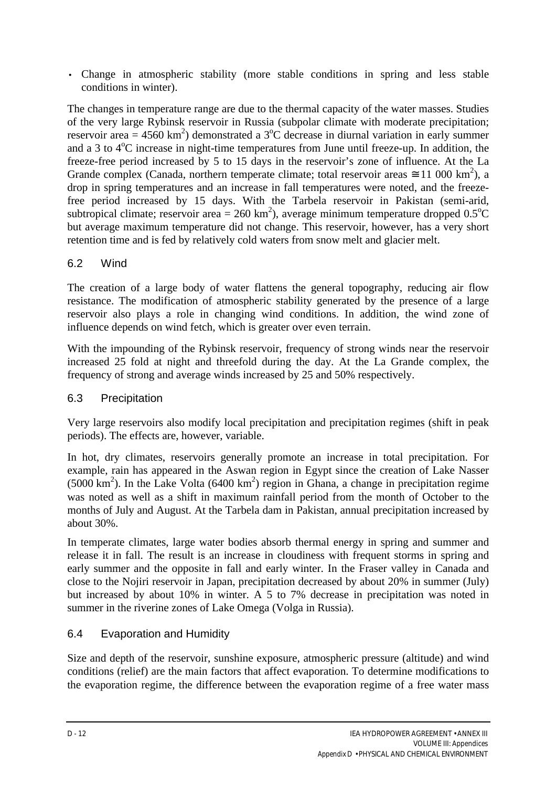• Change in atmospheric stability (more stable conditions in spring and less stable conditions in winter).

The changes in temperature range are due to the thermal capacity of the water masses. Studies of the very large Rybinsk reservoir in Russia (subpolar climate with moderate precipitation; reservoir area = 4560 km<sup>2</sup>) demonstrated a 3<sup>o</sup>C decrease in diurnal variation in early summer and a 3 to  $4^{\circ}$ C increase in night-time temperatures from June until freeze-up. In addition, the freeze-free period increased by 5 to 15 days in the reservoir's zone of influence. At the La Grande complex (Canada, northern temperate climate; total reservoir areas  $\approx 11\,000\;\text{km}^2$ ), a drop in spring temperatures and an increase in fall temperatures were noted, and the freezefree period increased by 15 days. With the Tarbela reservoir in Pakistan (semi-arid, subtropical climate; reservoir area = 260 km<sup>2</sup>), average minimum temperature dropped  $0.5^{\circ}$ C but average maximum temperature did not change. This reservoir, however, has a very short retention time and is fed by relatively cold waters from snow melt and glacier melt.

# 6.2 Wind

The creation of a large body of water flattens the general topography, reducing air flow resistance. The modification of atmospheric stability generated by the presence of a large reservoir also plays a role in changing wind conditions. In addition, the wind zone of influence depends on wind fetch, which is greater over even terrain.

With the impounding of the Rybinsk reservoir, frequency of strong winds near the reservoir increased 25 fold at night and threefold during the day. At the La Grande complex, the frequency of strong and average winds increased by 25 and 50% respectively.

# 6.3 Precipitation

Very large reservoirs also modify local precipitation and precipitation regimes (shift in peak periods). The effects are, however, variable.

In hot, dry climates, reservoirs generally promote an increase in total precipitation. For example, rain has appeared in the Aswan region in Egypt since the creation of Lake Nasser (5000 km<sup>2</sup>). In the Lake Volta (6400 km<sup>2</sup>) region in Ghana, a change in precipitation regime was noted as well as a shift in maximum rainfall period from the month of October to the months of July and August. At the Tarbela dam in Pakistan, annual precipitation increased by about 30%.

In temperate climates, large water bodies absorb thermal energy in spring and summer and release it in fall. The result is an increase in cloudiness with frequent storms in spring and early summer and the opposite in fall and early winter. In the Fraser valley in Canada and close to the Nojiri reservoir in Japan, precipitation decreased by about 20% in summer (July) but increased by about 10% in winter. A 5 to 7% decrease in precipitation was noted in summer in the riverine zones of Lake Omega (Volga in Russia).

# 6.4 Evaporation and Humidity

Size and depth of the reservoir, sunshine exposure, atmospheric pressure (altitude) and wind conditions (relief) are the main factors that affect evaporation. To determine modifications to the evaporation regime, the difference between the evaporation regime of a free water mass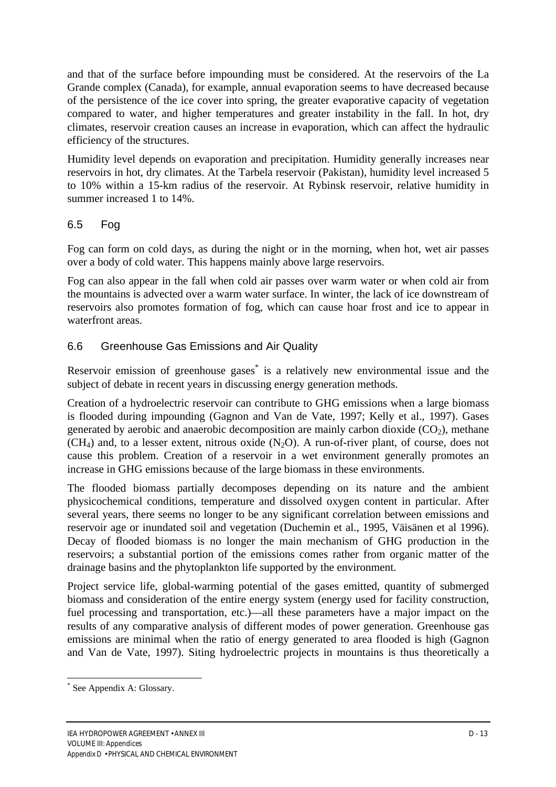and that of the surface before impounding must be considered. At the reservoirs of the La Grande complex (Canada), for example, annual evaporation seems to have decreased because of the persistence of the ice cover into spring, the greater evaporative capacity of vegetation compared to water, and higher temperatures and greater instability in the fall. In hot, dry climates, reservoir creation causes an increase in evaporation, which can affect the hydraulic efficiency of the structures.

Humidity level depends on evaporation and precipitation. Humidity generally increases near reservoirs in hot, dry climates. At the Tarbela reservoir (Pakistan), humidity level increased 5 to 10% within a 15-km radius of the reservoir. At Rybinsk reservoir, relative humidity in summer increased 1 to 14%.

# 6.5 Fog

Fog can form on cold days, as during the night or in the morning, when hot, wet air passes over a body of cold water. This happens mainly above large reservoirs.

Fog can also appear in the fall when cold air passes over warm water or when cold air from the mountains is advected over a warm water surface. In winter, the lack of ice downstream of reservoirs also promotes formation of fog, which can cause hoar frost and ice to appear in waterfront areas.

# 6.6 Greenhouse Gas Emissions and Air Quality

Reservoir emission of greenhouse gases<sup>\*</sup> is a relatively new environmental issue and the subject of debate in recent years in discussing energy generation methods.

Creation of a hydroelectric reservoir can contribute to GHG emissions when a large biomass is flooded during impounding (Gagnon and Van de Vate, 1997; Kelly et al., 1997). Gases generated by aerobic and anaerobic decomposition are mainly carbon dioxide  $(CO<sub>2</sub>)$ , methane  $(CH<sub>4</sub>)$  and, to a lesser extent, nitrous oxide  $(N<sub>2</sub>O)$ . A run-of-river plant, of course, does not cause this problem. Creation of a reservoir in a wet environment generally promotes an increase in GHG emissions because of the large biomass in these environments.

The flooded biomass partially decomposes depending on its nature and the ambient physicochemical conditions, temperature and dissolved oxygen content in particular. After several years, there seems no longer to be any significant correlation between emissions and reservoir age or inundated soil and vegetation (Duchemin et al., 1995, Väisänen et al 1996). Decay of flooded biomass is no longer the main mechanism of GHG production in the reservoirs; a substantial portion of the emissions comes rather from organic matter of the drainage basins and the phytoplankton life supported by the environment.

Project service life, global-warming potential of the gases emitted, quantity of submerged biomass and consideration of the entire energy system (energy used for facility construction, fuel processing and transportation, etc.)—all these parameters have a major impact on the results of any comparative analysis of different modes of power generation. Greenhouse gas emissions are minimal when the ratio of energy generated to area flooded is high (Gagnon and Van de Vate, 1997). Siting hydroelectric projects in mountains is thus theoretically a

 $\overline{a}$ \* See Appendix A: Glossary.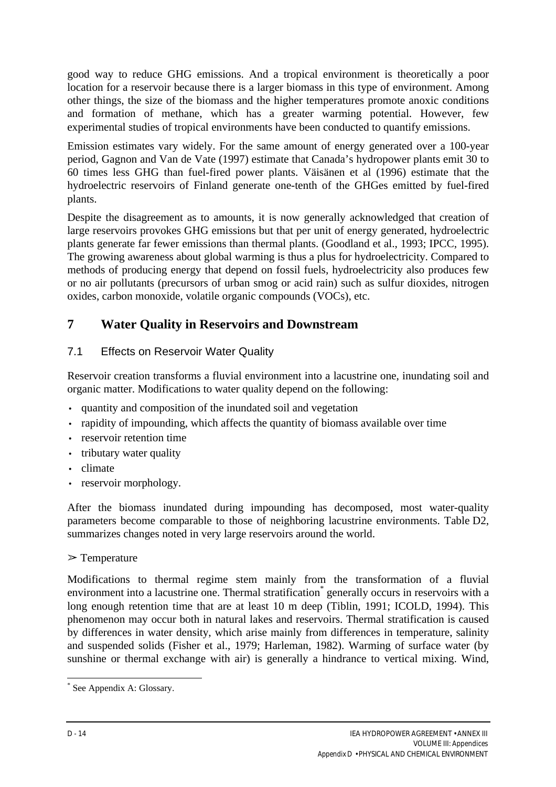good way to reduce GHG emissions. And a tropical environment is theoretically a poor location for a reservoir because there is a larger biomass in this type of environment. Among other things, the size of the biomass and the higher temperatures promote anoxic conditions and formation of methane, which has a greater warming potential. However, few experimental studies of tropical environments have been conducted to quantify emissions.

Emission estimates vary widely. For the same amount of energy generated over a 100-year period, Gagnon and Van de Vate (1997) estimate that Canada's hydropower plants emit 30 to 60 times less GHG than fuel-fired power plants. Väisänen et al (1996) estimate that the hydroelectric reservoirs of Finland generate one-tenth of the GHGes emitted by fuel-fired plants.

Despite the disagreement as to amounts, it is now generally acknowledged that creation of large reservoirs provokes GHG emissions but that per unit of energy generated, hydroelectric plants generate far fewer emissions than thermal plants. (Goodland et al., 1993; IPCC, 1995). The growing awareness about global warming is thus a plus for hydroelectricity. Compared to methods of producing energy that depend on fossil fuels, hydroelectricity also produces few or no air pollutants (precursors of urban smog or acid rain) such as sulfur dioxides, nitrogen oxides, carbon monoxide, volatile organic compounds (VOCs), etc.

# **7 Water Quality in Reservoirs and Downstream**

# 7.1 Effects on Reservoir Water Quality

Reservoir creation transforms a fluvial environment into a lacustrine one, inundating soil and organic matter. Modifications to water quality depend on the following:

- quantity and composition of the inundated soil and vegetation
- rapidity of impounding, which affects the quantity of biomass available over time
- reservoir retention time
- tributary water quality
- climate
- reservoir morphology.

After the biomass inundated during impounding has decomposed, most water-quality parameters become comparable to those of neighboring lacustrine environments. Table D2, summarizes changes noted in very large reservoirs around the world.

 $\triangleright$  Temperature

Modifications to thermal regime stem mainly from the transformation of a fluvial environment into a lacustrine one. Thermal stratification<sup>\*</sup> generally occurs in reservoirs with a long enough retention time that are at least 10 m deep (Tiblin, 1991; ICOLD, 1994). This phenomenon may occur both in natural lakes and reservoirs. Thermal stratification is caused by differences in water density, which arise mainly from differences in temperature, salinity and suspended solids (Fisher et al., 1979; Harleman, 1982). Warming of surface water (by sunshine or thermal exchange with air) is generally a hindrance to vertical mixing. Wind,

 $\overline{a}$ \* See Appendix A: Glossary.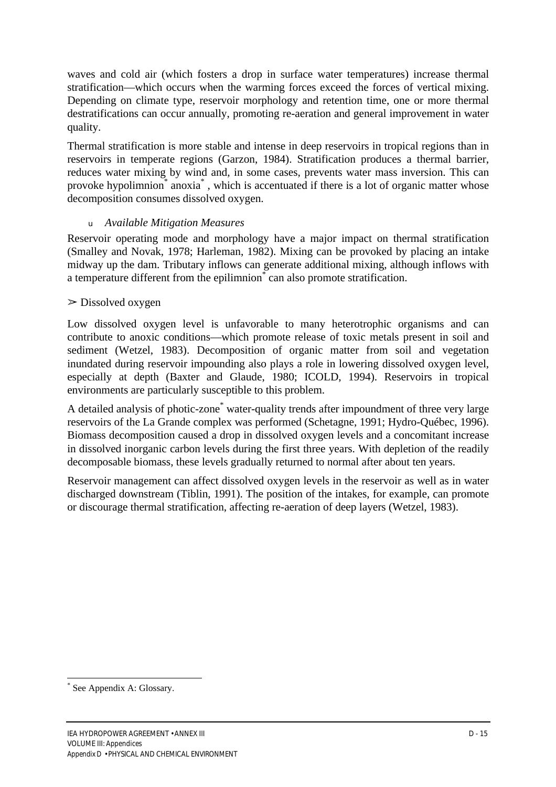waves and cold air (which fosters a drop in surface water temperatures) increase thermal stratification—which occurs when the warming forces exceed the forces of vertical mixing. Depending on climate type, reservoir morphology and retention time, one or more thermal destratifications can occur annually, promoting re-aeration and general improvement in water quality.

Thermal stratification is more stable and intense in deep reservoirs in tropical regions than in reservoirs in temperate regions (Garzon, 1984). Stratification produces a thermal barrier, reduces water mixing by wind and, in some cases, prevents water mass inversion. This can provoke hypolimnion<sup>\*</sup> anoxia<sup>\*</sup>, which is accentuated if there is a lot of organic matter whose decomposition consumes dissolved oxygen.

#### *<sup>u</sup>Available Mitigation Measures*

Reservoir operating mode and morphology have a major impact on thermal stratification (Smalley and Novak, 1978; Harleman, 1982). Mixing can be provoked by placing an intake midway up the dam. Tributary inflows can generate additional mixing, although inflows with a temperature different from the epilimnion<sup>®</sup> can also promote stratification.

## $\geq$  Dissolved oxygen

Low dissolved oxygen level is unfavorable to many heterotrophic organisms and can contribute to anoxic conditions—which promote release of toxic metals present in soil and sediment (Wetzel, 1983). Decomposition of organic matter from soil and vegetation inundated during reservoir impounding also plays a role in lowering dissolved oxygen level, especially at depth (Baxter and Glaude, 1980; ICOLD, 1994). Reservoirs in tropical environments are particularly susceptible to this problem.

A detailed analysis of photic-zone<sup>\*</sup> water-quality trends after impoundment of three very large reservoirs of the La Grande complex was performed (Schetagne, 1991; Hydro-Québec, 1996). Biomass decomposition caused a drop in dissolved oxygen levels and a concomitant increase in dissolved inorganic carbon levels during the first three years. With depletion of the readily decomposable biomass, these levels gradually returned to normal after about ten years.

Reservoir management can affect dissolved oxygen levels in the reservoir as well as in water discharged downstream (Tiblin, 1991). The position of the intakes, for example, can promote or discourage thermal stratification, affecting re-aeration of deep layers (Wetzel, 1983).

 $\overline{a}$ \* See Appendix A: Glossary.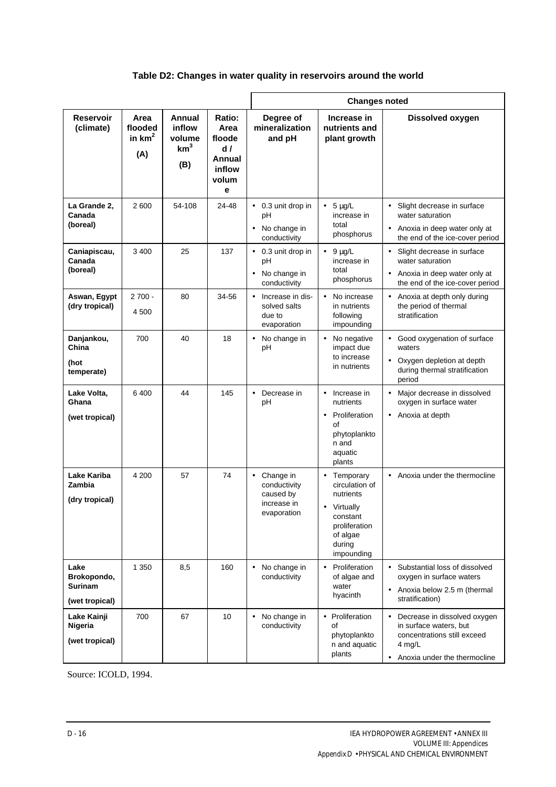## **Table D2: Changes in water quality in reservoirs around the world**

|                                                         |                                    |                                                      |                                                                          | <b>Changes noted</b>                                                              |                                                                                                                                       |                                                                                                                                  |
|---------------------------------------------------------|------------------------------------|------------------------------------------------------|--------------------------------------------------------------------------|-----------------------------------------------------------------------------------|---------------------------------------------------------------------------------------------------------------------------------------|----------------------------------------------------------------------------------------------------------------------------------|
| <b>Reservoir</b><br>(climate)                           | Area<br>flooded<br>in $km2$<br>(A) | Annual<br>inflow<br>volume<br>km <sup>3</sup><br>(B) | <b>Ratio:</b><br>Area<br>floode<br>d /<br>Annual<br>inflow<br>volum<br>e | Degree of<br>mineralization<br>and pH                                             | Increase in<br>nutrients and<br>plant growth                                                                                          | <b>Dissolved oxygen</b>                                                                                                          |
| La Grande 2.<br>Canada<br>(boreal)                      | 2 600                              | 54-108                                               | 24-48                                                                    | • 0.3 unit drop in<br>рH<br>No change in<br>conductivity                          | $5 \mu g/L$<br>$\bullet$<br>increase in<br>total<br>phosphorus                                                                        | Slight decrease in surface<br>$\bullet$<br>water saturation<br>• Anoxia in deep water only at<br>the end of the ice-cover period |
| Caniapiscau,<br>Canada<br>(boreal)                      | 3 400                              | 25                                                   | 137                                                                      | 0.3 unit drop in<br>$\bullet$<br>pH<br>No change in<br>conductivity               | $\bullet$ 9 µg/L<br>increase in<br>total<br>phosphorus                                                                                | Slight decrease in surface<br>water saturation<br>• Anoxia in deep water only at<br>the end of the ice-cover period              |
| Aswan, Egypt<br>(dry tropical)                          | $2700 -$<br>4 500                  | 80                                                   | 34-56                                                                    | Increase in dis-<br>$\bullet$<br>solved salts<br>due to<br>evaporation            | No increase<br>$\bullet$<br>in nutrients<br>following<br>impounding                                                                   | • Anoxia at depth only during<br>the period of thermal<br>stratification                                                         |
| Danjankou,<br>China<br>(hot<br>temperate)               | 700                                | 40                                                   | 18                                                                       | No change in<br>$\bullet$<br>pH                                                   | No negative<br>impact due<br>to increase<br>in nutrients                                                                              | Good oxygenation of surface<br>waters<br>• Oxygen depletion at depth<br>during thermal stratification<br>period                  |
| Lake Volta,<br>Ghana<br>(wet tropical)                  | 6400                               | 44                                                   | 145                                                                      | Decrease in<br>$\bullet$<br>pH                                                    | Increase in<br>$\bullet$<br>nutrients<br>Proliferation<br>$\bullet$<br>οf<br>phytoplankto<br>n and<br>aquatic<br>plants               | • Major decrease in dissolved<br>oxygen in surface water<br>• Anoxia at depth                                                    |
| Lake Kariba<br><b>Zambia</b><br>(dry tropical)          | 4 200                              | 57                                                   | 74                                                                       | Change in<br>$\bullet$<br>conductivity<br>caused by<br>increase in<br>evaporation | • Temporary<br>circulation of<br>nutrients<br>Virtually<br>$\bullet$<br>constant<br>proliferation<br>of algae<br>during<br>impounding | • Anoxia under the thermocline                                                                                                   |
| Lake<br>Brokopondo,<br><b>Surinam</b><br>(wet tropical) | 1 3 5 0                            | 8,5                                                  | 160                                                                      | No change in<br>$\bullet$<br>conductivity                                         | Proliferation<br>$\bullet$<br>of algae and<br>water<br>hyacinth                                                                       | Substantial loss of dissolved<br>oxygen in surface waters<br>Anoxia below 2.5 m (thermal<br>stratification)                      |
| Lake Kainji<br>Nigeria<br>(wet tropical)                | 700                                | 67                                                   | 10                                                                       | No change in<br>$\bullet$<br>conductivity                                         | • Proliferation<br>οf<br>phytoplankto<br>n and aquatic<br>plants                                                                      | Decrease in dissolved oxygen<br>in surface waters, but<br>concentrations still exceed<br>4 mg/L<br>Anoxia under the thermocline  |

Source: ICOLD, 1994.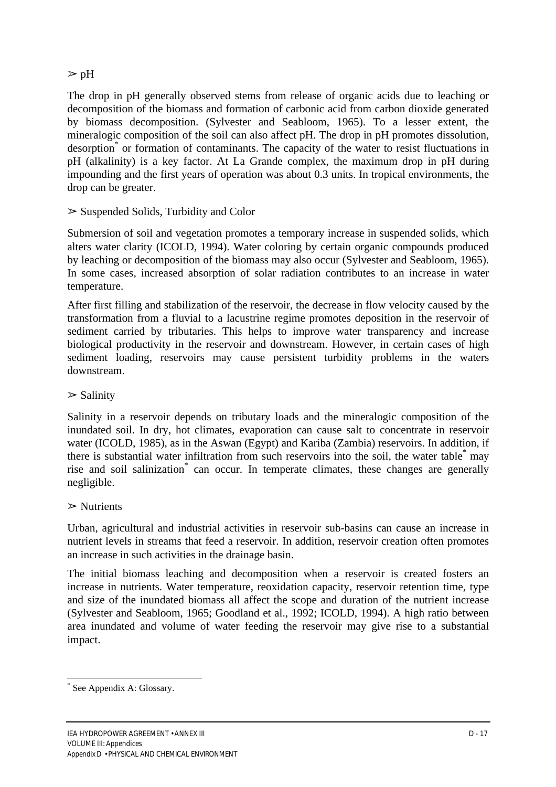# $\triangleright$  pH

The drop in pH generally observed stems from release of organic acids due to leaching or decomposition of the biomass and formation of carbonic acid from carbon dioxide generated by biomass decomposition. (Sylvester and Seabloom, 1965). To a lesser extent, the mineralogic composition of the soil can also affect pH. The drop in pH promotes dissolution, desorption<sup>\*</sup> or formation of contaminants. The capacity of the water to resist fluctuations in pH (alkalinity) is a key factor. At La Grande complex, the maximum drop in pH during impounding and the first years of operation was about 0.3 units. In tropical environments, the drop can be greater.

 $\geq$  Suspended Solids, Turbidity and Color

Submersion of soil and vegetation promotes a temporary increase in suspended solids, which alters water clarity (ICOLD, 1994). Water coloring by certain organic compounds produced by leaching or decomposition of the biomass may also occur (Sylvester and Seabloom, 1965). In some cases, increased absorption of solar radiation contributes to an increase in water temperature.

After first filling and stabilization of the reservoir, the decrease in flow velocity caused by the transformation from a fluvial to a lacustrine regime promotes deposition in the reservoir of sediment carried by tributaries. This helps to improve water transparency and increase biological productivity in the reservoir and downstream. However, in certain cases of high sediment loading, reservoirs may cause persistent turbidity problems in the waters downstream.

#### $\triangleright$  Salinity

Salinity in a reservoir depends on tributary loads and the mineralogic composition of the inundated soil. In dry, hot climates, evaporation can cause salt to concentrate in reservoir water (ICOLD, 1985), as in the Aswan (Egypt) and Kariba (Zambia) reservoirs. In addition, if there is substantial water infiltration from such reservoirs into the soil, the water table<sup>\*</sup> may rise and soil salinization<sup>\*</sup> can occur. In temperate climates, these changes are generally negligible.

#### $\triangleright$  Nutrients

Urban, agricultural and industrial activities in reservoir sub-basins can cause an increase in nutrient levels in streams that feed a reservoir. In addition, reservoir creation often promotes an increase in such activities in the drainage basin.

The initial biomass leaching and decomposition when a reservoir is created fosters an increase in nutrients. Water temperature, reoxidation capacity, reservoir retention time, type and size of the inundated biomass all affect the scope and duration of the nutrient increase (Sylvester and Seabloom, 1965; Goodland et al., 1992; ICOLD, 1994). A high ratio between area inundated and volume of water feeding the reservoir may give rise to a substantial impact.

<sup>\*</sup> See Appendix A: Glossary.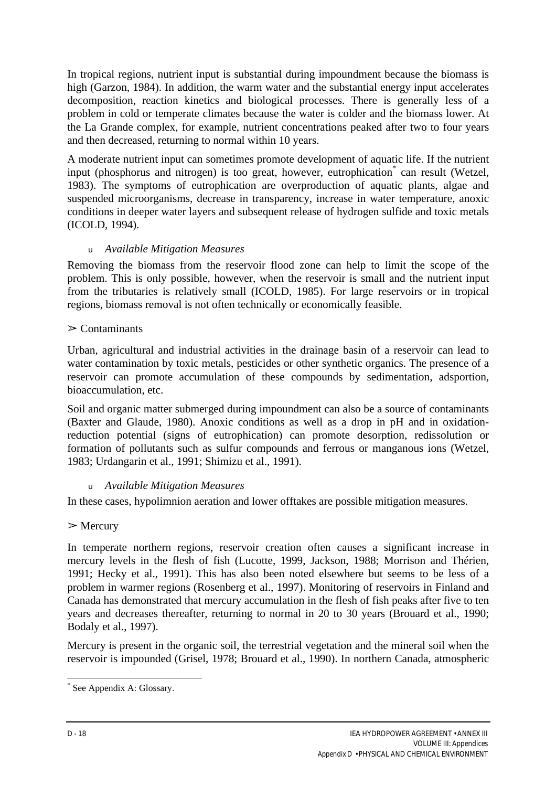In tropical regions, nutrient input is substantial during impoundment because the biomass is high (Garzon, 1984). In addition, the warm water and the substantial energy input accelerates decomposition, reaction kinetics and biological processes. There is generally less of a problem in cold or temperate climates because the water is colder and the biomass lower. At the La Grande complex, for example, nutrient concentrations peaked after two to four years and then decreased, returning to normal within 10 years.

A moderate nutrient input can sometimes promote development of aquatic life. If the nutrient input (phosphorus and nitrogen) is too great, however, eutrophication\* can result (Wetzel, 1983). The symptoms of eutrophication are overproduction of aquatic plants, algae and suspended microorganisms, decrease in transparency, increase in water temperature, anoxic conditions in deeper water layers and subsequent release of hydrogen sulfide and toxic metals (ICOLD, 1994).

## *<sup>u</sup>Available Mitigation Measures*

Removing the biomass from the reservoir flood zone can help to limit the scope of the problem. This is only possible, however, when the reservoir is small and the nutrient input from the tributaries is relatively small (ICOLD, 1985). For large reservoirs or in tropical regions, biomass removal is not often technically or economically feasible.

#### $\geq$  Contaminants

Urban, agricultural and industrial activities in the drainage basin of a reservoir can lead to water contamination by toxic metals, pesticides or other synthetic organics. The presence of a reservoir can promote accumulation of these compounds by sedimentation, adsportion, bioaccumulation, etc.

Soil and organic matter submerged during impoundment can also be a source of contaminants (Baxter and Glaude, 1980). Anoxic conditions as well as a drop in pH and in oxidationreduction potential (signs of eutrophication) can promote desorption, redissolution or formation of pollutants such as sulfur compounds and ferrous or manganous ions (Wetzel, 1983; Urdangarin et al., 1991; Shimizu et al., 1991).

#### *<sup>u</sup>Available Mitigation Measures*

In these cases, hypolimnion aeration and lower offtakes are possible mitigation measures.

#### $\triangleright$  Mercury

In temperate northern regions, reservoir creation often causes a significant increase in mercury levels in the flesh of fish (Lucotte, 1999, Jackson, 1988; Morrison and Thérien, 1991; Hecky et al., 1991). This has also been noted elsewhere but seems to be less of a problem in warmer regions (Rosenberg et al., 1997). Monitoring of reservoirs in Finland and Canada has demonstrated that mercury accumulation in the flesh of fish peaks after five to ten years and decreases thereafter, returning to normal in 20 to 30 years (Brouard et al., 1990; Bodaly et al., 1997).

Mercury is present in the organic soil, the terrestrial vegetation and the mineral soil when the reservoir is impounded (Grisel, 1978; Brouard et al., 1990). In northern Canada, atmospheric

<sup>\*</sup> See Appendix A: Glossary.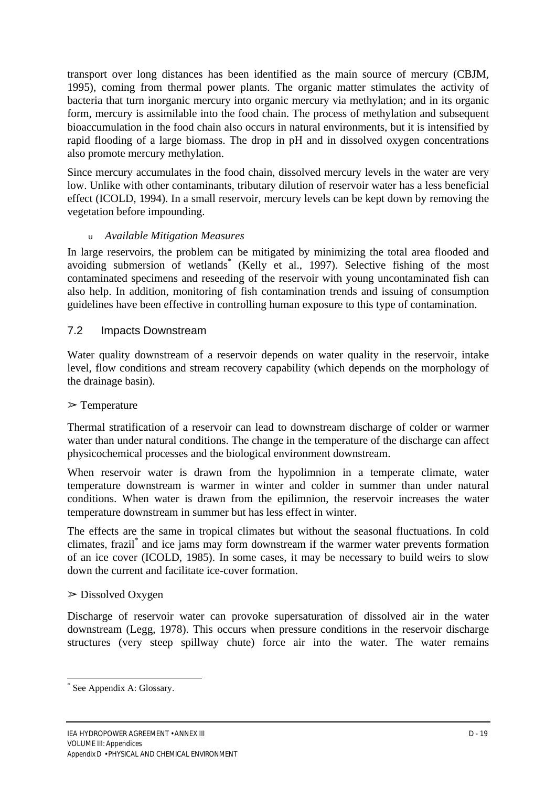transport over long distances has been identified as the main source of mercury (CBJM, 1995), coming from thermal power plants. The organic matter stimulates the activity of bacteria that turn inorganic mercury into organic mercury via methylation; and in its organic form, mercury is assimilable into the food chain. The process of methylation and subsequent bioaccumulation in the food chain also occurs in natural environments, but it is intensified by rapid flooding of a large biomass. The drop in pH and in dissolved oxygen concentrations also promote mercury methylation.

Since mercury accumulates in the food chain, dissolved mercury levels in the water are very low. Unlike with other contaminants, tributary dilution of reservoir water has a less beneficial effect (ICOLD, 1994). In a small reservoir, mercury levels can be kept down by removing the vegetation before impounding.

## *<sup>u</sup>Available Mitigation Measures*

In large reservoirs, the problem can be mitigated by minimizing the total area flooded and avoiding submersion of wetlands\* (Kelly et al., 1997). Selective fishing of the most contaminated specimens and reseeding of the reservoir with young uncontaminated fish can also help. In addition, monitoring of fish contamination trends and issuing of consumption guidelines have been effective in controlling human exposure to this type of contamination.

## 7.2 Impacts Downstream

Water quality downstream of a reservoir depends on water quality in the reservoir, intake level, flow conditions and stream recovery capability (which depends on the morphology of the drainage basin).

#### $\triangleright$  Temperature

Thermal stratification of a reservoir can lead to downstream discharge of colder or warmer water than under natural conditions. The change in the temperature of the discharge can affect physicochemical processes and the biological environment downstream.

When reservoir water is drawn from the hypolimnion in a temperate climate, water temperature downstream is warmer in winter and colder in summer than under natural conditions. When water is drawn from the epilimnion, the reservoir increases the water temperature downstream in summer but has less effect in winter.

The effects are the same in tropical climates but without the seasonal fluctuations. In cold climates, frazil\* and ice jams may form downstream if the warmer water prevents formation of an ice cover (ICOLD, 1985). In some cases, it may be necessary to build weirs to slow down the current and facilitate ice-cover formation.

#### $\triangleright$  Dissolved Oxygen

Discharge of reservoir water can provoke supersaturation of dissolved air in the water downstream (Legg, 1978). This occurs when pressure conditions in the reservoir discharge structures (very steep spillway chute) force air into the water. The water remains

<sup>\*</sup> See Appendix A: Glossary.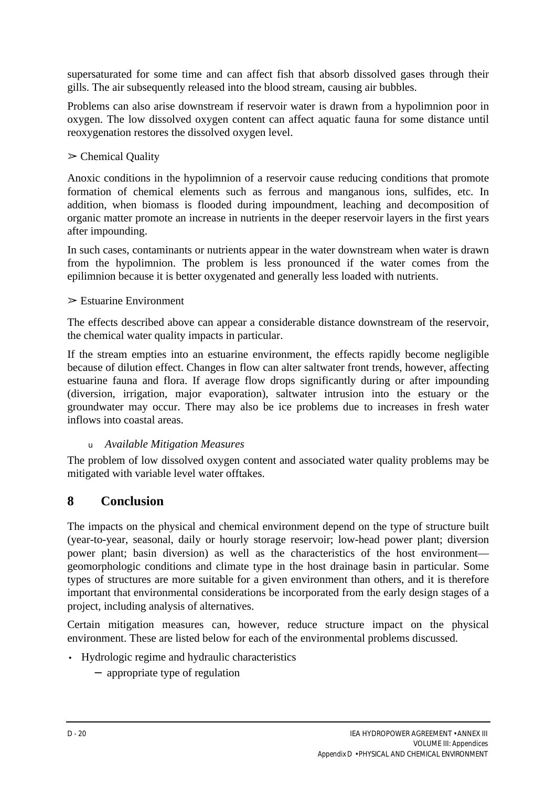supersaturated for some time and can affect fish that absorb dissolved gases through their gills. The air subsequently released into the blood stream, causing air bubbles.

Problems can also arise downstream if reservoir water is drawn from a hypolimnion poor in oxygen. The low dissolved oxygen content can affect aquatic fauna for some distance until reoxygenation restores the dissolved oxygen level.

## $\triangleright$  Chemical Quality

Anoxic conditions in the hypolimnion of a reservoir cause reducing conditions that promote formation of chemical elements such as ferrous and manganous ions, sulfides, etc. In addition, when biomass is flooded during impoundment, leaching and decomposition of organic matter promote an increase in nutrients in the deeper reservoir layers in the first years after impounding.

In such cases, contaminants or nutrients appear in the water downstream when water is drawn from the hypolimnion. The problem is less pronounced if the water comes from the epilimnion because it is better oxygenated and generally less loaded with nutrients.

#### $\triangleright$  Estuarine Environment

The effects described above can appear a considerable distance downstream of the reservoir, the chemical water quality impacts in particular.

If the stream empties into an estuarine environment, the effects rapidly become negligible because of dilution effect. Changes in flow can alter saltwater front trends, however, affecting estuarine fauna and flora. If average flow drops significantly during or after impounding (diversion, irrigation, major evaporation), saltwater intrusion into the estuary or the groundwater may occur. There may also be ice problems due to increases in fresh water inflows into coastal areas.

# *<sup>u</sup>Available Mitigation Measures*

The problem of low dissolved oxygen content and associated water quality problems may be mitigated with variable level water offtakes.

# **8 Conclusion**

The impacts on the physical and chemical environment depend on the type of structure built (year-to-year, seasonal, daily or hourly storage reservoir; low-head power plant; diversion power plant; basin diversion) as well as the characteristics of the host environment geomorphologic conditions and climate type in the host drainage basin in particular. Some types of structures are more suitable for a given environment than others, and it is therefore important that environmental considerations be incorporated from the early design stages of a project, including analysis of alternatives.

Certain mitigation measures can, however, reduce structure impact on the physical environment. These are listed below for each of the environmental problems discussed.

- Hydrologic regime and hydraulic characteristics
	- − appropriate type of regulation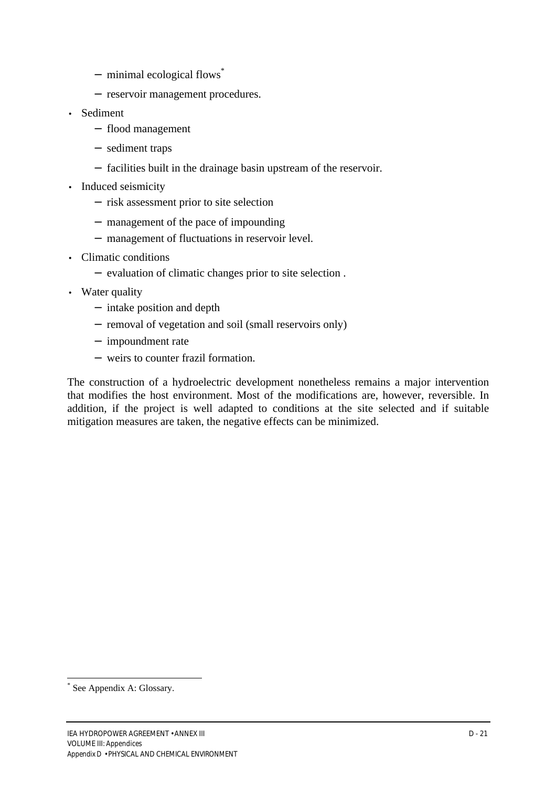- − minimal ecological flows\*
- − reservoir management procedures.
- Sediment
	- − flood management
	- − sediment traps
	- − facilities built in the drainage basin upstream of the reservoir.
- Induced seismicity
	- − risk assessment prior to site selection
	- − management of the pace of impounding
	- − management of fluctuations in reservoir level.
- Climatic conditions
	- − evaluation of climatic changes prior to site selection .
- Water quality
	- − intake position and depth
	- − removal of vegetation and soil (small reservoirs only)
	- − impoundment rate
	- − weirs to counter frazil formation.

The construction of a hydroelectric development nonetheless remains a major intervention that modifies the host environment. Most of the modifications are, however, reversible. In addition, if the project is well adapted to conditions at the site selected and if suitable mitigation measures are taken, the negative effects can be minimized.

<sup>\*</sup> See Appendix A: Glossary.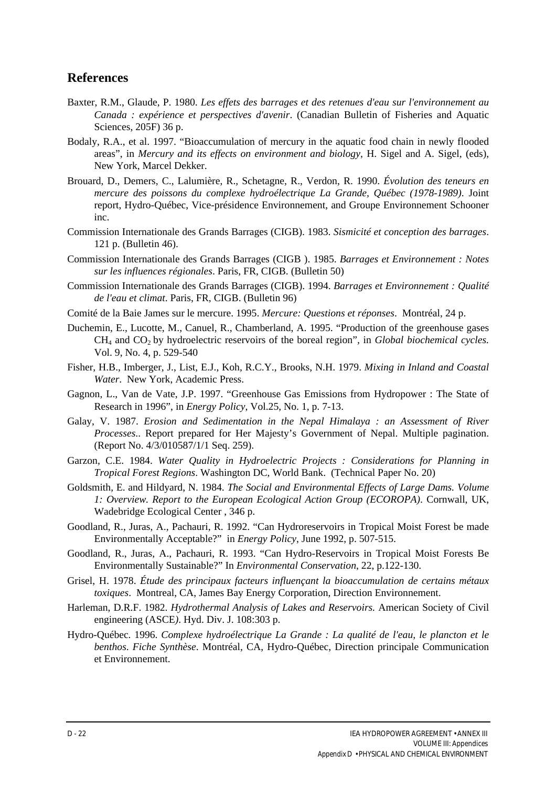## **References**

- Baxter, R.M., Glaude, P. 1980. *Les effets des barrages et des retenues d'eau sur l'environnement au Canada : expérience et perspectives d'avenir*. (Canadian Bulletin of Fisheries and Aquatic Sciences, 205F) 36 p.
- Bodaly, R.A., et al. 1997. "Bioaccumulation of mercury in the aquatic food chain in newly flooded areas", in *Mercury and its effects on environment and biology*, H. Sigel and A. Sigel, (eds), New York, Marcel Dekker.
- Brouard, D., Demers, C., Lalumière, R., Schetagne, R., Verdon, R. 1990. *Évolution des teneurs en mercure des poissons du complexe hydroélectrique La Grande, Québec (1978-1989)*. Joint report, Hydro-Québec, Vice-présidence Environnement, and Groupe Environnement Schooner inc.
- Commission Internationale des Grands Barrages (CIGB). 1983. *Sismicité et conception des barrages*. 121 p. (Bulletin 46).
- Commission Internationale des Grands Barrages (CIGB ). 1985. *Barrages et Environnement : Notes sur les influences régionales*. Paris, FR, CIGB. (Bulletin 50)
- Commission Internationale des Grands Barrages (CIGB). 1994. *Barrages et Environnement : Qualité de l'eau et climat*. Paris, FR, CIGB. (Bulletin 96)
- Comité de la Baie James sur le mercure. 1995. *Mercure: Questions et réponses*. Montréal, 24 p.
- Duchemin, E., Lucotte, M., Canuel, R., Chamberland, A. 1995. "Production of the greenhouse gases CH<sub>4</sub> and CO<sub>2</sub> by hydroelectric reservoirs of the boreal region", in *Global biochemical cycles.* Vol. 9, No. 4, p. 529-540
- Fisher, H.B., Imberger, J., List, E.J., Koh, R.C.Y., Brooks, N.H. 1979. *Mixing in Inland and Coastal Water*. New York, Academic Press.
- Gagnon, L., Van de Vate, J.P. 1997. "Greenhouse Gas Emissions from Hydropower : The State of Research in 1996", in *Energy Policy*, Vol.25, No. 1, p. 7-13.
- Galay, V. 1987. *Erosion and Sedimentation in the Nepal Himalaya : an Assessment of River Processes*.. Report prepared for Her Majesty's Government of Nepal. Multiple pagination. (Report No. 4/3/010587/1/1 Seq. 259).
- Garzon, C.E. 1984. *Water Quality in Hydroelectric Projects : Considerations for Planning in Tropical Forest Regions*. Washington DC, World Bank. (Technical Paper No. 20)
- Goldsmith, E. and Hildyard, N. 1984. *The Social and Environmental Effects of Large Dams. Volume 1: Overview. Report to the European Ecological Action Group (ECOROPA)*. Cornwall, UK, Wadebridge Ecological Center , 346 p.
- Goodland, R., Juras, A., Pachauri, R. 1992. "Can Hydroreservoirs in Tropical Moist Forest be made Environmentally Acceptable?" in *Energy Policy*, June 1992, p. 507-515.
- Goodland, R., Juras, A., Pachauri, R. 1993. "Can Hydro-Reservoirs in Tropical Moist Forests Be Environmentally Sustainable?" In *Environmental Conservation*, 22, p.122-130.
- Grisel, H. 1978. *Étude des principaux facteurs influençant la bioaccumulation de certains métaux toxiques*. Montreal, CA, James Bay Energy Corporation, Direction Environnement.
- Harleman, D.R.F. 1982. *Hydrothermal Analysis of Lakes and Reservoirs.* American Society of Civil engineering (ASCE*)*. Hyd. Div. J. 108:303 p.
- Hydro-Québec. 1996. *Complexe hydroélectrique La Grande : La qualité de l'eau, le plancton et le benthos*. *Fiche Synthèse*. Montréal, CA, Hydro-Québec, Direction principale Communication et Environnement.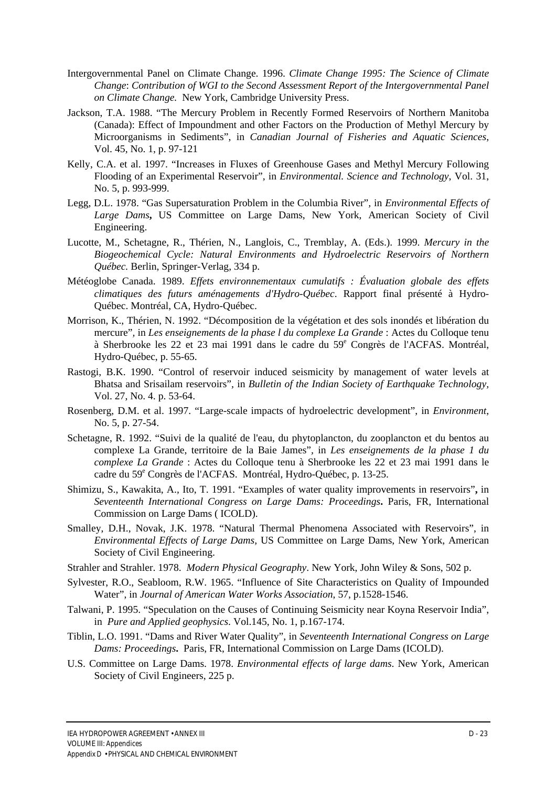- Intergovernmental Panel on Climate Change. 1996. *Climate Change 1995: The Science of Climate Change*: *Contribution of WGI to the Second Assessment Report of the Intergovernmental Panel on Climate Change.* New York, Cambridge University Press.
- Jackson, T.A. 1988. "The Mercury Problem in Recently Formed Reservoirs of Northern Manitoba (Canada): Effect of Impoundment and other Factors on the Production of Methyl Mercury by Microorganisms in Sediments", in *Canadian Journal of Fisheries and Aquatic Sciences*, Vol. 45, No. 1, p. 97-121
- Kelly, C.A. et al. 1997. "Increases in Fluxes of Greenhouse Gases and Methyl Mercury Following Flooding of an Experimental Reservoir"*,* in *Environmental. Science and Technology*, Vol. 31, No. 5, p. 993-999.
- Legg, D.L. 1978. "Gas Supersaturation Problem in the Columbia River"*,* in *Environmental Effects of Large Dams***,** US Committee on Large Dams, New York, American Society of Civil Engineering.
- Lucotte, M., Schetagne, R., Thérien, N., Langlois, C., Tremblay, A. (Eds.). 1999. *Mercury in the Biogeochemical Cycle: Natural Environments and Hydroelectric Reservoirs of Northern Québec.* Berlin, Springer-Verlag, 334 p.
- Météoglobe Canada. 1989. *Effets environnementaux cumulatifs : Évaluation globale des effets climatiques des futurs aménagements d'Hydro-Québec*. Rapport final présenté à Hydro-Québec. Montréal, CA, Hydro-Québec.
- Morrison, K., Thérien, N. 1992. "Décomposition de la végétation et des sols inondés et libération du mercure"*,* in *Les enseignements de la phase l du complexe La Grande* : Actes du Colloque tenu à Sherbrooke les 22 et 23 mai 1991 dans le cadre du 59<sup>e</sup> Congrès de l'ACFAS. Montréal, Hydro-Québec, p. 55-65.
- Rastogi, B.K. 1990. "Control of reservoir induced seismicity by management of water levels at Bhatsa and Srisailam reservoirs"*,* in *Bulletin of the Indian Society of Earthquake Technology,* Vol. 27, No. 4. p. 53-64.
- Rosenberg, D.M. et al. 1997. "Large-scale impacts of hydroelectric development", in *Environment*, No. 5, p. 27-54.
- Schetagne, R. 1992. "Suivi de la qualité de l'eau, du phytoplancton, du zooplancton et du bentos au complexe La Grande, territoire de la Baie James"*,* in *Les enseignements de la phase 1 du complexe La Grande* : Actes du Colloque tenu à Sherbrooke les 22 et 23 mai 1991 dans le cadre du 59<sup>e</sup> Congrès de l'ACFAS. Montréal, Hydro-Québec, p. 13-25.
- Shimizu, S., Kawakita, A., Ito, T. 1991. "Examples of water quality improvements in reservoirs"**,** in *Seventeenth International Congress on Large Dams: Proceedings***.** Paris, FR, International Commission on Large Dams ( ICOLD).
- Smalley, D.H., Novak, J.K. 1978. "Natural Thermal Phenomena Associated with Reservoirs", in *Environmental Effects of Large Dams,* US Committee on Large Dams, New York, American Society of Civil Engineering.
- Strahler and Strahler. 1978. *Modern Physical Geography*. New York, John Wiley & Sons, 502 p.
- Sylvester, R.O., Seabloom, R.W. 1965. "Influence of Site Characteristics on Quality of Impounded Water", in *Journal of American Water Works Association*, 57, p.1528-1546.
- Talwani, P. 1995. "Speculation on the Causes of Continuing Seismicity near Koyna Reservoir India", in*Pure and Applied geophysics*. Vol.145, No. 1, p.167-174.
- Tiblin, L.O. 1991. "Dams and River Water Quality", in *Seventeenth International Congress on Large Dams: Proceedings***.** Paris, FR, International Commission on Large Dams (ICOLD).
- U.S. Committee on Large Dams. 1978. *Environmental effects of large dams*. New York, American Society of Civil Engineers, 225 p.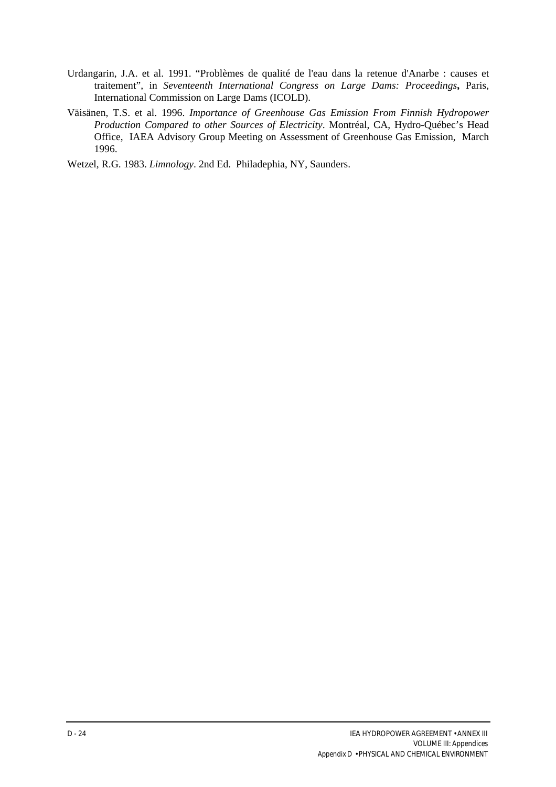- Urdangarin, J.A. et al. 1991. "Problèmes de qualité de l'eau dans la retenue d'Anarbe : causes et traitement", in *Seventeenth International Congress on Large Dams: Proceedings***,** Paris, International Commission on Large Dams (ICOLD).
- Väisänen, T.S. et al. 1996. *Importance of Greenhouse Gas Emission From Finnish Hydropower Production Compared to other Sources of Electricity*. Montréal, CA, Hydro-Québec's Head Office, IAEA Advisory Group Meeting on Assessment of Greenhouse Gas Emission, March 1996.

Wetzel, R.G. 1983. *Limnology*. 2nd Ed. Philadephia, NY, Saunders.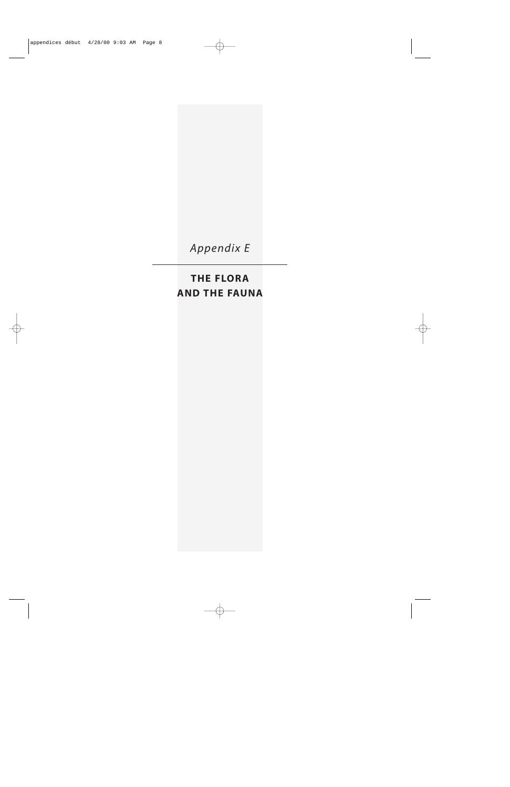*Appendix E*

# **THE FLORA AND THE FAUNA**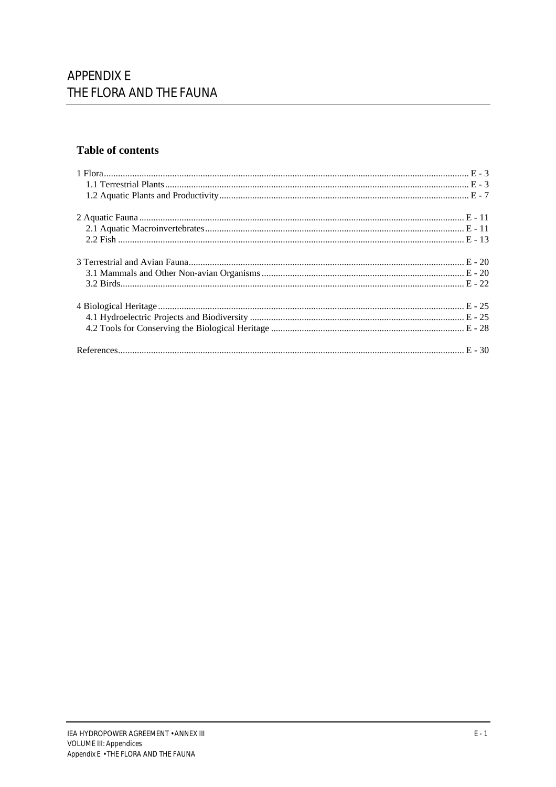# **Table of contents**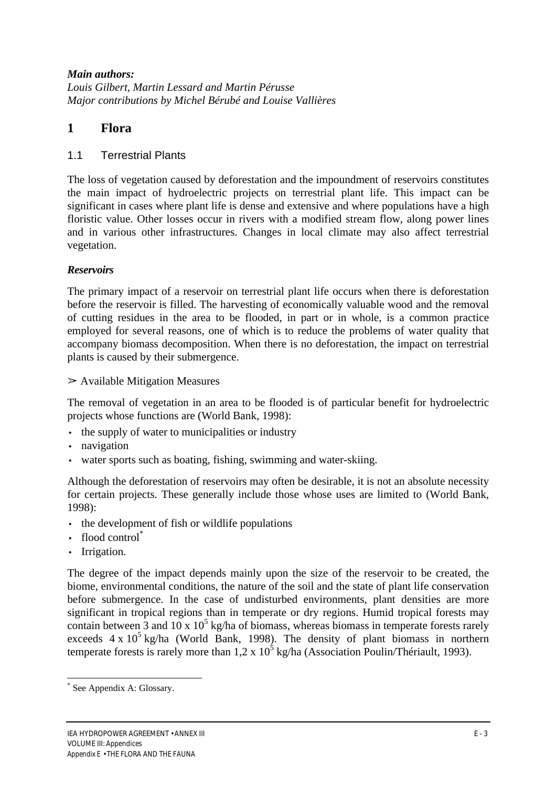## *Main authors:*

*Louis Gilbert, Martin Lessard and Martin Pérusse Major contributions by Michel Bérubé and Louise Vallières*

# **1 Flora**

## 1.1 Terrestrial Plants

The loss of vegetation caused by deforestation and the impoundment of reservoirs constitutes the main impact of hydroelectric projects on terrestrial plant life. This impact can be significant in cases where plant life is dense and extensive and where populations have a high floristic value. Other losses occur in rivers with a modified stream flow, along power lines and in various other infrastructures. Changes in local climate may also affect terrestrial vegetation.

# *Reservoirs*

The primary impact of a reservoir on terrestrial plant life occurs when there is deforestation before the reservoir is filled. The harvesting of economically valuable wood and the removal of cutting residues in the area to be flooded, in part or in whole, is a common practice employed for several reasons, one of which is to reduce the problems of water quality that accompany biomass decomposition. When there is no deforestation, the impact on terrestrial plants is caused by their submergence.

 $\triangleright$  Available Mitigation Measures

The removal of vegetation in an area to be flooded is of particular benefit for hydroelectric projects whose functions are (World Bank, 1998):

- the supply of water to municipalities or industry
- navigation
- water sports such as boating, fishing, swimming and water-skiing.

Although the deforestation of reservoirs may often be desirable, it is not an absolute necessity for certain projects. These generally include those whose uses are limited to (World Bank, 1998):

- the development of fish or wildlife populations
- flood control<sup>\*</sup>
- Irrigation.

The degree of the impact depends mainly upon the size of the reservoir to be created, the biome, environmental conditions, the nature of the soil and the state of plant life conservation before submergence. In the case of undisturbed environments, plant densities are more significant in tropical regions than in temperate or dry regions. Humid tropical forests may contain between  $\overline{3}$  and  $10 \times 10^5$  kg/ha of biomass, whereas biomass in temperate forests rarely exceeds  $4 \times 10^5$  kg/ha (World Bank, 1998). The density of plant biomass in northern temperate forests is rarely more than  $1.2 \times 10^5$  kg/ha (Association Poulin/Thériault, 1993).

 $\overline{a}$ \* See Appendix A: Glossary.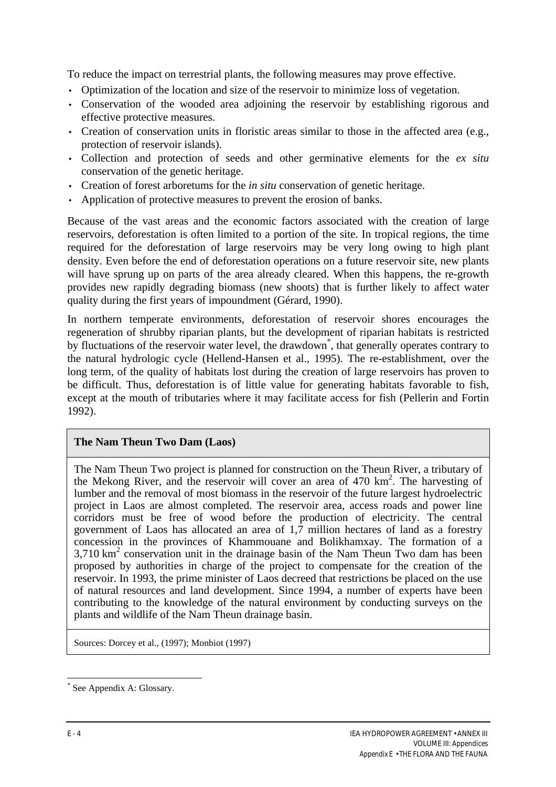To reduce the impact on terrestrial plants, the following measures may prove effective.

- Optimization of the location and size of the reservoir to minimize loss of vegetation.
- Conservation of the wooded area adjoining the reservoir by establishing rigorous and effective protective measures.
- Creation of conservation units in floristic areas similar to those in the affected area (e.g., protection of reservoir islands).
- Collection and protection of seeds and other germinative elements for the *ex situ* conservation of the genetic heritage.
- Creation of forest arboretums for the *in situ* conservation of genetic heritage.
- Application of protective measures to prevent the erosion of banks.

Because of the vast areas and the economic factors associated with the creation of large reservoirs, deforestation is often limited to a portion of the site. In tropical regions, the time required for the deforestation of large reservoirs may be very long owing to high plant density. Even before the end of deforestation operations on a future reservoir site, new plants will have sprung up on parts of the area already cleared. When this happens, the re-growth provides new rapidly degrading biomass (new shoots) that is further likely to affect water quality during the first years of impoundment (Gérard, 1990).

In northern temperate environments, deforestation of reservoir shores encourages the regeneration of shrubby riparian plants, but the development of riparian habitats is restricted by fluctuations of the reservoir water level, the drawdown<sup>\*</sup>, that generally operates contrary to the natural hydrologic cycle (Hellend-Hansen et al., 1995). The re-establishment, over the long term, of the quality of habitats lost during the creation of large reservoirs has proven to be difficult. Thus, deforestation is of little value for generating habitats favorable to fish, except at the mouth of tributaries where it may facilitate access for fish (Pellerin and Fortin 1992).

#### **The Nam Theun Two Dam (Laos)**

The Nam Theun Two project is planned for construction on the Theun River, a tributary of the Mekong River, and the reservoir will cover an area of 470 km<sup>2</sup>. The harvesting of lumber and the removal of most biomass in the reservoir of the future largest hydroelectric project in Laos are almost completed. The reservoir area, access roads and power line corridors must be free of wood before the production of electricity. The central government of Laos has allocated an area of 1,7 million hectares of land as a forestry concession in the provinces of Khammouane and Bolikhamxay. The formation of a  $3,710$  km<sup>2</sup> conservation unit in the drainage basin of the Nam Theun Two dam has been proposed by authorities in charge of the project to compensate for the creation of the reservoir. In 1993, the prime minister of Laos decreed that restrictions be placed on the use of natural resources and land development. Since 1994, a number of experts have been contributing to the knowledge of the natural environment by conducting surveys on the plants and wildlife of the Nam Theun drainage basin.

Sources: Dorcey et al., (1997); Monbiot (1997)

<sup>\*</sup> See Appendix A: Glossary.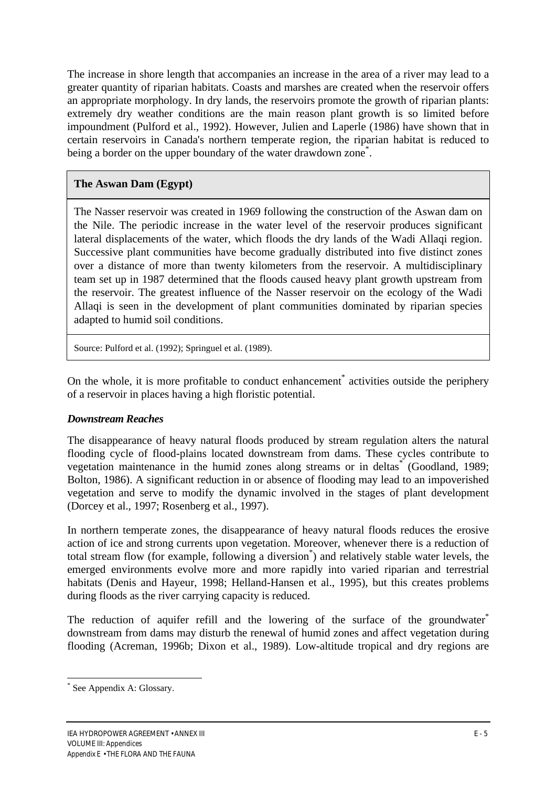The increase in shore length that accompanies an increase in the area of a river may lead to a greater quantity of riparian habitats. Coasts and marshes are created when the reservoir offers an appropriate morphology. In dry lands, the reservoirs promote the growth of riparian plants: extremely dry weather conditions are the main reason plant growth is so limited before impoundment (Pulford et al., 1992). However, Julien and Laperle (1986) have shown that in certain reservoirs in Canada's northern temperate region, the riparian habitat is reduced to being a border on the upper boundary of the water drawdown zone<sup>\*</sup>.

# **The Aswan Dam (Egypt)**

The Nasser reservoir was created in 1969 following the construction of the Aswan dam on the Nile. The periodic increase in the water level of the reservoir produces significant lateral displacements of the water, which floods the dry lands of the Wadi Allaqi region. Successive plant communities have become gradually distributed into five distinct zones over a distance of more than twenty kilometers from the reservoir. A multidisciplinary team set up in 1987 determined that the floods caused heavy plant growth upstream from the reservoir. The greatest influence of the Nasser reservoir on the ecology of the Wadi Allaqi is seen in the development of plant communities dominated by riparian species adapted to humid soil conditions.

Source: Pulford et al. (1992); Springuel et al. (1989).

On the whole, it is more profitable to conduct enhancement<sup>\*</sup> activities outside the periphery of a reservoir in places having a high floristic potential.

# *Downstream Reaches*

The disappearance of heavy natural floods produced by stream regulation alters the natural flooding cycle of flood-plains located downstream from dams. These cycles contribute to vegetation maintenance in the humid zones along streams or in deltas<sup>\*</sup> (Goodland, 1989; Bolton, 1986). A significant reduction in or absence of flooding may lead to an impoverished vegetation and serve to modify the dynamic involved in the stages of plant development (Dorcey et al., 1997; Rosenberg et al., 1997).

In northern temperate zones, the disappearance of heavy natural floods reduces the erosive action of ice and strong currents upon vegetation. Moreover, whenever there is a reduction of total stream flow (for example, following a diversion<sup>\*</sup>) and relatively stable water levels, the emerged environments evolve more and more rapidly into varied riparian and terrestrial habitats (Denis and Hayeur, 1998; Helland-Hansen et al., 1995), but this creates problems during floods as the river carrying capacity is reduced.

The reduction of aquifer refill and the lowering of the surface of the groundwater<sup>\*</sup> downstream from dams may disturb the renewal of humid zones and affect vegetation during flooding (Acreman, 1996b; Dixon et al., 1989). Low-altitude tropical and dry regions are

<sup>\*</sup> See Appendix A: Glossary.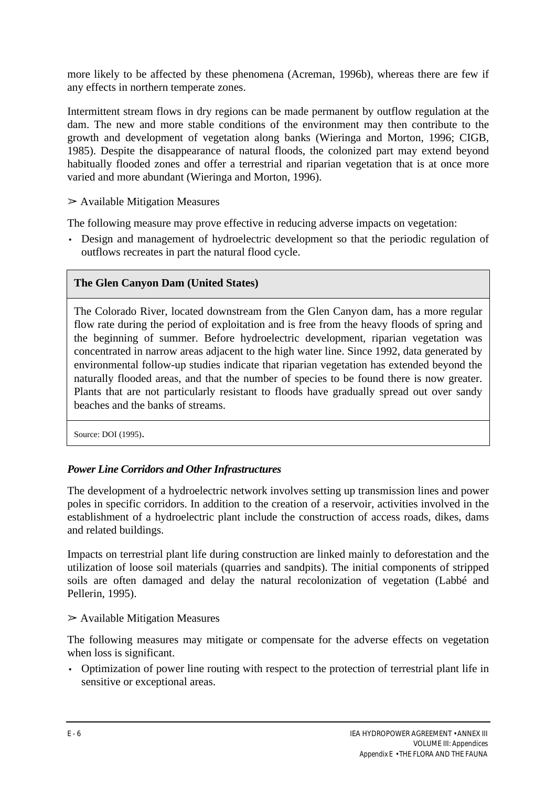more likely to be affected by these phenomena (Acreman, 1996b), whereas there are few if any effects in northern temperate zones.

Intermittent stream flows in dry regions can be made permanent by outflow regulation at the dam. The new and more stable conditions of the environment may then contribute to the growth and development of vegetation along banks (Wieringa and Morton, 1996; CIGB, 1985). Despite the disappearance of natural floods, the colonized part may extend beyond habitually flooded zones and offer a terrestrial and riparian vegetation that is at once more varied and more abundant (Wieringa and Morton, 1996).

 $\triangleright$  Available Mitigation Measures

The following measure may prove effective in reducing adverse impacts on vegetation:

• Design and management of hydroelectric development so that the periodic regulation of outflows recreates in part the natural flood cycle.

# **The Glen Canyon Dam (United States)**

The Colorado River, located downstream from the Glen Canyon dam, has a more regular flow rate during the period of exploitation and is free from the heavy floods of spring and the beginning of summer. Before hydroelectric development, riparian vegetation was concentrated in narrow areas adjacent to the high water line. Since 1992, data generated by environmental follow-up studies indicate that riparian vegetation has extended beyond the naturally flooded areas, and that the number of species to be found there is now greater. Plants that are not particularly resistant to floods have gradually spread out over sandy beaches and the banks of streams.

Source: DOI (1995).

# *Power Line Corridors and Other Infrastructures*

The development of a hydroelectric network involves setting up transmission lines and power poles in specific corridors. In addition to the creation of a reservoir, activities involved in the establishment of a hydroelectric plant include the construction of access roads, dikes, dams and related buildings.

Impacts on terrestrial plant life during construction are linked mainly to deforestation and the utilization of loose soil materials (quarries and sandpits). The initial components of stripped soils are often damaged and delay the natural recolonization of vegetation (Labbé and Pellerin, 1995).

#### $\triangleright$  Available Mitigation Measures

The following measures may mitigate or compensate for the adverse effects on vegetation when loss is significant.

• Optimization of power line routing with respect to the protection of terrestrial plant life in sensitive or exceptional areas.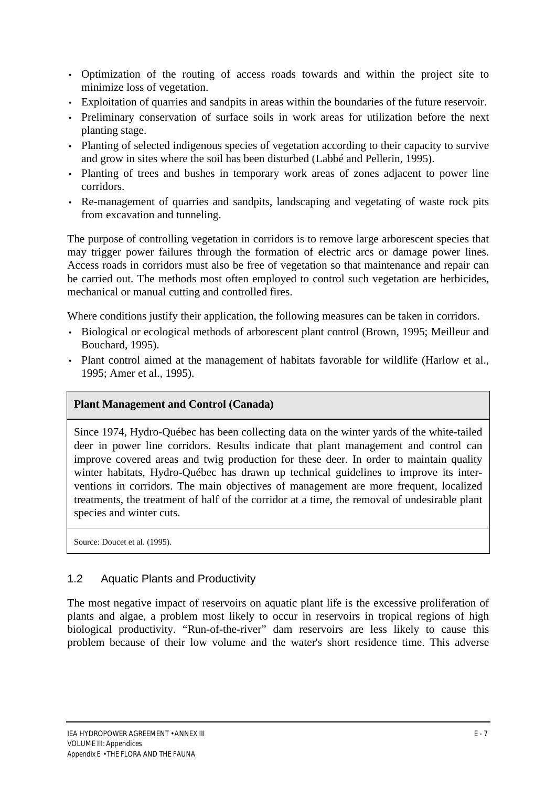- Optimization of the routing of access roads towards and within the project site to minimize loss of vegetation.
- Exploitation of quarries and sandpits in areas within the boundaries of the future reservoir.
- Preliminary conservation of surface soils in work areas for utilization before the next planting stage.
- Planting of selected indigenous species of vegetation according to their capacity to survive and grow in sites where the soil has been disturbed (Labbé and Pellerin, 1995).
- Planting of trees and bushes in temporary work areas of zones adjacent to power line corridors.
- Re-management of quarries and sandpits, landscaping and vegetating of waste rock pits from excavation and tunneling.

The purpose of controlling vegetation in corridors is to remove large arborescent species that may trigger power failures through the formation of electric arcs or damage power lines. Access roads in corridors must also be free of vegetation so that maintenance and repair can be carried out. The methods most often employed to control such vegetation are herbicides, mechanical or manual cutting and controlled fires.

Where conditions justify their application, the following measures can be taken in corridors.

- Biological or ecological methods of arborescent plant control (Brown, 1995; Meilleur and Bouchard, 1995).
- Plant control aimed at the management of habitats favorable for wildlife (Harlow et al., 1995; Amer et al., 1995).

#### **Plant Management and Control (Canada)**

Since 1974, Hydro-Québec has been collecting data on the winter yards of the white-tailed deer in power line corridors. Results indicate that plant management and control can improve covered areas and twig production for these deer. In order to maintain quality winter habitats, Hydro-Québec has drawn up technical guidelines to improve its interventions in corridors. The main objectives of management are more frequent, localized treatments, the treatment of half of the corridor at a time, the removal of undesirable plant species and winter cuts.

Source: Doucet et al. (1995).

# 1.2 Aquatic Plants and Productivity

The most negative impact of reservoirs on aquatic plant life is the excessive proliferation of plants and algae, a problem most likely to occur in reservoirs in tropical regions of high biological productivity. "Run-of-the-river" dam reservoirs are less likely to cause this problem because of their low volume and the water's short residence time. This adverse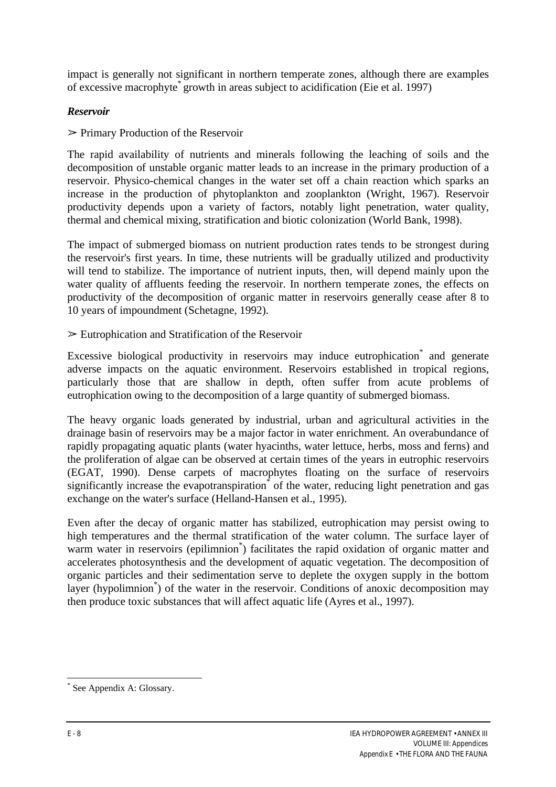impact is generally not significant in northern temperate zones, although there are examples of excessive macrophyte\* growth in areas subject to acidification (Eie et al. 1997)

## *Reservoir*

 $\triangleright$  Primary Production of the Reservoir

The rapid availability of nutrients and minerals following the leaching of soils and the decomposition of unstable organic matter leads to an increase in the primary production of a reservoir. Physico-chemical changes in the water set off a chain reaction which sparks an increase in the production of phytoplankton and zooplankton (Wright, 1967). Reservoir productivity depends upon a variety of factors, notably light penetration, water quality, thermal and chemical mixing, stratification and biotic colonization (World Bank, 1998).

The impact of submerged biomass on nutrient production rates tends to be strongest during the reservoir's first years. In time, these nutrients will be gradually utilized and productivity will tend to stabilize. The importance of nutrient inputs, then, will depend mainly upon the water quality of affluents feeding the reservoir. In northern temperate zones, the effects on productivity of the decomposition of organic matter in reservoirs generally cease after 8 to 10 years of impoundment (Schetagne, 1992).

 $\geq$  Eutrophication and Stratification of the Reservoir

Excessive biological productivity in reservoirs may induce eutrophication and generate adverse impacts on the aquatic environment. Reservoirs established in tropical regions, particularly those that are shallow in depth, often suffer from acute problems of eutrophication owing to the decomposition of a large quantity of submerged biomass.

The heavy organic loads generated by industrial, urban and agricultural activities in the drainage basin of reservoirs may be a major factor in water enrichment. An overabundance of rapidly propagating aquatic plants (water hyacinths, water lettuce, herbs, moss and ferns) and the proliferation of algae can be observed at certain times of the years in eutrophic reservoirs (EGAT, 1990). Dense carpets of macrophytes floating on the surface of reservoirs significantly increase the evapotranspiration of the water, reducing light penetration and gas exchange on the water's surface (Helland-Hansen et al., 1995).

Even after the decay of organic matter has stabilized, eutrophication may persist owing to high temperatures and the thermal stratification of the water column. The surface layer of warm water in reservoirs (epilimnion<sup>\*</sup>) facilitates the rapid oxidation of organic matter and accelerates photosynthesis and the development of aquatic vegetation. The decomposition of organic particles and their sedimentation serve to deplete the oxygen supply in the bottom layer (hypolimnion\* ) of the water in the reservoir. Conditions of anoxic decomposition may then produce toxic substances that will affect aquatic life (Ayres et al., 1997).

 $\overline{a}$ \* See Appendix A: Glossary.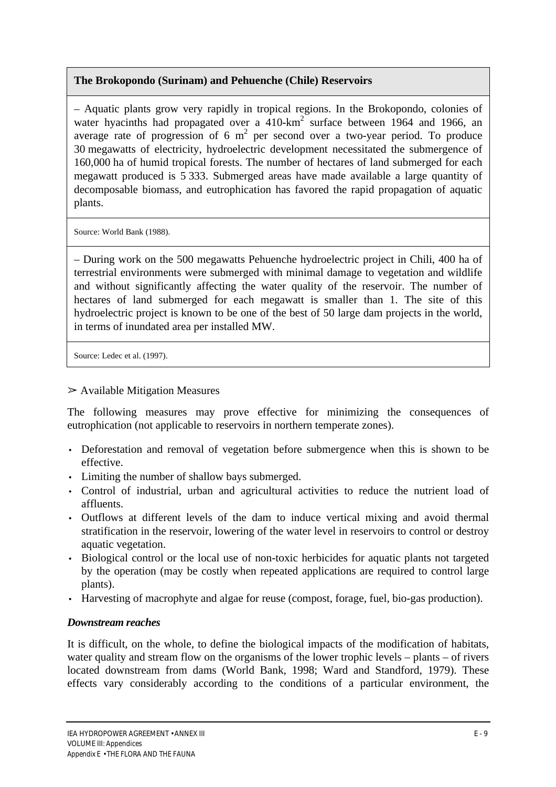# **The Brokopondo (Surinam) and Pehuenche (Chile) Reservoirs**

– Aquatic plants grow very rapidly in tropical regions. In the Brokopondo, colonies of water hyacinths had propagated over a  $410$ -km<sup>2</sup> surface between 1964 and 1966, an average rate of progression of 6  $m^2$  per second over a two-year period. To produce 30 megawatts of electricity, hydroelectric development necessitated the submergence of 160,000 ha of humid tropical forests. The number of hectares of land submerged for each megawatt produced is 5 333. Submerged areas have made available a large quantity of decomposable biomass, and eutrophication has favored the rapid propagation of aquatic plants.

Source: World Bank (1988).

– During work on the 500 megawatts Pehuenche hydroelectric project in Chili, 400 ha of terrestrial environments were submerged with minimal damage to vegetation and wildlife and without significantly affecting the water quality of the reservoir. The number of hectares of land submerged for each megawatt is smaller than 1. The site of this hydroelectric project is known to be one of the best of 50 large dam projects in the world, in terms of inundated area per installed MW.

Source: Ledec et al. (1997).

#### $\triangleright$  Available Mitigation Measures

The following measures may prove effective for minimizing the consequences of eutrophication (not applicable to reservoirs in northern temperate zones).

- Deforestation and removal of vegetation before submergence when this is shown to be effective.
- Limiting the number of shallow bays submerged.
- Control of industrial, urban and agricultural activities to reduce the nutrient load of affluents.
- Outflows at different levels of the dam to induce vertical mixing and avoid thermal stratification in the reservoir, lowering of the water level in reservoirs to control or destroy aquatic vegetation.
- Biological control or the local use of non-toxic herbicides for aquatic plants not targeted by the operation (may be costly when repeated applications are required to control large plants).
- Harvesting of macrophyte and algae for reuse (compost, forage, fuel, bio-gas production).

# *Downstream reaches*

It is difficult, on the whole, to define the biological impacts of the modification of habitats, water quality and stream flow on the organisms of the lower trophic levels – plants – of rivers located downstream from dams (World Bank, 1998; Ward and Standford, 1979). These effects vary considerably according to the conditions of a particular environment, the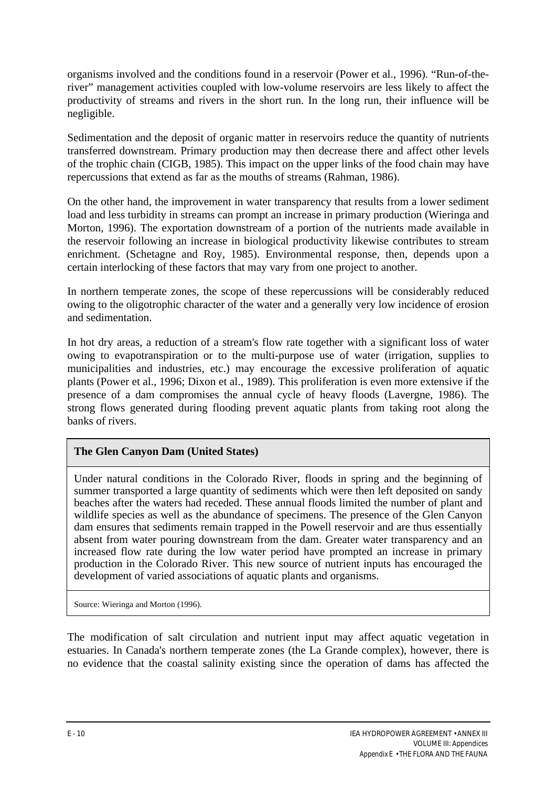organisms involved and the conditions found in a reservoir (Power et al., 1996). "Run-of-theriver" management activities coupled with low-volume reservoirs are less likely to affect the productivity of streams and rivers in the short run. In the long run, their influence will be negligible.

Sedimentation and the deposit of organic matter in reservoirs reduce the quantity of nutrients transferred downstream. Primary production may then decrease there and affect other levels of the trophic chain (CIGB, 1985). This impact on the upper links of the food chain may have repercussions that extend as far as the mouths of streams (Rahman, 1986).

On the other hand, the improvement in water transparency that results from a lower sediment load and less turbidity in streams can prompt an increase in primary production (Wieringa and Morton, 1996). The exportation downstream of a portion of the nutrients made available in the reservoir following an increase in biological productivity likewise contributes to stream enrichment. (Schetagne and Roy, 1985). Environmental response, then, depends upon a certain interlocking of these factors that may vary from one project to another.

In northern temperate zones, the scope of these repercussions will be considerably reduced owing to the oligotrophic character of the water and a generally very low incidence of erosion and sedimentation.

In hot dry areas, a reduction of a stream's flow rate together with a significant loss of water owing to evapotranspiration or to the multi-purpose use of water (irrigation, supplies to municipalities and industries, etc.) may encourage the excessive proliferation of aquatic plants (Power et al.*,* 1996; Dixon et al., 1989). This proliferation is even more extensive if the presence of a dam compromises the annual cycle of heavy floods (Lavergne, 1986). The strong flows generated during flooding prevent aquatic plants from taking root along the banks of rivers.

# **The Glen Canyon Dam (United States)**

Under natural conditions in the Colorado River, floods in spring and the beginning of summer transported a large quantity of sediments which were then left deposited on sandy beaches after the waters had receded. These annual floods limited the number of plant and wildlife species as well as the abundance of specimens. The presence of the Glen Canyon dam ensures that sediments remain trapped in the Powell reservoir and are thus essentially absent from water pouring downstream from the dam. Greater water transparency and an increased flow rate during the low water period have prompted an increase in primary production in the Colorado River. This new source of nutrient inputs has encouraged the development of varied associations of aquatic plants and organisms.

Source: Wieringa and Morton (1996).

The modification of salt circulation and nutrient input may affect aquatic vegetation in estuaries. In Canada's northern temperate zones (the La Grande complex), however, there is no evidence that the coastal salinity existing since the operation of dams has affected the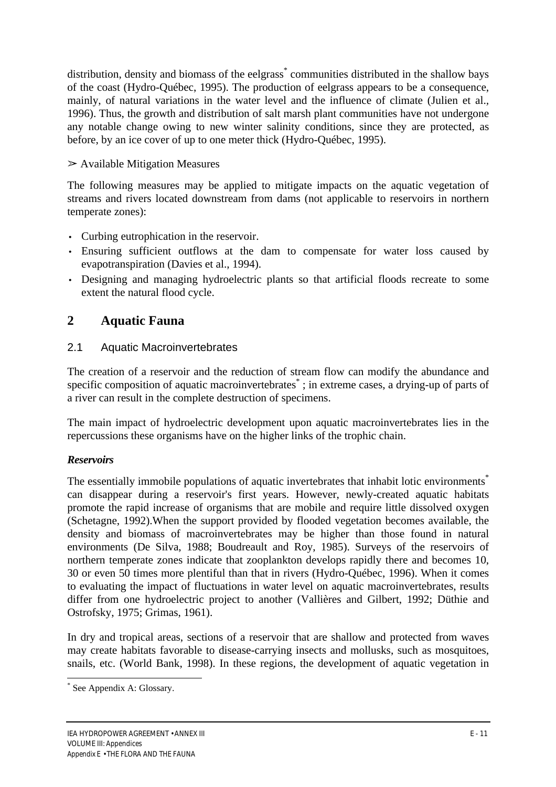distribution, density and biomass of the eelgrass<sup>\*</sup> communities distributed in the shallow bays of the coast (Hydro-Québec, 1995). The production of eelgrass appears to be a consequence, mainly, of natural variations in the water level and the influence of climate (Julien et al.*,* 1996). Thus, the growth and distribution of salt marsh plant communities have not undergone any notable change owing to new winter salinity conditions, since they are protected, as before, by an ice cover of up to one meter thick (Hydro-Québec, 1995).

# $\triangleright$  Available Mitigation Measures

The following measures may be applied to mitigate impacts on the aquatic vegetation of streams and rivers located downstream from dams (not applicable to reservoirs in northern temperate zones):

- Curbing eutrophication in the reservoir.
- Ensuring sufficient outflows at the dam to compensate for water loss caused by evapotranspiration (Davies et al., 1994).
- Designing and managing hydroelectric plants so that artificial floods recreate to some extent the natural flood cycle.

# **2 Aquatic Fauna**

# 2.1 Aquatic Macroinvertebrates

The creation of a reservoir and the reduction of stream flow can modify the abundance and specific composition of aquatic macroinvertebrates<sup>\*</sup>; in extreme cases, a drying-up of parts of a river can result in the complete destruction of specimens.

The main impact of hydroelectric development upon aquatic macroinvertebrates lies in the repercussions these organisms have on the higher links of the trophic chain.

# *Reservoirs*

The essentially immobile populations of aquatic invertebrates that inhabit lotic environments<sup>\*</sup> can disappear during a reservoir's first years. However, newly-created aquatic habitats promote the rapid increase of organisms that are mobile and require little dissolved oxygen (Schetagne, 1992).When the support provided by flooded vegetation becomes available, the density and biomass of macroinvertebrates may be higher than those found in natural environments (De Silva, 1988; Boudreault and Roy, 1985). Surveys of the reservoirs of northern temperate zones indicate that zooplankton develops rapidly there and becomes 10, 30 or even 50 times more plentiful than that in rivers (Hydro-Québec, 1996). When it comes to evaluating the impact of fluctuations in water level on aquatic macroinvertebrates, results differ from one hydroelectric project to another (Vallières and Gilbert, 1992; Düthie and Ostrofsky, 1975; Grimas, 1961).

In dry and tropical areas, sections of a reservoir that are shallow and protected from waves may create habitats favorable to disease-carrying insects and mollusks, such as mosquitoes, snails, etc. (World Bank, 1998). In these regions, the development of aquatic vegetation in

<sup>\*</sup> See Appendix A: Glossary.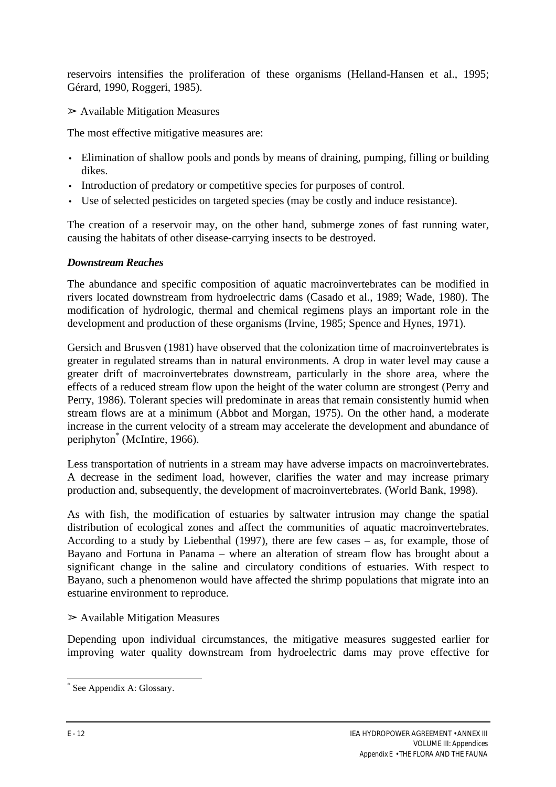reservoirs intensifies the proliferation of these organisms (Helland-Hansen et al., 1995; Gérard, 1990, Roggeri, 1985).

 $\triangleright$  Available Mitigation Measures

The most effective mitigative measures are:

- Elimination of shallow pools and ponds by means of draining, pumping, filling or building dikes.
- Introduction of predatory or competitive species for purposes of control.
- Use of selected pesticides on targeted species (may be costly and induce resistance).

The creation of a reservoir may, on the other hand, submerge zones of fast running water, causing the habitats of other disease-carrying insects to be destroyed.

## *Downstream Reaches*

The abundance and specific composition of aquatic macroinvertebrates can be modified in rivers located downstream from hydroelectric dams (Casado et al., 1989; Wade, 1980). The modification of hydrologic, thermal and chemical regimens plays an important role in the development and production of these organisms (Irvine, 1985; Spence and Hynes, 1971).

Gersich and Brusven (1981) have observed that the colonization time of macroinvertebrates is greater in regulated streams than in natural environments. A drop in water level may cause a greater drift of macroinvertebrates downstream, particularly in the shore area, where the effects of a reduced stream flow upon the height of the water column are strongest (Perry and Perry, 1986). Tolerant species will predominate in areas that remain consistently humid when stream flows are at a minimum (Abbot and Morgan, 1975). On the other hand, a moderate increase in the current velocity of a stream may accelerate the development and abundance of periphyton\* (McIntire, 1966).

Less transportation of nutrients in a stream may have adverse impacts on macroinvertebrates. A decrease in the sediment load, however, clarifies the water and may increase primary production and, subsequently, the development of macroinvertebrates. (World Bank, 1998).

As with fish, the modification of estuaries by saltwater intrusion may change the spatial distribution of ecological zones and affect the communities of aquatic macroinvertebrates. According to a study by Liebenthal (1997), there are few cases – as, for example, those of Bayano and Fortuna in Panama – where an alteration of stream flow has brought about a significant change in the saline and circulatory conditions of estuaries. With respect to Bayano, such a phenomenon would have affected the shrimp populations that migrate into an estuarine environment to reproduce.

# $\triangleright$  Available Mitigation Measures

Depending upon individual circumstances, the mitigative measures suggested earlier for improving water quality downstream from hydroelectric dams may prove effective for

<sup>\*</sup> See Appendix A: Glossary.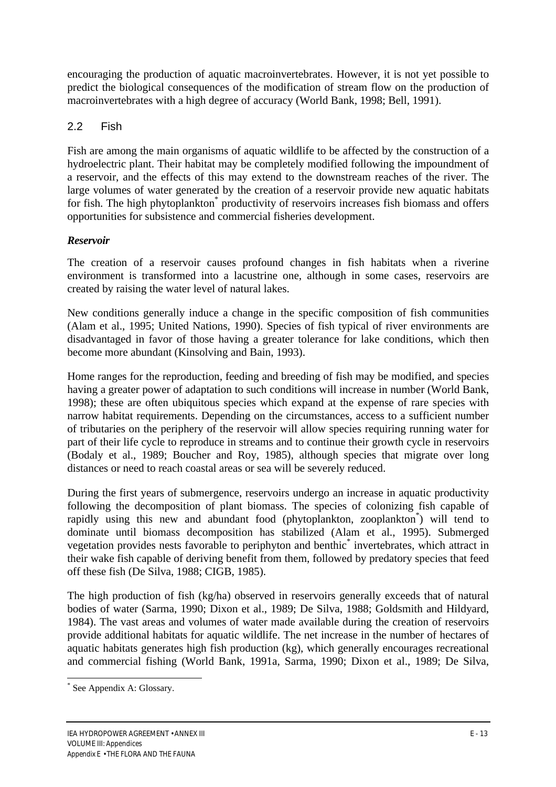encouraging the production of aquatic macroinvertebrates. However, it is not yet possible to predict the biological consequences of the modification of stream flow on the production of macroinvertebrates with a high degree of accuracy (World Bank, 1998; Bell, 1991).

## 2.2 Fish

Fish are among the main organisms of aquatic wildlife to be affected by the construction of a hydroelectric plant. Their habitat may be completely modified following the impoundment of a reservoir, and the effects of this may extend to the downstream reaches of the river. The large volumes of water generated by the creation of a reservoir provide new aquatic habitats for fish. The high phytoplankton<sup>\*</sup> productivity of reservoirs increases fish biomass and offers opportunities for subsistence and commercial fisheries development.

## *Reservoir*

The creation of a reservoir causes profound changes in fish habitats when a riverine environment is transformed into a lacustrine one, although in some cases, reservoirs are created by raising the water level of natural lakes.

New conditions generally induce a change in the specific composition of fish communities (Alam et al., 1995; United Nations, 1990). Species of fish typical of river environments are disadvantaged in favor of those having a greater tolerance for lake conditions, which then become more abundant (Kinsolving and Bain, 1993).

Home ranges for the reproduction, feeding and breeding of fish may be modified, and species having a greater power of adaptation to such conditions will increase in number (World Bank, 1998); these are often ubiquitous species which expand at the expense of rare species with narrow habitat requirements. Depending on the circumstances, access to a sufficient number of tributaries on the periphery of the reservoir will allow species requiring running water for part of their life cycle to reproduce in streams and to continue their growth cycle in reservoirs (Bodaly et al., 1989; Boucher and Roy, 1985), although species that migrate over long distances or need to reach coastal areas or sea will be severely reduced.

During the first years of submergence, reservoirs undergo an increase in aquatic productivity following the decomposition of plant biomass. The species of colonizing fish capable of rapidly using this new and abundant food (phytoplankton, zooplankton<sup>\*</sup>) will tend to dominate until biomass decomposition has stabilized (Alam et al., 1995). Submerged vegetation provides nests favorable to periphyton and benthic<sup>\*</sup> invertebrates, which attract in their wake fish capable of deriving benefit from them, followed by predatory species that feed off these fish (De Silva, 1988; CIGB, 1985).

The high production of fish (kg/ha) observed in reservoirs generally exceeds that of natural bodies of water (Sarma, 1990; Dixon et al., 1989; De Silva, 1988; Goldsmith and Hildyard, 1984). The vast areas and volumes of water made available during the creation of reservoirs provide additional habitats for aquatic wildlife. The net increase in the number of hectares of aquatic habitats generates high fish production (kg), which generally encourages recreational and commercial fishing (World Bank, 1991a, Sarma, 1990; Dixon et al., 1989; De Silva,

<sup>\*</sup> See Appendix A: Glossary.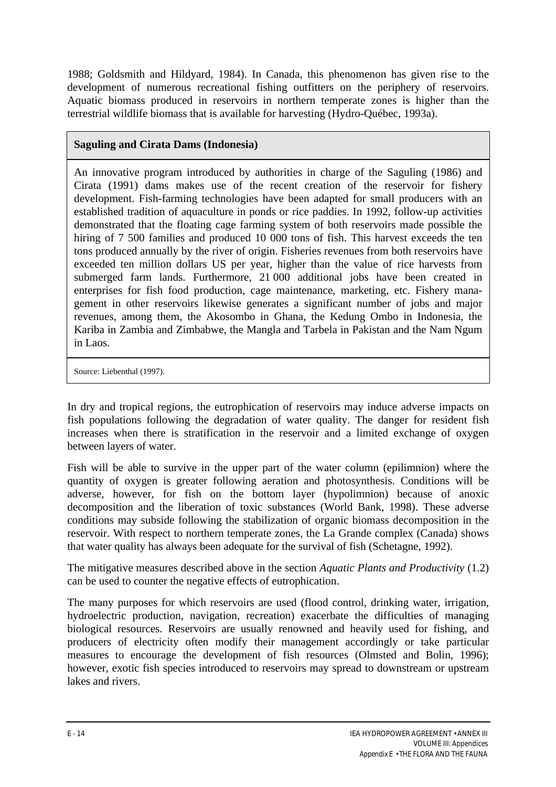1988; Goldsmith and Hildyard, 1984). In Canada, this phenomenon has given rise to the development of numerous recreational fishing outfitters on the periphery of reservoirs. Aquatic biomass produced in reservoirs in northern temperate zones is higher than the terrestrial wildlife biomass that is available for harvesting (Hydro-Québec, 1993a).

## **Saguling and Cirata Dams (Indonesia)**

An innovative program introduced by authorities in charge of the Saguling (1986) and Cirata (1991) dams makes use of the recent creation of the reservoir for fishery development. Fish-farming technologies have been adapted for small producers with an established tradition of aquaculture in ponds or rice paddies. In 1992, follow-up activities demonstrated that the floating cage farming system of both reservoirs made possible the hiring of 7 500 families and produced 10 000 tons of fish. This harvest exceeds the ten tons produced annually by the river of origin. Fisheries revenues from both reservoirs have exceeded ten million dollars US per year, higher than the value of rice harvests from submerged farm lands. Furthermore, 21 000 additional jobs have been created in enterprises for fish food production, cage maintenance, marketing, etc. Fishery management in other reservoirs likewise generates a significant number of jobs and major revenues, among them, the Akosombo in Ghana, the Kedung Ombo in Indonesia, the Kariba in Zambia and Zimbabwe, the Mangla and Tarbela in Pakistan and the Nam Ngum in Laos.

Source: Liebenthal (1997).

In dry and tropical regions, the eutrophication of reservoirs may induce adverse impacts on fish populations following the degradation of water quality. The danger for resident fish increases when there is stratification in the reservoir and a limited exchange of oxygen between layers of water.

Fish will be able to survive in the upper part of the water column (epilimnion) where the quantity of oxygen is greater following aeration and photosynthesis. Conditions will be adverse, however, for fish on the bottom layer (hypolimnion) because of anoxic decomposition and the liberation of toxic substances (World Bank, 1998). These adverse conditions may subside following the stabilization of organic biomass decomposition in the reservoir. With respect to northern temperate zones, the La Grande complex (Canada) shows that water quality has always been adequate for the survival of fish (Schetagne, 1992).

The mitigative measures described above in the section *Aquatic Plants and Productivity* (1.2) can be used to counter the negative effects of eutrophication.

The many purposes for which reservoirs are used (flood control, drinking water, irrigation, hydroelectric production, navigation, recreation) exacerbate the difficulties of managing biological resources. Reservoirs are usually renowned and heavily used for fishing, and producers of electricity often modify their management accordingly or take particular measures to encourage the development of fish resources (Olmsted and Bolin, 1996); however, exotic fish species introduced to reservoirs may spread to downstream or upstream lakes and rivers.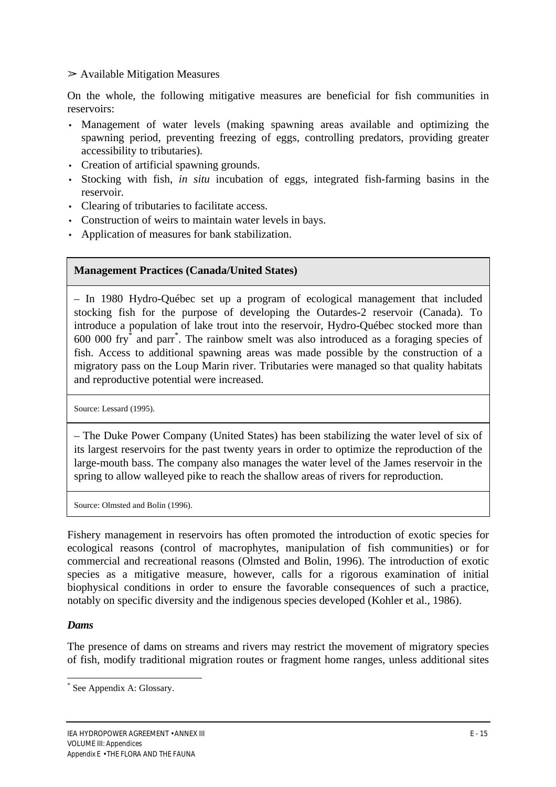$\triangleright$  Available Mitigation Measures

On the whole, the following mitigative measures are beneficial for fish communities in reservoirs:

- Management of water levels (making spawning areas available and optimizing the spawning period, preventing freezing of eggs, controlling predators, providing greater accessibility to tributaries).
- Creation of artificial spawning grounds.
- Stocking with fish, *in situ* incubation of eggs, integrated fish-farming basins in the reservoir.
- Clearing of tributaries to facilitate access.
- Construction of weirs to maintain water levels in bays.
- Application of measures for bank stabilization.

#### **Management Practices (Canada/United States)**

– In 1980 Hydro-Québec set up a program of ecological management that included stocking fish for the purpose of developing the Outardes-2 reservoir (Canada). To introduce a population of lake trout into the reservoir, Hydro-Québec stocked more than 600 000 fry\* and parr\* . The rainbow smelt was also introduced as a foraging species of fish. Access to additional spawning areas was made possible by the construction of a migratory pass on the Loup Marin river. Tributaries were managed so that quality habitats and reproductive potential were increased.

Source: Lessard (1995).

– The Duke Power Company (United States) has been stabilizing the water level of six of its largest reservoirs for the past twenty years in order to optimize the reproduction of the large-mouth bass. The company also manages the water level of the James reservoir in the spring to allow walleyed pike to reach the shallow areas of rivers for reproduction.

Source: Olmsted and Bolin (1996).

Fishery management in reservoirs has often promoted the introduction of exotic species for ecological reasons (control of macrophytes, manipulation of fish communities) or for commercial and recreational reasons (Olmsted and Bolin, 1996). The introduction of exotic species as a mitigative measure, however, calls for a rigorous examination of initial biophysical conditions in order to ensure the favorable consequences of such a practice, notably on specific diversity and the indigenous species developed (Kohler et al., 1986).

#### *Dams*

 $\overline{a}$ 

The presence of dams on streams and rivers may restrict the movement of migratory species of fish, modify traditional migration routes or fragment home ranges, unless additional sites

<sup>\*</sup> See Appendix A: Glossary.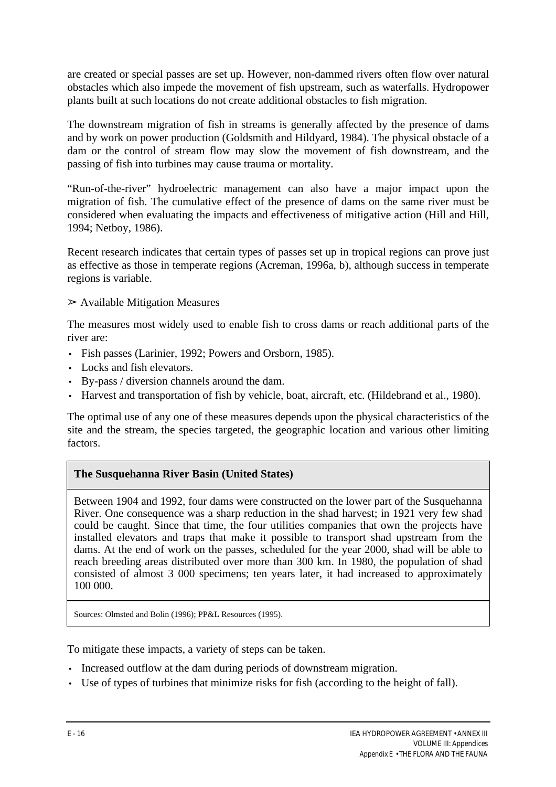are created or special passes are set up. However, non-dammed rivers often flow over natural obstacles which also impede the movement of fish upstream, such as waterfalls. Hydropower plants built at such locations do not create additional obstacles to fish migration.

The downstream migration of fish in streams is generally affected by the presence of dams and by work on power production (Goldsmith and Hildyard, 1984). The physical obstacle of a dam or the control of stream flow may slow the movement of fish downstream, and the passing of fish into turbines may cause trauma or mortality.

"Run-of-the-river" hydroelectric management can also have a major impact upon the migration of fish. The cumulative effect of the presence of dams on the same river must be considered when evaluating the impacts and effectiveness of mitigative action (Hill and Hill, 1994; Netboy, 1986).

Recent research indicates that certain types of passes set up in tropical regions can prove just as effective as those in temperate regions (Acreman, 1996a, b), although success in temperate regions is variable.

#### $\triangleright$  Available Mitigation Measures

The measures most widely used to enable fish to cross dams or reach additional parts of the river are:

- Fish passes (Larinier, 1992; Powers and Orsborn, 1985).
- Locks and fish elevators.
- By-pass / diversion channels around the dam.
- Harvest and transportation of fish by vehicle, boat, aircraft, etc. (Hildebrand et al.*,* 1980).

The optimal use of any one of these measures depends upon the physical characteristics of the site and the stream, the species targeted, the geographic location and various other limiting factors.

## **The Susquehanna River Basin (United States)**

Between 1904 and 1992, four dams were constructed on the lower part of the Susquehanna River. One consequence was a sharp reduction in the shad harvest; in 1921 very few shad could be caught. Since that time, the four utilities companies that own the projects have installed elevators and traps that make it possible to transport shad upstream from the dams. At the end of work on the passes, scheduled for the year 2000, shad will be able to reach breeding areas distributed over more than 300 km. In 1980, the population of shad consisted of almost 3 000 specimens; ten years later, it had increased to approximately 100 000.

Sources: Olmsted and Bolin (1996); PP&L Resources (1995).

To mitigate these impacts, a variety of steps can be taken.

- Increased outflow at the dam during periods of downstream migration.
- Use of types of turbines that minimize risks for fish (according to the height of fall).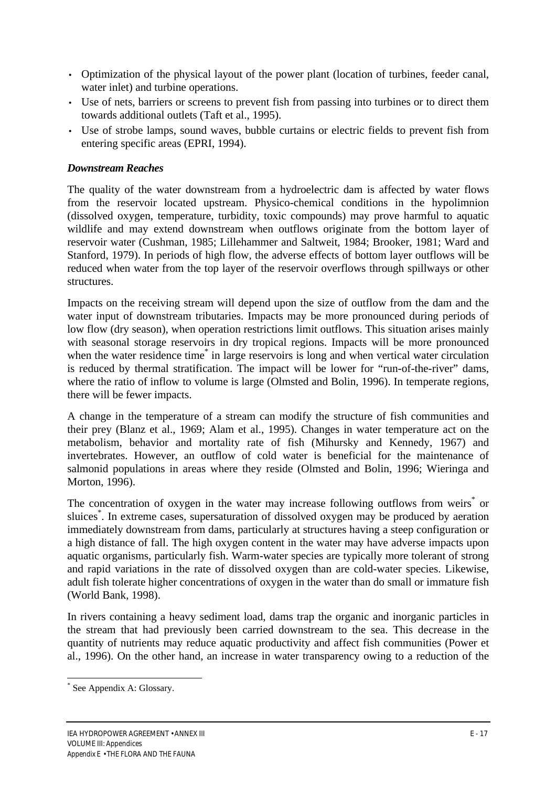- Optimization of the physical layout of the power plant (location of turbines, feeder canal, water inlet) and turbine operations.
- Use of nets, barriers or screens to prevent fish from passing into turbines or to direct them towards additional outlets (Taft et al., 1995).
- Use of strobe lamps, sound waves, bubble curtains or electric fields to prevent fish from entering specific areas (EPRI, 1994).

#### *Downstream Reaches*

The quality of the water downstream from a hydroelectric dam is affected by water flows from the reservoir located upstream. Physico-chemical conditions in the hypolimnion (dissolved oxygen, temperature, turbidity, toxic compounds) may prove harmful to aquatic wildlife and may extend downstream when outflows originate from the bottom layer of reservoir water (Cushman, 1985; Lillehammer and Saltweit, 1984; Brooker, 1981; Ward and Stanford, 1979). In periods of high flow, the adverse effects of bottom layer outflows will be reduced when water from the top layer of the reservoir overflows through spillways or other structures.

Impacts on the receiving stream will depend upon the size of outflow from the dam and the water input of downstream tributaries. Impacts may be more pronounced during periods of low flow (dry season), when operation restrictions limit outflows. This situation arises mainly with seasonal storage reservoirs in dry tropical regions. Impacts will be more pronounced when the water residence time<sup>\*</sup> in large reservoirs is long and when vertical water circulation is reduced by thermal stratification. The impact will be lower for "run-of-the-river" dams, where the ratio of inflow to volume is large (Olmsted and Bolin, 1996). In temperate regions, there will be fewer impacts.

A change in the temperature of a stream can modify the structure of fish communities and their prey (Blanz et al., 1969; Alam et al., 1995). Changes in water temperature act on the metabolism, behavior and mortality rate of fish (Mihursky and Kennedy, 1967) and invertebrates. However, an outflow of cold water is beneficial for the maintenance of salmonid populations in areas where they reside (Olmsted and Bolin, 1996; Wieringa and Morton, 1996).

The concentration of oxygen in the water may increase following outflows from weirs<sup>\*</sup> or sluices<sup>\*</sup>. In extreme cases, supersaturation of dissolved oxygen may be produced by aeration immediately downstream from dams, particularly at structures having a steep configuration or a high distance of fall. The high oxygen content in the water may have adverse impacts upon aquatic organisms, particularly fish. Warm-water species are typically more tolerant of strong and rapid variations in the rate of dissolved oxygen than are cold-water species. Likewise, adult fish tolerate higher concentrations of oxygen in the water than do small or immature fish (World Bank, 1998).

In rivers containing a heavy sediment load, dams trap the organic and inorganic particles in the stream that had previously been carried downstream to the sea. This decrease in the quantity of nutrients may reduce aquatic productivity and affect fish communities (Power et al., 1996). On the other hand, an increase in water transparency owing to a reduction of the

 $\overline{a}$ \* See Appendix A: Glossary.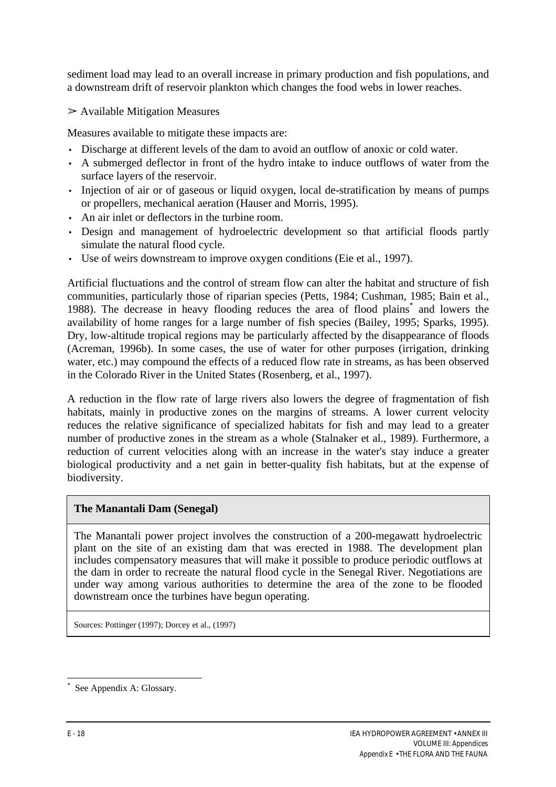sediment load may lead to an overall increase in primary production and fish populations, and a downstream drift of reservoir plankton which changes the food webs in lower reaches.

 $\triangleright$  Available Mitigation Measures

Measures available to mitigate these impacts are:

- Discharge at different levels of the dam to avoid an outflow of anoxic or cold water.
- A submerged deflector in front of the hydro intake to induce outflows of water from the surface layers of the reservoir.
- Injection of air or of gaseous or liquid oxygen, local de-stratification by means of pumps or propellers, mechanical aeration (Hauser and Morris, 1995).
- An air inlet or deflectors in the turbine room.
- Design and management of hydroelectric development so that artificial floods partly simulate the natural flood cycle.
- Use of weirs downstream to improve oxygen conditions (Eie et al., 1997).

Artificial fluctuations and the control of stream flow can alter the habitat and structure of fish communities, particularly those of riparian species (Petts, 1984; Cushman, 1985; Bain et al., 1988). The decrease in heavy flooding reduces the area of flood plains<sup>\*</sup> and lowers the availability of home ranges for a large number of fish species (Bailey, 1995; Sparks, 1995). Dry, low-altitude tropical regions may be particularly affected by the disappearance of floods (Acreman, 1996b). In some cases, the use of water for other purposes (irrigation, drinking water, etc.) may compound the effects of a reduced flow rate in streams, as has been observed in the Colorado River in the United States (Rosenberg, et al., 1997).

A reduction in the flow rate of large rivers also lowers the degree of fragmentation of fish habitats, mainly in productive zones on the margins of streams. A lower current velocity reduces the relative significance of specialized habitats for fish and may lead to a greater number of productive zones in the stream as a whole (Stalnaker et al., 1989). Furthermore, a reduction of current velocities along with an increase in the water's stay induce a greater biological productivity and a net gain in better-quality fish habitats, but at the expense of biodiversity.

#### **The Manantali Dam (Senegal)**

The Manantali power project involves the construction of a 200-megawatt hydroelectric plant on the site of an existing dam that was erected in 1988. The development plan includes compensatory measures that will make it possible to produce periodic outflows at the dam in order to recreate the natural flood cycle in the Senegal River. Negotiations are under way among various authorities to determine the area of the zone to be flooded downstream once the turbines have begun operating.

Sources: Pottinger (1997); Dorcey et al., (1997)

 $\overline{a}$ \* See Appendix A: Glossary.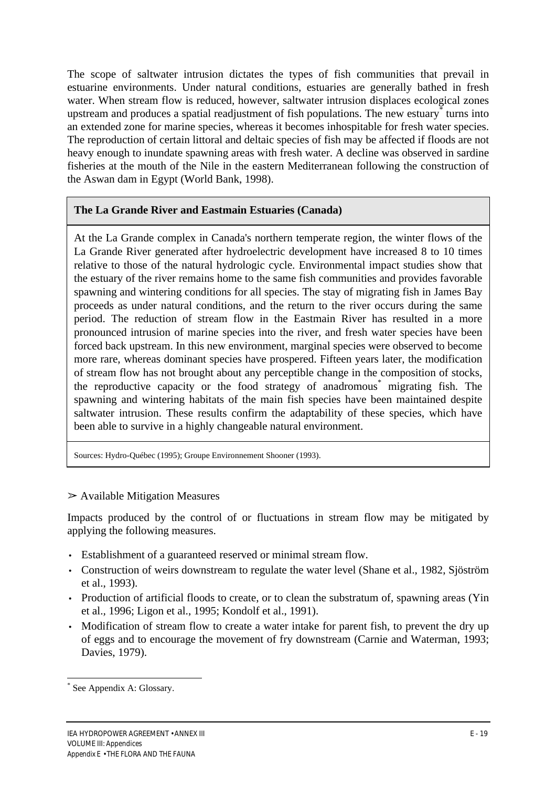The scope of saltwater intrusion dictates the types of fish communities that prevail in estuarine environments. Under natural conditions, estuaries are generally bathed in fresh water. When stream flow is reduced, however, saltwater intrusion displaces ecological zones upstream and produces a spatial readjustment of fish populations. The new estuary turns into an extended zone for marine species, whereas it becomes inhospitable for fresh water species. The reproduction of certain littoral and deltaic species of fish may be affected if floods are not heavy enough to inundate spawning areas with fresh water. A decline was observed in sardine fisheries at the mouth of the Nile in the eastern Mediterranean following the construction of the Aswan dam in Egypt (World Bank, 1998).

## **The La Grande River and Eastmain Estuaries (Canada)**

At the La Grande complex in Canada's northern temperate region, the winter flows of the La Grande River generated after hydroelectric development have increased 8 to 10 times relative to those of the natural hydrologic cycle. Environmental impact studies show that the estuary of the river remains home to the same fish communities and provides favorable spawning and wintering conditions for all species. The stay of migrating fish in James Bay proceeds as under natural conditions, and the return to the river occurs during the same period. The reduction of stream flow in the Eastmain River has resulted in a more pronounced intrusion of marine species into the river, and fresh water species have been forced back upstream. In this new environment, marginal species were observed to become more rare, whereas dominant species have prospered. Fifteen years later, the modification of stream flow has not brought about any perceptible change in the composition of stocks, the reproductive capacity or the food strategy of anadromous<sup>\*</sup> migrating fish. The spawning and wintering habitats of the main fish species have been maintained despite saltwater intrusion. These results confirm the adaptability of these species, which have been able to survive in a highly changeable natural environment.

Sources: Hydro-Québec (1995); Groupe Environnement Shooner (1993).

#### $\triangleright$  Available Mitigation Measures

Impacts produced by the control of or fluctuations in stream flow may be mitigated by applying the following measures.

- Establishment of a guaranteed reserved or minimal stream flow.
- Construction of weirs downstream to regulate the water level (Shane et al., 1982, Siöström et al., 1993).
- Production of artificial floods to create, or to clean the substratum of, spawning areas (Yin) et al.*,* 1996; Ligon et al., 1995; Kondolf et al., 1991).
- Modification of stream flow to create a water intake for parent fish, to prevent the dry up of eggs and to encourage the movement of fry downstream (Carnie and Waterman, 1993; Davies, 1979).

 $\overline{a}$ \* See Appendix A: Glossary.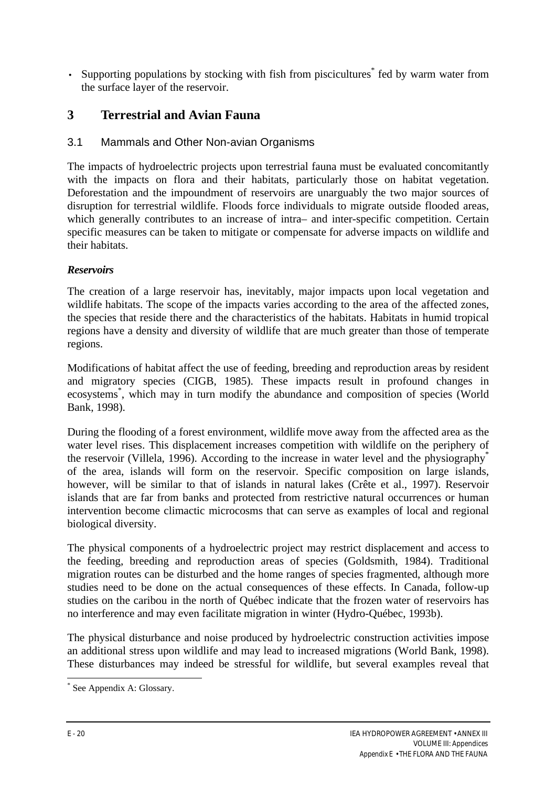• Supporting populations by stocking with fish from piscicultures<sup>\*</sup> fed by warm water from the surface layer of the reservoir.

## **3 Terrestrial and Avian Fauna**

## 3.1 Mammals and Other Non-avian Organisms

The impacts of hydroelectric projects upon terrestrial fauna must be evaluated concomitantly with the impacts on flora and their habitats, particularly those on habitat vegetation. Deforestation and the impoundment of reservoirs are unarguably the two major sources of disruption for terrestrial wildlife. Floods force individuals to migrate outside flooded areas, which generally contributes to an increase of intra– and inter-specific competition. Certain specific measures can be taken to mitigate or compensate for adverse impacts on wildlife and their habitats.

## *Reservoirs*

The creation of a large reservoir has, inevitably, major impacts upon local vegetation and wildlife habitats. The scope of the impacts varies according to the area of the affected zones, the species that reside there and the characteristics of the habitats. Habitats in humid tropical regions have a density and diversity of wildlife that are much greater than those of temperate regions.

Modifications of habitat affect the use of feeding, breeding and reproduction areas by resident and migratory species (CIGB, 1985). These impacts result in profound changes in ecosystems\* , which may in turn modify the abundance and composition of species (World Bank, 1998).

During the flooding of a forest environment, wildlife move away from the affected area as the water level rises. This displacement increases competition with wildlife on the periphery of the reservoir (Villela, 1996). According to the increase in water level and the physiography<sup>\*</sup> of the area, islands will form on the reservoir. Specific composition on large islands, however, will be similar to that of islands in natural lakes (Crête et al., 1997). Reservoir islands that are far from banks and protected from restrictive natural occurrences or human intervention become climactic microcosms that can serve as examples of local and regional biological diversity.

The physical components of a hydroelectric project may restrict displacement and access to the feeding, breeding and reproduction areas of species (Goldsmith, 1984). Traditional migration routes can be disturbed and the home ranges of species fragmented, although more studies need to be done on the actual consequences of these effects. In Canada, follow-up studies on the caribou in the north of Québec indicate that the frozen water of reservoirs has no interference and may even facilitate migration in winter (Hydro-Québec, 1993b).

The physical disturbance and noise produced by hydroelectric construction activities impose an additional stress upon wildlife and may lead to increased migrations (World Bank, 1998). These disturbances may indeed be stressful for wildlife, but several examples reveal that

<sup>\*</sup> See Appendix A: Glossary.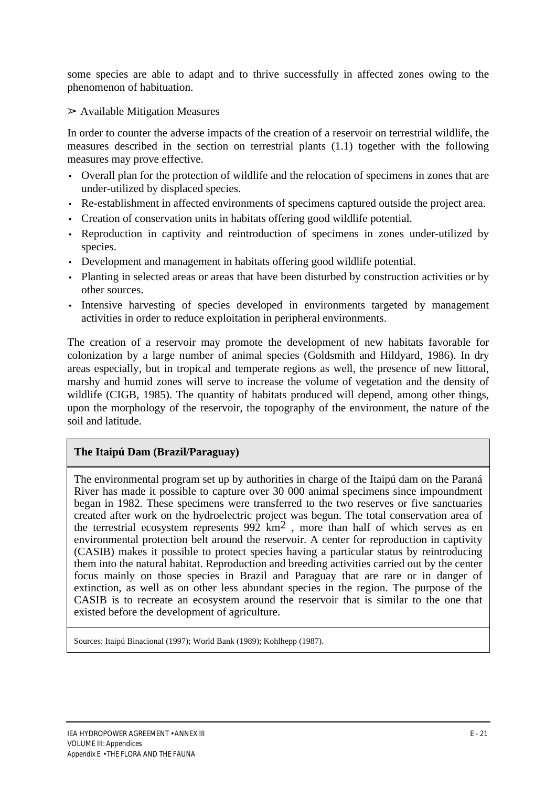some species are able to adapt and to thrive successfully in affected zones owing to the phenomenon of habituation.

 $\triangleright$  Available Mitigation Measures

In order to counter the adverse impacts of the creation of a reservoir on terrestrial wildlife, the measures described in the section on terrestrial plants (1.1) together with the following measures may prove effective.

- Overall plan for the protection of wildlife and the relocation of specimens in zones that are under-utilized by displaced species.
- Re-establishment in affected environments of specimens captured outside the project area.
- Creation of conservation units in habitats offering good wildlife potential.
- Reproduction in captivity and reintroduction of specimens in zones under-utilized by species.
- Development and management in habitats offering good wildlife potential.
- Planting in selected areas or areas that have been disturbed by construction activities or by other sources.
- Intensive harvesting of species developed in environments targeted by management activities in order to reduce exploitation in peripheral environments.

The creation of a reservoir may promote the development of new habitats favorable for colonization by a large number of animal species (Goldsmith and Hildyard, 1986). In dry areas especially, but in tropical and temperate regions as well, the presence of new littoral, marshy and humid zones will serve to increase the volume of vegetation and the density of wildlife (CIGB, 1985). The quantity of habitats produced will depend, among other things, upon the morphology of the reservoir, the topography of the environment, the nature of the soil and latitude.

## **The Itaipú Dam (Brazil/Paraguay)**

The environmental program set up by authorities in charge of the Itaipú dam on the Paraná River has made it possible to capture over 30 000 animal specimens since impoundment began in 1982. These specimens were transferred to the two reserves or five sanctuaries created after work on the hydroelectric project was begun. The total conservation area of the terrestrial ecosystem represents  $992 \text{ km}^2$ , more than half of which serves as en environmental protection belt around the reservoir. A center for reproduction in captivity (CASIB) makes it possible to protect species having a particular status by reintroducing them into the natural habitat. Reproduction and breeding activities carried out by the center focus mainly on those species in Brazil and Paraguay that are rare or in danger of extinction, as well as on other less abundant species in the region. The purpose of the CASIB is to recreate an ecosystem around the reservoir that is similar to the one that existed before the development of agriculture.

Sources: Itaipú Binacional (1997); World Bank (1989); Kohlhepp (1987).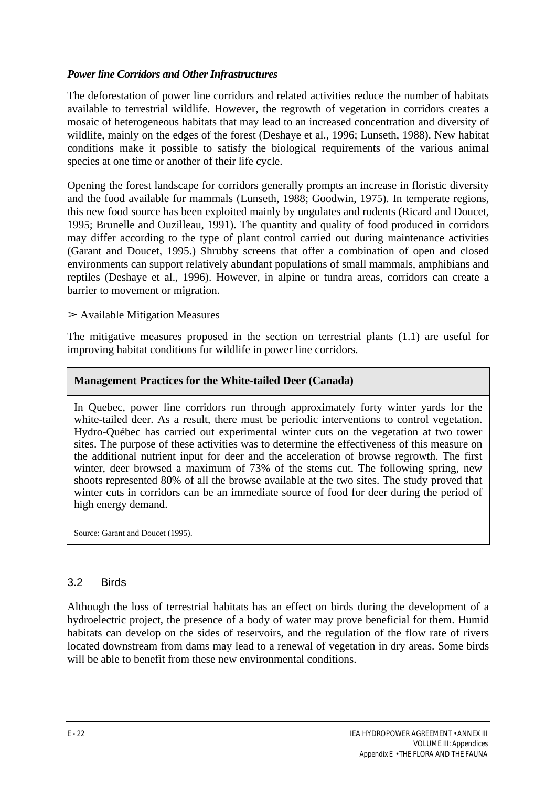#### *Power line Corridors and Other Infrastructures*

The deforestation of power line corridors and related activities reduce the number of habitats available to terrestrial wildlife. However, the regrowth of vegetation in corridors creates a mosaic of heterogeneous habitats that may lead to an increased concentration and diversity of wildlife, mainly on the edges of the forest (Deshaye et al., 1996; Lunseth, 1988). New habitat conditions make it possible to satisfy the biological requirements of the various animal species at one time or another of their life cycle.

Opening the forest landscape for corridors generally prompts an increase in floristic diversity and the food available for mammals (Lunseth, 1988; Goodwin, 1975). In temperate regions, this new food source has been exploited mainly by ungulates and rodents (Ricard and Doucet, 1995; Brunelle and Ouzilleau, 1991). The quantity and quality of food produced in corridors may differ according to the type of plant control carried out during maintenance activities (Garant and Doucet, 1995.) Shrubby screens that offer a combination of open and closed environments can support relatively abundant populations of small mammals, amphibians and reptiles (Deshaye et al., 1996). However, in alpine or tundra areas, corridors can create a barrier to movement or migration.

 $\triangleright$  Available Mitigation Measures

The mitigative measures proposed in the section on terrestrial plants (1.1) are useful for improving habitat conditions for wildlife in power line corridors.

#### **Management Practices for the White-tailed Deer (Canada)**

In Quebec, power line corridors run through approximately forty winter yards for the white-tailed deer. As a result, there must be periodic interventions to control vegetation. Hydro-Québec has carried out experimental winter cuts on the vegetation at two tower sites. The purpose of these activities was to determine the effectiveness of this measure on the additional nutrient input for deer and the acceleration of browse regrowth. The first winter, deer browsed a maximum of 73% of the stems cut. The following spring, new shoots represented 80% of all the browse available at the two sites. The study proved that winter cuts in corridors can be an immediate source of food for deer during the period of high energy demand.

Source: Garant and Doucet (1995).

#### 3.2 Birds

Although the loss of terrestrial habitats has an effect on birds during the development of a hydroelectric project, the presence of a body of water may prove beneficial for them. Humid habitats can develop on the sides of reservoirs, and the regulation of the flow rate of rivers located downstream from dams may lead to a renewal of vegetation in dry areas. Some birds will be able to benefit from these new environmental conditions.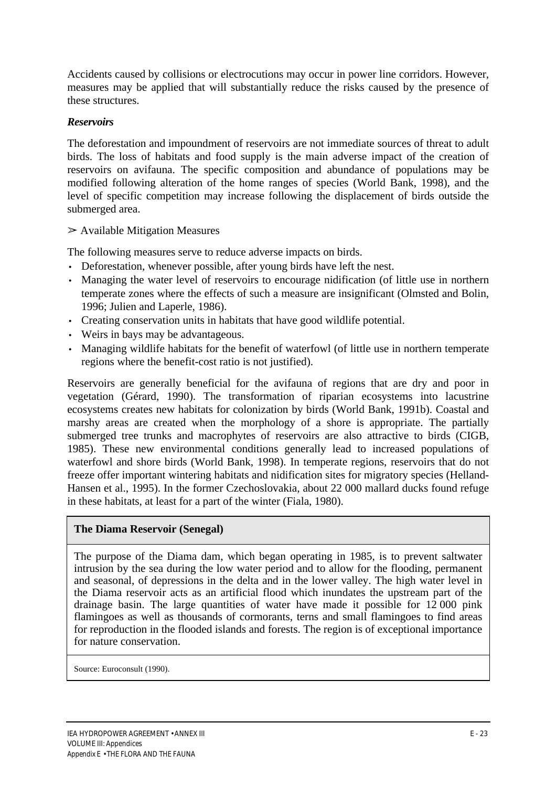Accidents caused by collisions or electrocutions may occur in power line corridors. However, measures may be applied that will substantially reduce the risks caused by the presence of these structures.

## *Reservoirs*

The deforestation and impoundment of reservoirs are not immediate sources of threat to adult birds. The loss of habitats and food supply is the main adverse impact of the creation of reservoirs on avifauna. The specific composition and abundance of populations may be modified following alteration of the home ranges of species (World Bank, 1998), and the level of specific competition may increase following the displacement of birds outside the submerged area.

 $\triangleright$  Available Mitigation Measures

The following measures serve to reduce adverse impacts on birds.

- Deforestation, whenever possible, after young birds have left the nest.
- Managing the water level of reservoirs to encourage nidification (of little use in northern temperate zones where the effects of such a measure are insignificant (Olmsted and Bolin, 1996; Julien and Laperle, 1986).
- Creating conservation units in habitats that have good wildlife potential.
- Weirs in bays may be advantageous.
- Managing wildlife habitats for the benefit of waterfowl (of little use in northern temperate regions where the benefit-cost ratio is not justified).

Reservoirs are generally beneficial for the avifauna of regions that are dry and poor in vegetation (Gérard, 1990). The transformation of riparian ecosystems into lacustrine ecosystems creates new habitats for colonization by birds (World Bank, 1991b). Coastal and marshy areas are created when the morphology of a shore is appropriate. The partially submerged tree trunks and macrophytes of reservoirs are also attractive to birds (CIGB, 1985). These new environmental conditions generally lead to increased populations of waterfowl and shore birds (World Bank, 1998). In temperate regions, reservoirs that do not freeze offer important wintering habitats and nidification sites for migratory species (Helland-Hansen et al., 1995). In the former Czechoslovakia, about 22 000 mallard ducks found refuge in these habitats, at least for a part of the winter (Fiala, 1980).

#### **The Diama Reservoir (Senegal)**

The purpose of the Diama dam, which began operating in 1985, is to prevent saltwater intrusion by the sea during the low water period and to allow for the flooding, permanent and seasonal, of depressions in the delta and in the lower valley. The high water level in the Diama reservoir acts as an artificial flood which inundates the upstream part of the drainage basin. The large quantities of water have made it possible for  $12\,000$  pink flamingoes as well as thousands of cormorants, terns and small flamingoes to find areas for reproduction in the flooded islands and forests. The region is of exceptional importance for nature conservation.

Source: Euroconsult (1990).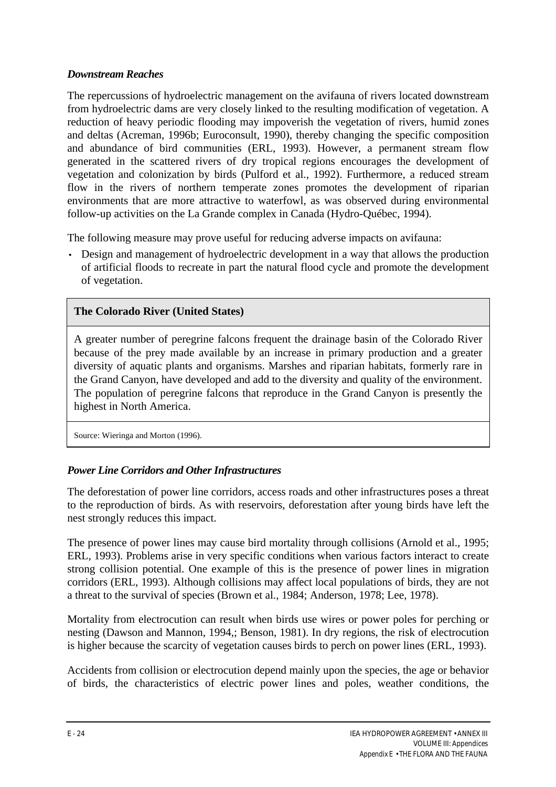## *Downstream Reaches*

The repercussions of hydroelectric management on the avifauna of rivers located downstream from hydroelectric dams are very closely linked to the resulting modification of vegetation. A reduction of heavy periodic flooding may impoverish the vegetation of rivers, humid zones and deltas (Acreman, 1996b; Euroconsult, 1990), thereby changing the specific composition and abundance of bird communities (ERL, 1993). However, a permanent stream flow generated in the scattered rivers of dry tropical regions encourages the development of vegetation and colonization by birds (Pulford et al., 1992). Furthermore, a reduced stream flow in the rivers of northern temperate zones promotes the development of riparian environments that are more attractive to waterfowl, as was observed during environmental follow-up activities on the La Grande complex in Canada (Hydro-Québec, 1994).

The following measure may prove useful for reducing adverse impacts on avifauna:

• Design and management of hydroelectric development in a way that allows the production of artificial floods to recreate in part the natural flood cycle and promote the development of vegetation.

## **The Colorado River (United States)**

A greater number of peregrine falcons frequent the drainage basin of the Colorado River because of the prey made available by an increase in primary production and a greater diversity of aquatic plants and organisms. Marshes and riparian habitats, formerly rare in the Grand Canyon, have developed and add to the diversity and quality of the environment. The population of peregrine falcons that reproduce in the Grand Canyon is presently the highest in North America.

Source: Wieringa and Morton (1996).

## *Power Line Corridors and Other Infrastructures*

The deforestation of power line corridors, access roads and other infrastructures poses a threat to the reproduction of birds. As with reservoirs, deforestation after young birds have left the nest strongly reduces this impact.

The presence of power lines may cause bird mortality through collisions (Arnold et al.*,* 1995; ERL, 1993). Problems arise in very specific conditions when various factors interact to create strong collision potential. One example of this is the presence of power lines in migration corridors (ERL, 1993). Although collisions may affect local populations of birds, they are not a threat to the survival of species (Brown et al.*,* 1984; Anderson, 1978; Lee, 1978).

Mortality from electrocution can result when birds use wires or power poles for perching or nesting (Dawson and Mannon, 1994,; Benson, 1981). In dry regions, the risk of electrocution is higher because the scarcity of vegetation causes birds to perch on power lines (ERL, 1993).

Accidents from collision or electrocution depend mainly upon the species, the age or behavior of birds, the characteristics of electric power lines and poles, weather conditions, the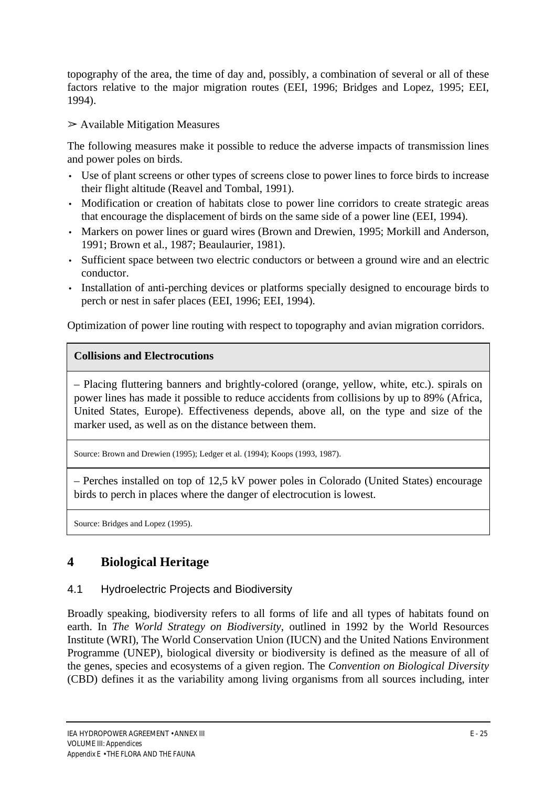topography of the area, the time of day and, possibly, a combination of several or all of these factors relative to the major migration routes (EEI, 1996; Bridges and Lopez, 1995; EEI, 1994).

 $\triangleright$  Available Mitigation Measures

The following measures make it possible to reduce the adverse impacts of transmission lines and power poles on birds.

- Use of plant screens or other types of screens close to power lines to force birds to increase their flight altitude (Reavel and Tombal, 1991).
- Modification or creation of habitats close to power line corridors to create strategic areas that encourage the displacement of birds on the same side of a power line (EEI, 1994).
- Markers on power lines or guard wires (Brown and Drewien, 1995; Morkill and Anderson, 1991; Brown et al., 1987; Beaulaurier, 1981).
- Sufficient space between two electric conductors or between a ground wire and an electric conductor.
- Installation of anti-perching devices or platforms specially designed to encourage birds to perch or nest in safer places (EEI, 1996; EEI, 1994).

Optimization of power line routing with respect to topography and avian migration corridors.

## **Collisions and Electrocutions**

– Placing fluttering banners and brightly-colored (orange, yellow, white, etc.). spirals on power lines has made it possible to reduce accidents from collisions by up to 89% (Africa, United States, Europe). Effectiveness depends, above all, on the type and size of the marker used, as well as on the distance between them.

Source: Brown and Drewien (1995); Ledger et al. (1994); Koops (1993, 1987).

– Perches installed on top of 12,5 kV power poles in Colorado (United States) encourage birds to perch in places where the danger of electrocution is lowest.

Source: Bridges and Lopez (1995).

# **4 Biological Heritage**

## 4.1 Hydroelectric Projects and Biodiversity

Broadly speaking, biodiversity refers to all forms of life and all types of habitats found on earth. In *The World Strategy on Biodiversity*, outlined in 1992 by the World Resources Institute (WRI), The World Conservation Union (IUCN) and the United Nations Environment Programme (UNEP), biological diversity or biodiversity is defined as the measure of all of the genes, species and ecosystems of a given region. The *Convention on Biological Diversity* (CBD) defines it as the variability among living organisms from all sources including, inter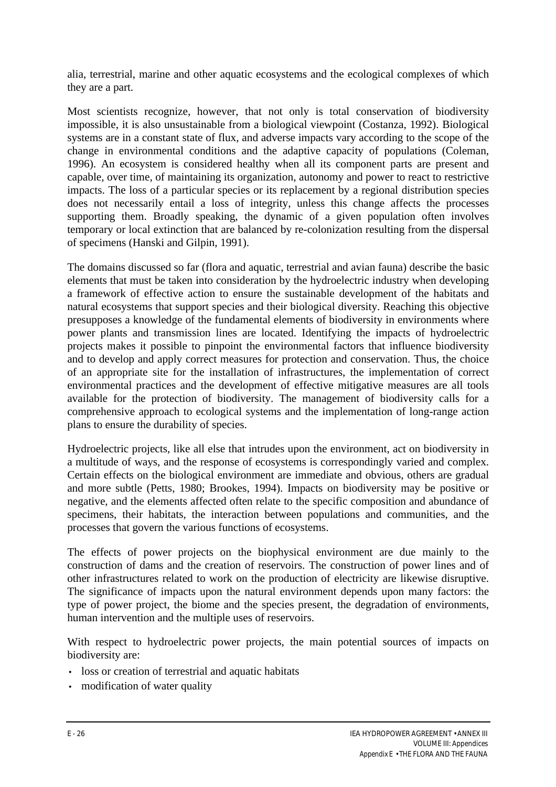alia, terrestrial, marine and other aquatic ecosystems and the ecological complexes of which they are a part.

Most scientists recognize, however, that not only is total conservation of biodiversity impossible, it is also unsustainable from a biological viewpoint (Costanza, 1992). Biological systems are in a constant state of flux, and adverse impacts vary according to the scope of the change in environmental conditions and the adaptive capacity of populations (Coleman, 1996). An ecosystem is considered healthy when all its component parts are present and capable, over time, of maintaining its organization, autonomy and power to react to restrictive impacts. The loss of a particular species or its replacement by a regional distribution species does not necessarily entail a loss of integrity, unless this change affects the processes supporting them. Broadly speaking, the dynamic of a given population often involves temporary or local extinction that are balanced by re-colonization resulting from the dispersal of specimens (Hanski and Gilpin, 1991).

The domains discussed so far (flora and aquatic, terrestrial and avian fauna) describe the basic elements that must be taken into consideration by the hydroelectric industry when developing a framework of effective action to ensure the sustainable development of the habitats and natural ecosystems that support species and their biological diversity. Reaching this objective presupposes a knowledge of the fundamental elements of biodiversity in environments where power plants and transmission lines are located. Identifying the impacts of hydroelectric projects makes it possible to pinpoint the environmental factors that influence biodiversity and to develop and apply correct measures for protection and conservation. Thus, the choice of an appropriate site for the installation of infrastructures, the implementation of correct environmental practices and the development of effective mitigative measures are all tools available for the protection of biodiversity. The management of biodiversity calls for a comprehensive approach to ecological systems and the implementation of long-range action plans to ensure the durability of species.

Hydroelectric projects, like all else that intrudes upon the environment, act on biodiversity in a multitude of ways, and the response of ecosystems is correspondingly varied and complex. Certain effects on the biological environment are immediate and obvious, others are gradual and more subtle (Petts, 1980; Brookes, 1994). Impacts on biodiversity may be positive or negative, and the elements affected often relate to the specific composition and abundance of specimens, their habitats, the interaction between populations and communities, and the processes that govern the various functions of ecosystems.

The effects of power projects on the biophysical environment are due mainly to the construction of dams and the creation of reservoirs. The construction of power lines and of other infrastructures related to work on the production of electricity are likewise disruptive. The significance of impacts upon the natural environment depends upon many factors: the type of power project, the biome and the species present, the degradation of environments, human intervention and the multiple uses of reservoirs.

With respect to hydroelectric power projects, the main potential sources of impacts on biodiversity are:

- loss or creation of terrestrial and aquatic habitats
- modification of water quality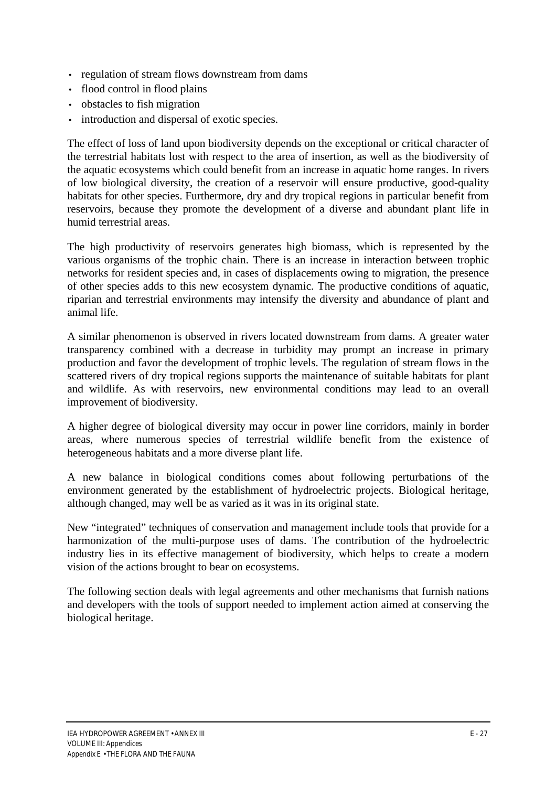- regulation of stream flows downstream from dams
- flood control in flood plains
- obstacles to fish migration
- introduction and dispersal of exotic species.

The effect of loss of land upon biodiversity depends on the exceptional or critical character of the terrestrial habitats lost with respect to the area of insertion, as well as the biodiversity of the aquatic ecosystems which could benefit from an increase in aquatic home ranges. In rivers of low biological diversity, the creation of a reservoir will ensure productive, good-quality habitats for other species. Furthermore, dry and dry tropical regions in particular benefit from reservoirs, because they promote the development of a diverse and abundant plant life in humid terrestrial areas.

The high productivity of reservoirs generates high biomass, which is represented by the various organisms of the trophic chain. There is an increase in interaction between trophic networks for resident species and, in cases of displacements owing to migration, the presence of other species adds to this new ecosystem dynamic. The productive conditions of aquatic, riparian and terrestrial environments may intensify the diversity and abundance of plant and animal life.

A similar phenomenon is observed in rivers located downstream from dams. A greater water transparency combined with a decrease in turbidity may prompt an increase in primary production and favor the development of trophic levels. The regulation of stream flows in the scattered rivers of dry tropical regions supports the maintenance of suitable habitats for plant and wildlife. As with reservoirs, new environmental conditions may lead to an overall improvement of biodiversity.

A higher degree of biological diversity may occur in power line corridors, mainly in border areas, where numerous species of terrestrial wildlife benefit from the existence of heterogeneous habitats and a more diverse plant life.

A new balance in biological conditions comes about following perturbations of the environment generated by the establishment of hydroelectric projects. Biological heritage, although changed, may well be as varied as it was in its original state.

New "integrated" techniques of conservation and management include tools that provide for a harmonization of the multi-purpose uses of dams. The contribution of the hydroelectric industry lies in its effective management of biodiversity, which helps to create a modern vision of the actions brought to bear on ecosystems.

The following section deals with legal agreements and other mechanisms that furnish nations and developers with the tools of support needed to implement action aimed at conserving the biological heritage.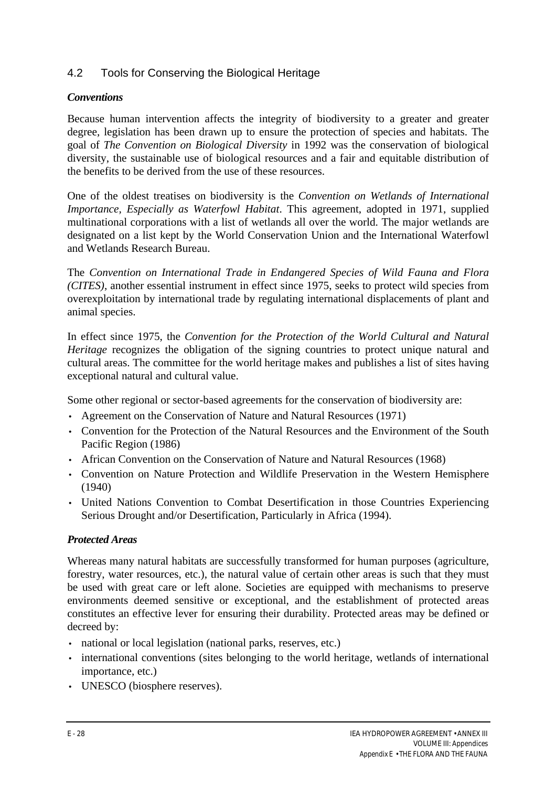## 4.2 Tools for Conserving the Biological Heritage

#### *Conventions*

Because human intervention affects the integrity of biodiversity to a greater and greater degree, legislation has been drawn up to ensure the protection of species and habitats. The goal of *The Convention on Biological Diversity* in 1992 was the conservation of biological diversity, the sustainable use of biological resources and a fair and equitable distribution of the benefits to be derived from the use of these resources.

One of the oldest treatises on biodiversity is the *Convention on Wetlands of International Importance, Especially as Waterfowl Habitat*. This agreement, adopted in 1971, supplied multinational corporations with a list of wetlands all over the world. The major wetlands are designated on a list kept by the World Conservation Union and the International Waterfowl and Wetlands Research Bureau.

The *Convention on International Trade in Endangered Species of Wild Fauna and Flora (CITES)*, another essential instrument in effect since 1975, seeks to protect wild species from overexploitation by international trade by regulating international displacements of plant and animal species.

In effect since 1975, the *Convention for the Protection of the World Cultural and Natural Heritage* recognizes the obligation of the signing countries to protect unique natural and cultural areas. The committee for the world heritage makes and publishes a list of sites having exceptional natural and cultural value.

Some other regional or sector-based agreements for the conservation of biodiversity are:

- Agreement on the Conservation of Nature and Natural Resources (1971)
- Convention for the Protection of the Natural Resources and the Environment of the South Pacific Region (1986)
- African Convention on the Conservation of Nature and Natural Resources (1968)
- Convention on Nature Protection and Wildlife Preservation in the Western Hemisphere (1940)
- United Nations Convention to Combat Desertification in those Countries Experiencing Serious Drought and/or Desertification, Particularly in Africa (1994).

#### *Protected Areas*

Whereas many natural habitats are successfully transformed for human purposes (agriculture, forestry, water resources, etc.), the natural value of certain other areas is such that they must be used with great care or left alone. Societies are equipped with mechanisms to preserve environments deemed sensitive or exceptional, and the establishment of protected areas constitutes an effective lever for ensuring their durability. Protected areas may be defined or decreed by:

- national or local legislation (national parks, reserves, etc.)
- international conventions (sites belonging to the world heritage, wetlands of international importance, etc.)
- UNESCO (biosphere reserves).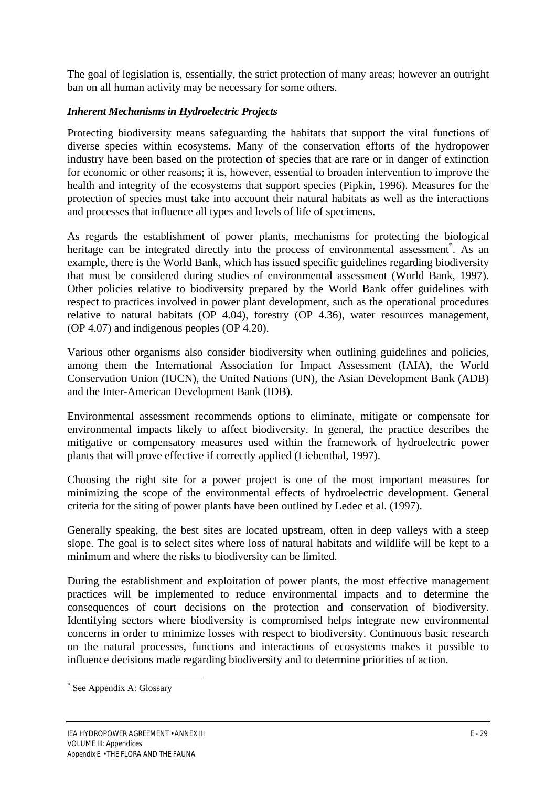The goal of legislation is, essentially, the strict protection of many areas; however an outright ban on all human activity may be necessary for some others.

## *Inherent Mechanisms in Hydroelectric Projects*

Protecting biodiversity means safeguarding the habitats that support the vital functions of diverse species within ecosystems. Many of the conservation efforts of the hydropower industry have been based on the protection of species that are rare or in danger of extinction for economic or other reasons; it is, however, essential to broaden intervention to improve the health and integrity of the ecosystems that support species (Pipkin, 1996). Measures for the protection of species must take into account their natural habitats as well as the interactions and processes that influence all types and levels of life of specimens.

As regards the establishment of power plants, mechanisms for protecting the biological heritage can be integrated directly into the process of environmental assessment<sup>\*</sup>. As an example, there is the World Bank, which has issued specific guidelines regarding biodiversity that must be considered during studies of environmental assessment (World Bank, 1997). Other policies relative to biodiversity prepared by the World Bank offer guidelines with respect to practices involved in power plant development, such as the operational procedures relative to natural habitats (OP 4.04), forestry (OP 4.36), water resources management, (OP 4.07) and indigenous peoples (OP 4.20).

Various other organisms also consider biodiversity when outlining guidelines and policies, among them the International Association for Impact Assessment (IAIA), the World Conservation Union (IUCN), the United Nations (UN), the Asian Development Bank (ADB) and the Inter-American Development Bank (IDB).

Environmental assessment recommends options to eliminate, mitigate or compensate for environmental impacts likely to affect biodiversity. In general, the practice describes the mitigative or compensatory measures used within the framework of hydroelectric power plants that will prove effective if correctly applied (Liebenthal, 1997).

Choosing the right site for a power project is one of the most important measures for minimizing the scope of the environmental effects of hydroelectric development. General criteria for the siting of power plants have been outlined by Ledec et al. (1997).

Generally speaking, the best sites are located upstream, often in deep valleys with a steep slope. The goal is to select sites where loss of natural habitats and wildlife will be kept to a minimum and where the risks to biodiversity can be limited.

During the establishment and exploitation of power plants, the most effective management practices will be implemented to reduce environmental impacts and to determine the consequences of court decisions on the protection and conservation of biodiversity. Identifying sectors where biodiversity is compromised helps integrate new environmental concerns in order to minimize losses with respect to biodiversity. Continuous basic research on the natural processes, functions and interactions of ecosystems makes it possible to influence decisions made regarding biodiversity and to determine priorities of action.

 $\overline{a}$ \* See Appendix A: Glossary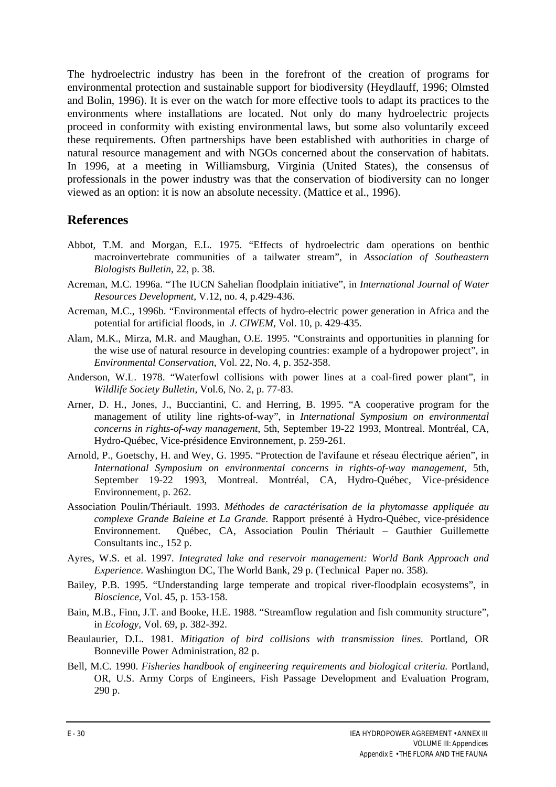The hydroelectric industry has been in the forefront of the creation of programs for environmental protection and sustainable support for biodiversity (Heydlauff, 1996; Olmsted and Bolin, 1996). It is ever on the watch for more effective tools to adapt its practices to the environments where installations are located. Not only do many hydroelectric projects proceed in conformity with existing environmental laws, but some also voluntarily exceed these requirements. Often partnerships have been established with authorities in charge of natural resource management and with NGOs concerned about the conservation of habitats. In 1996, at a meeting in Williamsburg, Virginia (United States), the consensus of professionals in the power industry was that the conservation of biodiversity can no longer viewed as an option: it is now an absolute necessity. (Mattice et al., 1996).

## **References**

- Abbot, T.M. and Morgan, E.L. 1975. "Effects of hydroelectric dam operations on benthic macroinvertebrate communities of a tailwater stream", in *Association of Southeastern Biologists Bulletin*, 22, p. 38.
- Acreman, M.C. 1996a. "The IUCN Sahelian floodplain initiative", in *International Journal of Water Resources Development*, V.12, no. 4, p.429-436.
- Acreman, M.C., 1996b. "Environmental effects of hydro-electric power generation in Africa and the potential for artificial floods*,* in*J. CIWEM*, Vol. 10, p. 429-435.
- Alam, M.K., Mirza, M.R. and Maughan, O.E. 1995. "Constraints and opportunities in planning for the wise use of natural resource in developing countries: example of a hydropower project", in *Environmental Conservation*, Vol. 22, No. 4, p. 352-358.
- Anderson, W.L. 1978. "Waterfowl collisions with power lines at a coal-fired power plant", in *Wildlife Society Bulletin*, Vol.6, No. 2, p. 77-83.
- Arner, D. H., Jones, J., Bucciantini, C. and Herring, B. 1995. "A cooperative program for the management of utility line rights-of-way", in *International Symposium on environmental concerns in rights-of-way management*, 5th, September 19-22 1993, Montreal. Montréal, CA, Hydro-Québec, Vice-présidence Environnement, p. 259-261.
- Arnold, P., Goetschy, H. and Wey, G. 1995. "Protection de l'avifaune et réseau électrique aérien"*,* in *International Symposium on environmental concerns in rights-of-way management*, 5th, September 19-22 1993, Montreal. Montréal, CA, Hydro-Québec, Vice-présidence Environnement, p. 262.
- Association Poulin/Thériault. 1993. *Méthodes de caractérisation de la phytomasse appliquée au complexe Grande Baleine et La Grande.* Rapport présenté à Hydro-Québec, vice-présidence Environnement. Québec, CA, Association Poulin Thériault – Gauthier Guillemette Consultants inc., 152 p.
- Ayres, W.S. et al. 1997*. Integrated lake and reservoir management: World Bank Approach and Experience*. Washington DC, The World Bank, 29 p. (Technical Paper no. 358).
- Bailey, P.B. 1995. "Understanding large temperate and tropical river-floodplain ecosystems", in *Bioscience*, Vol. 45, p. 153-158.
- Bain, M.B., Finn, J.T. and Booke, H.E. 1988. "Streamflow regulation and fish community structure", in *Ecology,* Vol. 69, p. 382-392.
- Beaulaurier, D.L. 1981. *Mitigation of bird collisions with transmission lines.* Portland, OR Bonneville Power Administration, 82 p.
- Bell, M.C. 1990. *Fisheries handbook of engineering requirements and biological criteria.* Portland, OR, U.S. Army Corps of Engineers, Fish Passage Development and Evaluation Program, 290 p.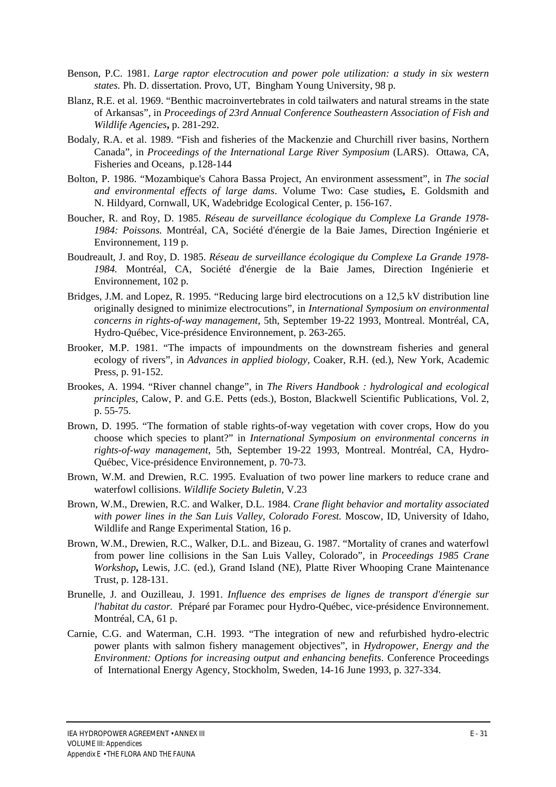- Benson, P.C. 1981. *Large raptor electrocution and power pole utilization: a study in six western states.* Ph. D. dissertation. Provo, UT, Bingham Young University, 98 p.
- Blanz, R.E. et al. 1969. "Benthic macroinvertebrates in cold tailwaters and natural streams in the state of Arkansas"*,* in *Proceedings of 23rd Annual Conference Southeastern Association of Fish and Wildlife Agencies***,** p. 281-292.
- Bodaly, R.A. et al. 1989. "Fish and fisheries of the Mackenzie and Churchill river basins, Northern Canada"*,* in *Proceedings of the International Large River Symposium* (LARS). Ottawa, CA, Fisheries and Oceans, p.128-144
- Bolton, P. 1986. "Mozambique's Cahora Bassa Project, An environment assessment", in *The social and environmental effects of large dams*. Volume Two: Case studies**,** E. Goldsmith and N. Hildyard, Cornwall, UK, Wadebridge Ecological Center, p. 156-167.
- Boucher, R. and Roy, D. 1985. *Réseau de surveillance écologique du Complexe La Grande 1978- 1984: Poissons.* Montréal, CA, Société d'énergie de la Baie James, Direction Ingénierie et Environnement, 119 p.
- Boudreault, J. and Roy, D. 1985. *Réseau de surveillance écologique du Complexe La Grande 1978- 1984.* Montréal, CA, Société d'énergie de la Baie James, Direction Ingénierie et Environnement, 102 p.
- Bridges, J.M. and Lopez, R. 1995. "Reducing large bird electrocutions on a 12,5 kV distribution line originally designed to minimize electrocutions", in *International Symposium on environmental concerns in rights-of-way management*, 5th, September 19-22 1993, Montreal. Montréal, CA, Hydro-Québec, Vice-présidence Environnement, p. 263-265.
- Brooker, M.P. 1981. "The impacts of impoundments on the downstream fisheries and general ecology of rivers"*,* in *Advances in applied biology,* Coaker, R.H. (ed.), New York, Academic Press, p. 91-152.
- Brookes, A. 1994. "River channel change", in *The Rivers Handbook : hydrological and ecological principles*, Calow, P. and G.E. Petts (eds.), Boston, Blackwell Scientific Publications, Vol. 2, p. 55-75.
- Brown, D. 1995. "The formation of stable rights-of-way vegetation with cover crops, How do you choose which species to plant?" in *International Symposium on environmental concerns in rights-of-way management*, 5th, September 19-22 1993, Montreal. Montréal, CA, Hydro-Québec, Vice-présidence Environnement, p. 70-73.
- Brown, W.M. and Drewien, R.C. 1995. Evaluation of two power line markers to reduce crane and waterfowl collisions. *Wildlife Society Buletin*, V.23
- Brown, W.M., Drewien, R.C. and Walker, D.L. 1984. *Crane flight behavior and mortality associated with power lines in the San Luis Valley, Colorado Forest.* Moscow, ID, University of Idaho, Wildlife and Range Experimental Station, 16 p.
- Brown, W.M., Drewien, R.C., Walker, D.L. and Bizeau, G. 1987. "Mortality of cranes and waterfowl from power line collisions in the San Luis Valley, Colorado"*,* in *Proceedings 1985 Crane Workshop***,** Lewis, J.C. (ed.), Grand Island (NE), Platte River Whooping Crane Maintenance Trust, p. 128-131.
- Brunelle, J. and Ouzilleau, J. 1991. *Influence des emprises de lignes de transport d'énergie sur l'habitat du castor.* Préparé par Foramec pour Hydro-Québec, vice-présidence Environnement. Montréal, CA, 61 p.
- Carnie, C.G. and Waterman, C.H. 1993. "The integration of new and refurbished hydro-electric power plants with salmon fishery management objectives", in *Hydropower, Energy and the Environment: Options for increasing output and enhancing benefits*. Conference Proceedings of International Energy Agency, Stockholm, Sweden, 14-16 June 1993, p. 327-334.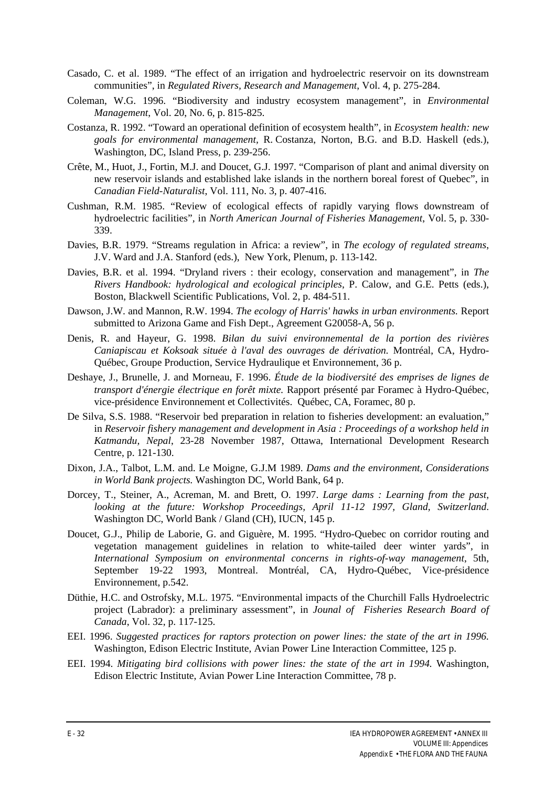- Casado, C. et al. 1989. "The effect of an irrigation and hydroelectric reservoir on its downstream communities", in *Regulated Rivers, Research and Management*, Vol. 4, p. 275-284.
- Coleman, W.G. 1996. "Biodiversity and industry ecosystem management", in *Environmental Management*, Vol. 20, No. 6, p. 815-825.
- Costanza, R. 1992. "Toward an operational definition of ecosystem health", in *Ecosystem health: new goals for environmental management,* R. Costanza, Norton, B.G. and B.D. Haskell (eds.), Washington, DC, Island Press, p. 239-256.
- Crête, M., Huot, J., Fortin, M.J. and Doucet, G.J. 1997. "Comparison of plant and animal diversity on new reservoir islands and established lake islands in the northern boreal forest of Quebec", in *Canadian Field-Naturalist*, Vol. 111, No. 3, p. 407-416.
- Cushman, R.M. 1985. "Review of ecological effects of rapidly varying flows downstream of hydroelectric facilities"*,* in *North American Journal of Fisheries Management*, Vol. 5, p. 330- 339.
- Davies, B.R. 1979. "Streams regulation in Africa: a review", in *The ecology of regulated streams*, J.V. Ward and J.A. Stanford (eds.), New York, Plenum, p. 113-142.
- Davies, B.R. et al. 1994. "Dryland rivers : their ecology, conservation and management", in *The Rivers Handbook: hydrological and ecological principles*, P. Calow, and G.E. Petts (eds.), Boston, Blackwell Scientific Publications, Vol. 2, p. 484-511.
- Dawson, J.W. and Mannon, R.W. 1994. *The ecology of Harris' hawks in urban environments.* Report submitted to Arizona Game and Fish Dept., Agreement G20058-A, 56 p.
- Denis, R. and Hayeur, G. 1998. *Bilan du suivi environnemental de la portion des rivières Caniapiscau et Koksoak située à l'aval des ouvrages de dérivation.* Montréal, CA, Hydro-Québec, Groupe Production, Service Hydraulique et Environnement, 36 p.
- Deshaye, J., Brunelle, J. and Morneau, F. 1996. *Étude de la biodiversité des emprises de lignes de transport d'énergie électrique en forêt mixte.* Rapport présenté par Foramec à Hydro-Québec, vice-présidence Environnement et Collectivités. Québec, CA, Foramec, 80 p.
- De Silva, S.S. 1988. "Reservoir bed preparation in relation to fisheries development: an evaluation," in *Reservoir fishery management and development in Asia : Proceedings of a workshop held in Katmandu, Nepal*, 23-28 November 1987, Ottawa, International Development Research Centre, p. 121-130.
- Dixon, J.A., Talbot, L.M. and. Le Moigne, G.J.M 1989. *Dams and the environment, Considerations in World Bank projects.* Washington DC, World Bank, 64 p.
- Dorcey, T., Steiner, A., Acreman, M. and Brett, O. 1997. *Large dams : Learning from the past, looking at the future: Workshop Proceedings, April 11-12 1997, Gland, Switzerland*. Washington DC, World Bank / Gland (CH), IUCN, 145 p.
- Doucet, G.J., Philip de Laborie, G. and Giguère, M. 1995. "Hydro-Quebec on corridor routing and vegetation management guidelines in relation to white-tailed deer winter yards", in *International Symposium on environmental concerns in rights-of-way management*, 5th, September 19-22 1993, Montreal. Montréal, CA, Hydro-Québec, Vice-présidence Environnement, p.542.
- Düthie, H.C. and Ostrofsky, M.L. 1975. "Environmental impacts of the Churchill Falls Hydroelectric project (Labrador): a preliminary assessment", in *Jounal of Fisheries Research Board of Canada*, Vol. 32, p. 117-125.
- EEI. 1996. *Suggested practices for raptors protection on power lines: the state of the art in 1996.* Washington, Edison Electric Institute, Avian Power Line Interaction Committee, 125 p.
- EEI. 1994. *Mitigating bird collisions with power lines: the state of the art in 1994.* Washington, Edison Electric Institute, Avian Power Line Interaction Committee, 78 p.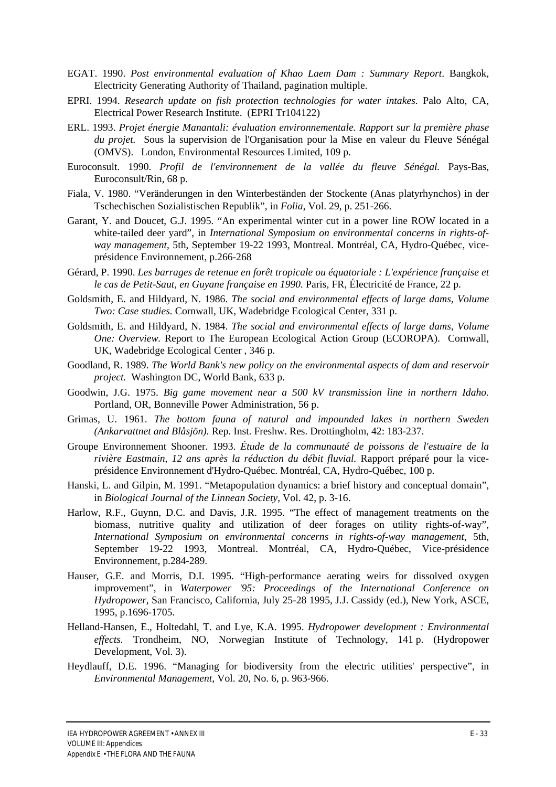- EGAT. 1990. *Post environmental evaluation of Khao Laem Dam : Summary Report*. Bangkok, Electricity Generating Authority of Thailand, pagination multiple.
- EPRI. 1994. *Research update on fish protection technologies for water intakes.* Palo Alto, CA, Electrical Power Research Institute. (EPRI Tr104122)
- ERL. 1993. *Projet énergie Manantali: évaluation environnementale. Rapport sur la première phase du projet.* Sous la supervision de l'Organisation pour la Mise en valeur du Fleuve Sénégal (OMVS). London, Environmental Resources Limited, 109 p.
- Euroconsult. 1990. *Profil de l'environnement de la vallée du fleuve Sénégal.* Pays-Bas, Euroconsult/Rin, 68 p.
- Fiala, V. 1980. "Veränderungen in den Winterbeständen der Stockente (Anas platyrhynchos) in der Tschechischen Sozialistischen Republik", in *Folia*, Vol. 29, p. 251-266.
- Garant, Y. and Doucet, G.J. 1995. "An experimental winter cut in a power line ROW located in a white-tailed deer yard", in *International Symposium on environmental concerns in rights-ofway management*, 5th, September 19-22 1993, Montreal. Montréal, CA, Hydro-Québec, viceprésidence Environnement, p.266-268
- Gérard, P. 1990. *Les barrages de retenue en forêt tropicale ou équatoriale : L'expérience française et le cas de Petit-Saut, en Guyane française en 1990.* Paris, FR, Électricité de France, 22 p.
- Goldsmith, E. and Hildyard, N. 1986. *The social and environmental effects of large dams, Volume Two: Case studies.* Cornwall, UK, Wadebridge Ecological Center, 331 p.
- Goldsmith, E. and Hildyard, N. 1984. *The social and environmental effects of large dams, Volume One: Overview.* Report to The European Ecological Action Group (ECOROPA). Cornwall, UK, Wadebridge Ecological Center , 346 p.
- Goodland, R. 1989. *The World Bank's new policy on the environmental aspects of dam and reservoir project.* Washington DC, World Bank, 633 p.
- Goodwin, J.G. 1975. *Big game movement near a 500 kV transmission line in northern Idaho.* Portland, OR, Bonneville Power Administration, 56 p.
- Grimas, U. 1961. *The bottom fauna of natural and impounded lakes in northern Sweden (Ankarvattnet and Blåsjön).* Rep. Inst. Freshw. Res. Drottingholm, 42: 183-237.
- Groupe Environnement Shooner. 1993. *Étude de la communauté de poissons de l'estuaire de la rivière Eastmain, 12 ans après la réduction du débit fluvial.* Rapport préparé pour la viceprésidence Environnement d'Hydro-Québec. Montréal, CA, Hydro-Québec, 100 p.
- Hanski, L. and Gilpin, M. 1991. "Metapopulation dynamics: a brief history and conceptual domain", in *Biological Journal of the Linnean Society*, Vol. 42, p. 3-16.
- Harlow, R.F., Guynn, D.C. and Davis, J.R. 1995. "The effect of management treatments on the biomass, nutritive quality and utilization of deer forages on utility rights-of-way", *International Symposium on environmental concerns in rights-of-way management*, 5th, September 19-22 1993, Montreal. Montréal, CA, Hydro-Québec, Vice-présidence Environnement, p.284-289.
- Hauser, G.E. and Morris, D.I. 1995. "High-performance aerating weirs for dissolved oxygen improvement", in *Waterpower '95: Proceedings of the International Conference on Hydropower*, San Francisco, California, July 25-28 1995, J.J. Cassidy (ed.), New York, ASCE, 1995, p.1696-1705.
- Helland-Hansen, E., Holtedahl, T. and Lye, K.A. 1995. *Hydropower development : Environmental effects.* Trondheim, NO, Norwegian Institute of Technology, 141 p. (Hydropower Development, Vol. 3).
- Heydlauff, D.E. 1996. "Managing for biodiversity from the electric utilities' perspective", in *Environmental Management*, Vol. 20, No. 6, p. 963-966.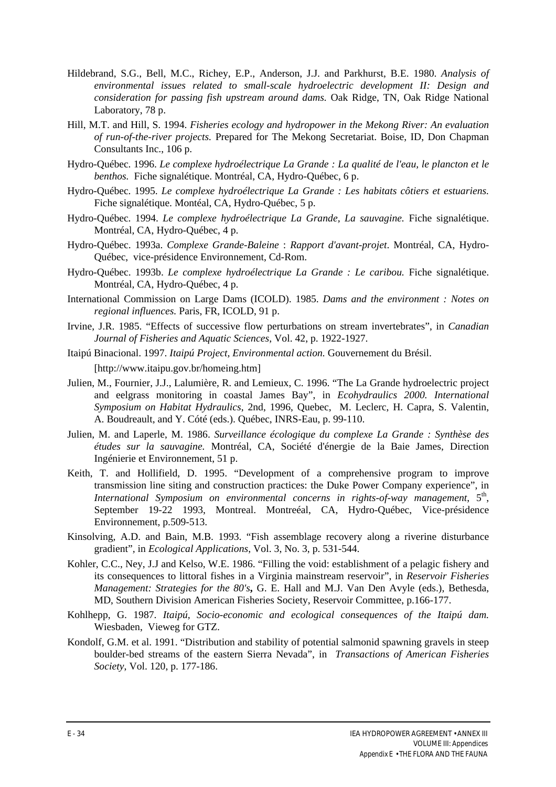- Hildebrand, S.G., Bell, M.C., Richey, E.P., Anderson, J.J. and Parkhurst, B.E. 1980. *Analysis of environmental issues related to small-scale hydroelectric development II: Design and consideration for passing fish upstream around dams.* Oak Ridge, TN, Oak Ridge National Laboratory, 78 p.
- Hill, M.T. and Hill, S. 1994. *Fisheries ecology and hydropower in the Mekong River: An evaluation of run-of-the-river projects.* Prepared for The Mekong Secretariat. Boise, ID, Don Chapman Consultants Inc., 106 p.
- Hydro-Québec. 1996. *Le complexe hydroélectrique La Grande : La qualité de l'eau, le plancton et le benthos.* Fiche signalétique. Montréal, CA, Hydro-Québec, 6 p.
- Hydro-Québec. 1995. *Le complexe hydroélectrique La Grande : Les habitats côtiers et estuariens.* Fiche signalétique. Montéal, CA, Hydro-Québec, 5 p.
- Hydro-Québec. 1994. *Le complexe hydroélectrique La Grande, La sauvagine.* Fiche signalétique. Montréal, CA, Hydro-Québec, 4 p.
- Hydro-Québec. 1993a. *Complexe Grande-Baleine* : *Rapport d'avant-projet*. Montréal, CA, Hydro-Québec, vice-présidence Environnement, Cd-Rom.
- Hydro-Québec. 1993b. *Le complexe hydroélectrique La Grande : Le caribou.* Fiche signalétique. Montréal, CA, Hydro-Québec, 4 p.
- International Commission on Large Dams (ICOLD). 1985. *Dams and the environment : Notes on regional influences.* Paris, FR, ICOLD, 91 p.
- Irvine, J.R. 1985. "Effects of successive flow perturbations on stream invertebrates", in *Canadian Journal of Fisheries and Aquatic Sciences*, Vol. 42, p. 1922-1927.
- Itaipú Binacional. 1997. *Itaipú Project, Environmental action.* Gouvernement du Brésil. [http://www.itaipu.gov.br/homeing.htm]
- Julien, M., Fournier, J.J., Lalumière, R. and Lemieux, C. 1996. "The La Grande hydroelectric project and eelgrass monitoring in coastal James Bay", in *Ecohydraulics 2000. International Symposium on Habitat Hydraulics*, 2nd, 1996, Quebec, M. Leclerc, H. Capra, S. Valentin, A. Boudreault, and Y. Cóté (eds.). Québec, INRS-Eau, p. 99-110.
- Julien, M. and Laperle, M. 1986. *Surveillance écologique du complexe La Grande : Synthèse des études sur la sauvagine.* Montréal, CA, Société d'énergie de la Baie James, Direction Ingénierie et Environnement, 51 p.
- Keith, T. and Hollifield, D. 1995. "Development of a comprehensive program to improve transmission line siting and construction practices: the Duke Power Company experience", in International Symposium on environmental concerns in rights-of-way management, 5<sup>th</sup>, September 19-22 1993, Montreal. Montreéal, CA, Hydro-Québec, Vice-présidence Environnement, p.509-513.
- Kinsolving, A.D. and Bain, M.B. 1993. "Fish assemblage recovery along a riverine disturbance gradient"*,* in *Ecological Applications*, Vol. 3, No. 3, p. 531-544.
- Kohler, C.C., Ney, J.J and Kelso, W.E. 1986. "Filling the void: establishment of a pelagic fishery and its consequences to littoral fishes in a Virginia mainstream reservoir", in *Reservoir Fisheries Management: Strategies for the 80's***,** G. E. Hall and M.J. Van Den Avyle (eds.), Bethesda, MD, Southern Division American Fisheries Society, Reservoir Committee, p.166-177.
- Kohlhepp, G. 1987. *Itaipú, Socio-economic and ecological consequences of the Itaipú dam.* Wiesbaden, Vieweg for GTZ.
- Kondolf, G.M. et al. 1991. "Distribution and stability of potential salmonid spawning gravels in steep boulder-bed streams of the eastern Sierra Nevada", in *Transactions of American Fisheries Society*, Vol. 120, p. 177-186.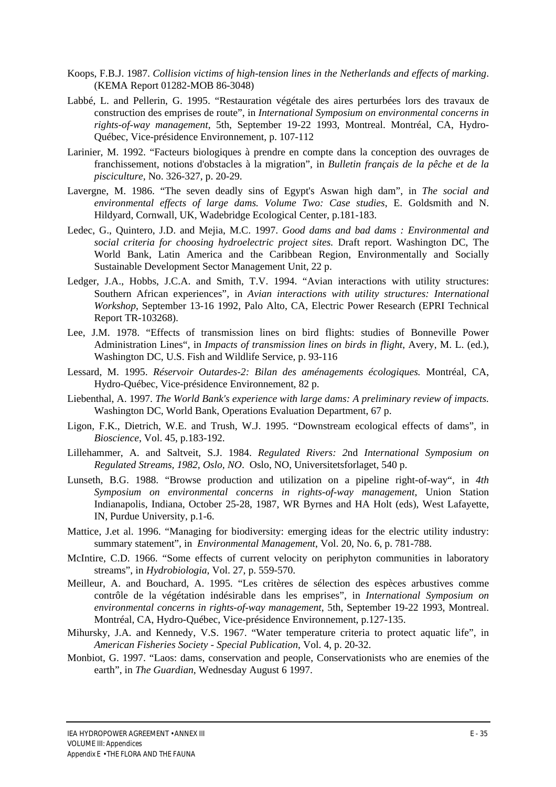- Koops, F.B.J. 1987. *Collision victims of high-tension lines in the Netherlands and effects of marking*. (KEMA Report 01282-MOB 86-3048)
- Labbé, L. and Pellerin, G. 1995. "Restauration végétale des aires perturbées lors des travaux de construction des emprises de route", in *International Symposium on environmental concerns in rights-of-way management*, 5th, September 19-22 1993, Montreal. Montréal, CA, Hydro-Québec, Vice-présidence Environnement, p. 107-112
- Larinier, M. 1992. "Facteurs biologiques à prendre en compte dans la conception des ouvrages de franchissement, notions d'obstacles à la migration", in *Bulletin français de la pêche et de la pisciculture*, No. 326-327, p. 20-29.
- Lavergne, M. 1986. "The seven deadly sins of Egypt's Aswan high dam", in *The social and environmental effects of large dams. Volume Two: Case studies*, E. Goldsmith and N. Hildyard, Cornwall, UK, Wadebridge Ecological Center, p.181-183.
- Ledec, G., Quintero, J.D. and Mejia, M.C. 1997. *Good dams and bad dams : Environmental and social criteria for choosing hydroelectric project sites.* Draft report. Washington DC, The World Bank, Latin America and the Caribbean Region, Environmentally and Socially Sustainable Development Sector Management Unit, 22 p.
- Ledger, J.A., Hobbs, J.C.A. and Smith, T.V. 1994. "Avian interactions with utility structures: Southern African experiences"*,* in *Avian interactions with utility structures: International Workshop*, September 13-16 1992, Palo Alto, CA, Electric Power Research (EPRI Technical Report TR-103268).
- Lee, J.M. 1978. "Effects of transmission lines on bird flights: studies of Bonneville Power Administration Lines"*,* in *Impacts of transmission lines on birds in flight*, Avery, M. L. (ed.), Washington DC, U.S. Fish and Wildlife Service, p. 93-116
- Lessard, M. 1995. *Réservoir Outardes-2: Bilan des aménagements écologiques.* Montréal, CA, Hydro-Québec, Vice-présidence Environnement, 82 p.
- Liebenthal, A. 1997. *The World Bank's experience with large dams: A preliminary review of impacts.* Washington DC, World Bank, Operations Evaluation Department, 67 p.
- Ligon, F.K., Dietrich, W.E. and Trush, W.J. 1995. "Downstream ecological effects of dams", in *Bioscience*, Vol. 45, p.183-192.
- Lillehammer, A. and Saltveit, S.J. 1984. *Regulated Rivers: 2*nd *International Symposium on Regulated Streams, 1982, Oslo, NO*. Oslo, NO, Universitetsforlaget, 540 p.
- Lunseth, B.G. 1988. "Browse production and utilization on a pipeline right-of-way", in *4th Symposium on environmental concerns in rights-of-way management*, Union Station Indianapolis, Indiana, October 25-28, 1987, WR Byrnes and HA Holt (eds), West Lafayette, IN, Purdue University, p.1-6.
- Mattice, J.et al. 1996. "Managing for biodiversity: emerging ideas for the electric utility industry: summary statement"*,* in *Environmental Management*, Vol. 20, No. 6, p. 781-788.
- McIntire, C.D. 1966. "Some effects of current velocity on periphyton communities in laboratory streams", in *Hydrobiologia*, Vol. 27, p. 559-570.
- Meilleur, A. and Bouchard, A. 1995. "Les critères de sélection des espèces arbustives comme contrôle de la végétation indésirable dans les emprises", in *International Symposium on environmental concerns in rights-of-way management*, 5th, September 19-22 1993, Montreal. Montréal, CA, Hydro-Québec, Vice-présidence Environnement, p.127-135.
- Mihursky, J.A. and Kennedy, V.S. 1967. "Water temperature criteria to protect aquatic life", in *American Fisheries Society - Special Publication*, Vol. 4, p. 20-32.
- Monbiot, G. 1997. "Laos: dams, conservation and people, Conservationists who are enemies of the earth", in *The Guardian*, Wednesday August 6 1997.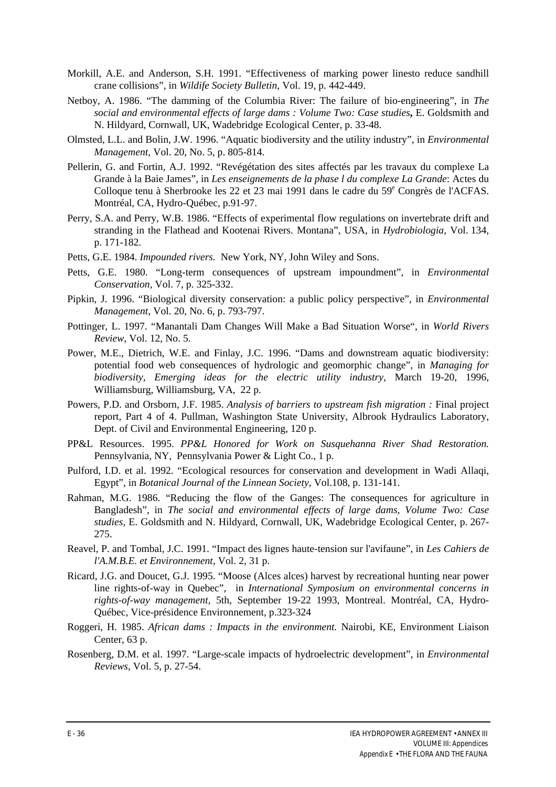- Morkill, A.E. and Anderson, S.H. 1991. "Effectiveness of marking power linesto reduce sandhill crane collisions"*,* in *Wildife Society Bulletin*, Vol. 19, p. 442-449.
- Netboy, A. 1986. "The damming of the Columbia River: The failure of bio-engineering", in *The social and environmental effects of large dams : Volume Two: Case studies***,** E. Goldsmith and N. Hildyard, Cornwall, UK, Wadebridge Ecological Center, p. 33-48.
- Olmsted, L.L. and Bolin, J.W. 1996. "Aquatic biodiversity and the utility industry", in *Environmental Management*, Vol. 20, No. 5, p. 805-814.
- Pellerin, G. and Fortin, A.J. 1992. "Revégétation des sites affectés par les travaux du complexe La Grande à la Baie James"*,* in *Les enseignements de la phase l du complexe La Grande*: Actes du Colloque tenu à Sherbrooke les 22 et 23 mai 1991 dans le cadre du 59<sup>e</sup> Congrès de l'ACFAS. Montréal, CA, Hydro-Québec, p.91-97.
- Perry, S.A. and Perry, W.B. 1986. "Effects of experimental flow regulations on invertebrate drift and stranding in the Flathead and Kootenai Rivers. Montana", USA, in *Hydrobiologia*, Vol. 134, p. 171-182.
- Petts, G.E. 1984. *Impounded rivers.* New York, NY, John Wiley and Sons.
- Petts, G.E. 1980. "Long-term consequences of upstream impoundment", in *Environmental Conservation*, Vol. 7, p. 325-332.
- Pipkin, J. 1996. "Biological diversity conservation: a public policy perspective", in *Environmental Management*, Vol. 20, No. 6, p. 793-797.
- Pottinger, L. 1997. "Manantali Dam Changes Will Make a Bad Situation Worse", in *World Rivers Review*, Vol. 12, No. 5.
- Power, M.E., Dietrich, W.E. and Finlay, J.C. 1996. "Dams and downstream aquatic biodiversity: potential food web consequences of hydrologic and geomorphic change", in *Managing for biodiversity, Emerging ideas for the electric utility industry*, March 19-20, 1996, Williamsburg, Williamsburg, VA, 22 p.
- Powers, P.D. and Orsborn, J.F. 1985. Analysis of barriers to upstream fish migration : Final project report, Part 4 of 4. Pullman, Washington State University, Albrook Hydraulics Laboratory, Dept. of Civil and Environmental Engineering, 120 p.
- PP&L Resources. 1995. *PP&L Honored for Work on Susquehanna River Shad Restoration.* Pennsylvania, NY, Pennsylvania Power & Light Co., 1 p.
- Pulford, I.D. et al. 1992. "Ecological resources for conservation and development in Wadi Allaqi, Egypt", in *Botanical Journal of the Linnean Society*, Vol.108, p. 131-141.
- Rahman, M.G. 1986. "Reducing the flow of the Ganges: The consequences for agriculture in Bangladesh", in *The social and environmental effects of large dams, Volume Two: Case studies*, E. Goldsmith and N. Hildyard, Cornwall, UK, Wadebridge Ecological Center, p. 267- 275.
- Reavel, P. and Tombal, J.C. 1991. "Impact des lignes haute-tension sur l'avifaune", in *Les Cahiers de l'A.M.B.E. et Environnement*, Vol. 2, 31 p.
- Ricard, J.G. and Doucet, G.J. 1995. "Moose (Alces alces) harvest by recreational hunting near power line rights-of-way in Quebec", in *International Symposium on environmental concerns in rights-of-way management*, 5th, September 19-22 1993, Montreal. Montréal, CA, Hydro-Québec, Vice-présidence Environnement, p.323-324
- Roggeri, H. 1985. *African dams : Impacts in the environment.* Nairobi, KE, Environment Liaison Center, 63 p.
- Rosenberg, D.M. et al. 1997. "Large-scale impacts of hydroelectric development", in *Environmental Reviews,* Vol. 5, p. 27-54.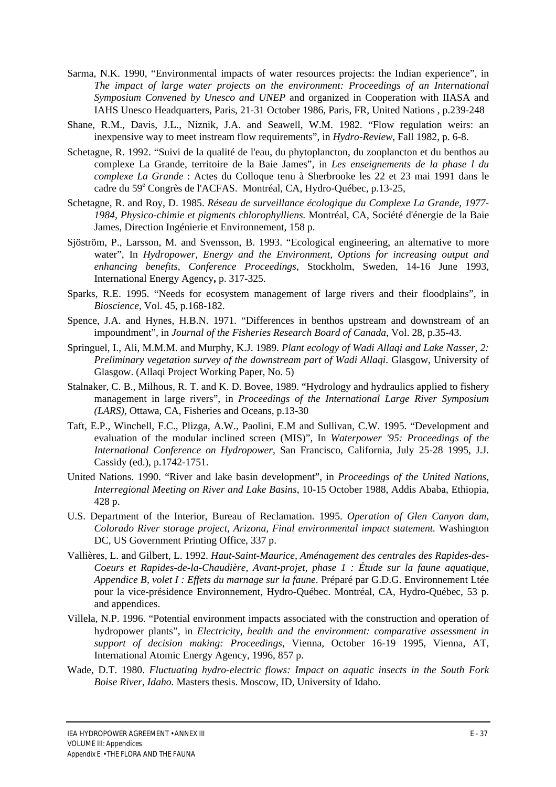- Sarma, N.K. 1990, "Environmental impacts of water resources projects: the Indian experience", in *The impact of large water projects on the environment: Proceedings of an International Symposium Convened by Unesco and UNEP* and organized in Cooperation with IIASA and IAHS Unesco Headquarters, Paris, 21-31 October 1986, Paris, FR, United Nations , p.239-248
- Shane, R.M., Davis, J.L., Niznik, J.A. and Seawell, W.M. 1982. "Flow regulation weirs: an inexpensive way to meet instream flow requirements", in *Hydro-Review*, Fall 1982, p. 6-8.
- Schetagne, R. 1992. "Suivi de la qualité de l'eau, du phytoplancton, du zooplancton et du benthos au complexe La Grande, territoire de la Baie James", in *Les enseignements de la phase l du complexe La Grande* : Actes du Colloque tenu à Sherbrooke les 22 et 23 mai 1991 dans le cadre du 59<sup>e</sup> Congrès de l'ACFAS. Montréal, CA, Hydro-Québec, p.13-25,
- Schetagne, R. and Roy, D. 1985. *Réseau de surveillance écologique du Complexe La Grande, 1977- 1984, Physico-chimie et pigments chlorophylliens.* Montréal, CA, Société d'énergie de la Baie James, Direction Ingénierie et Environnement, 158 p.
- Sjöström, P., Larsson, M. and Svensson, B. 1993. "Ecological engineering, an alternative to more water", In *Hydropower, Energy and the Environment, Options for increasing output and enhancing benefits, Conference Proceedings*, Stockholm, Sweden, 14-16 June 1993, International Energy Agency**,** p. 317-325.
- Sparks, R.E. 1995. "Needs for ecosystem management of large rivers and their floodplains", in *Bioscience*, Vol. 45, p.168-182.
- Spence, J.A. and Hynes, H.B.N. 1971. "Differences in benthos upstream and downstream of an impoundment"*,* in *Journal of the Fisheries Research Board of Canada*, Vol. 28, p.35-43.
- Springuel, I., Ali, M.M.M. and Murphy, K.J. 1989. *Plant ecology of Wadi Allaqi and Lake Nasser, 2: Preliminary vegetation survey of the downstream part of Wadi Allaqi*. Glasgow, University of Glasgow. (Allaqi Project Working Paper, No. 5)
- Stalnaker, C. B., Milhous, R. T. and K. D. Bovee, 1989. "Hydrology and hydraulics applied to fishery management in large rivers", in *Proceedings of the International Large River Symposium (LARS),* Ottawa, CA, Fisheries and Oceans, p.13-30
- Taft, E.P., Winchell, F.C., Plizga, A.W., Paolini, E.M and Sullivan, C.W. 1995. "Development and evaluation of the modular inclined screen (MIS)", In *Waterpower '95: Proceedings of the International Conference on Hydropower*, San Francisco, California, July 25-28 1995, J.J. Cassidy (ed.), p.1742-1751.
- United Nations. 1990. "River and lake basin development", in *Proceedings of the United Nations, Interregional Meeting on River and Lake Basins*, 10-15 October 1988, Addis Ababa, Ethiopia, 428 p.
- U.S. Department of the Interior, Bureau of Reclamation. 1995. *Operation of Glen Canyon dam, Colorado River storage project, Arizona, Final environmental impact statement.* Washington DC, US Government Printing Office, 337 p.
- Vallières, L. and Gilbert, L. 1992. *Haut-Saint-Maurice, Aménagement des centrales des Rapides-des-Coeurs et Rapides-de-la-Chaudière, Avant-projet, phase 1 : Étude sur la faune aquatique*, *Appendice B, volet I : Effets du marnage sur la faune*. Préparé par G.D.G. Environnement Ltée pour la vice-présidence Environnement, Hydro-Québec. Montréal, CA, Hydro-Québec, 53 p. and appendices.
- Villela, N.P. 1996. "Potential environment impacts associated with the construction and operation of hydropower plants", in *Electricity, health and the environment: comparative assessment in support of decision making: Proceedings*, Vienna, October 16-19 1995, Vienna, AT, International Atomic Energy Agency, 1996, 857 p.
- Wade, D.T. 1980. *Fluctuating hydro-electric flows: Impact on aquatic insects in the South Fork Boise River, Idaho.* Masters thesis. Moscow, ID, University of Idaho.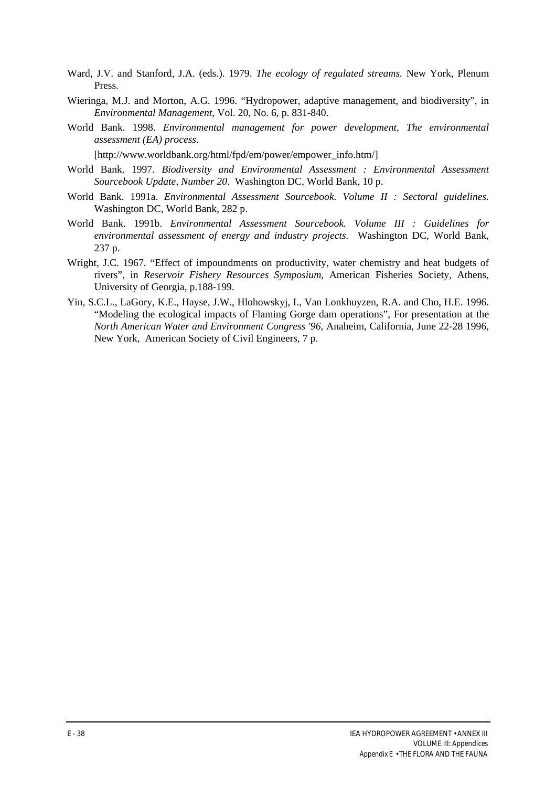- Ward, J.V. and Stanford, J.A. (eds.). 1979. *The ecology of regulated streams.* New York, Plenum Press.
- Wieringa, M.J. and Morton, A.G. 1996. "Hydropower, adaptive management, and biodiversity", in *Environmental Management*, Vol. 20, No. 6, p. 831-840.
- World Bank. 1998. *Environmental management for power development, The environmental assessment (EA) process.*

[http://www.worldbank.org/html/fpd/em/power/empower\_info.htm/]

- World Bank. 1997. *Biodiversity and Environmental Assessment : Environmental Assessment Sourcebook Update, Number 20*. Washington DC, World Bank, 10 p.
- World Bank. 1991a. *Environmental Assessment Sourcebook. Volume II : Sectoral guidelines.* Washington DC, World Bank, 282 p.
- World Bank. 1991b. *Environmental Assessment Sourcebook. Volume III : Guidelines for environmental assessment of energy and industry projects.* Washington DC, World Bank, 237 p.
- Wright, J.C. 1967. "Effect of impoundments on productivity, water chemistry and heat budgets of rivers", in *Reservoir Fishery Resources Symposium*, American Fisheries Society, Athens, University of Georgia, p.188-199.
- Yin, S.C.L., LaGory, K.E., Hayse, J.W., Hlohowskyj, I., Van Lonkhuyzen, R.A. and Cho, H.E. 1996. "Modeling the ecological impacts of Flaming Gorge dam operations", For presentation at the *North American Water and Environment Congress '96*, Anaheim, California, June 22-28 1996, New York, American Society of Civil Engineers, 7 p.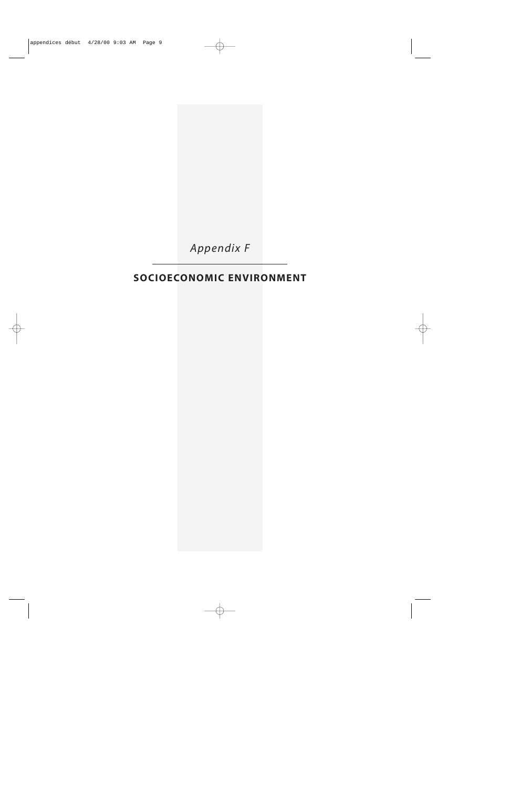

# **SOCIOECONOMIC ENVIRONMENT**

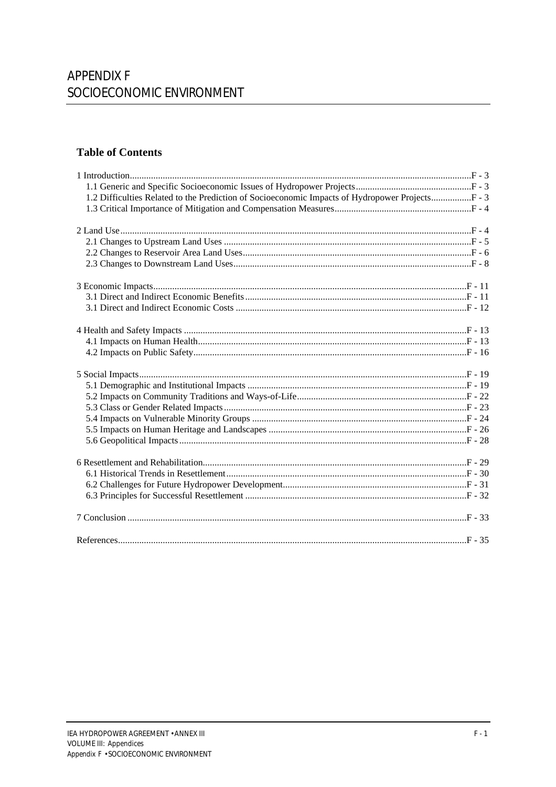# **Table of Contents**

| 1.2 Difficulties Related to the Prediction of Socioeconomic Impacts of Hydropower ProjectsF - 3 |  |
|-------------------------------------------------------------------------------------------------|--|
|                                                                                                 |  |
|                                                                                                 |  |
|                                                                                                 |  |
|                                                                                                 |  |
|                                                                                                 |  |
|                                                                                                 |  |
|                                                                                                 |  |
|                                                                                                 |  |
|                                                                                                 |  |
|                                                                                                 |  |
|                                                                                                 |  |
|                                                                                                 |  |
|                                                                                                 |  |
|                                                                                                 |  |
|                                                                                                 |  |
|                                                                                                 |  |
|                                                                                                 |  |
|                                                                                                 |  |
|                                                                                                 |  |
|                                                                                                 |  |
|                                                                                                 |  |
|                                                                                                 |  |
|                                                                                                 |  |
|                                                                                                 |  |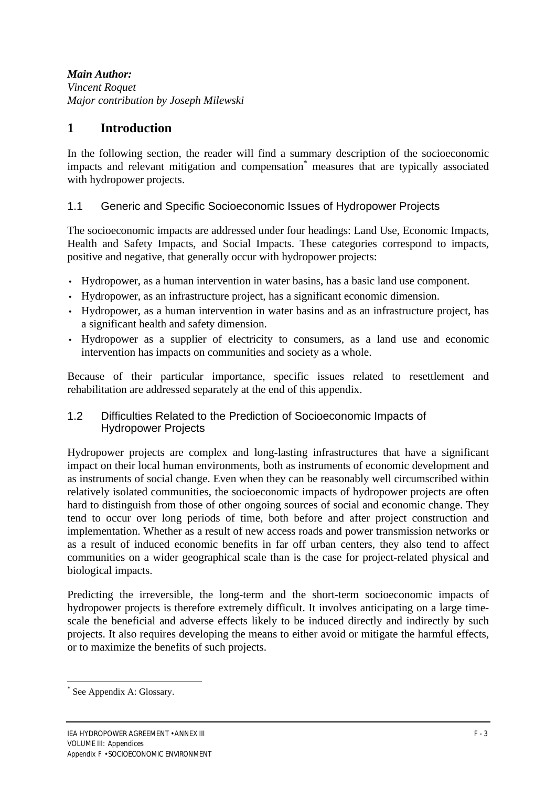## *Main Author:*

*Vincent Roquet Major contribution by Joseph Milewski*

## **1 Introduction**

In the following section, the reader will find a summary description of the socioeconomic impacts and relevant mitigation and compensation\* measures that are typically associated with hydropower projects.

## 1.1 Generic and Specific Socioeconomic Issues of Hydropower Projects

The socioeconomic impacts are addressed under four headings: Land Use, Economic Impacts, Health and Safety Impacts, and Social Impacts. These categories correspond to impacts, positive and negative, that generally occur with hydropower projects:

- Hydropower, as a human intervention in water basins, has a basic land use component.
- Hydropower, as an infrastructure project, has a significant economic dimension.
- Hydropower, as a human intervention in water basins and as an infrastructure project, has a significant health and safety dimension.
- Hydropower as a supplier of electricity to consumers, as a land use and economic intervention has impacts on communities and society as a whole.

Because of their particular importance, specific issues related to resettlement and rehabilitation are addressed separately at the end of this appendix.

## 1.2 Difficulties Related to the Prediction of Socioeconomic Impacts of Hydropower Projects

Hydropower projects are complex and long-lasting infrastructures that have a significant impact on their local human environments, both as instruments of economic development and as instruments of social change. Even when they can be reasonably well circumscribed within relatively isolated communities, the socioeconomic impacts of hydropower projects are often hard to distinguish from those of other ongoing sources of social and economic change. They tend to occur over long periods of time, both before and after project construction and implementation. Whether as a result of new access roads and power transmission networks or as a result of induced economic benefits in far off urban centers, they also tend to affect communities on a wider geographical scale than is the case for project-related physical and biological impacts.

Predicting the irreversible, the long-term and the short-term socioeconomic impacts of hydropower projects is therefore extremely difficult. It involves anticipating on a large timescale the beneficial and adverse effects likely to be induced directly and indirectly by such projects. It also requires developing the means to either avoid or mitigate the harmful effects, or to maximize the benefits of such projects.

<sup>\*</sup> See Appendix A: Glossary.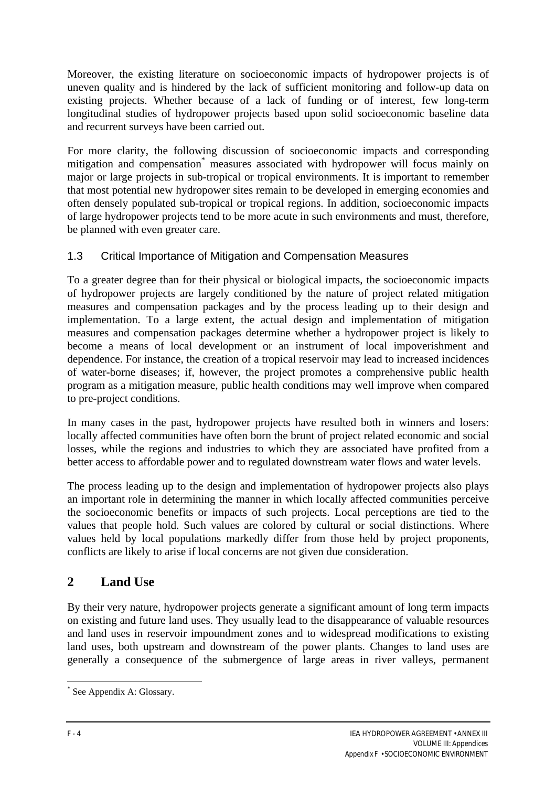Moreover, the existing literature on socioeconomic impacts of hydropower projects is of uneven quality and is hindered by the lack of sufficient monitoring and follow-up data on existing projects. Whether because of a lack of funding or of interest, few long-term longitudinal studies of hydropower projects based upon solid socioeconomic baseline data and recurrent surveys have been carried out.

For more clarity, the following discussion of socioeconomic impacts and corresponding mitigation and compensation\* measures associated with hydropower will focus mainly on major or large projects in sub-tropical or tropical environments. It is important to remember that most potential new hydropower sites remain to be developed in emerging economies and often densely populated sub-tropical or tropical regions. In addition, socioeconomic impacts of large hydropower projects tend to be more acute in such environments and must, therefore, be planned with even greater care.

## 1.3 Critical Importance of Mitigation and Compensation Measures

To a greater degree than for their physical or biological impacts, the socioeconomic impacts of hydropower projects are largely conditioned by the nature of project related mitigation measures and compensation packages and by the process leading up to their design and implementation. To a large extent, the actual design and implementation of mitigation measures and compensation packages determine whether a hydropower project is likely to become a means of local development or an instrument of local impoverishment and dependence. For instance, the creation of a tropical reservoir may lead to increased incidences of water-borne diseases; if, however, the project promotes a comprehensive public health program as a mitigation measure, public health conditions may well improve when compared to pre-project conditions.

In many cases in the past, hydropower projects have resulted both in winners and losers: locally affected communities have often born the brunt of project related economic and social losses, while the regions and industries to which they are associated have profited from a better access to affordable power and to regulated downstream water flows and water levels.

The process leading up to the design and implementation of hydropower projects also plays an important role in determining the manner in which locally affected communities perceive the socioeconomic benefits or impacts of such projects. Local perceptions are tied to the values that people hold. Such values are colored by cultural or social distinctions. Where values held by local populations markedly differ from those held by project proponents, conflicts are likely to arise if local concerns are not given due consideration.

# **2 Land Use**

By their very nature, hydropower projects generate a significant amount of long term impacts on existing and future land uses. They usually lead to the disappearance of valuable resources and land uses in reservoir impoundment zones and to widespread modifications to existing land uses, both upstream and downstream of the power plants. Changes to land uses are generally a consequence of the submergence of large areas in river valleys, permanent

<sup>\*</sup> See Appendix A: Glossary.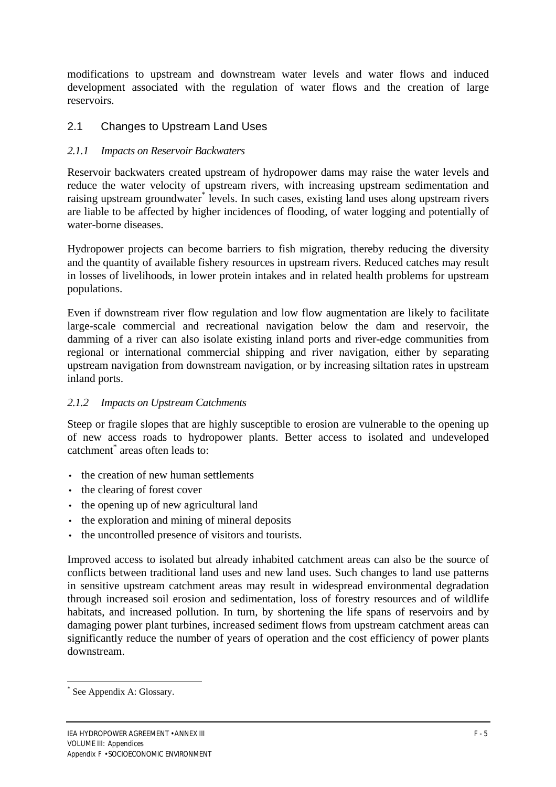modifications to upstream and downstream water levels and water flows and induced development associated with the regulation of water flows and the creation of large reservoirs.

## 2.1 Changes to Upstream Land Uses

## *2.1.1 Impacts on Reservoir Backwaters*

Reservoir backwaters created upstream of hydropower dams may raise the water levels and reduce the water velocity of upstream rivers, with increasing upstream sedimentation and raising upstream groundwater\* levels. In such cases, existing land uses along upstream rivers are liable to be affected by higher incidences of flooding, of water logging and potentially of water-borne diseases.

Hydropower projects can become barriers to fish migration, thereby reducing the diversity and the quantity of available fishery resources in upstream rivers. Reduced catches may result in losses of livelihoods, in lower protein intakes and in related health problems for upstream populations.

Even if downstream river flow regulation and low flow augmentation are likely to facilitate large-scale commercial and recreational navigation below the dam and reservoir, the damming of a river can also isolate existing inland ports and river-edge communities from regional or international commercial shipping and river navigation, either by separating upstream navigation from downstream navigation, or by increasing siltation rates in upstream inland ports.

## *2.1.2 Impacts on Upstream Catchments*

Steep or fragile slopes that are highly susceptible to erosion are vulnerable to the opening up of new access roads to hydropower plants. Better access to isolated and undeveloped catchment\* areas often leads to:

- the creation of new human settlements
- the clearing of forest cover
- the opening up of new agricultural land
- the exploration and mining of mineral deposits
- the uncontrolled presence of visitors and tourists.

Improved access to isolated but already inhabited catchment areas can also be the source of conflicts between traditional land uses and new land uses. Such changes to land use patterns in sensitive upstream catchment areas may result in widespread environmental degradation through increased soil erosion and sedimentation, loss of forestry resources and of wildlife habitats, and increased pollution. In turn, by shortening the life spans of reservoirs and by damaging power plant turbines, increased sediment flows from upstream catchment areas can significantly reduce the number of years of operation and the cost efficiency of power plants downstream.

<sup>\*</sup> See Appendix A: Glossary.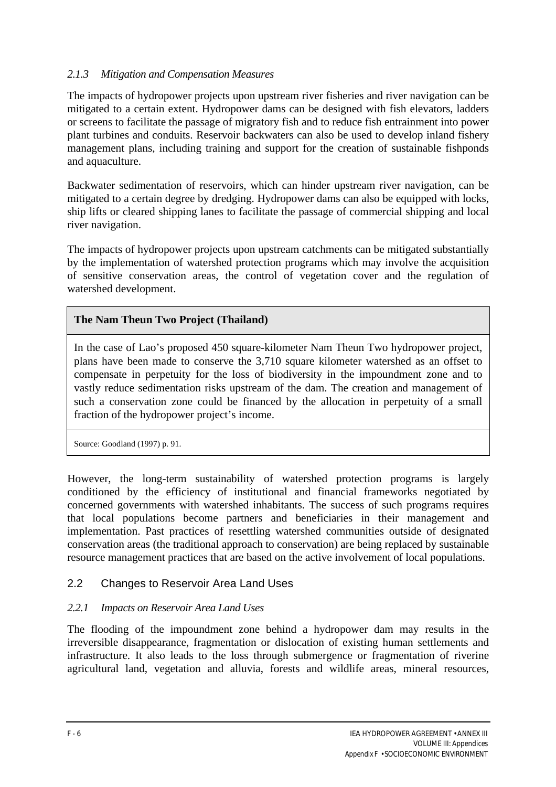## *2.1.3 Mitigation and Compensation Measures*

The impacts of hydropower projects upon upstream river fisheries and river navigation can be mitigated to a certain extent. Hydropower dams can be designed with fish elevators, ladders or screens to facilitate the passage of migratory fish and to reduce fish entrainment into power plant turbines and conduits. Reservoir backwaters can also be used to develop inland fishery management plans, including training and support for the creation of sustainable fishponds and aquaculture.

Backwater sedimentation of reservoirs, which can hinder upstream river navigation, can be mitigated to a certain degree by dredging. Hydropower dams can also be equipped with locks, ship lifts or cleared shipping lanes to facilitate the passage of commercial shipping and local river navigation.

The impacts of hydropower projects upon upstream catchments can be mitigated substantially by the implementation of watershed protection programs which may involve the acquisition of sensitive conservation areas, the control of vegetation cover and the regulation of watershed development.

#### **The Nam Theun Two Project (Thailand)**

In the case of Lao's proposed 450 square-kilometer Nam Theun Two hydropower project, plans have been made to conserve the 3,710 square kilometer watershed as an offset to compensate in perpetuity for the loss of biodiversity in the impoundment zone and to vastly reduce sedimentation risks upstream of the dam. The creation and management of such a conservation zone could be financed by the allocation in perpetuity of a small fraction of the hydropower project's income.

Source: Goodland (1997) p. 91.

However, the long-term sustainability of watershed protection programs is largely conditioned by the efficiency of institutional and financial frameworks negotiated by concerned governments with watershed inhabitants. The success of such programs requires that local populations become partners and beneficiaries in their management and implementation. Past practices of resettling watershed communities outside of designated conservation areas (the traditional approach to conservation) are being replaced by sustainable resource management practices that are based on the active involvement of local populations.

## 2.2 Changes to Reservoir Area Land Uses

## *2.2.1 Impacts on Reservoir Area Land Uses*

The flooding of the impoundment zone behind a hydropower dam may results in the irreversible disappearance, fragmentation or dislocation of existing human settlements and infrastructure. It also leads to the loss through submergence or fragmentation of riverine agricultural land, vegetation and alluvia, forests and wildlife areas, mineral resources,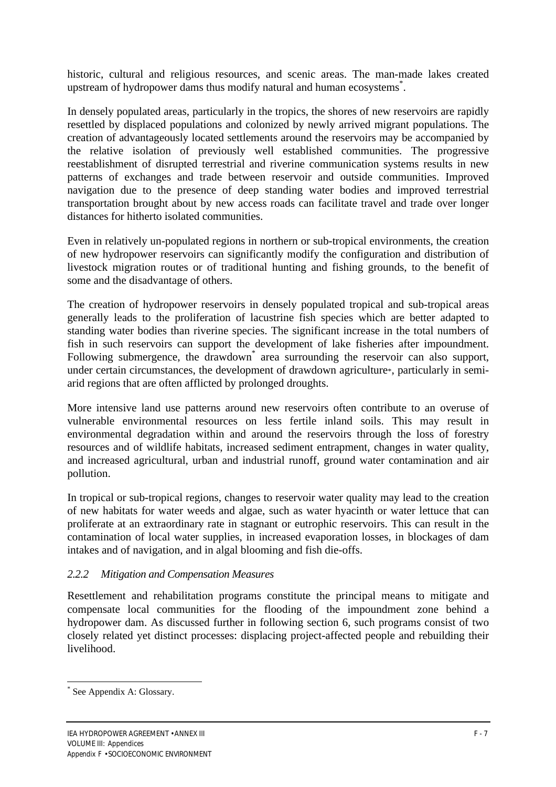historic, cultural and religious resources, and scenic areas. The man-made lakes created upstream of hydropower dams thus modify natural and human ecosystems\* .

In densely populated areas, particularly in the tropics, the shores of new reservoirs are rapidly resettled by displaced populations and colonized by newly arrived migrant populations. The creation of advantageously located settlements around the reservoirs may be accompanied by the relative isolation of previously well established communities. The progressive reestablishment of disrupted terrestrial and riverine communication systems results in new patterns of exchanges and trade between reservoir and outside communities. Improved navigation due to the presence of deep standing water bodies and improved terrestrial transportation brought about by new access roads can facilitate travel and trade over longer distances for hitherto isolated communities.

Even in relatively un-populated regions in northern or sub-tropical environments, the creation of new hydropower reservoirs can significantly modify the configuration and distribution of livestock migration routes or of traditional hunting and fishing grounds, to the benefit of some and the disadvantage of others.

The creation of hydropower reservoirs in densely populated tropical and sub-tropical areas generally leads to the proliferation of lacustrine fish species which are better adapted to standing water bodies than riverine species. The significant increase in the total numbers of fish in such reservoirs can support the development of lake fisheries after impoundment. Following submergence, the drawdown<sup>\*</sup> area surrounding the reservoir can also support, under certain circumstances, the development of drawdown agriculture\*, particularly in semiarid regions that are often afflicted by prolonged droughts.

More intensive land use patterns around new reservoirs often contribute to an overuse of vulnerable environmental resources on less fertile inland soils. This may result in environmental degradation within and around the reservoirs through the loss of forestry resources and of wildlife habitats, increased sediment entrapment, changes in water quality, and increased agricultural, urban and industrial runoff, ground water contamination and air pollution.

In tropical or sub-tropical regions, changes to reservoir water quality may lead to the creation of new habitats for water weeds and algae, such as water hyacinth or water lettuce that can proliferate at an extraordinary rate in stagnant or eutrophic reservoirs. This can result in the contamination of local water supplies, in increased evaporation losses, in blockages of dam intakes and of navigation, and in algal blooming and fish die-offs.

## *2.2.2 Mitigation and Compensation Measures*

Resettlement and rehabilitation programs constitute the principal means to mitigate and compensate local communities for the flooding of the impoundment zone behind a hydropower dam. As discussed further in following section 6, such programs consist of two closely related yet distinct processes: displacing project-affected people and rebuilding their livelihood.

<sup>\*</sup> See Appendix A: Glossary.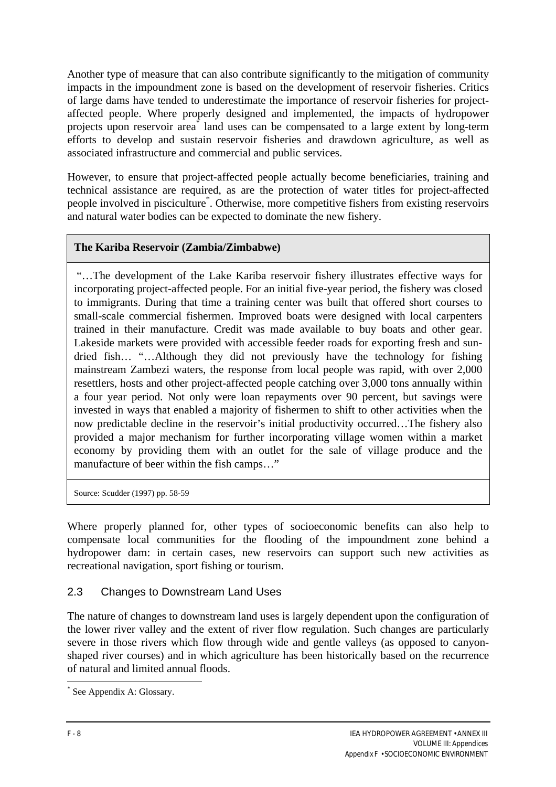Another type of measure that can also contribute significantly to the mitigation of community impacts in the impoundment zone is based on the development of reservoir fisheries. Critics of large dams have tended to underestimate the importance of reservoir fisheries for projectaffected people. Where properly designed and implemented, the impacts of hydropower projects upon reservoir area\* land uses can be compensated to a large extent by long-term efforts to develop and sustain reservoir fisheries and drawdown agriculture, as well as associated infrastructure and commercial and public services.

However, to ensure that project-affected people actually become beneficiaries, training and technical assistance are required, as are the protection of water titles for project-affected people involved in pisciculture<sup>\*</sup>. Otherwise, more competitive fishers from existing reservoirs and natural water bodies can be expected to dominate the new fishery.

## **The Kariba Reservoir (Zambia/Zimbabwe)**

 "…The development of the Lake Kariba reservoir fishery illustrates effective ways for incorporating project-affected people. For an initial five-year period, the fishery was closed to immigrants. During that time a training center was built that offered short courses to small-scale commercial fishermen. Improved boats were designed with local carpenters trained in their manufacture. Credit was made available to buy boats and other gear. Lakeside markets were provided with accessible feeder roads for exporting fresh and sundried fish… "…Although they did not previously have the technology for fishing mainstream Zambezi waters, the response from local people was rapid, with over 2,000 resettlers, hosts and other project-affected people catching over 3,000 tons annually within a four year period. Not only were loan repayments over 90 percent, but savings were invested in ways that enabled a majority of fishermen to shift to other activities when the now predictable decline in the reservoir's initial productivity occurred…The fishery also provided a major mechanism for further incorporating village women within a market economy by providing them with an outlet for the sale of village produce and the manufacture of beer within the fish camps…"

Source: Scudder (1997) pp. 58-59

Where properly planned for, other types of socioeconomic benefits can also help to compensate local communities for the flooding of the impoundment zone behind a hydropower dam: in certain cases, new reservoirs can support such new activities as recreational navigation, sport fishing or tourism.

## 2.3 Changes to Downstream Land Uses

The nature of changes to downstream land uses is largely dependent upon the configuration of the lower river valley and the extent of river flow regulation. Such changes are particularly severe in those rivers which flow through wide and gentle valleys (as opposed to canyonshaped river courses) and in which agriculture has been historically based on the recurrence of natural and limited annual floods.

<sup>\*</sup> See Appendix A: Glossary.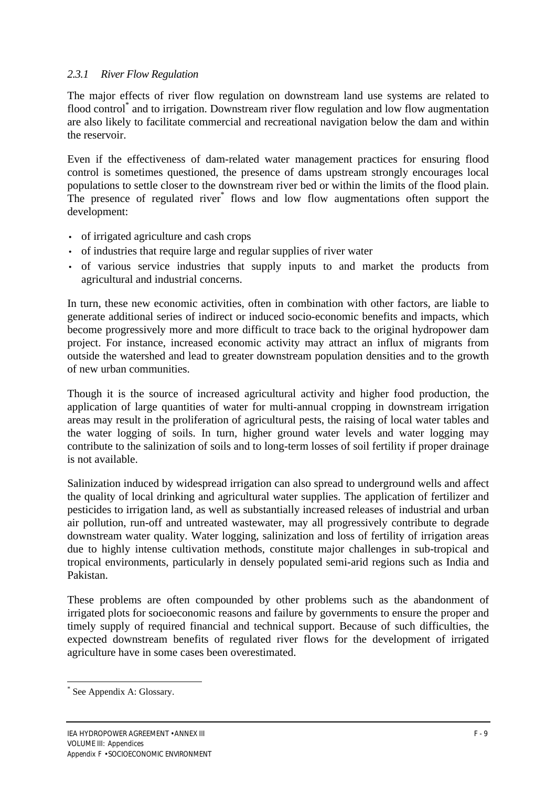## *2.3.1 River Flow Regulation*

The major effects of river flow regulation on downstream land use systems are related to flood control<sup>\*</sup> and to irrigation. Downstream river flow regulation and low flow augmentation are also likely to facilitate commercial and recreational navigation below the dam and within the reservoir.

Even if the effectiveness of dam-related water management practices for ensuring flood control is sometimes questioned, the presence of dams upstream strongly encourages local populations to settle closer to the downstream river bed or within the limits of the flood plain. The presence of regulated river<sup>\*</sup> flows and low flow augmentations often support the development:

- of irrigated agriculture and cash crops
- of industries that require large and regular supplies of river water
- of various service industries that supply inputs to and market the products from agricultural and industrial concerns.

In turn, these new economic activities, often in combination with other factors, are liable to generate additional series of indirect or induced socio-economic benefits and impacts, which become progressively more and more difficult to trace back to the original hydropower dam project. For instance, increased economic activity may attract an influx of migrants from outside the watershed and lead to greater downstream population densities and to the growth of new urban communities.

Though it is the source of increased agricultural activity and higher food production, the application of large quantities of water for multi-annual cropping in downstream irrigation areas may result in the proliferation of agricultural pests, the raising of local water tables and the water logging of soils. In turn, higher ground water levels and water logging may contribute to the salinization of soils and to long-term losses of soil fertility if proper drainage is not available.

Salinization induced by widespread irrigation can also spread to underground wells and affect the quality of local drinking and agricultural water supplies. The application of fertilizer and pesticides to irrigation land, as well as substantially increased releases of industrial and urban air pollution, run-off and untreated wastewater, may all progressively contribute to degrade downstream water quality. Water logging, salinization and loss of fertility of irrigation areas due to highly intense cultivation methods, constitute major challenges in sub-tropical and tropical environments, particularly in densely populated semi-arid regions such as India and Pakistan.

These problems are often compounded by other problems such as the abandonment of irrigated plots for socioeconomic reasons and failure by governments to ensure the proper and timely supply of required financial and technical support. Because of such difficulties, the expected downstream benefits of regulated river flows for the development of irrigated agriculture have in some cases been overestimated.

<sup>\*</sup> See Appendix A: Glossary.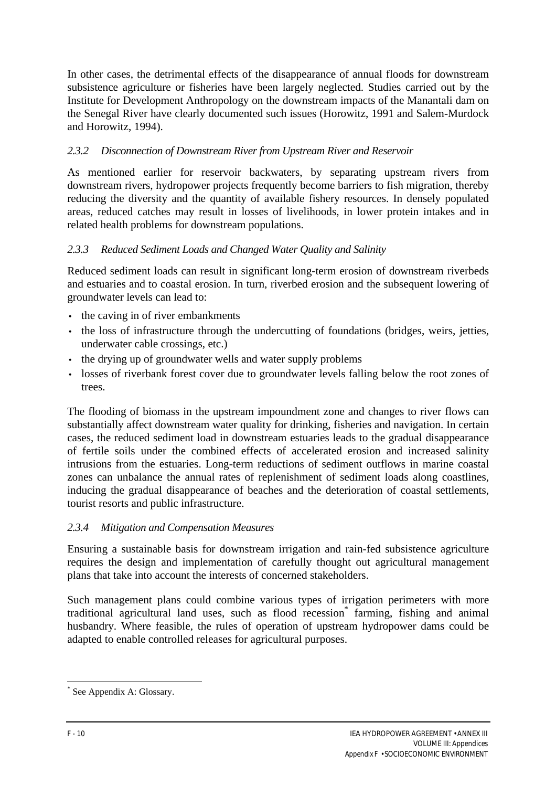In other cases, the detrimental effects of the disappearance of annual floods for downstream subsistence agriculture or fisheries have been largely neglected. Studies carried out by the Institute for Development Anthropology on the downstream impacts of the Manantali dam on the Senegal River have clearly documented such issues (Horowitz, 1991 and Salem-Murdock and Horowitz, 1994).

# *2.3.2 Disconnection of Downstream River from Upstream River and Reservoir*

As mentioned earlier for reservoir backwaters, by separating upstream rivers from downstream rivers, hydropower projects frequently become barriers to fish migration, thereby reducing the diversity and the quantity of available fishery resources. In densely populated areas, reduced catches may result in losses of livelihoods, in lower protein intakes and in related health problems for downstream populations.

# *2.3.3 Reduced Sediment Loads and Changed Water Quality and Salinity*

Reduced sediment loads can result in significant long-term erosion of downstream riverbeds and estuaries and to coastal erosion. In turn, riverbed erosion and the subsequent lowering of groundwater levels can lead to:

- the caving in of river embankments
- the loss of infrastructure through the undercutting of foundations (bridges, weirs, jetties, underwater cable crossings, etc.)
- the drying up of groundwater wells and water supply problems
- losses of riverbank forest cover due to groundwater levels falling below the root zones of trees.

The flooding of biomass in the upstream impoundment zone and changes to river flows can substantially affect downstream water quality for drinking, fisheries and navigation. In certain cases, the reduced sediment load in downstream estuaries leads to the gradual disappearance of fertile soils under the combined effects of accelerated erosion and increased salinity intrusions from the estuaries. Long-term reductions of sediment outflows in marine coastal zones can unbalance the annual rates of replenishment of sediment loads along coastlines, inducing the gradual disappearance of beaches and the deterioration of coastal settlements, tourist resorts and public infrastructure.

## *2.3.4 Mitigation and Compensation Measures*

Ensuring a sustainable basis for downstream irrigation and rain-fed subsistence agriculture requires the design and implementation of carefully thought out agricultural management plans that take into account the interests of concerned stakeholders.

Such management plans could combine various types of irrigation perimeters with more traditional agricultural land uses, such as flood recession\* farming, fishing and animal husbandry. Where feasible, the rules of operation of upstream hydropower dams could be adapted to enable controlled releases for agricultural purposes.

 $\overline{a}$ 

<sup>\*</sup> See Appendix A: Glossary.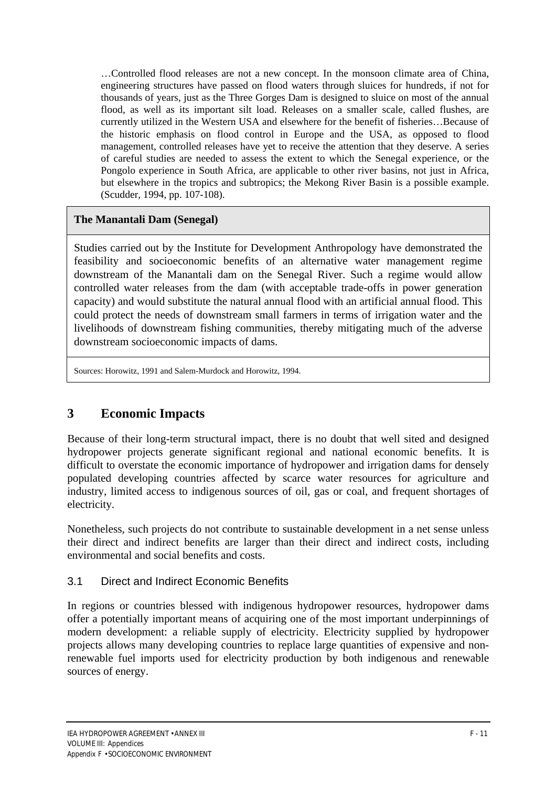…Controlled flood releases are not a new concept. In the monsoon climate area of China, engineering structures have passed on flood waters through sluices for hundreds, if not for thousands of years, just as the Three Gorges Dam is designed to sluice on most of the annual flood, as well as its important silt load. Releases on a smaller scale, called flushes, are currently utilized in the Western USA and elsewhere for the benefit of fisheries…Because of the historic emphasis on flood control in Europe and the USA, as opposed to flood management, controlled releases have yet to receive the attention that they deserve. A series of careful studies are needed to assess the extent to which the Senegal experience, or the Pongolo experience in South Africa, are applicable to other river basins, not just in Africa, but elsewhere in the tropics and subtropics; the Mekong River Basin is a possible example. (Scudder, 1994, pp. 107-108).

#### **The Manantali Dam (Senegal)**

Studies carried out by the Institute for Development Anthropology have demonstrated the feasibility and socioeconomic benefits of an alternative water management regime downstream of the Manantali dam on the Senegal River. Such a regime would allow controlled water releases from the dam (with acceptable trade-offs in power generation capacity) and would substitute the natural annual flood with an artificial annual flood. This could protect the needs of downstream small farmers in terms of irrigation water and the livelihoods of downstream fishing communities, thereby mitigating much of the adverse downstream socioeconomic impacts of dams.

Sources: Horowitz, 1991 and Salem-Murdock and Horowitz, 1994.

# **3 Economic Impacts**

Because of their long-term structural impact, there is no doubt that well sited and designed hydropower projects generate significant regional and national economic benefits. It is difficult to overstate the economic importance of hydropower and irrigation dams for densely populated developing countries affected by scarce water resources for agriculture and industry, limited access to indigenous sources of oil, gas or coal, and frequent shortages of electricity.

Nonetheless, such projects do not contribute to sustainable development in a net sense unless their direct and indirect benefits are larger than their direct and indirect costs, including environmental and social benefits and costs.

## 3.1 Direct and Indirect Economic Benefits

In regions or countries blessed with indigenous hydropower resources, hydropower dams offer a potentially important means of acquiring one of the most important underpinnings of modern development: a reliable supply of electricity. Electricity supplied by hydropower projects allows many developing countries to replace large quantities of expensive and nonrenewable fuel imports used for electricity production by both indigenous and renewable sources of energy.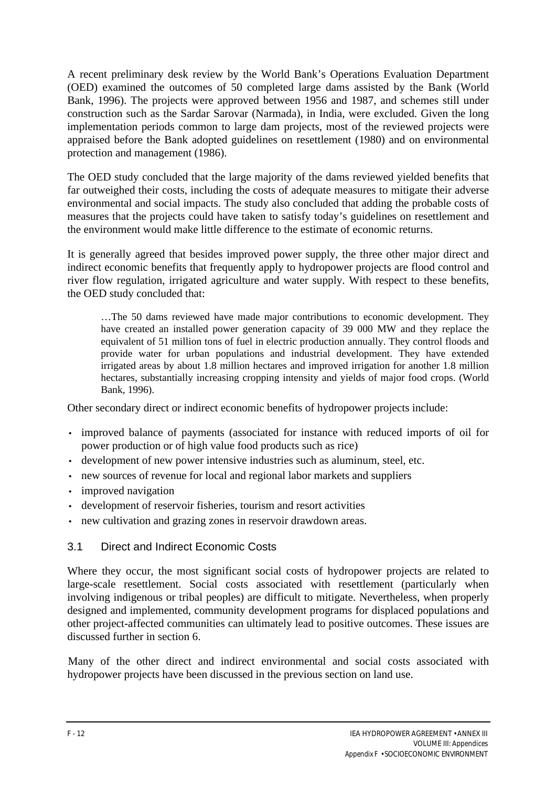A recent preliminary desk review by the World Bank's Operations Evaluation Department (OED) examined the outcomes of 50 completed large dams assisted by the Bank (World Bank, 1996). The projects were approved between 1956 and 1987, and schemes still under construction such as the Sardar Sarovar (Narmada), in India, were excluded. Given the long implementation periods common to large dam projects, most of the reviewed projects were appraised before the Bank adopted guidelines on resettlement (1980) and on environmental protection and management (1986).

The OED study concluded that the large majority of the dams reviewed yielded benefits that far outweighed their costs, including the costs of adequate measures to mitigate their adverse environmental and social impacts. The study also concluded that adding the probable costs of measures that the projects could have taken to satisfy today's guidelines on resettlement and the environment would make little difference to the estimate of economic returns.

It is generally agreed that besides improved power supply, the three other major direct and indirect economic benefits that frequently apply to hydropower projects are flood control and river flow regulation, irrigated agriculture and water supply. With respect to these benefits, the OED study concluded that:

…The 50 dams reviewed have made major contributions to economic development. They have created an installed power generation capacity of 39 000 MW and they replace the equivalent of 51 million tons of fuel in electric production annually. They control floods and provide water for urban populations and industrial development. They have extended irrigated areas by about 1.8 million hectares and improved irrigation for another 1.8 million hectares, substantially increasing cropping intensity and yields of major food crops. (World Bank, 1996).

Other secondary direct or indirect economic benefits of hydropower projects include:

- improved balance of payments (associated for instance with reduced imports of oil for power production or of high value food products such as rice)
- development of new power intensive industries such as aluminum, steel, etc.
- new sources of revenue for local and regional labor markets and suppliers
- improved navigation
- development of reservoir fisheries, tourism and resort activities
- new cultivation and grazing zones in reservoir drawdown areas.

# 3.1 Direct and Indirect Economic Costs

Where they occur, the most significant social costs of hydropower projects are related to large-scale resettlement. Social costs associated with resettlement (particularly when involving indigenous or tribal peoples) are difficult to mitigate. Nevertheless, when properly designed and implemented, community development programs for displaced populations and other project-affected communities can ultimately lead to positive outcomes. These issues are discussed further in section 6.

Many of the other direct and indirect environmental and social costs associated with hydropower projects have been discussed in the previous section on land use.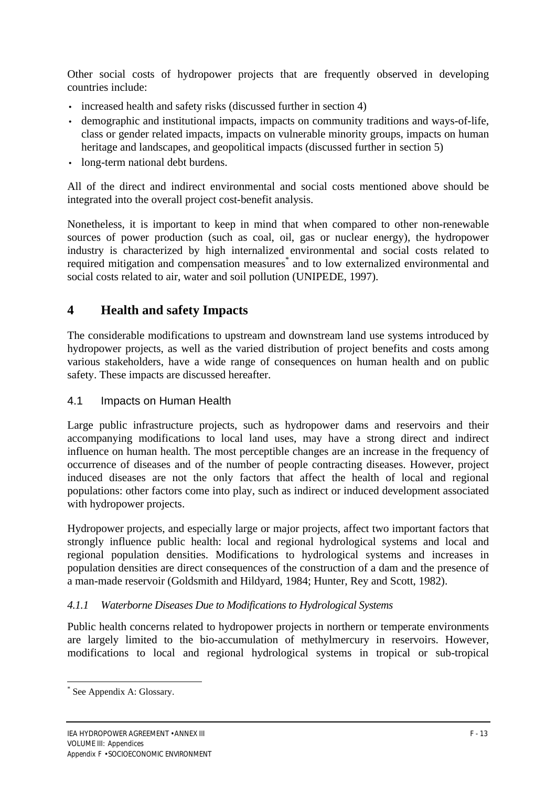Other social costs of hydropower projects that are frequently observed in developing countries include:

- increased health and safety risks (discussed further in section 4)
- demographic and institutional impacts, impacts on community traditions and ways-of-life, class or gender related impacts, impacts on vulnerable minority groups, impacts on human heritage and landscapes, and geopolitical impacts (discussed further in section 5)
- long-term national debt burdens.

All of the direct and indirect environmental and social costs mentioned above should be integrated into the overall project cost-benefit analysis.

Nonetheless, it is important to keep in mind that when compared to other non-renewable sources of power production (such as coal, oil, gas or nuclear energy), the hydropower industry is characterized by high internalized environmental and social costs related to required mitigation and compensation measures\* and to low externalized environmental and social costs related to air, water and soil pollution (UNIPEDE, 1997).

# **4 Health and safety Impacts**

The considerable modifications to upstream and downstream land use systems introduced by hydropower projects, as well as the varied distribution of project benefits and costs among various stakeholders, have a wide range of consequences on human health and on public safety. These impacts are discussed hereafter.

## 4.1 Impacts on Human Health

Large public infrastructure projects, such as hydropower dams and reservoirs and their accompanying modifications to local land uses, may have a strong direct and indirect influence on human health. The most perceptible changes are an increase in the frequency of occurrence of diseases and of the number of people contracting diseases. However, project induced diseases are not the only factors that affect the health of local and regional populations: other factors come into play, such as indirect or induced development associated with hydropower projects.

Hydropower projects, and especially large or major projects, affect two important factors that strongly influence public health: local and regional hydrological systems and local and regional population densities. Modifications to hydrological systems and increases in population densities are direct consequences of the construction of a dam and the presence of a man-made reservoir (Goldsmith and Hildyard, 1984; Hunter, Rey and Scott, 1982).

#### *4.1.1 Waterborne Diseases Due to Modifications to Hydrological Systems*

Public health concerns related to hydropower projects in northern or temperate environments are largely limited to the bio-accumulation of methylmercury in reservoirs. However, modifications to local and regional hydrological systems in tropical or sub-tropical

 $\overline{a}$ 

<sup>\*</sup> See Appendix A: Glossary.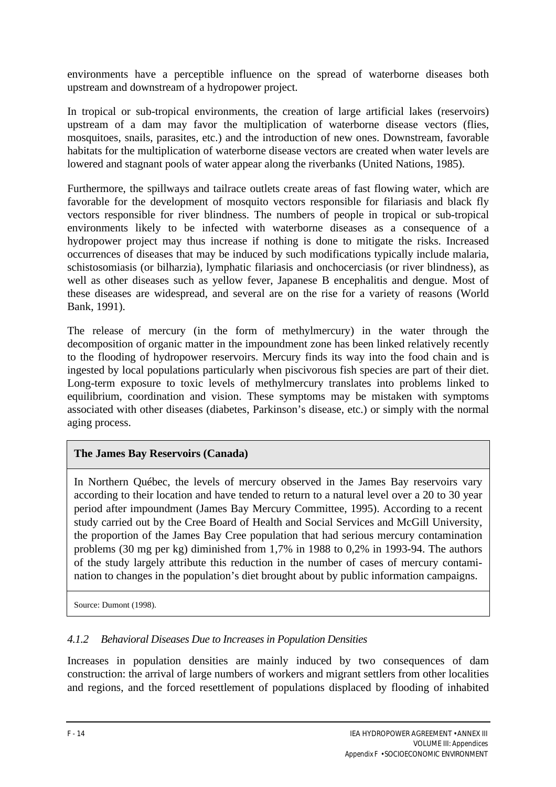environments have a perceptible influence on the spread of waterborne diseases both upstream and downstream of a hydropower project.

In tropical or sub-tropical environments, the creation of large artificial lakes (reservoirs) upstream of a dam may favor the multiplication of waterborne disease vectors (flies, mosquitoes, snails, parasites, etc.) and the introduction of new ones. Downstream, favorable habitats for the multiplication of waterborne disease vectors are created when water levels are lowered and stagnant pools of water appear along the riverbanks (United Nations, 1985).

Furthermore, the spillways and tailrace outlets create areas of fast flowing water, which are favorable for the development of mosquito vectors responsible for filariasis and black fly vectors responsible for river blindness. The numbers of people in tropical or sub-tropical environments likely to be infected with waterborne diseases as a consequence of a hydropower project may thus increase if nothing is done to mitigate the risks. Increased occurrences of diseases that may be induced by such modifications typically include malaria, schistosomiasis (or bilharzia), lymphatic filariasis and onchocerciasis (or river blindness), as well as other diseases such as yellow fever, Japanese B encephalitis and dengue. Most of these diseases are widespread, and several are on the rise for a variety of reasons (World Bank, 1991).

The release of mercury (in the form of methylmercury) in the water through the decomposition of organic matter in the impoundment zone has been linked relatively recently to the flooding of hydropower reservoirs. Mercury finds its way into the food chain and is ingested by local populations particularly when piscivorous fish species are part of their diet. Long-term exposure to toxic levels of methylmercury translates into problems linked to equilibrium, coordination and vision. These symptoms may be mistaken with symptoms associated with other diseases (diabetes, Parkinson's disease, etc.) or simply with the normal aging process.

## **The James Bay Reservoirs (Canada)**

In Northern Québec, the levels of mercury observed in the James Bay reservoirs vary according to their location and have tended to return to a natural level over a 20 to 30 year period after impoundment (James Bay Mercury Committee, 1995). According to a recent study carried out by the Cree Board of Health and Social Services and McGill University, the proportion of the James Bay Cree population that had serious mercury contamination problems (30 mg per kg) diminished from 1,7% in 1988 to 0,2% in 1993-94. The authors of the study largely attribute this reduction in the number of cases of mercury contamination to changes in the population's diet brought about by public information campaigns.

Source: Dumont (1998).

# *4.1.2 Behavioral Diseases Due to Increases in Population Densities*

Increases in population densities are mainly induced by two consequences of dam construction: the arrival of large numbers of workers and migrant settlers from other localities and regions, and the forced resettlement of populations displaced by flooding of inhabited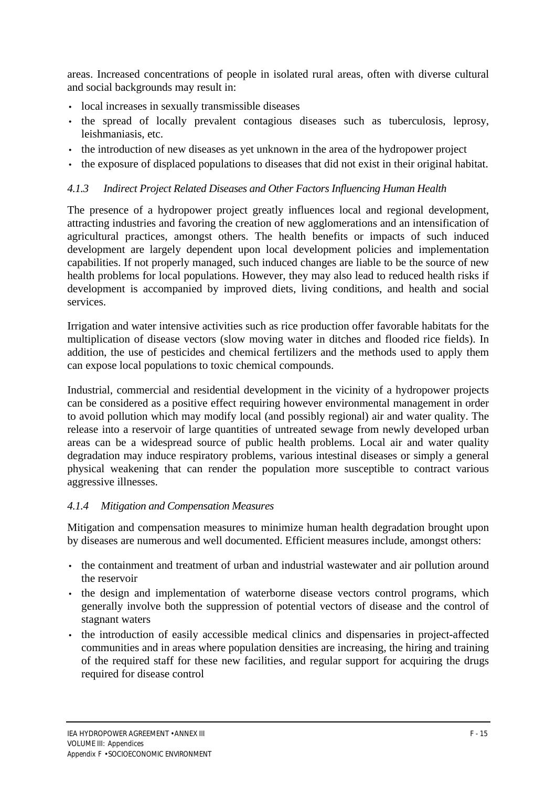areas. Increased concentrations of people in isolated rural areas, often with diverse cultural and social backgrounds may result in:

- local increases in sexually transmissible diseases
- the spread of locally prevalent contagious diseases such as tuberculosis, leprosy, leishmaniasis, etc.
- the introduction of new diseases as yet unknown in the area of the hydropower project
- the exposure of displaced populations to diseases that did not exist in their original habitat.

#### *4.1.3 Indirect Project Related Diseases and Other Factors Influencing Human Health*

The presence of a hydropower project greatly influences local and regional development, attracting industries and favoring the creation of new agglomerations and an intensification of agricultural practices, amongst others. The health benefits or impacts of such induced development are largely dependent upon local development policies and implementation capabilities. If not properly managed, such induced changes are liable to be the source of new health problems for local populations. However, they may also lead to reduced health risks if development is accompanied by improved diets, living conditions, and health and social services.

Irrigation and water intensive activities such as rice production offer favorable habitats for the multiplication of disease vectors (slow moving water in ditches and flooded rice fields). In addition, the use of pesticides and chemical fertilizers and the methods used to apply them can expose local populations to toxic chemical compounds.

Industrial, commercial and residential development in the vicinity of a hydropower projects can be considered as a positive effect requiring however environmental management in order to avoid pollution which may modify local (and possibly regional) air and water quality. The release into a reservoir of large quantities of untreated sewage from newly developed urban areas can be a widespread source of public health problems. Local air and water quality degradation may induce respiratory problems, various intestinal diseases or simply a general physical weakening that can render the population more susceptible to contract various aggressive illnesses.

#### *4.1.4 Mitigation and Compensation Measures*

Mitigation and compensation measures to minimize human health degradation brought upon by diseases are numerous and well documented. Efficient measures include, amongst others:

- the containment and treatment of urban and industrial wastewater and air pollution around the reservoir
- the design and implementation of waterborne disease vectors control programs, which generally involve both the suppression of potential vectors of disease and the control of stagnant waters
- the introduction of easily accessible medical clinics and dispensaries in project-affected communities and in areas where population densities are increasing, the hiring and training of the required staff for these new facilities, and regular support for acquiring the drugs required for disease control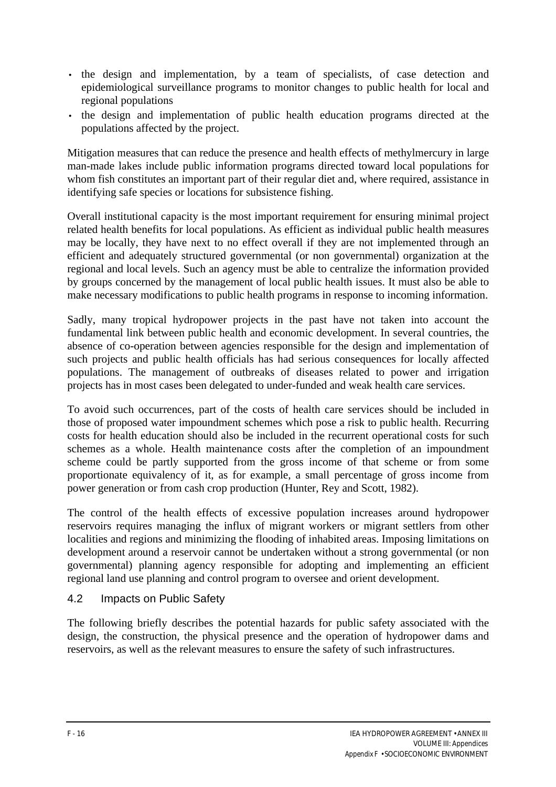- the design and implementation, by a team of specialists, of case detection and epidemiological surveillance programs to monitor changes to public health for local and regional populations
- the design and implementation of public health education programs directed at the populations affected by the project.

Mitigation measures that can reduce the presence and health effects of methylmercury in large man-made lakes include public information programs directed toward local populations for whom fish constitutes an important part of their regular diet and, where required, assistance in identifying safe species or locations for subsistence fishing.

Overall institutional capacity is the most important requirement for ensuring minimal project related health benefits for local populations. As efficient as individual public health measures may be locally, they have next to no effect overall if they are not implemented through an efficient and adequately structured governmental (or non governmental) organization at the regional and local levels. Such an agency must be able to centralize the information provided by groups concerned by the management of local public health issues. It must also be able to make necessary modifications to public health programs in response to incoming information.

Sadly, many tropical hydropower projects in the past have not taken into account the fundamental link between public health and economic development. In several countries, the absence of co-operation between agencies responsible for the design and implementation of such projects and public health officials has had serious consequences for locally affected populations. The management of outbreaks of diseases related to power and irrigation projects has in most cases been delegated to under-funded and weak health care services.

To avoid such occurrences, part of the costs of health care services should be included in those of proposed water impoundment schemes which pose a risk to public health. Recurring costs for health education should also be included in the recurrent operational costs for such schemes as a whole. Health maintenance costs after the completion of an impoundment scheme could be partly supported from the gross income of that scheme or from some proportionate equivalency of it, as for example, a small percentage of gross income from power generation or from cash crop production (Hunter, Rey and Scott, 1982).

The control of the health effects of excessive population increases around hydropower reservoirs requires managing the influx of migrant workers or migrant settlers from other localities and regions and minimizing the flooding of inhabited areas. Imposing limitations on development around a reservoir cannot be undertaken without a strong governmental (or non governmental) planning agency responsible for adopting and implementing an efficient regional land use planning and control program to oversee and orient development.

## 4.2 Impacts on Public Safety

The following briefly describes the potential hazards for public safety associated with the design, the construction, the physical presence and the operation of hydropower dams and reservoirs, as well as the relevant measures to ensure the safety of such infrastructures.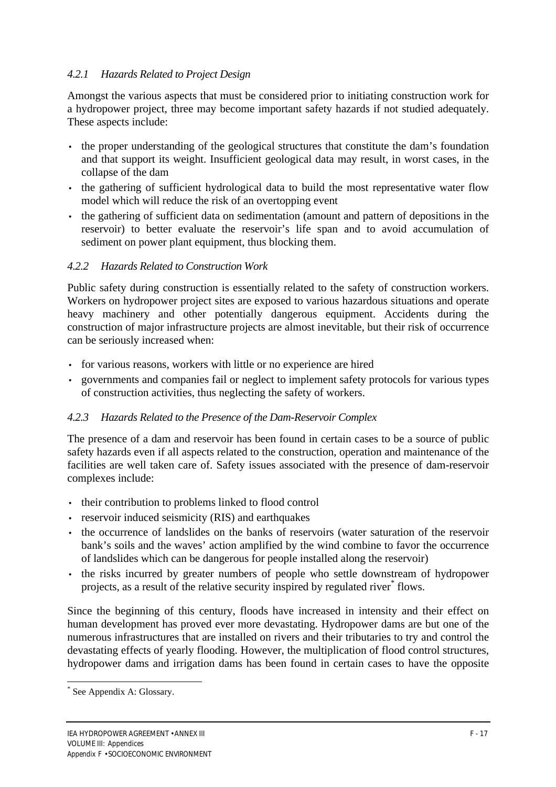#### *4.2.1 Hazards Related to Project Design*

Amongst the various aspects that must be considered prior to initiating construction work for a hydropower project, three may become important safety hazards if not studied adequately. These aspects include:

- the proper understanding of the geological structures that constitute the dam's foundation and that support its weight. Insufficient geological data may result, in worst cases, in the collapse of the dam
- the gathering of sufficient hydrological data to build the most representative water flow model which will reduce the risk of an overtopping event
- the gathering of sufficient data on sedimentation (amount and pattern of depositions in the reservoir) to better evaluate the reservoir's life span and to avoid accumulation of sediment on power plant equipment, thus blocking them.

#### *4.2.2 Hazards Related to Construction Work*

Public safety during construction is essentially related to the safety of construction workers. Workers on hydropower project sites are exposed to various hazardous situations and operate heavy machinery and other potentially dangerous equipment. Accidents during the construction of major infrastructure projects are almost inevitable, but their risk of occurrence can be seriously increased when:

- for various reasons, workers with little or no experience are hired
- governments and companies fail or neglect to implement safety protocols for various types of construction activities, thus neglecting the safety of workers.

## *4.2.3 Hazards Related to the Presence of the Dam-Reservoir Complex*

The presence of a dam and reservoir has been found in certain cases to be a source of public safety hazards even if all aspects related to the construction, operation and maintenance of the facilities are well taken care of. Safety issues associated with the presence of dam-reservoir complexes include:

- their contribution to problems linked to flood control
- reservoir induced seismicity (RIS) and earthquakes
- the occurrence of landslides on the banks of reservoirs (water saturation of the reservoir bank's soils and the waves' action amplified by the wind combine to favor the occurrence of landslides which can be dangerous for people installed along the reservoir)
- *·* the risks incurred by greater numbers of people who settle downstream of hydropower projects, as a result of the relative security inspired by regulated river<sup>\*</sup> flows.

Since the beginning of this century, floods have increased in intensity and their effect on human development has proved ever more devastating. Hydropower dams are but one of the numerous infrastructures that are installed on rivers and their tributaries to try and control the devastating effects of yearly flooding. However, the multiplication of flood control structures, hydropower dams and irrigation dams has been found in certain cases to have the opposite

 $\overline{a}$ 

<sup>\*</sup> See Appendix A: Glossary.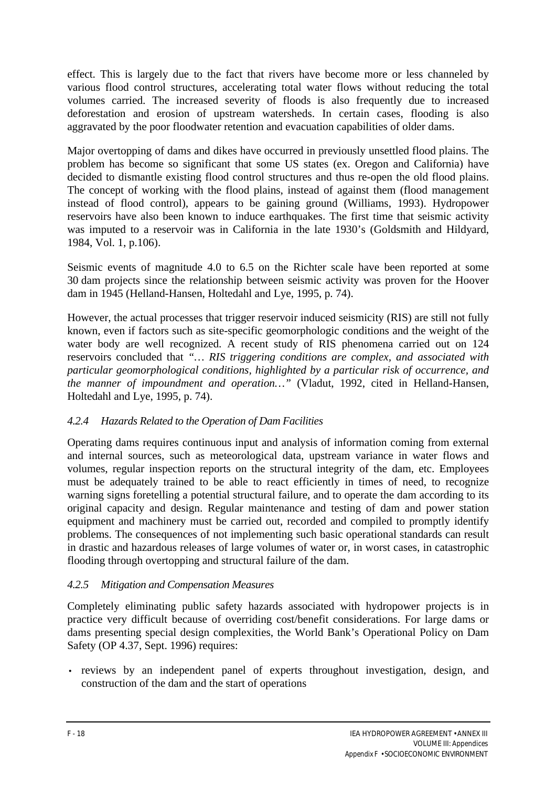effect. This is largely due to the fact that rivers have become more or less channeled by various flood control structures, accelerating total water flows without reducing the total volumes carried. The increased severity of floods is also frequently due to increased deforestation and erosion of upstream watersheds. In certain cases, flooding is also aggravated by the poor floodwater retention and evacuation capabilities of older dams.

Major overtopping of dams and dikes have occurred in previously unsettled flood plains. The problem has become so significant that some US states (ex. Oregon and California) have decided to dismantle existing flood control structures and thus re-open the old flood plains. The concept of working with the flood plains, instead of against them (flood management instead of flood control), appears to be gaining ground (Williams, 1993). Hydropower reservoirs have also been known to induce earthquakes. The first time that seismic activity was imputed to a reservoir was in California in the late 1930's (Goldsmith and Hildyard, 1984, Vol. 1, p.106).

Seismic events of magnitude 4.0 to 6.5 on the Richter scale have been reported at some 30 dam projects since the relationship between seismic activity was proven for the Hoover dam in 1945 (Helland-Hansen, Holtedahl and Lye, 1995, p. 74).

However, the actual processes that trigger reservoir induced seismicity (RIS) are still not fully known, even if factors such as site-specific geomorphologic conditions and the weight of the water body are well recognized. A recent study of RIS phenomena carried out on 124 reservoirs concluded that *"… RIS triggering conditions are complex, and associated with particular geomorphological conditions, highlighted by a particular risk of occurrence, and the manner of impoundment and operation…"* (Vladut, 1992, cited in Helland-Hansen, Holtedahl and Lye, 1995, p. 74).

#### *4.2.4 Hazards Related to the Operation of Dam Facilities*

Operating dams requires continuous input and analysis of information coming from external and internal sources, such as meteorological data, upstream variance in water flows and volumes, regular inspection reports on the structural integrity of the dam, etc. Employees must be adequately trained to be able to react efficiently in times of need, to recognize warning signs foretelling a potential structural failure, and to operate the dam according to its original capacity and design. Regular maintenance and testing of dam and power station equipment and machinery must be carried out, recorded and compiled to promptly identify problems. The consequences of not implementing such basic operational standards can result in drastic and hazardous releases of large volumes of water or, in worst cases, in catastrophic flooding through overtopping and structural failure of the dam.

#### *4.2.5 Mitigation and Compensation Measures*

Completely eliminating public safety hazards associated with hydropower projects is in practice very difficult because of overriding cost/benefit considerations. For large dams or dams presenting special design complexities, the World Bank's Operational Policy on Dam Safety (OP 4.37, Sept. 1996) requires:

• reviews by an independent panel of experts throughout investigation, design, and construction of the dam and the start of operations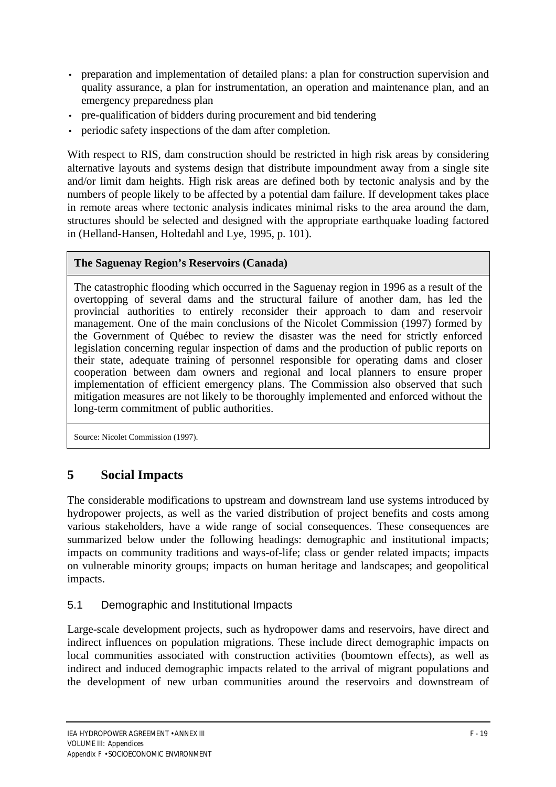- preparation and implementation of detailed plans: a plan for construction supervision and quality assurance, a plan for instrumentation, an operation and maintenance plan, and an emergency preparedness plan
- pre-qualification of bidders during procurement and bid tendering
- periodic safety inspections of the dam after completion.

With respect to RIS, dam construction should be restricted in high risk areas by considering alternative layouts and systems design that distribute impoundment away from a single site and/or limit dam heights. High risk areas are defined both by tectonic analysis and by the numbers of people likely to be affected by a potential dam failure. If development takes place in remote areas where tectonic analysis indicates minimal risks to the area around the dam, structures should be selected and designed with the appropriate earthquake loading factored in (Helland-Hansen, Holtedahl and Lye, 1995, p. 101).

#### **The Saguenay Region's Reservoirs (Canada)**

The catastrophic flooding which occurred in the Saguenay region in 1996 as a result of the overtopping of several dams and the structural failure of another dam, has led the provincial authorities to entirely reconsider their approach to dam and reservoir management. One of the main conclusions of the Nicolet Commission (1997) formed by the Government of Québec to review the disaster was the need for strictly enforced legislation concerning regular inspection of dams and the production of public reports on their state, adequate training of personnel responsible for operating dams and closer cooperation between dam owners and regional and local planners to ensure proper implementation of efficient emergency plans. The Commission also observed that such mitigation measures are not likely to be thoroughly implemented and enforced without the long-term commitment of public authorities.

Source: Nicolet Commission (1997).

# **5 Social Impacts**

The considerable modifications to upstream and downstream land use systems introduced by hydropower projects, as well as the varied distribution of project benefits and costs among various stakeholders, have a wide range of social consequences. These consequences are summarized below under the following headings: demographic and institutional impacts; impacts on community traditions and ways-of-life; class or gender related impacts; impacts on vulnerable minority groups; impacts on human heritage and landscapes; and geopolitical impacts.

## 5.1 Demographic and Institutional Impacts

Large-scale development projects, such as hydropower dams and reservoirs, have direct and indirect influences on population migrations. These include direct demographic impacts on local communities associated with construction activities (boomtown effects), as well as indirect and induced demographic impacts related to the arrival of migrant populations and the development of new urban communities around the reservoirs and downstream of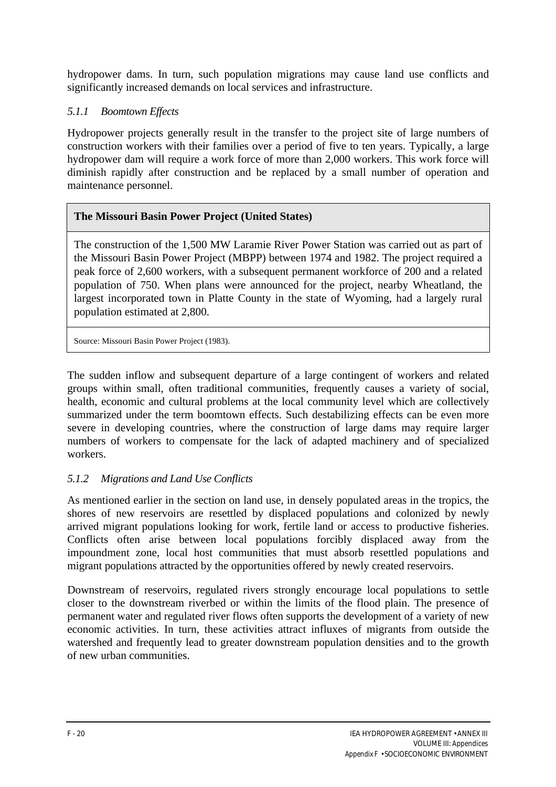hydropower dams. In turn, such population migrations may cause land use conflicts and significantly increased demands on local services and infrastructure.

# *5.1.1 Boomtown Effects*

Hydropower projects generally result in the transfer to the project site of large numbers of construction workers with their families over a period of five to ten years. Typically, a large hydropower dam will require a work force of more than 2,000 workers. This work force will diminish rapidly after construction and be replaced by a small number of operation and maintenance personnel.

# **The Missouri Basin Power Project (United States)**

The construction of the 1,500 MW Laramie River Power Station was carried out as part of the Missouri Basin Power Project (MBPP) between 1974 and 1982. The project required a peak force of 2,600 workers, with a subsequent permanent workforce of 200 and a related population of 750. When plans were announced for the project, nearby Wheatland, the largest incorporated town in Platte County in the state of Wyoming, had a largely rural population estimated at 2,800.

Source: Missouri Basin Power Project (1983).

The sudden inflow and subsequent departure of a large contingent of workers and related groups within small, often traditional communities, frequently causes a variety of social, health, economic and cultural problems at the local community level which are collectively summarized under the term boomtown effects. Such destabilizing effects can be even more severe in developing countries, where the construction of large dams may require larger numbers of workers to compensate for the lack of adapted machinery and of specialized workers.

# *5.1.2 Migrations and Land Use Conflicts*

As mentioned earlier in the section on land use, in densely populated areas in the tropics, the shores of new reservoirs are resettled by displaced populations and colonized by newly arrived migrant populations looking for work, fertile land or access to productive fisheries. Conflicts often arise between local populations forcibly displaced away from the impoundment zone, local host communities that must absorb resettled populations and migrant populations attracted by the opportunities offered by newly created reservoirs.

Downstream of reservoirs, regulated rivers strongly encourage local populations to settle closer to the downstream riverbed or within the limits of the flood plain. The presence of permanent water and regulated river flows often supports the development of a variety of new economic activities. In turn, these activities attract influxes of migrants from outside the watershed and frequently lead to greater downstream population densities and to the growth of new urban communities.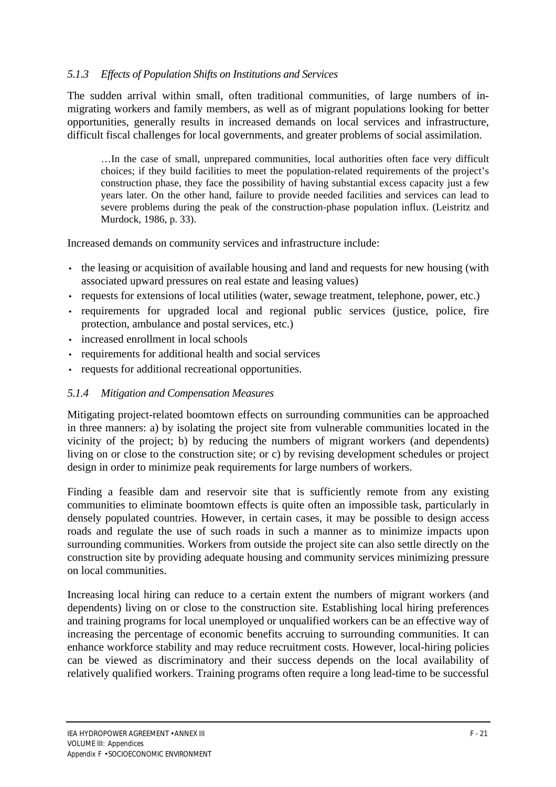#### *5.1.3 Effects of Population Shifts on Institutions and Services*

The sudden arrival within small, often traditional communities, of large numbers of inmigrating workers and family members, as well as of migrant populations looking for better opportunities, generally results in increased demands on local services and infrastructure, difficult fiscal challenges for local governments, and greater problems of social assimilation.

…In the case of small, unprepared communities, local authorities often face very difficult choices; if they build facilities to meet the population-related requirements of the project's construction phase, they face the possibility of having substantial excess capacity just a few years later. On the other hand, failure to provide needed facilities and services can lead to severe problems during the peak of the construction-phase population influx. (Leistritz and Murdock, 1986, p. 33).

Increased demands on community services and infrastructure include:

- the leasing or acquisition of available housing and land and requests for new housing (with associated upward pressures on real estate and leasing values)
- requests for extensions of local utilities (water, sewage treatment, telephone, power, etc.)
- requirements for upgraded local and regional public services (justice, police, fire protection, ambulance and postal services, etc.)
- increased enrollment in local schools
- requirements for additional health and social services
- requests for additional recreational opportunities.

#### *5.1.4 Mitigation and Compensation Measures*

Mitigating project-related boomtown effects on surrounding communities can be approached in three manners: a) by isolating the project site from vulnerable communities located in the vicinity of the project; b) by reducing the numbers of migrant workers (and dependents) living on or close to the construction site; or c) by revising development schedules or project design in order to minimize peak requirements for large numbers of workers.

Finding a feasible dam and reservoir site that is sufficiently remote from any existing communities to eliminate boomtown effects is quite often an impossible task, particularly in densely populated countries. However, in certain cases, it may be possible to design access roads and regulate the use of such roads in such a manner as to minimize impacts upon surrounding communities. Workers from outside the project site can also settle directly on the construction site by providing adequate housing and community services minimizing pressure on local communities.

Increasing local hiring can reduce to a certain extent the numbers of migrant workers (and dependents) living on or close to the construction site. Establishing local hiring preferences and training programs for local unemployed or unqualified workers can be an effective way of increasing the percentage of economic benefits accruing to surrounding communities. It can enhance workforce stability and may reduce recruitment costs. However, local-hiring policies can be viewed as discriminatory and their success depends on the local availability of relatively qualified workers. Training programs often require a long lead-time to be successful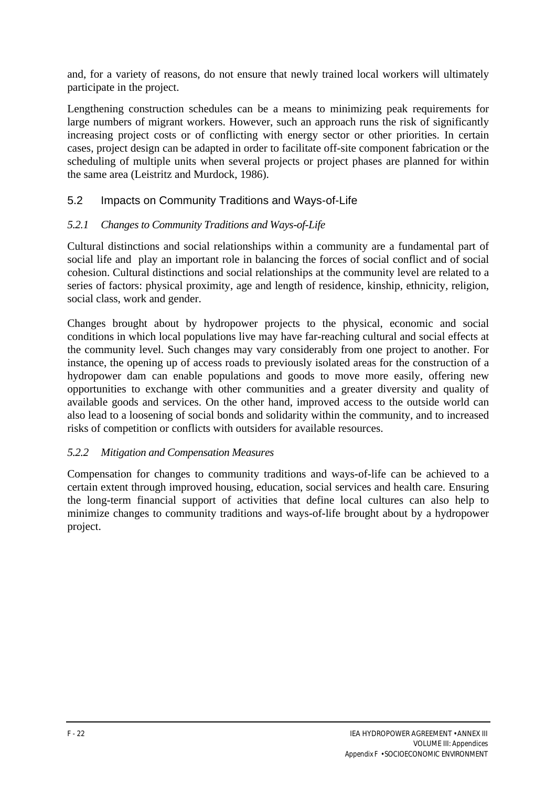and, for a variety of reasons, do not ensure that newly trained local workers will ultimately participate in the project.

Lengthening construction schedules can be a means to minimizing peak requirements for large numbers of migrant workers. However, such an approach runs the risk of significantly increasing project costs or of conflicting with energy sector or other priorities. In certain cases, project design can be adapted in order to facilitate off-site component fabrication or the scheduling of multiple units when several projects or project phases are planned for within the same area (Leistritz and Murdock, 1986).

# 5.2 Impacts on Community Traditions and Ways-of-Life

## *5.2.1 Changes to Community Traditions and Ways-of-Life*

Cultural distinctions and social relationships within a community are a fundamental part of social life and play an important role in balancing the forces of social conflict and of social cohesion. Cultural distinctions and social relationships at the community level are related to a series of factors: physical proximity, age and length of residence, kinship, ethnicity, religion, social class, work and gender.

Changes brought about by hydropower projects to the physical, economic and social conditions in which local populations live may have far-reaching cultural and social effects at the community level. Such changes may vary considerably from one project to another. For instance, the opening up of access roads to previously isolated areas for the construction of a hydropower dam can enable populations and goods to move more easily, offering new opportunities to exchange with other communities and a greater diversity and quality of available goods and services. On the other hand, improved access to the outside world can also lead to a loosening of social bonds and solidarity within the community, and to increased risks of competition or conflicts with outsiders for available resources.

#### *5.2.2 Mitigation and Compensation Measures*

Compensation for changes to community traditions and ways-of-life can be achieved to a certain extent through improved housing, education, social services and health care. Ensuring the long-term financial support of activities that define local cultures can also help to minimize changes to community traditions and ways-of-life brought about by a hydropower project.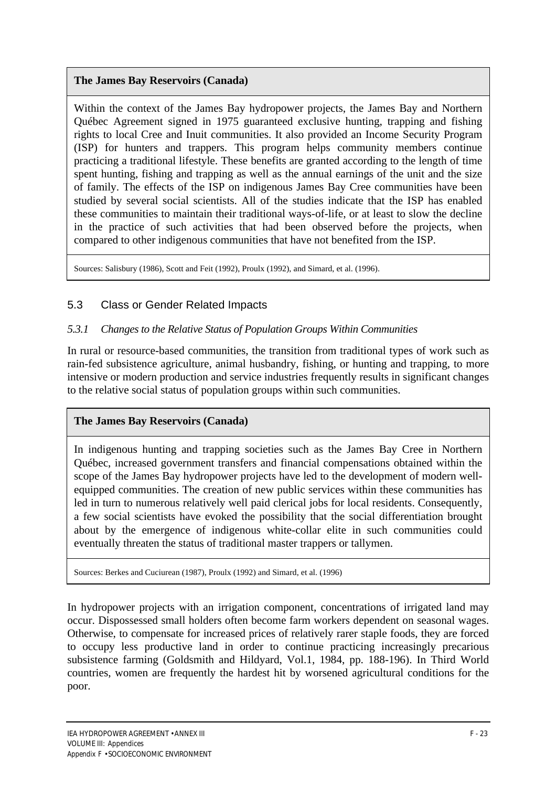# **The James Bay Reservoirs (Canada)**

Within the context of the James Bay hydropower projects, the James Bay and Northern Québec Agreement signed in 1975 guaranteed exclusive hunting, trapping and fishing rights to local Cree and Inuit communities. It also provided an Income Security Program (ISP) for hunters and trappers. This program helps community members continue practicing a traditional lifestyle. These benefits are granted according to the length of time spent hunting, fishing and trapping as well as the annual earnings of the unit and the size of family. The effects of the ISP on indigenous James Bay Cree communities have been studied by several social scientists. All of the studies indicate that the ISP has enabled these communities to maintain their traditional ways-of-life, or at least to slow the decline in the practice of such activities that had been observed before the projects, when compared to other indigenous communities that have not benefited from the ISP.

Sources: Salisbury (1986), Scott and Feit (1992), Proulx (1992), and Simard, et al. (1996).

# 5.3 Class or Gender Related Impacts

#### *5.3.1 Changes to the Relative Status of Population Groups Within Communities*

In rural or resource-based communities, the transition from traditional types of work such as rain-fed subsistence agriculture, animal husbandry, fishing, or hunting and trapping, to more intensive or modern production and service industries frequently results in significant changes to the relative social status of population groups within such communities.

## **The James Bay Reservoirs (Canada)**

In indigenous hunting and trapping societies such as the James Bay Cree in Northern Québec, increased government transfers and financial compensations obtained within the scope of the James Bay hydropower projects have led to the development of modern wellequipped communities. The creation of new public services within these communities has led in turn to numerous relatively well paid clerical jobs for local residents. Consequently, a few social scientists have evoked the possibility that the social differentiation brought about by the emergence of indigenous white-collar elite in such communities could eventually threaten the status of traditional master trappers or tallymen.

Sources: Berkes and Cuciurean (1987), Proulx (1992) and Simard, et al. (1996)

In hydropower projects with an irrigation component, concentrations of irrigated land may occur. Dispossessed small holders often become farm workers dependent on seasonal wages. Otherwise, to compensate for increased prices of relatively rarer staple foods, they are forced to occupy less productive land in order to continue practicing increasingly precarious subsistence farming (Goldsmith and Hildyard, Vol.1, 1984, pp. 188-196). In Third World countries, women are frequently the hardest hit by worsened agricultural conditions for the poor.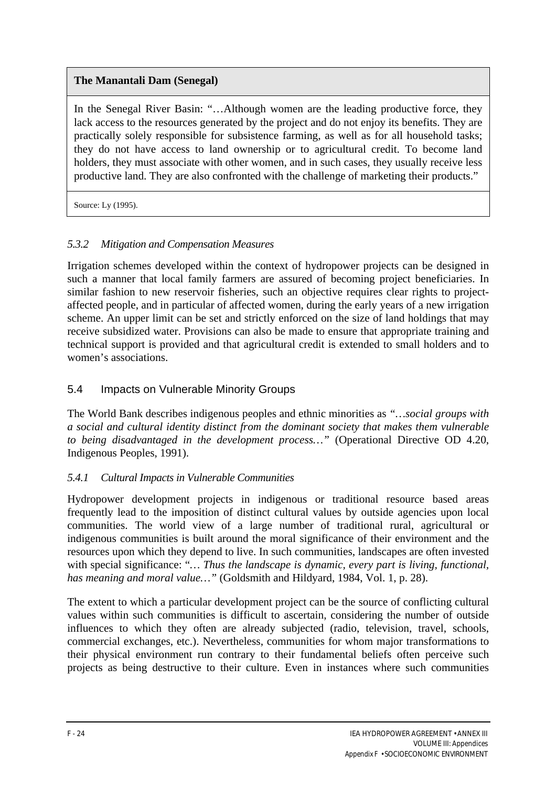# **The Manantali Dam (Senegal)**

In the Senegal River Basin: "...Although women are the leading productive force, they lack access to the resources generated by the project and do not enjoy its benefits. They are practically solely responsible for subsistence farming, as well as for all household tasks; they do not have access to land ownership or to agricultural credit. To become land holders, they must associate with other women, and in such cases, they usually receive less productive land. They are also confronted with the challenge of marketing their products."

Source: Ly (1995).

# *5.3.2 Mitigation and Compensation Measures*

Irrigation schemes developed within the context of hydropower projects can be designed in such a manner that local family farmers are assured of becoming project beneficiaries. In similar fashion to new reservoir fisheries, such an objective requires clear rights to projectaffected people, and in particular of affected women, during the early years of a new irrigation scheme. An upper limit can be set and strictly enforced on the size of land holdings that may receive subsidized water. Provisions can also be made to ensure that appropriate training and technical support is provided and that agricultural credit is extended to small holders and to women's associations.

# 5.4 Impacts on Vulnerable Minority Groups

The World Bank describes indigenous peoples and ethnic minorities as *"…social groups with a social and cultural identity distinct from the dominant society that makes them vulnerable to being disadvantaged in the development process…"* (Operational Directive OD 4.20, Indigenous Peoples, 1991).

## *5.4.1 Cultural Impacts in Vulnerable Communities*

Hydropower development projects in indigenous or traditional resource based areas frequently lead to the imposition of distinct cultural values by outside agencies upon local communities. The world view of a large number of traditional rural, agricultural or indigenous communities is built around the moral significance of their environment and the resources upon which they depend to live. In such communities, landscapes are often invested with special significance: "*… Thus the landscape is dynamic, every part is living, functional, has meaning and moral value…"* (Goldsmith and Hildyard, 1984, Vol. 1, p. 28).

The extent to which a particular development project can be the source of conflicting cultural values within such communities is difficult to ascertain, considering the number of outside influences to which they often are already subjected (radio, television, travel, schools, commercial exchanges, etc.). Nevertheless, communities for whom major transformations to their physical environment run contrary to their fundamental beliefs often perceive such projects as being destructive to their culture. Even in instances where such communities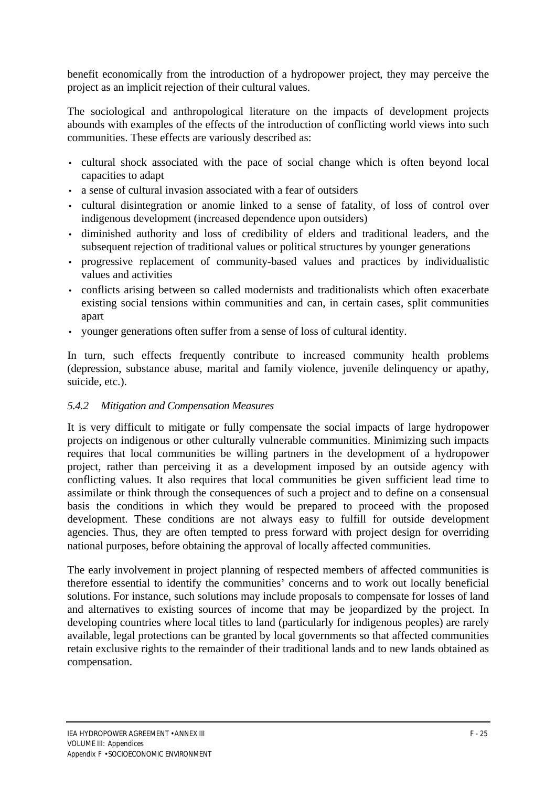benefit economically from the introduction of a hydropower project, they may perceive the project as an implicit rejection of their cultural values.

The sociological and anthropological literature on the impacts of development projects abounds with examples of the effects of the introduction of conflicting world views into such communities. These effects are variously described as:

- cultural shock associated with the pace of social change which is often beyond local capacities to adapt
- a sense of cultural invasion associated with a fear of outsiders
- cultural disintegration or anomie linked to a sense of fatality, of loss of control over indigenous development (increased dependence upon outsiders)
- diminished authority and loss of credibility of elders and traditional leaders, and the subsequent rejection of traditional values or political structures by younger generations
- progressive replacement of community-based values and practices by individualistic values and activities
- conflicts arising between so called modernists and traditionalists which often exacerbate existing social tensions within communities and can, in certain cases, split communities apart
- younger generations often suffer from a sense of loss of cultural identity.

In turn, such effects frequently contribute to increased community health problems (depression, substance abuse, marital and family violence, juvenile delinquency or apathy, suicide, etc.).

## *5.4.2 Mitigation and Compensation Measures*

It is very difficult to mitigate or fully compensate the social impacts of large hydropower projects on indigenous or other culturally vulnerable communities. Minimizing such impacts requires that local communities be willing partners in the development of a hydropower project, rather than perceiving it as a development imposed by an outside agency with conflicting values. It also requires that local communities be given sufficient lead time to assimilate or think through the consequences of such a project and to define on a consensual basis the conditions in which they would be prepared to proceed with the proposed development. These conditions are not always easy to fulfill for outside development agencies. Thus, they are often tempted to press forward with project design for overriding national purposes, before obtaining the approval of locally affected communities.

The early involvement in project planning of respected members of affected communities is therefore essential to identify the communities' concerns and to work out locally beneficial solutions. For instance, such solutions may include proposals to compensate for losses of land and alternatives to existing sources of income that may be jeopardized by the project. In developing countries where local titles to land (particularly for indigenous peoples) are rarely available, legal protections can be granted by local governments so that affected communities retain exclusive rights to the remainder of their traditional lands and to new lands obtained as compensation.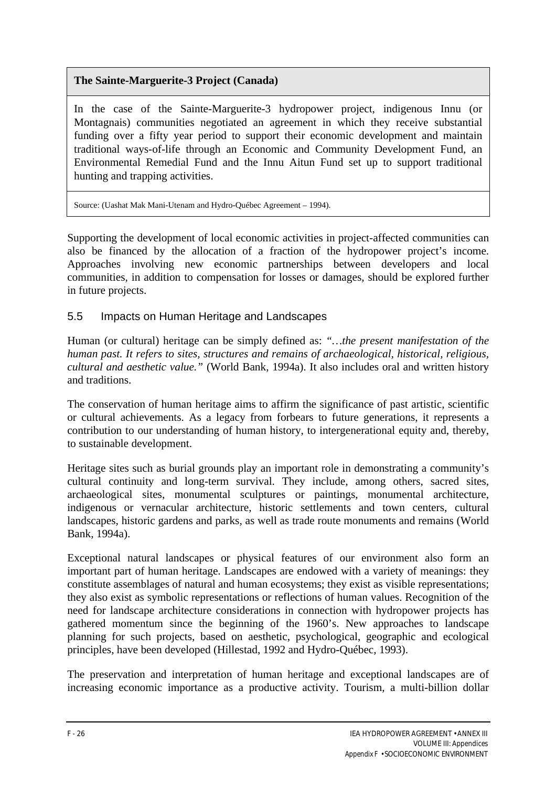# **The Sainte-Marguerite-3 Project (Canada)**

In the case of the Sainte-Marguerite-3 hydropower project, indigenous Innu (or Montagnais) communities negotiated an agreement in which they receive substantial funding over a fifty year period to support their economic development and maintain traditional ways-of-life through an Economic and Community Development Fund, an Environmental Remedial Fund and the Innu Aitun Fund set up to support traditional hunting and trapping activities.

Source: (Uashat Mak Mani-Utenam and Hydro-Québec Agreement – 1994).

Supporting the development of local economic activities in project-affected communities can also be financed by the allocation of a fraction of the hydropower project's income. Approaches involving new economic partnerships between developers and local communities, in addition to compensation for losses or damages, should be explored further in future projects.

## 5.5 Impacts on Human Heritage and Landscapes

Human (or cultural) heritage can be simply defined as: *"…the present manifestation of the human past. It refers to sites, structures and remains of archaeological, historical, religious, cultural and aesthetic value."* (World Bank, 1994a). It also includes oral and written history and traditions.

The conservation of human heritage aims to affirm the significance of past artistic, scientific or cultural achievements. As a legacy from forbears to future generations, it represents a contribution to our understanding of human history, to intergenerational equity and, thereby, to sustainable development.

Heritage sites such as burial grounds play an important role in demonstrating a community's cultural continuity and long-term survival. They include, among others, sacred sites, archaeological sites, monumental sculptures or paintings, monumental architecture, indigenous or vernacular architecture, historic settlements and town centers, cultural landscapes, historic gardens and parks, as well as trade route monuments and remains (World Bank, 1994a).

Exceptional natural landscapes or physical features of our environment also form an important part of human heritage. Landscapes are endowed with a variety of meanings: they constitute assemblages of natural and human ecosystems; they exist as visible representations; they also exist as symbolic representations or reflections of human values. Recognition of the need for landscape architecture considerations in connection with hydropower projects has gathered momentum since the beginning of the 1960's. New approaches to landscape planning for such projects, based on aesthetic, psychological, geographic and ecological principles, have been developed (Hillestad, 1992 and Hydro-Québec, 1993).

The preservation and interpretation of human heritage and exceptional landscapes are of increasing economic importance as a productive activity. Tourism, a multi-billion dollar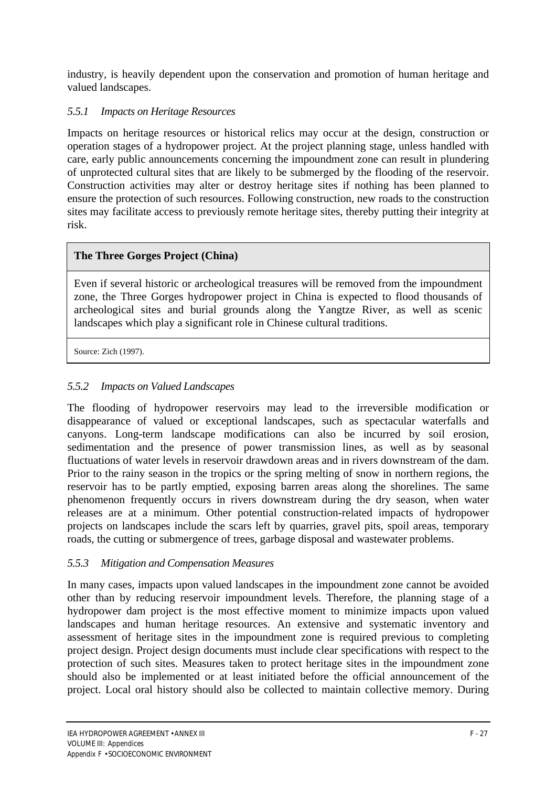industry, is heavily dependent upon the conservation and promotion of human heritage and valued landscapes.

## *5.5.1 Impacts on Heritage Resources*

Impacts on heritage resources or historical relics may occur at the design, construction or operation stages of a hydropower project. At the project planning stage, unless handled with care, early public announcements concerning the impoundment zone can result in plundering of unprotected cultural sites that are likely to be submerged by the flooding of the reservoir. Construction activities may alter or destroy heritage sites if nothing has been planned to ensure the protection of such resources. Following construction, new roads to the construction sites may facilitate access to previously remote heritage sites, thereby putting their integrity at risk.

#### **The Three Gorges Project (China)**

Even if several historic or archeological treasures will be removed from the impoundment zone, the Three Gorges hydropower project in China is expected to flood thousands of archeological sites and burial grounds along the Yangtze River, as well as scenic landscapes which play a significant role in Chinese cultural traditions.

Source: Zich (1997).

#### *5.5.2 Impacts on Valued Landscapes*

The flooding of hydropower reservoirs may lead to the irreversible modification or disappearance of valued or exceptional landscapes, such as spectacular waterfalls and canyons. Long-term landscape modifications can also be incurred by soil erosion, sedimentation and the presence of power transmission lines, as well as by seasonal fluctuations of water levels in reservoir drawdown areas and in rivers downstream of the dam. Prior to the rainy season in the tropics or the spring melting of snow in northern regions, the reservoir has to be partly emptied, exposing barren areas along the shorelines. The same phenomenon frequently occurs in rivers downstream during the dry season, when water releases are at a minimum. Other potential construction-related impacts of hydropower projects on landscapes include the scars left by quarries, gravel pits, spoil areas, temporary roads, the cutting or submergence of trees, garbage disposal and wastewater problems.

#### *5.5.3 Mitigation and Compensation Measures*

In many cases, impacts upon valued landscapes in the impoundment zone cannot be avoided other than by reducing reservoir impoundment levels. Therefore, the planning stage of a hydropower dam project is the most effective moment to minimize impacts upon valued landscapes and human heritage resources. An extensive and systematic inventory and assessment of heritage sites in the impoundment zone is required previous to completing project design. Project design documents must include clear specifications with respect to the protection of such sites. Measures taken to protect heritage sites in the impoundment zone should also be implemented or at least initiated before the official announcement of the project. Local oral history should also be collected to maintain collective memory. During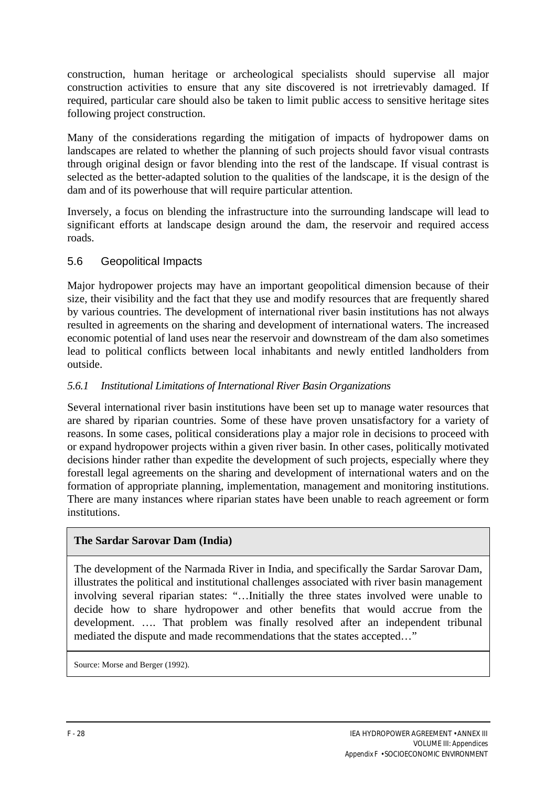construction, human heritage or archeological specialists should supervise all major construction activities to ensure that any site discovered is not irretrievably damaged. If required, particular care should also be taken to limit public access to sensitive heritage sites following project construction.

Many of the considerations regarding the mitigation of impacts of hydropower dams on landscapes are related to whether the planning of such projects should favor visual contrasts through original design or favor blending into the rest of the landscape. If visual contrast is selected as the better-adapted solution to the qualities of the landscape, it is the design of the dam and of its powerhouse that will require particular attention.

Inversely, a focus on blending the infrastructure into the surrounding landscape will lead to significant efforts at landscape design around the dam, the reservoir and required access roads.

#### 5.6 Geopolitical Impacts

Major hydropower projects may have an important geopolitical dimension because of their size, their visibility and the fact that they use and modify resources that are frequently shared by various countries. The development of international river basin institutions has not always resulted in agreements on the sharing and development of international waters. The increased economic potential of land uses near the reservoir and downstream of the dam also sometimes lead to political conflicts between local inhabitants and newly entitled landholders from outside.

#### *5.6.1 Institutional Limitations of International River Basin Organizations*

Several international river basin institutions have been set up to manage water resources that are shared by riparian countries. Some of these have proven unsatisfactory for a variety of reasons. In some cases, political considerations play a major role in decisions to proceed with or expand hydropower projects within a given river basin. In other cases, politically motivated decisions hinder rather than expedite the development of such projects, especially where they forestall legal agreements on the sharing and development of international waters and on the formation of appropriate planning, implementation, management and monitoring institutions. There are many instances where riparian states have been unable to reach agreement or form institutions.

#### **The Sardar Sarovar Dam (India)**

The development of the Narmada River in India, and specifically the Sardar Sarovar Dam, illustrates the political and institutional challenges associated with river basin management involving several riparian states: "…Initially the three states involved were unable to decide how to share hydropower and other benefits that would accrue from the development. …. That problem was finally resolved after an independent tribunal mediated the dispute and made recommendations that the states accepted…"

Source: Morse and Berger (1992).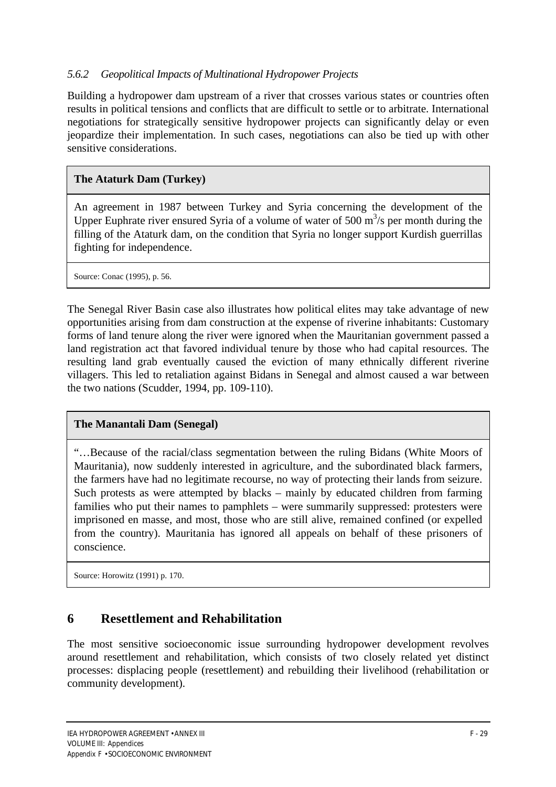## *5.6.2 Geopolitical Impacts of Multinational Hydropower Projects*

Building a hydropower dam upstream of a river that crosses various states or countries often results in political tensions and conflicts that are difficult to settle or to arbitrate. International negotiations for strategically sensitive hydropower projects can significantly delay or even jeopardize their implementation. In such cases, negotiations can also be tied up with other sensitive considerations.

## **The Ataturk Dam (Turkey)**

An agreement in 1987 between Turkey and Syria concerning the development of the Upper Euphrate river ensured Syria of a volume of water of 500  $\text{m}^3\text{/s}$  per month during the filling of the Ataturk dam, on the condition that Syria no longer support Kurdish guerrillas fighting for independence.

Source: Conac (1995), p. 56.

The Senegal River Basin case also illustrates how political elites may take advantage of new opportunities arising from dam construction at the expense of riverine inhabitants: Customary forms of land tenure along the river were ignored when the Mauritanian government passed a land registration act that favored individual tenure by those who had capital resources. The resulting land grab eventually caused the eviction of many ethnically different riverine villagers. This led to retaliation against Bidans in Senegal and almost caused a war between the two nations (Scudder, 1994, pp. 109-110).

#### **The Manantali Dam (Senegal)**

"…Because of the racial/class segmentation between the ruling Bidans (White Moors of Mauritania), now suddenly interested in agriculture, and the subordinated black farmers, the farmers have had no legitimate recourse, no way of protecting their lands from seizure. Such protests as were attempted by blacks – mainly by educated children from farming families who put their names to pamphlets – were summarily suppressed: protesters were imprisoned en masse, and most, those who are still alive, remained confined (or expelled from the country). Mauritania has ignored all appeals on behalf of these prisoners of conscience.

Source: Horowitz (1991) p. 170.

# **6 Resettlement and Rehabilitation**

The most sensitive socioeconomic issue surrounding hydropower development revolves around resettlement and rehabilitation, which consists of two closely related yet distinct processes: displacing people (resettlement) and rebuilding their livelihood (rehabilitation or community development).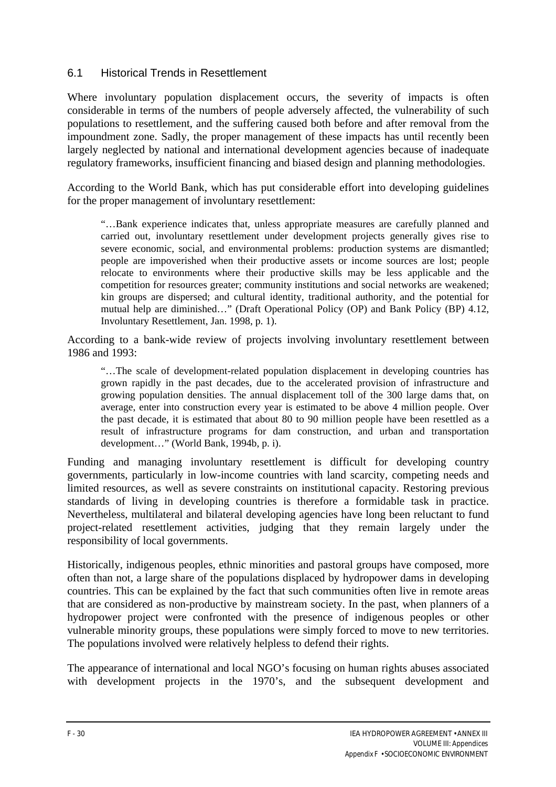#### 6.1 Historical Trends in Resettlement

Where involuntary population displacement occurs, the severity of impacts is often considerable in terms of the numbers of people adversely affected, the vulnerability of such populations to resettlement, and the suffering caused both before and after removal from the impoundment zone. Sadly, the proper management of these impacts has until recently been largely neglected by national and international development agencies because of inadequate regulatory frameworks, insufficient financing and biased design and planning methodologies.

According to the World Bank, which has put considerable effort into developing guidelines for the proper management of involuntary resettlement:

"…Bank experience indicates that, unless appropriate measures are carefully planned and carried out, involuntary resettlement under development projects generally gives rise to severe economic, social, and environmental problems: production systems are dismantled; people are impoverished when their productive assets or income sources are lost; people relocate to environments where their productive skills may be less applicable and the competition for resources greater; community institutions and social networks are weakened; kin groups are dispersed; and cultural identity, traditional authority, and the potential for mutual help are diminished…" (Draft Operational Policy (OP) and Bank Policy (BP) 4.12, Involuntary Resettlement, Jan. 1998, p. 1).

According to a bank-wide review of projects involving involuntary resettlement between 1986 and 1993:

"…The scale of development-related population displacement in developing countries has grown rapidly in the past decades, due to the accelerated provision of infrastructure and growing population densities. The annual displacement toll of the 300 large dams that, on average, enter into construction every year is estimated to be above 4 million people. Over the past decade, it is estimated that about 80 to 90 million people have been resettled as a result of infrastructure programs for dam construction, and urban and transportation development…" (World Bank, 1994b, p. i).

Funding and managing involuntary resettlement is difficult for developing country governments, particularly in low-income countries with land scarcity, competing needs and limited resources, as well as severe constraints on institutional capacity. Restoring previous standards of living in developing countries is therefore a formidable task in practice. Nevertheless, multilateral and bilateral developing agencies have long been reluctant to fund project-related resettlement activities, judging that they remain largely under the responsibility of local governments.

Historically, indigenous peoples, ethnic minorities and pastoral groups have composed, more often than not, a large share of the populations displaced by hydropower dams in developing countries. This can be explained by the fact that such communities often live in remote areas that are considered as non-productive by mainstream society. In the past, when planners of a hydropower project were confronted with the presence of indigenous peoples or other vulnerable minority groups, these populations were simply forced to move to new territories. The populations involved were relatively helpless to defend their rights.

The appearance of international and local NGO's focusing on human rights abuses associated with development projects in the 1970's, and the subsequent development and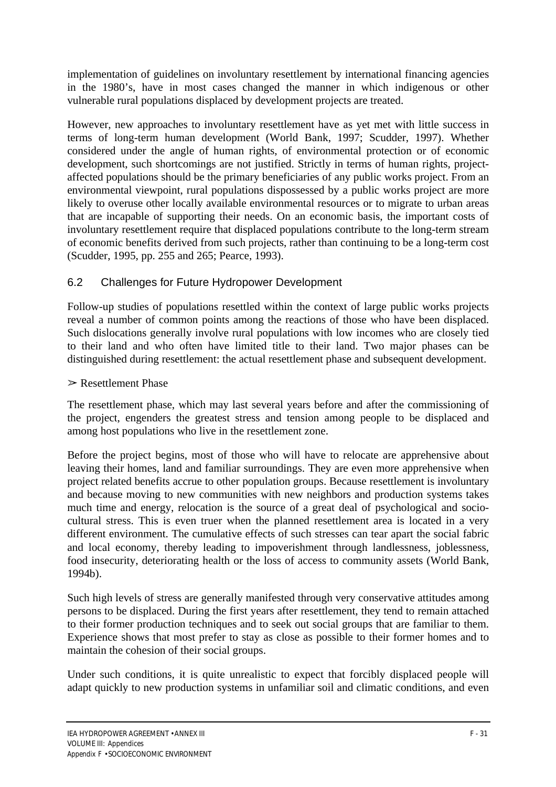implementation of guidelines on involuntary resettlement by international financing agencies in the 1980's, have in most cases changed the manner in which indigenous or other vulnerable rural populations displaced by development projects are treated.

However, new approaches to involuntary resettlement have as yet met with little success in terms of long-term human development (World Bank, 1997; Scudder, 1997). Whether considered under the angle of human rights, of environmental protection or of economic development, such shortcomings are not justified. Strictly in terms of human rights, projectaffected populations should be the primary beneficiaries of any public works project. From an environmental viewpoint, rural populations dispossessed by a public works project are more likely to overuse other locally available environmental resources or to migrate to urban areas that are incapable of supporting their needs. On an economic basis, the important costs of involuntary resettlement require that displaced populations contribute to the long-term stream of economic benefits derived from such projects, rather than continuing to be a long-term cost (Scudder, 1995, pp. 255 and 265; Pearce, 1993).

# 6.2 Challenges for Future Hydropower Development

Follow-up studies of populations resettled within the context of large public works projects reveal a number of common points among the reactions of those who have been displaced. Such dislocations generally involve rural populations with low incomes who are closely tied to their land and who often have limited title to their land. Two major phases can be distinguished during resettlement: the actual resettlement phase and subsequent development.

#### $\triangleright$  Resettlement Phase

The resettlement phase, which may last several years before and after the commissioning of the project, engenders the greatest stress and tension among people to be displaced and among host populations who live in the resettlement zone.

Before the project begins, most of those who will have to relocate are apprehensive about leaving their homes, land and familiar surroundings. They are even more apprehensive when project related benefits accrue to other population groups. Because resettlement is involuntary and because moving to new communities with new neighbors and production systems takes much time and energy, relocation is the source of a great deal of psychological and sociocultural stress. This is even truer when the planned resettlement area is located in a very different environment. The cumulative effects of such stresses can tear apart the social fabric and local economy, thereby leading to impoverishment through landlessness, joblessness, food insecurity, deteriorating health or the loss of access to community assets (World Bank, 1994b).

Such high levels of stress are generally manifested through very conservative attitudes among persons to be displaced. During the first years after resettlement, they tend to remain attached to their former production techniques and to seek out social groups that are familiar to them. Experience shows that most prefer to stay as close as possible to their former homes and to maintain the cohesion of their social groups.

Under such conditions, it is quite unrealistic to expect that forcibly displaced people will adapt quickly to new production systems in unfamiliar soil and climatic conditions, and even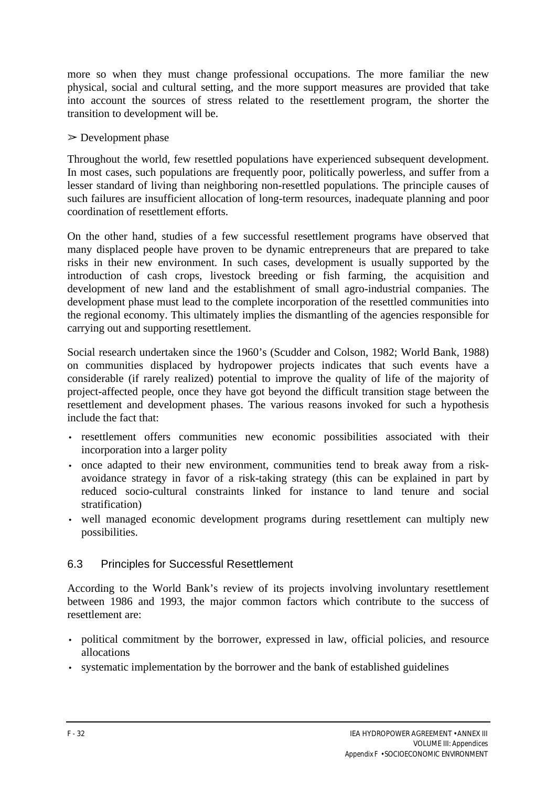more so when they must change professional occupations. The more familiar the new physical, social and cultural setting, and the more support measures are provided that take into account the sources of stress related to the resettlement program, the shorter the transition to development will be.

#### $\triangleright$  Development phase

Throughout the world, few resettled populations have experienced subsequent development. In most cases, such populations are frequently poor, politically powerless, and suffer from a lesser standard of living than neighboring non-resettled populations. The principle causes of such failures are insufficient allocation of long-term resources, inadequate planning and poor coordination of resettlement efforts.

On the other hand, studies of a few successful resettlement programs have observed that many displaced people have proven to be dynamic entrepreneurs that are prepared to take risks in their new environment. In such cases, development is usually supported by the introduction of cash crops, livestock breeding or fish farming, the acquisition and development of new land and the establishment of small agro-industrial companies. The development phase must lead to the complete incorporation of the resettled communities into the regional economy. This ultimately implies the dismantling of the agencies responsible for carrying out and supporting resettlement.

Social research undertaken since the 1960's (Scudder and Colson, 1982; World Bank, 1988) on communities displaced by hydropower projects indicates that such events have a considerable (if rarely realized) potential to improve the quality of life of the majority of project-affected people, once they have got beyond the difficult transition stage between the resettlement and development phases. The various reasons invoked for such a hypothesis include the fact that:

- resettlement offers communities new economic possibilities associated with their incorporation into a larger polity
- once adapted to their new environment, communities tend to break away from a riskavoidance strategy in favor of a risk-taking strategy (this can be explained in part by reduced socio-cultural constraints linked for instance to land tenure and social stratification)
- well managed economic development programs during resettlement can multiply new possibilities.

## 6.3 Principles for Successful Resettlement

According to the World Bank's review of its projects involving involuntary resettlement between 1986 and 1993, the major common factors which contribute to the success of resettlement are:

- political commitment by the borrower, expressed in law, official policies, and resource allocations
- systematic implementation by the borrower and the bank of established guidelines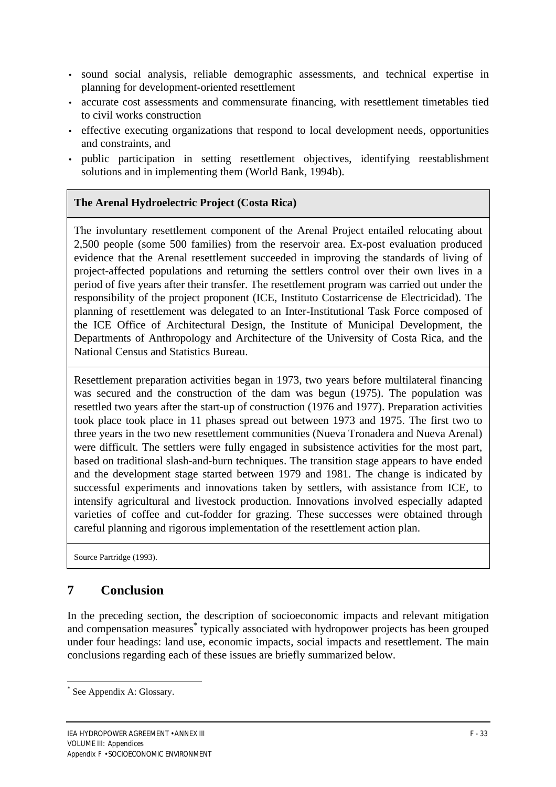- sound social analysis, reliable demographic assessments, and technical expertise in planning for development-oriented resettlement
- accurate cost assessments and commensurate financing, with resettlement timetables tied to civil works construction
- effective executing organizations that respond to local development needs, opportunities and constraints, and
- public participation in setting resettlement objectives, identifying reestablishment solutions and in implementing them (World Bank, 1994b).

#### **The Arenal Hydroelectric Project (Costa Rica)**

The involuntary resettlement component of the Arenal Project entailed relocating about 2,500 people (some 500 families) from the reservoir area. Ex-post evaluation produced evidence that the Arenal resettlement succeeded in improving the standards of living of project-affected populations and returning the settlers control over their own lives in a period of five years after their transfer. The resettlement program was carried out under the responsibility of the project proponent (ICE, Instituto Costarricense de Electricidad). The planning of resettlement was delegated to an Inter-Institutional Task Force composed of the ICE Office of Architectural Design, the Institute of Municipal Development, the Departments of Anthropology and Architecture of the University of Costa Rica, and the National Census and Statistics Bureau.

Resettlement preparation activities began in 1973, two years before multilateral financing was secured and the construction of the dam was begun (1975). The population was resettled two years after the start-up of construction (1976 and 1977). Preparation activities took place took place in 11 phases spread out between 1973 and 1975. The first two to three years in the two new resettlement communities (Nueva Tronadera and Nueva Arenal) were difficult. The settlers were fully engaged in subsistence activities for the most part, based on traditional slash-and-burn techniques. The transition stage appears to have ended and the development stage started between 1979 and 1981. The change is indicated by successful experiments and innovations taken by settlers, with assistance from ICE, to intensify agricultural and livestock production. Innovations involved especially adapted varieties of coffee and cut-fodder for grazing. These successes were obtained through careful planning and rigorous implementation of the resettlement action plan.

Source Partridge (1993).

# **7 Conclusion**

In the preceding section, the description of socioeconomic impacts and relevant mitigation and compensation measures<sup>\*</sup> typically associated with hydropower projects has been grouped under four headings: land use, economic impacts, social impacts and resettlement. The main conclusions regarding each of these issues are briefly summarized below.

 $\overline{a}$ 

<sup>\*</sup> See Appendix A: Glossary.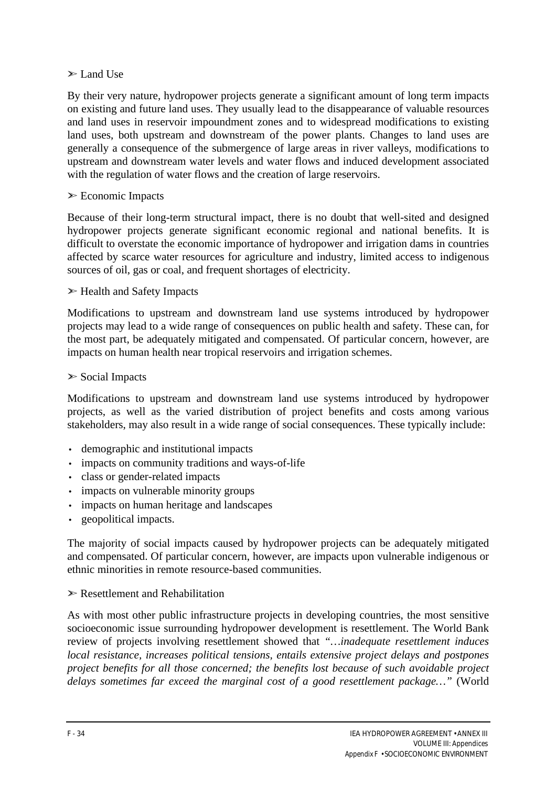#### $\triangleright$  Land Use

By their very nature, hydropower projects generate a significant amount of long term impacts on existing and future land uses. They usually lead to the disappearance of valuable resources and land uses in reservoir impoundment zones and to widespread modifications to existing land uses, both upstream and downstream of the power plants. Changes to land uses are generally a consequence of the submergence of large areas in river valleys, modifications to upstream and downstream water levels and water flows and induced development associated with the regulation of water flows and the creation of large reservoirs.

#### $\triangleright$  Economic Impacts

Because of their long-term structural impact, there is no doubt that well-sited and designed hydropower projects generate significant economic regional and national benefits. It is difficult to overstate the economic importance of hydropower and irrigation dams in countries affected by scarce water resources for agriculture and industry, limited access to indigenous sources of oil, gas or coal, and frequent shortages of electricity.

#### $\triangleright$  Health and Safety Impacts

Modifications to upstream and downstream land use systems introduced by hydropower projects may lead to a wide range of consequences on public health and safety. These can, for the most part, be adequately mitigated and compensated. Of particular concern, however, are impacts on human health near tropical reservoirs and irrigation schemes.

#### $\triangleright$  Social Impacts

Modifications to upstream and downstream land use systems introduced by hydropower projects, as well as the varied distribution of project benefits and costs among various stakeholders, may also result in a wide range of social consequences. These typically include:

- demographic and institutional impacts
- impacts on community traditions and ways-of-life
- class or gender-related impacts
- impacts on vulnerable minority groups
- impacts on human heritage and landscapes
- geopolitical impacts.

The majority of social impacts caused by hydropower projects can be adequately mitigated and compensated. Of particular concern, however, are impacts upon vulnerable indigenous or ethnic minorities in remote resource-based communities.

#### $\triangleright$  Resettlement and Rehabilitation

As with most other public infrastructure projects in developing countries, the most sensitive socioeconomic issue surrounding hydropower development is resettlement. The World Bank review of projects involving resettlement showed that *"…inadequate resettlement induces local resistance, increases political tensions, entails extensive project delays and postpones project benefits for all those concerned; the benefits lost because of such avoidable project delays sometimes far exceed the marginal cost of a good resettlement package…"* (World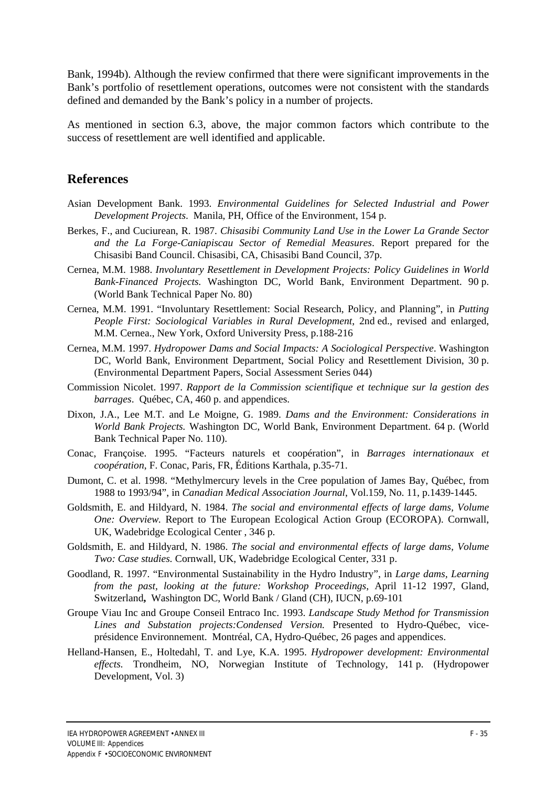Bank, 1994b). Although the review confirmed that there were significant improvements in the Bank's portfolio of resettlement operations, outcomes were not consistent with the standards defined and demanded by the Bank's policy in a number of projects.

As mentioned in section 6.3, above, the major common factors which contribute to the success of resettlement are well identified and applicable.

## **References**

- Asian Development Bank. 1993. *Environmental Guidelines for Selected Industrial and Power Development Projects*. Manila, PH, Office of the Environment, 154 p.
- Berkes, F., and Cuciurean, R. 1987. *Chisasibi Community Land Use in the Lower La Grande Sector and the La Forge-Caniapiscau Sector of Remedial Measures*. Report prepared for the Chisasibi Band Council. Chisasibi, CA, Chisasibi Band Council, 37p.
- Cernea, M.M. 1988. *Involuntary Resettlement in Development Projects: Policy Guidelines in World Bank-Financed Projects.* Washington DC, World Bank, Environment Department. 90 p. (World Bank Technical Paper No. 80)
- Cernea, M.M. 1991. "Involuntary Resettlement: Social Research, Policy, and Planning", in *Putting People First: Sociological Variables in Rural Development*, 2nd ed., revised and enlarged, M.M. Cernea., New York, Oxford University Press, p.188-216
- Cernea, M.M. 1997. *Hydropower Dams and Social Impacts: A Sociological Perspective*. Washington DC, World Bank, Environment Department, Social Policy and Resettlement Division, 30 p. (Environmental Department Papers, Social Assessment Series 044)
- Commission Nicolet. 1997. *Rapport de la Commission scientifique et technique sur la gestion des barrages*. Québec, CA, 460 p. and appendices.
- Dixon, J.A., Lee M.T. and Le Moigne, G. 1989. *Dams and the Environment: Considerations in World Bank Projects.* Washington DC, World Bank, Environment Department. 64 p. (World Bank Technical Paper No. 110).
- Conac, Françoise. 1995. "Facteurs naturels et coopération", in *Barrages internationaux et coopération*, F. Conac, Paris, FR, Éditions Karthala, p.35-71.
- Dumont, C. et al. 1998. "Methylmercury levels in the Cree population of James Bay, Québec, from 1988 to 1993/94", in *Canadian Medical Association Journal*, Vol.159, No. 11, p.1439-1445.
- Goldsmith, E. and Hildyard, N. 1984. *The social and environmental effects of large dams, Volume One: Overview.* Report to The European Ecological Action Group (ECOROPA). Cornwall, UK, Wadebridge Ecological Center , 346 p.
- Goldsmith, E. and Hildyard, N. 1986. *The social and environmental effects of large dams, Volume Two: Case studies.* Cornwall, UK, Wadebridge Ecological Center, 331 p.
- Goodland, R. 1997. "Environmental Sustainability in the Hydro Industry", in *Large dams, Learning from the past, looking at the future: Workshop Proceedings*, April 11-12 1997, Gland, Switzerland**,** Washington DC, World Bank / Gland (CH), IUCN, p.69-101
- Groupe Viau Inc and Groupe Conseil Entraco Inc. 1993. *Landscape Study Method for Transmission Lines and Substation projects:Condensed Version.* Presented to Hydro-Québec, viceprésidence Environnement. Montréal, CA, Hydro-Québec, 26 pages and appendices.
- Helland-Hansen, E., Holtedahl, T. and Lye, K.A. 1995. *Hydropower development: Environmental effects.* Trondheim, NO, Norwegian Institute of Technology, 141 p. (Hydropower Development, Vol. 3)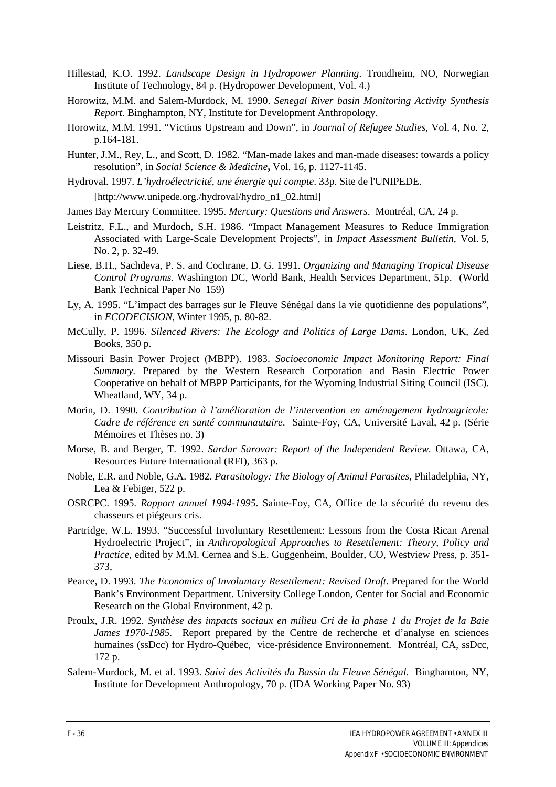- Hillestad, K.O. 1992. *Landscape Design in Hydropower Planning*. Trondheim, NO, Norwegian Institute of Technology, 84 p. (Hydropower Development, Vol. 4.)
- Horowitz, M.M. and Salem-Murdock, M. 1990. *Senegal River basin Monitoring Activity Synthesis Report*. Binghampton, NY, Institute for Development Anthropology.
- Horowitz, M.M. 1991. "Victims Upstream and Down", in *Journal of Refugee Studies*, Vol. 4, No. 2, p.164-181.
- Hunter, J.M., Rey, L., and Scott, D. 1982. "Man-made lakes and man-made diseases: towards a policy resolution", in *Social Science & Medicine***,** Vol. 16, p. 1127-1145.
- Hydroval. 1997. *L'hydroélectricité, une énergie qui compte*. 33p. Site de l'UNIPEDE. [http://www.unipede.org./hydroval/hydro\_n1\_02.html]
- James Bay Mercury Committee. 1995. *Mercury: Questions and Answers*. Montréal, CA, 24 p.
- Leistritz, F.L., and Murdoch, S.H. 1986. "Impact Management Measures to Reduce Immigration Associated with Large-Scale Development Projects", in *Impact Assessment Bulletin*, Vol. 5, No. 2, p. 32-49.
- Liese, B.H., Sachdeva, P. S. and Cochrane, D. G. 1991. *Organizing and Managing Tropical Disease Control Programs*. Washington DC, World Bank, Health Services Department, 51p. (World Bank Technical Paper No 159)
- Ly, A. 1995. "L'impact des barrages sur le Fleuve Sénégal dans la vie quotidienne des populations", in *ECODECISION*, Winter 1995, p. 80-82.
- McCully, P. 1996. *Silenced Rivers: The Ecology and Politics of Large Dams*. London, UK, Zed Books, 350 p.
- Missouri Basin Power Project (MBPP). 1983. *Socioeconomic Impact Monitoring Report: Final Summary.* Prepared by the Western Research Corporation and Basin Electric Power Cooperative on behalf of MBPP Participants, for the Wyoming Industrial Siting Council (ISC). Wheatland, WY, 34 p.
- Morin, D. 1990. *Contribution à l'amélioration de l'intervention en aménagement hydroagricole: Cadre de référence en santé communautaire*. Sainte-Foy, CA, Université Laval, 42 p. (Série Mémoires et Thèses no. 3)
- Morse, B. and Berger, T. 1992. *Sardar Sarovar: Report of the Independent Review.* Ottawa, CA, Resources Future International (RFI), 363 p.
- Noble, E.R. and Noble, G.A. 1982. *Parasitology: The Biology of Animal Parasites*, Philadelphia, NY, Lea & Febiger, 522 p.
- OSRCPC. 1995. *Rapport annuel 1994-1995*. Sainte-Foy, CA, Office de la sécurité du revenu des chasseurs et piégeurs cris.
- Partridge, W.L. 1993. "Successful Involuntary Resettlement: Lessons from the Costa Rican Arenal Hydroelectric Project"*,* in *Anthropological Approaches to Resettlement: Theory, Policy and Practice*, edited by M.M. Cernea and S.E. Guggenheim, Boulder, CO, Westview Press, p. 351- 373,
- Pearce, D. 1993. *The Economics of Involuntary Resettlement: Revised Draft.* Prepared for the World Bank's Environment Department. University College London, Center for Social and Economic Research on the Global Environment, 42 p.
- Proulx, J.R. 1992. *Synthèse des impacts sociaux en milieu Cri de la phase 1 du Projet de la Baie James 1970-1985.* Report prepared by the Centre de recherche et d'analyse en sciences humaines (ssDcc) for Hydro-Québec, vice-présidence Environnement. Montréal, CA, ssDcc, 172 p.
- Salem-Murdock, M. et al. 1993. *Suivi des Activités du Bassin du Fleuve Sénégal*. Binghamton, NY, Institute for Development Anthropology, 70 p. (IDA Working Paper No. 93)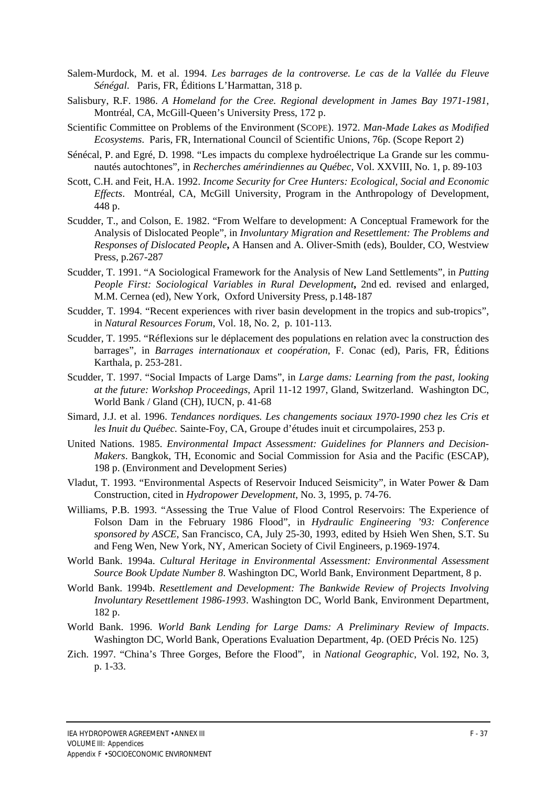- Salem-Murdock, M. et al. 1994. *Les barrages de la controverse. Le cas de la Vallée du Fleuve Sénégal*. Paris, FR, Éditions L'Harmattan, 318 p.
- Salisbury, R.F. 1986. *A Homeland for the Cree. Regional development in James Bay 1971-1981*, Montréal, CA, McGill-Queen's University Press, 172 p.
- Scientific Committee on Problems of the Environment (SCOPE). 1972. *Man-Made Lakes as Modified Ecosystems*. Paris, FR, International Council of Scientific Unions, 76p. (Scope Report 2)
- Sénécal, P. and Egré, D. 1998. "Les impacts du complexe hydroélectrique La Grande sur les communautés autochtones"*,* in *Recherches amérindiennes au Québec*, Vol. XXVIII, No. 1, p. 89-103
- Scott, C.H. and Feit, H.A. 1992. *Income Security for Cree Hunters: Ecological, Social and Economic Effects*. Montréal, CA, McGill University, Program in the Anthropology of Development, 448 p.
- Scudder, T., and Colson, E. 1982. "From Welfare to development: A Conceptual Framework for the Analysis of Dislocated People", in *Involuntary Migration and Resettlement: The Problems and Responses of Dislocated People***,** A Hansen and A. Oliver-Smith (eds), Boulder, CO, Westview Press, p.267-287
- Scudder, T. 1991. "A Sociological Framework for the Analysis of New Land Settlements", in *Putting People First: Sociological Variables in Rural Development***,** 2nd ed. revised and enlarged, M.M. Cernea (ed), New York, Oxford University Press, p.148-187
- Scudder, T. 1994. "Recent experiences with river basin development in the tropics and sub-tropics", in *Natural Resources Forum*, Vol. 18, No. 2, p. 101-113.
- Scudder, T. 1995. "Réflexions sur le déplacement des populations en relation avec la construction des barrages"*,* in *Barrages internationaux et coopération*, F. Conac (ed), Paris, FR, Éditions Karthala, p. 253-281.
- Scudder, T. 1997. "Social Impacts of Large Dams", in *Large dams: Learning from the past, looking at the future: Workshop Proceedings*, April 11-12 1997, Gland, Switzerland. Washington DC, World Bank / Gland (CH), IUCN, p. 41-68
- Simard, J.J. et al. 1996. *Tendances nordiques. Les changements sociaux 1970-1990 chez les Cris et les Inuit du Québec.* Sainte-Foy, CA*,* Groupe d'études inuit et circumpolaires, 253 p.
- United Nations. 1985. *Environmental Impact Assessment: Guidelines for Planners and Decision-Makers*. Bangkok, TH, Economic and Social Commission for Asia and the Pacific (ESCAP), 198 p. (Environment and Development Series)
- Vladut, T. 1993. "Environmental Aspects of Reservoir Induced Seismicity", in Water Power & Dam Construction, cited in *Hydropower Development*, No. 3, 1995, p. 74-76.
- Williams, P.B. 1993. "Assessing the True Value of Flood Control Reservoirs: The Experience of Folson Dam in the February 1986 Flood"*,* in *Hydraulic Engineering '93: Conference sponsored by ASCE*, San Francisco, CA, July 25-30, 1993, edited by Hsieh Wen Shen, S.T. Su and Feng Wen, New York, NY, American Society of Civil Engineers, p.1969-1974.
- World Bank. 1994a. *Cultural Heritage in Environmental Assessment: Environmental Assessment Source Book Update Number 8*. Washington DC, World Bank, Environment Department, 8 p.
- World Bank. 1994b. *Resettlement and Development: The Bankwide Review of Projects Involving Involuntary Resettlement 1986-1993*. Washington DC, World Bank, Environment Department, 182 p.
- World Bank. 1996. *World Bank Lending for Large Dams: A Preliminary Review of Impacts*. Washington DC, World Bank, Operations Evaluation Department, 4p. (OED Précis No. 125)
- Zich. 1997. "China's Three Gorges, Before the Flood", in *National Geographic*, Vol. 192, No. 3, p. 1-33.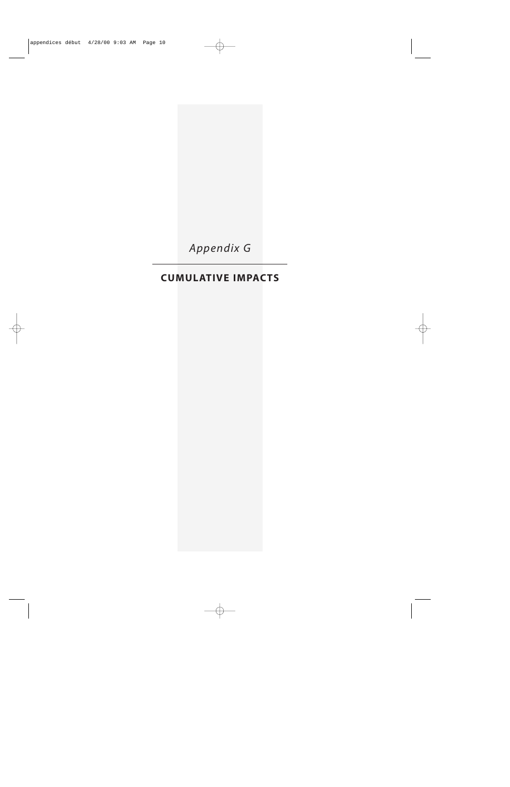*Appendix G*

# **CUMULATIVE IMPACTS**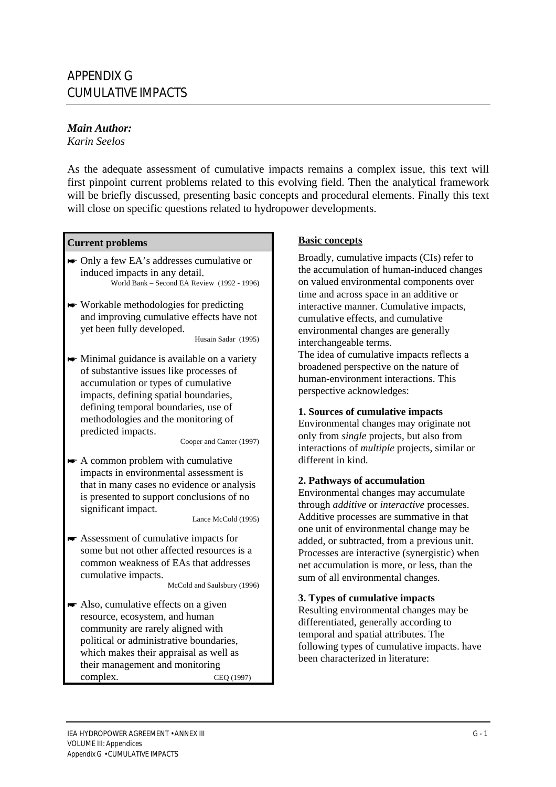#### *Main Author:*

*Karin Seelos*

As the adequate assessment of cumulative impacts remains a complex issue, this text will first pinpoint current problems related to this evolving field. Then the analytical framework will be briefly discussed, presenting basic concepts and procedural elements. Finally this text will close on specific questions related to hydropower developments.

## **Current problems Basic concepts**

- Only a few EA's addresses cumulative or induced impacts in any detail. World Bank – Second EA Review (1992 - 1996)
- $\blacktriangleright$  Workable methodologies for predicting and improving cumulative effects have not yet been fully developed.

Husain Sadar (1995)

 $\blacktriangleright$  Minimal guidance is available on a variety of substantive issues like processes of accumulation or types of cumulative impacts, defining spatial boundaries, defining temporal boundaries, use of methodologies and the monitoring of predicted impacts.

Cooper and Canter (1997)

 $\blacktriangleright$  A common problem with cumulative impacts in environmental assessment is that in many cases no evidence or analysis is presented to support conclusions of no significant impact.

Lance McCold (1995)

 $\blacktriangleright$  Assessment of cumulative impacts for some but not other affected resources is a common weakness of EAs that addresses cumulative impacts.

McCold and Saulsbury (1996)

 $\blacktriangleright$  Also, cumulative effects on a given resource, ecosystem, and human community are rarely aligned with political or administrative boundaries, which makes their appraisal as well as their management and monitoring complex. CEQ (1997)

Broadly, cumulative impacts (CIs) refer to the accumulation of human-induced changes on valued environmental components over time and across space in an additive or interactive manner. Cumulative impacts, cumulative effects, and cumulative environmental changes are generally interchangeable terms.

The idea of cumulative impacts reflects a broadened perspective on the nature of human-environment interactions. This perspective acknowledges:

#### **1. Sources of cumulative impacts**

Environmental changes may originate not only from *single* projects, but also from interactions of *multiple* projects, similar or different in kind.

#### **2. Pathways of accumulation**

Environmental changes may accumulate through *additive* or *interactive* processes. Additive processes are summative in that one unit of environmental change may be added, or subtracted, from a previous unit. Processes are interactive (synergistic) when net accumulation is more, or less, than the sum of all environmental changes.

#### **3. Types of cumulative impacts**

Resulting environmental changes may be differentiated, generally according to temporal and spatial attributes. The following types of cumulative impacts. have been characterized in literature: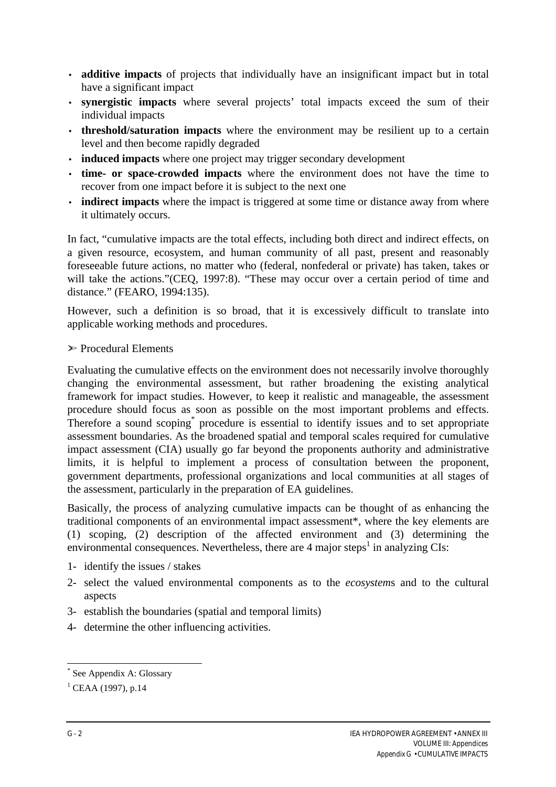- **additive impacts** of projects that individually have an insignificant impact but in total have a significant impact
- **synergistic impacts** where several projects' total impacts exceed the sum of their individual impacts
- **threshold/saturation impacts** where the environment may be resilient up to a certain level and then become rapidly degraded
- **induced impacts** where one project may trigger secondary development
- **time- or space-crowded impacts** where the environment does not have the time to recover from one impact before it is subject to the next one
- **indirect impacts** where the impact is triggered at some time or distance away from where it ultimately occurs.

In fact, "cumulative impacts are the total effects, including both direct and indirect effects, on a given resource, ecosystem, and human community of all past, present and reasonably foreseeable future actions, no matter who (federal, nonfederal or private) has taken, takes or will take the actions."(CEQ, 1997:8). "These may occur over a certain period of time and distance." (FEARO, 1994:135).

However, such a definition is so broad, that it is excessively difficult to translate into applicable working methods and procedures.

#### $\triangleright$  Procedural Elements

Evaluating the cumulative effects on the environment does not necessarily involve thoroughly changing the environmental assessment, but rather broadening the existing analytical framework for impact studies. However, to keep it realistic and manageable, the assessment procedure should focus as soon as possible on the most important problems and effects. Therefore a sound scoping<sup>\*</sup> procedure is essential to identify issues and to set appropriate assessment boundaries. As the broadened spatial and temporal scales required for cumulative impact assessment (CIA) usually go far beyond the proponents authority and administrative limits, it is helpful to implement a process of consultation between the proponent, government departments, professional organizations and local communities at all stages of the assessment, particularly in the preparation of EA guidelines.

Basically, the process of analyzing cumulative impacts can be thought of as enhancing the traditional components of an environmental impact assessment\*, where the key elements are (1) scoping, (2) description of the affected environment and (3) determining the environmental consequences. Nevertheless, there are 4 major steps<sup>1</sup> in analyzing CIs:

- 1- identify the issues / stakes
- 2- select the valued environmental components as to the *ecosystem*s and to the cultural aspects
- 3- establish the boundaries (spatial and temporal limits)
- 4- determine the other influencing activities.

 \* See Appendix A: Glossary

 $^{1}$  CEAA (1997), p.14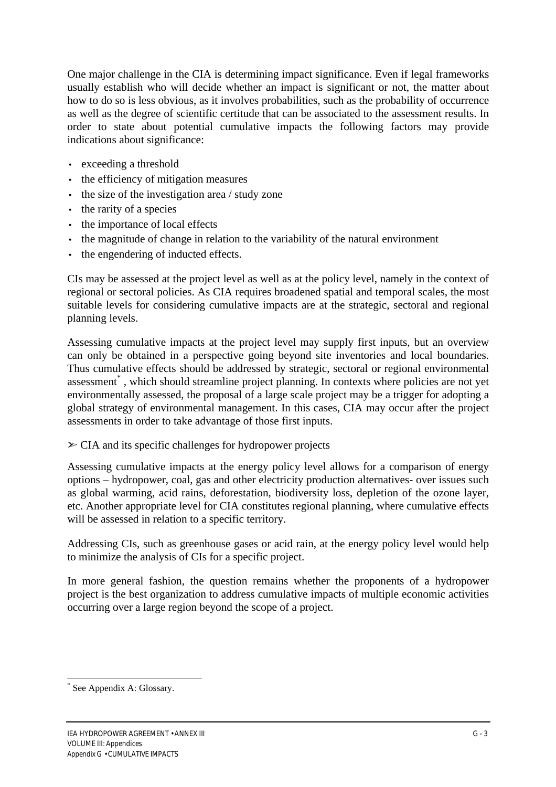One major challenge in the CIA is determining impact significance. Even if legal frameworks usually establish who will decide whether an impact is significant or not, the matter about how to do so is less obvious, as it involves probabilities, such as the probability of occurrence as well as the degree of scientific certitude that can be associated to the assessment results. In order to state about potential cumulative impacts the following factors may provide indications about significance:

- exceeding a threshold
- the efficiency of mitigation measures
- the size of the investigation area / study zone
- the rarity of a species
- the importance of local effects
- the magnitude of change in relation to the variability of the natural environment
- the engendering of inducted effects.

CIs may be assessed at the project level as well as at the policy level, namely in the context of regional or sectoral policies. As CIA requires broadened spatial and temporal scales, the most suitable levels for considering cumulative impacts are at the strategic, sectoral and regional planning levels.

Assessing cumulative impacts at the project level may supply first inputs, but an overview can only be obtained in a perspective going beyond site inventories and local boundaries. Thus cumulative effects should be addressed by strategic, sectoral or regional environmental assessment<sup>\*</sup>, which should streamline project planning. In contexts where policies are not yet environmentally assessed, the proposal of a large scale project may be a trigger for adopting a global strategy of environmental management. In this cases, CIA may occur after the project assessments in order to take advantage of those first inputs.

## $\geq$  CIA and its specific challenges for hydropower projects

Assessing cumulative impacts at the energy policy level allows for a comparison of energy options – hydropower, coal, gas and other electricity production alternatives- over issues such as global warming, acid rains, deforestation, biodiversity loss, depletion of the ozone layer, etc. Another appropriate level for CIA constitutes regional planning, where cumulative effects will be assessed in relation to a specific territory.

Addressing CIs, such as greenhouse gases or acid rain, at the energy policy level would help to minimize the analysis of CIs for a specific project.

In more general fashion, the question remains whether the proponents of a hydropower project is the best organization to address cumulative impacts of multiple economic activities occurring over a large region beyond the scope of a project.

 $\overline{a}$ 

<sup>\*</sup> See Appendix A: Glossary.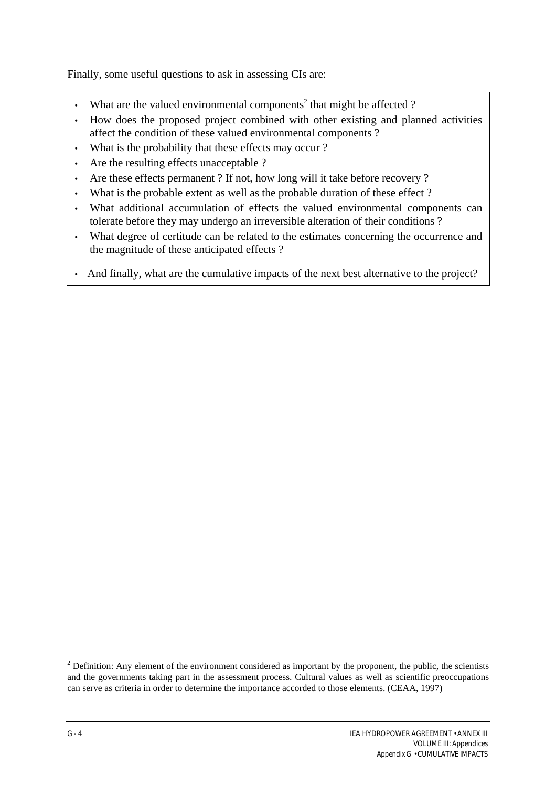Finally, some useful questions to ask in assessing CIs are:

- What are the valued environmental components<sup>2</sup> that might be affected ?
- How does the proposed project combined with other existing and planned activities affect the condition of these valued environmental components ?
- What is the probability that these effects may occur?
- Are the resulting effects unacceptable ?
- Are these effects permanent ? If not, how long will it take before recovery ?
- What is the probable extent as well as the probable duration of these effect?
- What additional accumulation of effects the valued environmental components can tolerate before they may undergo an irreversible alteration of their conditions ?
- What degree of certitude can be related to the estimates concerning the occurrence and the magnitude of these anticipated effects ?
- And finally, what are the cumulative impacts of the next best alternative to the project?

 $\overline{a}$ 

 $2^{2}$  Definition: Any element of the environment considered as important by the proponent, the public, the scientists and the governments taking part in the assessment process. Cultural values as well as scientific preoccupations can serve as criteria in order to determine the importance accorded to those elements. (CEAA, 1997)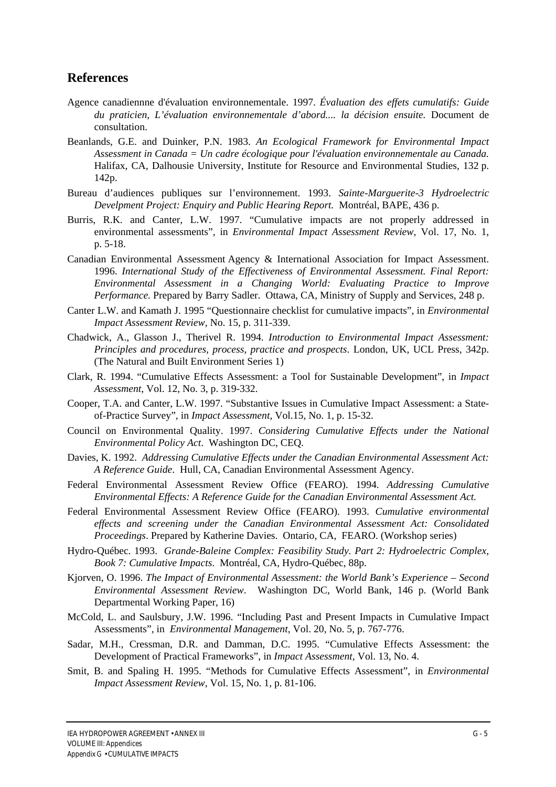#### **References**

- Agence canadiennne d'évaluation environnementale. 1997. *Évaluation des effets cumulatifs: Guide du praticien, L'évaluation environnementale d'abord.... la décision ensuite.* Document de consultation.
- Beanlands, G.E. and Duinker, P.N. 1983. *An Ecological Framework for Environmental Impact Assessment in Canada = Un cadre écologique pour l'évaluation environnementale au Canada.* Halifax, CA, Dalhousie University, Institute for Resource and Environmental Studies, 132 p. 142p.
- Bureau d'audiences publiques sur l'environnement. 1993. *Sainte-Marguerite-3 Hydroelectric Develpment Project: Enquiry and Public Hearing Report.* Montréal, BAPE, 436 p.
- Burris, R.K. and Canter, L.W. 1997. "Cumulative impacts are not properly addressed in environmental assessments", in *Environmental Impact Assessment Review*, Vol. 17, No. 1, p. 5-18.
- Canadian Environmental Assessment Agency & International Association for Impact Assessment. 1996. *International Study of the Effectiveness of Environmental Assessment. Final Report: Environmental Assessment in a Changing World: Evaluating Practice to Improve Performance.* Prepared by Barry Sadler. Ottawa, CA, Ministry of Supply and Services, 248 p.
- Canter L.W. and Kamath J. 1995 "Questionnaire checklist for cumulative impacts", in *Environmental Impact Assessment Review*, No. 15, p. 311-339.
- Chadwick, A., Glasson J., Therivel R. 1994. *Introduction to Environmental Impact Assessment: Principles and procedures, process, practice and prospects*. London, UK, UCL Press, 342p. (The Natural and Built Environment Series 1)
- Clark, R. 1994. "Cumulative Effects Assessment: a Tool for Sustainable Development", in *Impact Assessment*, Vol. 12, No. 3, p. 319-332.
- Cooper, T.A. and Canter, L.W. 1997. "Substantive Issues in Cumulative Impact Assessment: a Stateof-Practice Survey"*,* in *Impact Assessment*, Vol.15, No. 1, p. 15-32.
- Council on Environmental Quality. 1997. *Considering Cumulative Effects under the National Environmental Policy Act*. Washington DC, CEQ.
- Davies, K. 1992. *Addressing Cumulative Effects under the Canadian Environmental Assessment Act: A Reference Guide*. Hull, CA, Canadian Environmental Assessment Agency.
- Federal Environmental Assessment Review Office (FEARO). 1994. *Addressing Cumulative Environmental Effects: A Reference Guide for the Canadian Environmental Assessment Act.*
- Federal Environmental Assessment Review Office (FEARO). 1993. *Cumulative environmental effects and screening under the Canadian Environmental Assessment Act: Consolidated Proceedings*. Prepared by Katherine Davies. Ontario, CA, FEARO. (Workshop series)
- Hydro-Québec. 1993. *Grande-Baleine Complex: Feasibility Study. Part 2: Hydroelectric Complex, Book 7: Cumulative Impacts*. Montréal, CA, Hydro-Québec, 88p.
- Kjorven, O. 1996. *The Impact of Environmental Assessment: the World Bank's Experience Second Environmental Assessment Review*. Washington DC, World Bank, 146 p. (World Bank Departmental Working Paper, 16)
- McCold, L. and Saulsbury, J.W. 1996. "Including Past and Present Impacts in Cumulative Impact Assessments"*,* in *Environmental Management*, Vol. 20, No. 5, p. 767-776.
- Sadar, M.H., Cressman, D.R. and Damman, D.C. 1995. "Cumulative Effects Assessment: the Development of Practical Frameworks", in *Impact Assessment*, Vol. 13, No. 4.
- Smit, B. and Spaling H. 1995. "Methods for Cumulative Effects Assessment", in *Environmental Impact Assessment Review*, Vol. 15, No. 1, p. 81-106.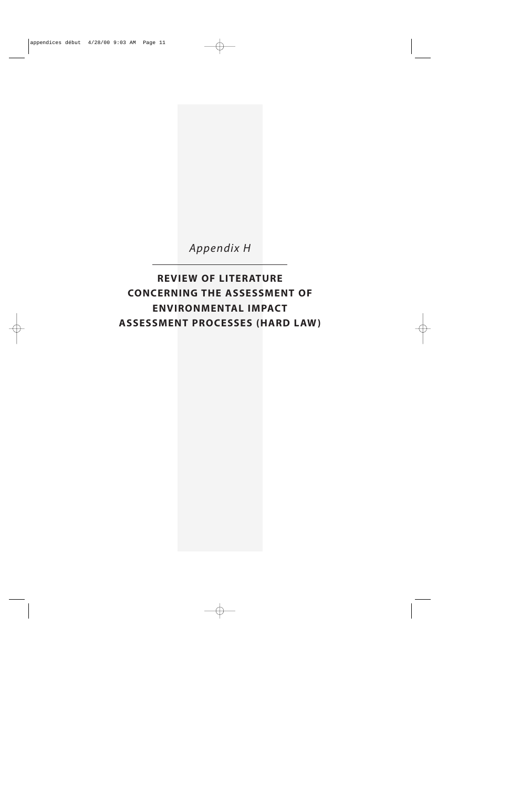

*Appendix H*

**REVIEW OF LITERATURE CONCERNING THE ASSESSMENT OF ENVIRONMENTAL IMPACT ASSESSMENT PROCESSES (HARD LAW)**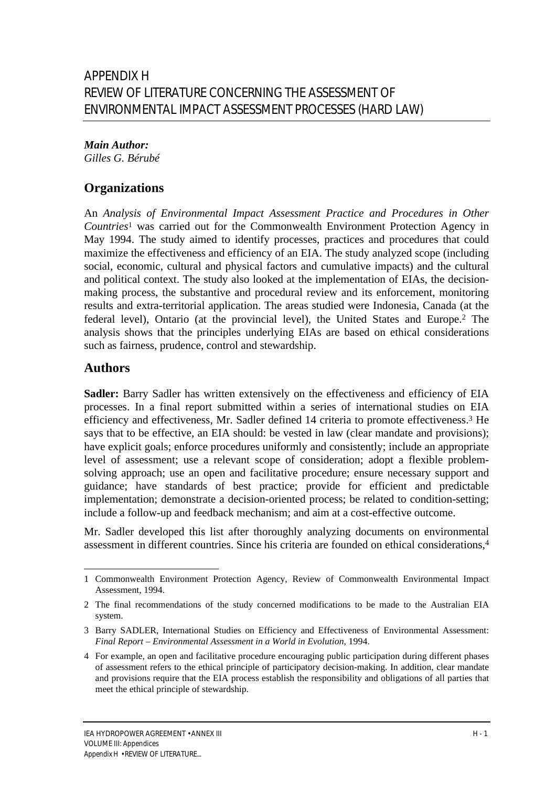#### *Main Author: Gilles G. Bérubé*

# **Organizations**

An *Analysis of Environmental Impact Assessment Practice and Procedures in Other Countries*<sup>1</sup> was carried out for the Commonwealth Environment Protection Agency in May 1994. The study aimed to identify processes, practices and procedures that could maximize the effectiveness and efficiency of an EIA. The study analyzed scope (including social, economic, cultural and physical factors and cumulative impacts) and the cultural and political context. The study also looked at the implementation of EIAs, the decisionmaking process, the substantive and procedural review and its enforcement, monitoring results and extra-territorial application. The areas studied were Indonesia, Canada (at the federal level), Ontario (at the provincial level), the United States and Europe.2 The analysis shows that the principles underlying EIAs are based on ethical considerations such as fairness, prudence, control and stewardship.

# **Authors**

 $\overline{a}$ 

**Sadler:** Barry Sadler has written extensively on the effectiveness and efficiency of EIA processes. In a final report submitted within a series of international studies on EIA efficiency and effectiveness, Mr. Sadler defined 14 criteria to promote effectiveness.3 He says that to be effective, an EIA should: be vested in law (clear mandate and provisions); have explicit goals; enforce procedures uniformly and consistently; include an appropriate level of assessment; use a relevant scope of consideration; adopt a flexible problemsolving approach; use an open and facilitative procedure; ensure necessary support and guidance; have standards of best practice; provide for efficient and predictable implementation; demonstrate a decision-oriented process; be related to condition-setting; include a follow-up and feedback mechanism; and aim at a cost-effective outcome.

Mr. Sadler developed this list after thoroughly analyzing documents on environmental assessment in different countries. Since his criteria are founded on ethical considerations,<sup>4</sup>

<sup>1</sup> Commonwealth Environment Protection Agency, Review of Commonwealth Environmental Impact Assessment, 1994.

<sup>2</sup> The final recommendations of the study concerned modifications to be made to the Australian EIA system.

<sup>3</sup> Barry SADLER, International Studies on Efficiency and Effectiveness of Environmental Assessment: *Final Report – Environmental Assessment in a World in Evolution*, 1994.

<sup>4</sup> For example, an open and facilitative procedure encouraging public participation during different phases of assessment refers to the ethical principle of participatory decision-making. In addition, clear mandate and provisions require that the EIA process establish the responsibility and obligations of all parties that meet the ethical principle of stewardship.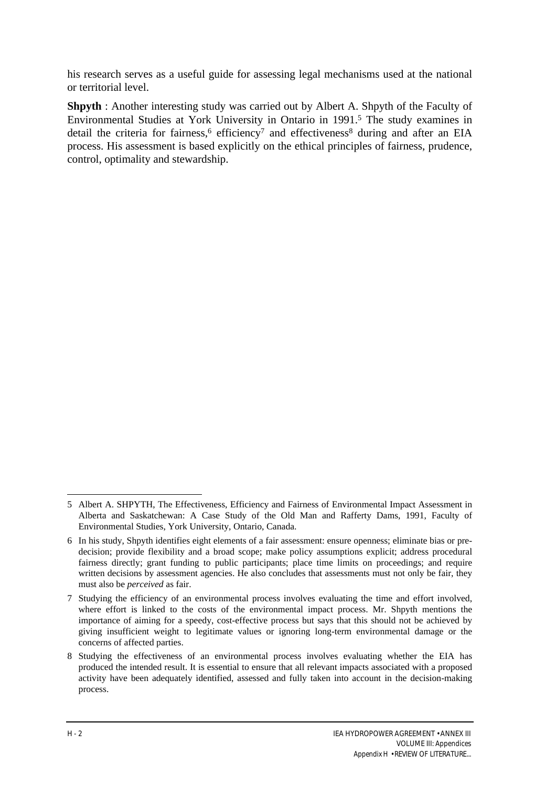his research serves as a useful guide for assessing legal mechanisms used at the national or territorial level.

**Shpyth** : Another interesting study was carried out by Albert A. Shpyth of the Faculty of Environmental Studies at York University in Ontario in 1991.5 The study examines in detail the criteria for fairness, $6$  efficiency<sup>7</sup> and effectiveness<sup>8</sup> during and after an EIA process. His assessment is based explicitly on the ethical principles of fairness, prudence, control, optimality and stewardship.

<sup>5</sup> Albert A. SHPYTH, The Effectiveness, Efficiency and Fairness of Environmental Impact Assessment in Alberta and Saskatchewan: A Case Study of the Old Man and Rafferty Dams, 1991, Faculty of Environmental Studies, York University, Ontario, Canada.

<sup>6</sup> In his study, Shpyth identifies eight elements of a fair assessment: ensure openness; eliminate bias or predecision; provide flexibility and a broad scope; make policy assumptions explicit; address procedural fairness directly; grant funding to public participants; place time limits on proceedings; and require written decisions by assessment agencies. He also concludes that assessments must not only be fair, they must also be *perceived* as fair.

<sup>7</sup> Studying the efficiency of an environmental process involves evaluating the time and effort involved, where effort is linked to the costs of the environmental impact process. Mr. Shpyth mentions the importance of aiming for a speedy, cost-effective process but says that this should not be achieved by giving insufficient weight to legitimate values or ignoring long-term environmental damage or the concerns of affected parties.

<sup>8</sup> Studying the effectiveness of an environmental process involves evaluating whether the EIA has produced the intended result. It is essential to ensure that all relevant impacts associated with a proposed activity have been adequately identified, assessed and fully taken into account in the decision-making process.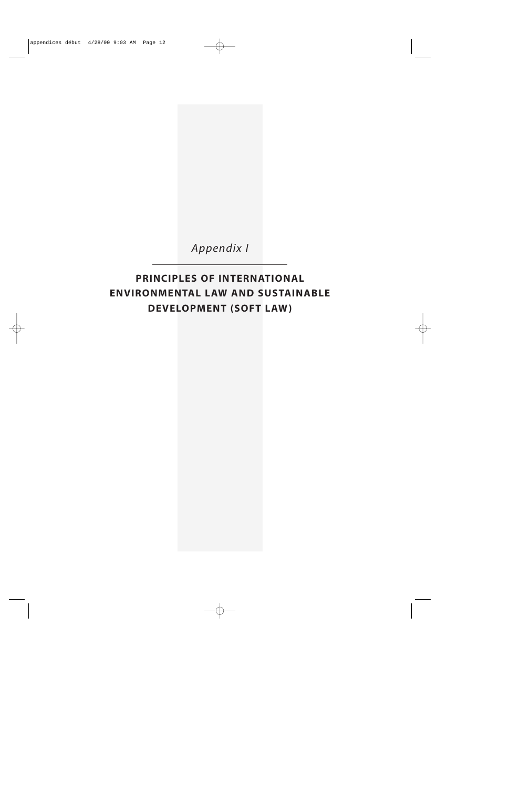

*Appendix I*

# **PRINCIPLES OF INTERNATIONAL ENVIRONMENTAL LAW AND SUSTAINABLE DEVELOPMENT (SOFT LAW)**

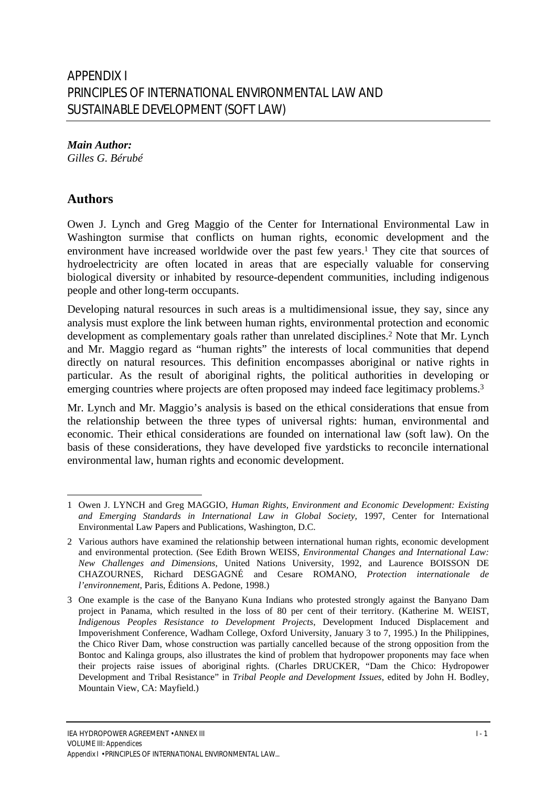*Main Author: Gilles G. Bérubé*

### **Authors**

 $\overline{a}$ 

Owen J. Lynch and Greg Maggio of the Center for International Environmental Law in Washington surmise that conflicts on human rights, economic development and the environment have increased worldwide over the past few years.<sup>1</sup> They cite that sources of hydroelectricity are often located in areas that are especially valuable for conserving biological diversity or inhabited by resource-dependent communities, including indigenous people and other long-term occupants.

Developing natural resources in such areas is a multidimensional issue, they say, since any analysis must explore the link between human rights, environmental protection and economic development as complementary goals rather than unrelated disciplines.<sup>2</sup> Note that Mr. Lynch and Mr. Maggio regard as "human rights" the interests of local communities that depend directly on natural resources. This definition encompasses aboriginal or native rights in particular. As the result of aboriginal rights, the political authorities in developing or emerging countries where projects are often proposed may indeed face legitimacy problems.<sup>3</sup>

Mr. Lynch and Mr. Maggio's analysis is based on the ethical considerations that ensue from the relationship between the three types of universal rights: human, environmental and economic. Their ethical considerations are founded on international law (soft law). On the basis of these considerations, they have developed five yardsticks to reconcile international environmental law, human rights and economic development.

<sup>1</sup> Owen J. LYNCH and Greg MAGGIO, *Human Rights, Environment and Economic Development: Existing and Emerging Standards in International Law in Global Society,* 1997, Center for International Environmental Law Papers and Publications, Washington, D.C.

<sup>2</sup> Various authors have examined the relationship between international human rights, economic development and environmental protection. (See Edith Brown WEISS, *Environmental Changes and International Law: New Challenges and Dimensions*, United Nations University, 1992, and Laurence BOISSON DE CHAZOURNES, Richard DESGAGNÉ and Cesare ROMANO, *Protection internationale de l'environnement*, Paris, Éditions A. Pedone, 1998.)

<sup>3</sup> One example is the case of the Banyano Kuna Indians who protested strongly against the Banyano Dam project in Panama, which resulted in the loss of 80 per cent of their territory. (Katherine M. WEIST, *Indigenous Peoples Resistance to Development Projects*, Development Induced Displacement and Impoverishment Conference, Wadham College, Oxford University, January 3 to 7, 1995.) In the Philippines, the Chico River Dam, whose construction was partially cancelled because of the strong opposition from the Bontoc and Kalinga groups, also illustrates the kind of problem that hydropower proponents may face when their projects raise issues of aboriginal rights. (Charles DRUCKER, "Dam the Chico: Hydropower Development and Tribal Resistance" in *Tribal People and Development Issues*, edited by John H. Bodley, Mountain View, CA: Mayfield.)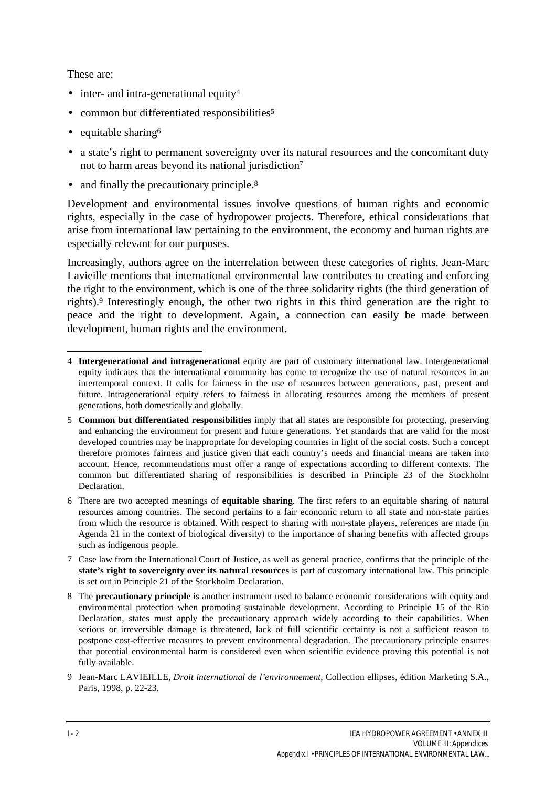These are:

 $\overline{a}$ 

- inter- and intra-generational equity<sup>4</sup>
- common but differentiated responsibilities<sup>5</sup>
- equitable sharing $6$
- a state's right to permanent sovereignty over its natural resources and the concomitant duty not to harm areas beyond its national jurisdiction<sup>7</sup>
- and finally the precautionary principle.<sup>8</sup>

Development and environmental issues involve questions of human rights and economic rights, especially in the case of hydropower projects. Therefore, ethical considerations that arise from international law pertaining to the environment, the economy and human rights are especially relevant for our purposes.

Increasingly, authors agree on the interrelation between these categories of rights. Jean-Marc Lavieille mentions that international environmental law contributes to creating and enforcing the right to the environment, which is one of the three solidarity rights (the third generation of rights).9 Interestingly enough, the other two rights in this third generation are the right to peace and the right to development. Again, a connection can easily be made between development, human rights and the environment.

<sup>4</sup> **Intergenerational and intragenerational** equity are part of customary international law. Intergenerational equity indicates that the international community has come to recognize the use of natural resources in an intertemporal context. It calls for fairness in the use of resources between generations, past, present and future. Intragenerational equity refers to fairness in allocating resources among the members of present generations, both domestically and globally.

<sup>5</sup> **Common but differentiated responsibilities** imply that all states are responsible for protecting, preserving and enhancing the environment for present and future generations. Yet standards that are valid for the most developed countries may be inappropriate for developing countries in light of the social costs. Such a concept therefore promotes fairness and justice given that each country's needs and financial means are taken into account. Hence, recommendations must offer a range of expectations according to different contexts. The common but differentiated sharing of responsibilities is described in Principle 23 of the Stockholm Declaration.

<sup>6</sup> There are two accepted meanings of **equitable sharing**. The first refers to an equitable sharing of natural resources among countries. The second pertains to a fair economic return to all state and non-state parties from which the resource is obtained. With respect to sharing with non-state players, references are made (in Agenda 21 in the context of biological diversity) to the importance of sharing benefits with affected groups such as indigenous people.

<sup>7</sup> Case law from the International Court of Justice, as well as general practice, confirms that the principle of the **state's right to sovereignty over its natural resources** is part of customary international law. This principle is set out in Principle 21 of the Stockholm Declaration.

<sup>8</sup> The **precautionary principle** is another instrument used to balance economic considerations with equity and environmental protection when promoting sustainable development. According to Principle 15 of the Rio Declaration, states must apply the precautionary approach widely according to their capabilities. When serious or irreversible damage is threatened, lack of full scientific certainty is not a sufficient reason to postpone cost-effective measures to prevent environmental degradation. The precautionary principle ensures that potential environmental harm is considered even when scientific evidence proving this potential is not fully available.

<sup>9</sup> Jean-Marc LAVIEILLE, *Droit international de l'environnement*, Collection ellipses, édition Marketing S.A., Paris, 1998, p. 22-23.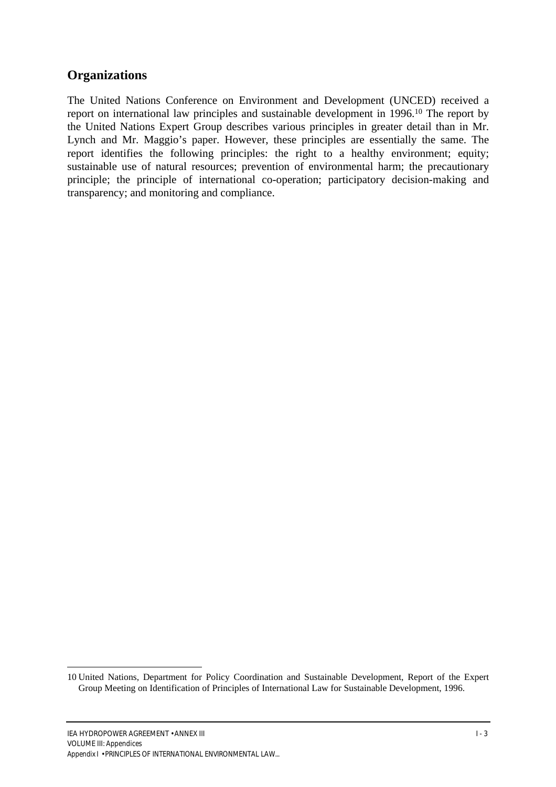#### **Organizations**

The United Nations Conference on Environment and Development (UNCED) received a report on international law principles and sustainable development in 1996.10 The report by the United Nations Expert Group describes various principles in greater detail than in Mr. Lynch and Mr. Maggio's paper. However, these principles are essentially the same. The report identifies the following principles: the right to a healthy environment; equity; sustainable use of natural resources; prevention of environmental harm; the precautionary principle; the principle of international co-operation; participatory decision-making and transparency; and monitoring and compliance.

<sup>10</sup> United Nations, Department for Policy Coordination and Sustainable Development, Report of the Expert Group Meeting on Identification of Principles of International Law for Sustainable Development, 1996.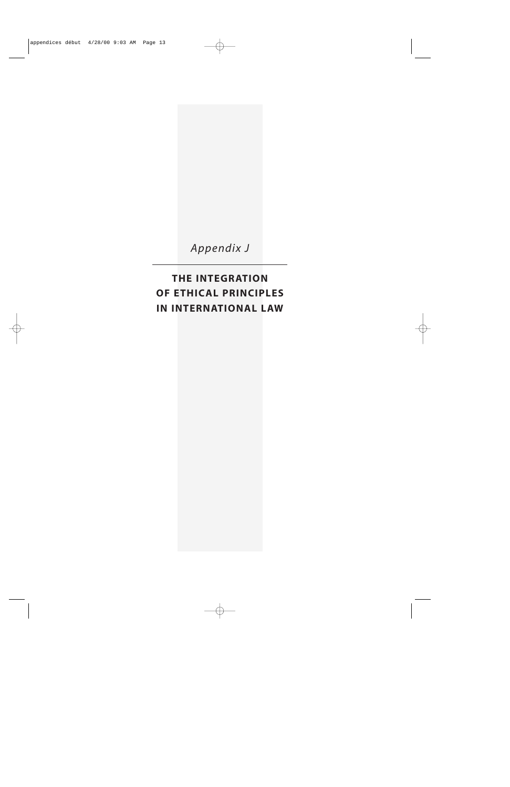*Appendix J*

**THE INTEGRATION OF ETHICAL PRINCIPLES IN INTERNATIONAL LAW**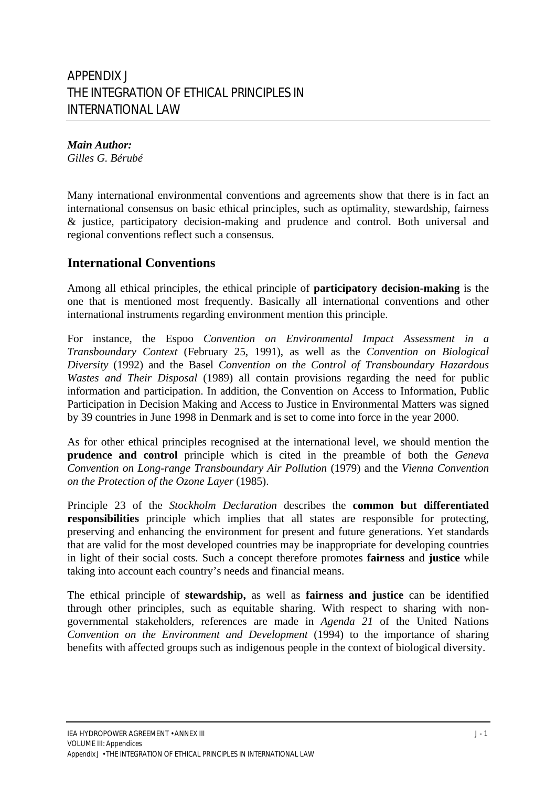*Main Author: Gilles G. Bérubé*

Many international environmental conventions and agreements show that there is in fact an international consensus on basic ethical principles, such as optimality, stewardship, fairness & justice, participatory decision-making and prudence and control. Both universal and regional conventions reflect such a consensus.

### **International Conventions**

Among all ethical principles, the ethical principle of **participatory decision-making** is the one that is mentioned most frequently. Basically all international conventions and other international instruments regarding environment mention this principle.

For instance, the Espoo *Convention on Environmental Impact Assessment in a Transboundary Context* (February 25, 1991), as well as the *Convention on Biological Diversity* (1992) and the Basel *Convention on the Control of Transboundary Hazardous Wastes and Their Disposal* (1989) all contain provisions regarding the need for public information and participation. In addition, the Convention on Access to Information, Public Participation in Decision Making and Access to Justice in Environmental Matters was signed by 39 countries in June 1998 in Denmark and is set to come into force in the year 2000.

As for other ethical principles recognised at the international level, we should mention the **prudence and control** principle which is cited in the preamble of both the *Geneva Convention on Long-range Transboundary Air Pollution* (1979) and the *Vienna Convention on the Protection of the Ozone Layer* (1985).

Principle 23 of the *Stockholm Declaration* describes the **common but differentiated responsibilities** principle which implies that all states are responsible for protecting, preserving and enhancing the environment for present and future generations. Yet standards that are valid for the most developed countries may be inappropriate for developing countries in light of their social costs. Such a concept therefore promotes **fairness** and **justice** while taking into account each country's needs and financial means.

The ethical principle of **stewardship,** as well as **fairness and justice** can be identified through other principles, such as equitable sharing. With respect to sharing with nongovernmental stakeholders, references are made in *Agenda 21* of the United Nations *Convention on the Environment and Development* (1994) to the importance of sharing benefits with affected groups such as indigenous people in the context of biological diversity.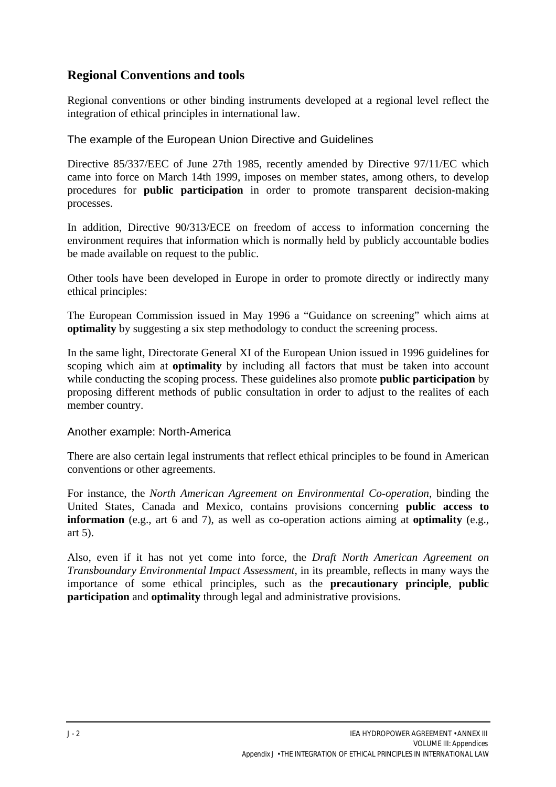### **Regional Conventions and tools**

Regional conventions or other binding instruments developed at a regional level reflect the integration of ethical principles in international law.

The example of the European Union Directive and Guidelines

Directive 85/337/EEC of June 27th 1985, recently amended by Directive 97/11/EC which came into force on March 14th 1999, imposes on member states, among others, to develop procedures for **public participation** in order to promote transparent decision-making processes.

In addition, Directive 90/313/ECE on freedom of access to information concerning the environment requires that information which is normally held by publicly accountable bodies be made available on request to the public.

Other tools have been developed in Europe in order to promote directly or indirectly many ethical principles:

The European Commission issued in May 1996 a "Guidance on screening" which aims at **optimality** by suggesting a six step methodology to conduct the screening process.

In the same light, Directorate General XI of the European Union issued in 1996 guidelines for scoping which aim at **optimality** by including all factors that must be taken into account while conducting the scoping process. These guidelines also promote **public participation** by proposing different methods of public consultation in order to adjust to the realites of each member country.

#### Another example: North-America

There are also certain legal instruments that reflect ethical principles to be found in American conventions or other agreements.

For instance, the *North American Agreement on Environmental Co-operation*, binding the United States, Canada and Mexico, contains provisions concerning **public access to information** (e.g., art 6 and 7), as well as co-operation actions aiming at **optimality** (e.g., art 5).

Also, even if it has not yet come into force, the *Draft North American Agreement on Transboundary Environmental Impact Assessment,* in its preamble, reflects in many ways the importance of some ethical principles, such as the **precautionary principle**, **public participation** and **optimality** through legal and administrative provisions.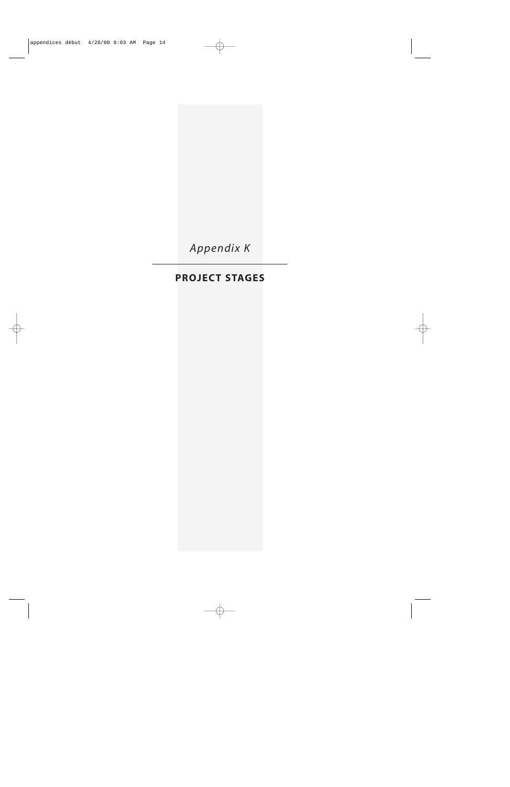

## **PROJECT STAGES**

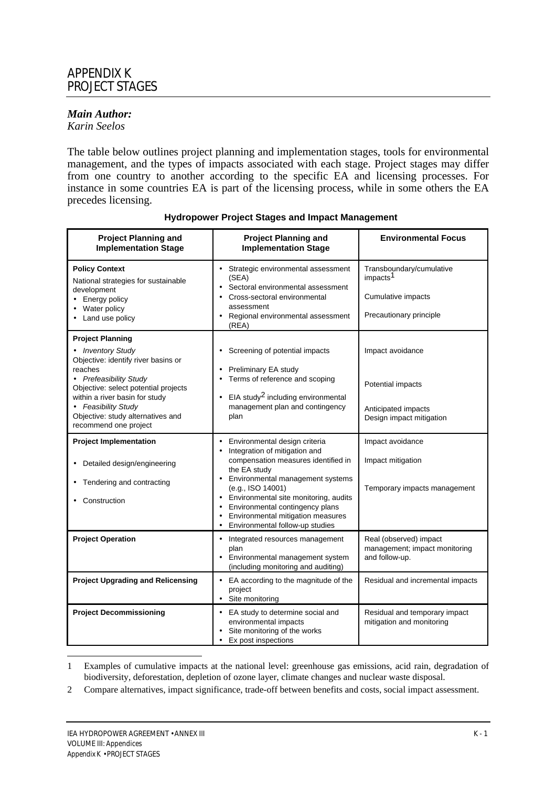#### *Main Author:*

*Karin Seelos*

The table below outlines project planning and implementation stages, tools for environmental management, and the types of impacts associated with each stage. Project stages may differ from one country to another according to the specific EA and licensing processes. For instance in some countries EA is part of the licensing process, while in some others the EA precedes licensing.

| <b>Project Planning and</b><br><b>Implementation Stage</b>                                                                                                                                                                                                                              | <b>Project Planning and</b><br><b>Implementation Stage</b>                                                                                                                                                                                                                                                                                                                                  | <b>Environmental Focus</b>                                                                        |  |  |
|-----------------------------------------------------------------------------------------------------------------------------------------------------------------------------------------------------------------------------------------------------------------------------------------|---------------------------------------------------------------------------------------------------------------------------------------------------------------------------------------------------------------------------------------------------------------------------------------------------------------------------------------------------------------------------------------------|---------------------------------------------------------------------------------------------------|--|--|
| <b>Policy Context</b><br>National strategies for sustainable<br>development<br>Energy policy<br>Water policy<br>Land use policy                                                                                                                                                         | Strategic environmental assessment<br>(SEA)<br>Sectoral environmental assessment<br>Cross-sectoral environmental<br>assessment<br>Regional environmental assessment<br>٠<br>(REA)                                                                                                                                                                                                           | Transboundary/cumulative<br>impacts <sup>1</sup><br>Cumulative impacts<br>Precautionary principle |  |  |
| <b>Project Planning</b><br>• Inventory Study<br>Objective: identify river basins or<br>reaches<br>• Prefeasibility Study<br>Objective: select potential projects<br>within a river basin for study<br>• Feasibility Study<br>Objective: study alternatives and<br>recommend one project | Screening of potential impacts<br>٠<br>Preliminary EA study<br>Terms of reference and scoping<br>$\bullet$<br>EIA study <sup>2</sup> including environmental<br>management plan and contingency<br>plan                                                                                                                                                                                     | Impact avoidance<br>Potential impacts<br>Anticipated impacts<br>Design impact mitigation          |  |  |
| <b>Project Implementation</b><br>Detailed design/engineering<br>Tendering and contracting<br>Construction                                                                                                                                                                               | Environmental design criteria<br>$\bullet$<br>Integration of mitigation and<br>compensation measures identified in<br>the EA study<br>Environmental management systems<br>$\bullet$<br>(e.g., ISO 14001)<br>Environmental site monitoring, audits<br>٠<br>Environmental contingency plans<br>$\bullet$<br>Environmental mitigation measures<br>$\bullet$<br>Environmental follow-up studies | Impact avoidance<br>Impact mitigation<br>Temporary impacts management                             |  |  |
| <b>Project Operation</b>                                                                                                                                                                                                                                                                | • Integrated resources management<br>plan<br>Environmental management system<br>(including monitoring and auditing)                                                                                                                                                                                                                                                                         | Real (observed) impact<br>management; impact monitoring<br>and follow-up.                         |  |  |
| <b>Project Upgrading and Relicensing</b>                                                                                                                                                                                                                                                | EA according to the magnitude of the<br>$\bullet$<br>project<br>Site monitoring<br>$\bullet$                                                                                                                                                                                                                                                                                                | Residual and incremental impacts                                                                  |  |  |
| <b>Project Decommissioning</b>                                                                                                                                                                                                                                                          | • EA study to determine social and<br>environmental impacts<br>Site monitoring of the works<br>Ex post inspections                                                                                                                                                                                                                                                                          | Residual and temporary impact<br>mitigation and monitoring                                        |  |  |

#### **Hydropower Project Stages and Impact Management**

<sup>1</sup> Examples of cumulative impacts at the national level: greenhouse gas emissions, acid rain, degradation of biodiversity, deforestation, depletion of ozone layer, climate changes and nuclear waste disposal.

<sup>2</sup> Compare alternatives, impact significance, trade-off between benefits and costs, social impact assessment.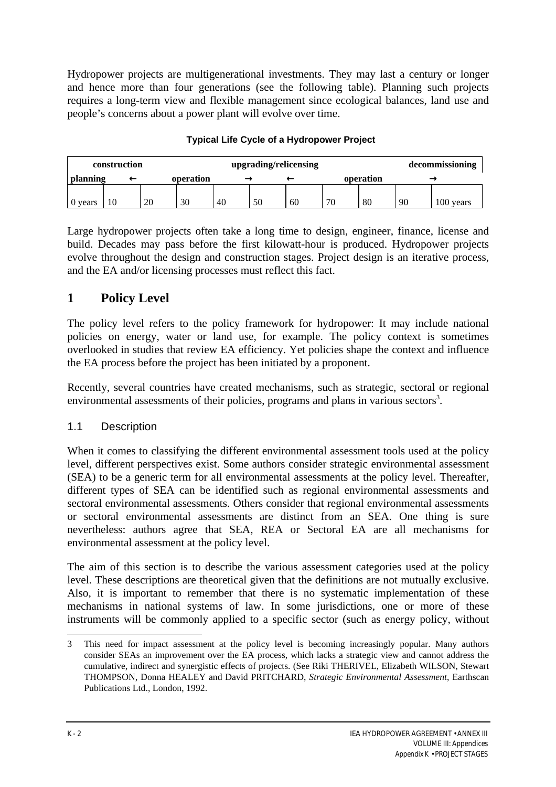Hydropower projects are multigenerational investments. They may last a century or longer and hence more than four generations (see the following table). Planning such projects requires a long-term view and flexible management since ecological balances, land use and people's concerns about a power plant will evolve over time.

| construction |    |  |    | upgrading/relicensing |    |    |    |           |    | decommissioning |           |
|--------------|----|--|----|-----------------------|----|----|----|-----------|----|-----------------|-----------|
| planning     |    |  |    | operation             |    |    |    | operation |    |                 |           |
|              |    |  |    |                       |    |    |    |           |    |                 |           |
| 0 years      | 10 |  | 20 | 30                    | 40 | 50 | 60 | 70        | 80 | 90              | 100 years |

#### **Typical Life Cycle of a Hydropower Project**

Large hydropower projects often take a long time to design, engineer, finance, license and build. Decades may pass before the first kilowatt-hour is produced. Hydropower projects evolve throughout the design and construction stages. Project design is an iterative process, and the EA and/or licensing processes must reflect this fact.

## **1 Policy Level**

The policy level refers to the policy framework for hydropower: It may include national policies on energy, water or land use, for example. The policy context is sometimes overlooked in studies that review EA efficiency. Yet policies shape the context and influence the EA process before the project has been initiated by a proponent.

Recently, several countries have created mechanisms, such as strategic, sectoral or regional environmental assessments of their policies, programs and plans in various sectors<sup>3</sup>.

### 1.1 Description

When it comes to classifying the different environmental assessment tools used at the policy level, different perspectives exist. Some authors consider strategic environmental assessment (SEA) to be a generic term for all environmental assessments at the policy level. Thereafter, different types of SEA can be identified such as regional environmental assessments and sectoral environmental assessments. Others consider that regional environmental assessments or sectoral environmental assessments are distinct from an SEA. One thing is sure nevertheless: authors agree that SEA, REA or Sectoral EA are all mechanisms for environmental assessment at the policy level.

The aim of this section is to describe the various assessment categories used at the policy level. These descriptions are theoretical given that the definitions are not mutually exclusive. Also, it is important to remember that there is no systematic implementation of these mechanisms in national systems of law. In some jurisdictions, one or more of these instruments will be commonly applied to a specific sector (such as energy policy, without

<sup>3</sup> This need for impact assessment at the policy level is becoming increasingly popular. Many authors consider SEAs an improvement over the EA process, which lacks a strategic view and cannot address the cumulative, indirect and synergistic effects of projects. (See Riki THERIVEL, Elizabeth WILSON, Stewart THOMPSON, Donna HEALEY and David PRITCHARD, *Strategic Environmental Assessment*, Earthscan Publications Ltd., London, 1992.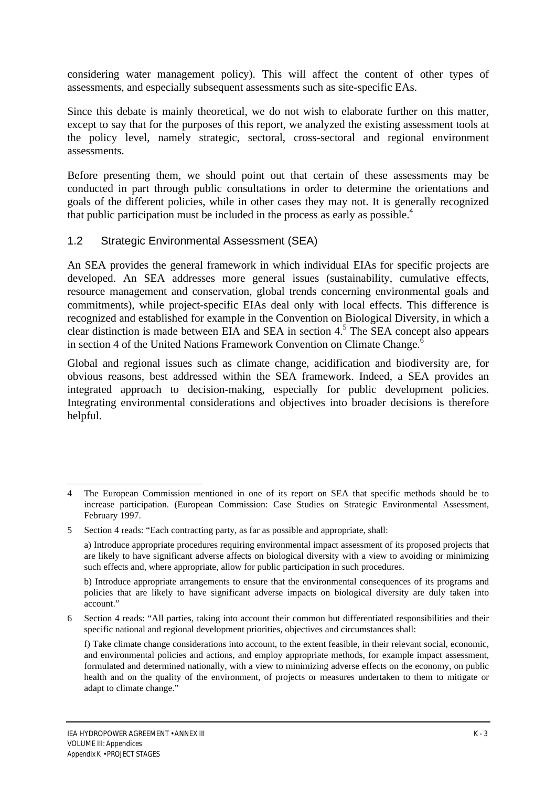considering water management policy). This will affect the content of other types of assessments, and especially subsequent assessments such as site-specific EAs.

Since this debate is mainly theoretical, we do not wish to elaborate further on this matter, except to say that for the purposes of this report, we analyzed the existing assessment tools at the policy level, namely strategic, sectoral, cross-sectoral and regional environment assessments.

Before presenting them, we should point out that certain of these assessments may be conducted in part through public consultations in order to determine the orientations and goals of the different policies, while in other cases they may not. It is generally recognized that public participation must be included in the process as early as possible.<sup>4</sup>

#### 1.2 Strategic Environmental Assessment (SEA)

An SEA provides the general framework in which individual EIAs for specific projects are developed. An SEA addresses more general issues (sustainability, cumulative effects, resource management and conservation, global trends concerning environmental goals and commitments), while project-specific EIAs deal only with local effects. This difference is recognized and established for example in the Convention on Biological Diversity, in which a clear distinction is made between EIA and SEA in section 4.<sup>5</sup> The SEA concept also appears in section 4 of the United Nations Framework Convention on Climate Change.<sup>6</sup>

Global and regional issues such as climate change, acidification and biodiversity are, for obvious reasons, best addressed within the SEA framework. Indeed, a SEA provides an integrated approach to decision-making, especially for public development policies. Integrating environmental considerations and objectives into broader decisions is therefore helpful.

<sup>4</sup> The European Commission mentioned in one of its report on SEA that specific methods should be to increase participation. (European Commission: Case Studies on Strategic Environmental Assessment, February 1997.

<sup>5</sup> Section 4 reads: "Each contracting party, as far as possible and appropriate, shall:

a) Introduce appropriate procedures requiring environmental impact assessment of its proposed projects that are likely to have significant adverse affects on biological diversity with a view to avoiding or minimizing such effects and, where appropriate, allow for public participation in such procedures.

b) Introduce appropriate arrangements to ensure that the environmental consequences of its programs and policies that are likely to have significant adverse impacts on biological diversity are duly taken into account."

<sup>6</sup> Section 4 reads: "All parties, taking into account their common but differentiated responsibilities and their specific national and regional development priorities, objectives and circumstances shall:

f) Take climate change considerations into account, to the extent feasible, in their relevant social, economic, and environmental policies and actions, and employ appropriate methods, for example impact assessment, formulated and determined nationally, with a view to minimizing adverse effects on the economy, on public health and on the quality of the environment, of projects or measures undertaken to them to mitigate or adapt to climate change."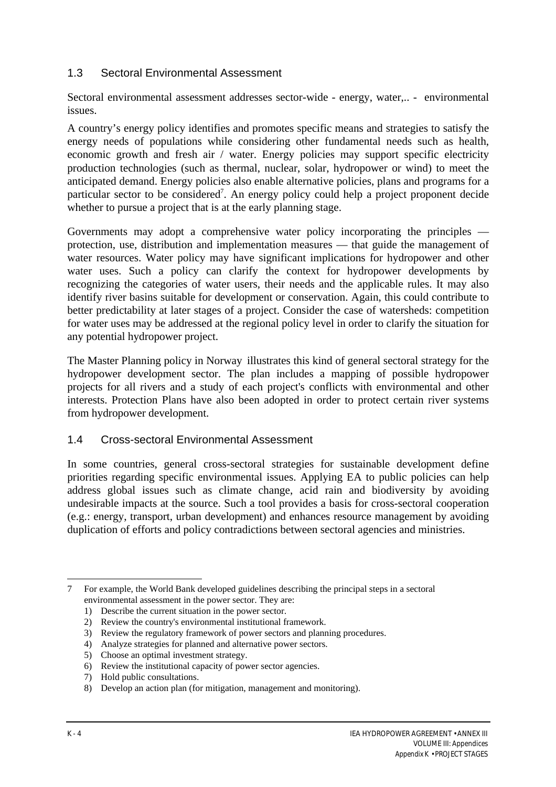#### 1.3 Sectoral Environmental Assessment

Sectoral environmental assessment addresses sector-wide - energy, water,.. - environmental issues.

A country's energy policy identifies and promotes specific means and strategies to satisfy the energy needs of populations while considering other fundamental needs such as health, economic growth and fresh air / water. Energy policies may support specific electricity production technologies (such as thermal, nuclear, solar, hydropower or wind) to meet the anticipated demand. Energy policies also enable alternative policies, plans and programs for a particular sector to be considered<sup>7</sup>. An energy policy could help a project proponent decide whether to pursue a project that is at the early planning stage.

Governments may adopt a comprehensive water policy incorporating the principles protection, use, distribution and implementation measures — that guide the management of water resources. Water policy may have significant implications for hydropower and other water uses. Such a policy can clarify the context for hydropower developments by recognizing the categories of water users, their needs and the applicable rules. It may also identify river basins suitable for development or conservation. Again, this could contribute to better predictability at later stages of a project. Consider the case of watersheds: competition for water uses may be addressed at the regional policy level in order to clarify the situation for any potential hydropower project.

The Master Planning policy in Norway illustrates this kind of general sectoral strategy for the hydropower development sector. The plan includes a mapping of possible hydropower projects for all rivers and a study of each project's conflicts with environmental and other interests. Protection Plans have also been adopted in order to protect certain river systems from hydropower development.

#### 1.4 Cross-sectoral Environmental Assessment

In some countries, general cross-sectoral strategies for sustainable development define priorities regarding specific environmental issues. Applying EA to public policies can help address global issues such as climate change, acid rain and biodiversity by avoiding undesirable impacts at the source. Such a tool provides a basis for cross-sectoral cooperation (e.g.: energy, transport, urban development) and enhances resource management by avoiding duplication of efforts and policy contradictions between sectoral agencies and ministries.

 $\overline{a}$ 7 For example, the World Bank developed guidelines describing the principal steps in a sectoral environmental assessment in the power sector. They are:

<sup>1)</sup> Describe the current situation in the power sector.

<sup>2)</sup> Review the country's environmental institutional framework.

<sup>3)</sup> Review the regulatory framework of power sectors and planning procedures.

<sup>4)</sup> Analyze strategies for planned and alternative power sectors.

<sup>5)</sup> Choose an optimal investment strategy.

<sup>6)</sup> Review the institutional capacity of power sector agencies.

<sup>7)</sup> Hold public consultations.

<sup>8)</sup> Develop an action plan (for mitigation, management and monitoring).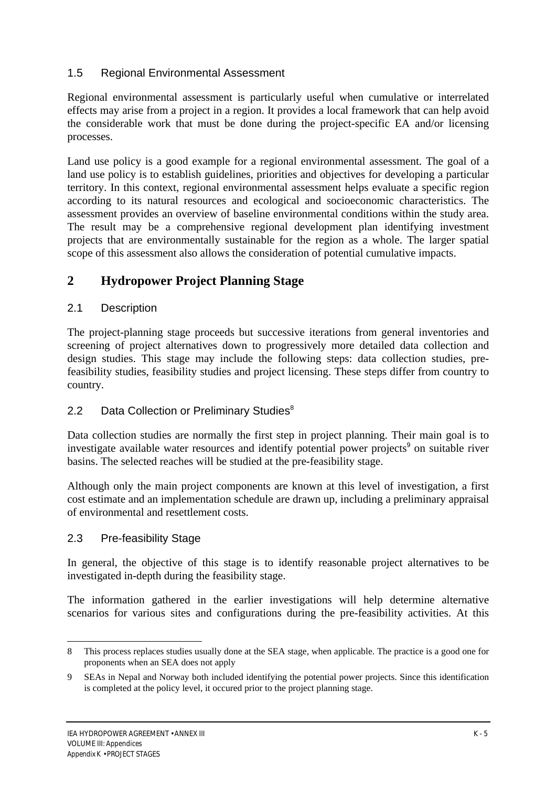#### 1.5 Regional Environmental Assessment

Regional environmental assessment is particularly useful when cumulative or interrelated effects may arise from a project in a region. It provides a local framework that can help avoid the considerable work that must be done during the project-specific EA and/or licensing processes.

Land use policy is a good example for a regional environmental assessment. The goal of a land use policy is to establish guidelines, priorities and objectives for developing a particular territory. In this context, regional environmental assessment helps evaluate a specific region according to its natural resources and ecological and socioeconomic characteristics. The assessment provides an overview of baseline environmental conditions within the study area. The result may be a comprehensive regional development plan identifying investment projects that are environmentally sustainable for the region as a whole. The larger spatial scope of this assessment also allows the consideration of potential cumulative impacts.

## **2 Hydropower Project Planning Stage**

#### 2.1 Description

The project-planning stage proceeds but successive iterations from general inventories and screening of project alternatives down to progressively more detailed data collection and design studies. This stage may include the following steps: data collection studies, prefeasibility studies, feasibility studies and project licensing. These steps differ from country to country.

#### 2.2 Data Collection or Preliminary Studies<sup>8</sup>

Data collection studies are normally the first step in project planning. Their main goal is to investigate available water resources and identify potential power projects<sup>9</sup> on suitable river basins. The selected reaches will be studied at the pre-feasibility stage.

Although only the main project components are known at this level of investigation, a first cost estimate and an implementation schedule are drawn up, including a preliminary appraisal of environmental and resettlement costs.

#### 2.3 Pre-feasibility Stage

 $\overline{\phantom{a}}$ 

In general, the objective of this stage is to identify reasonable project alternatives to be investigated in-depth during the feasibility stage.

The information gathered in the earlier investigations will help determine alternative scenarios for various sites and configurations during the pre-feasibility activities. At this

<sup>8</sup> This process replaces studies usually done at the SEA stage, when applicable. The practice is a good one for proponents when an SEA does not apply

<sup>9</sup> SEAs in Nepal and Norway both included identifying the potential power projects. Since this identification is completed at the policy level, it occured prior to the project planning stage.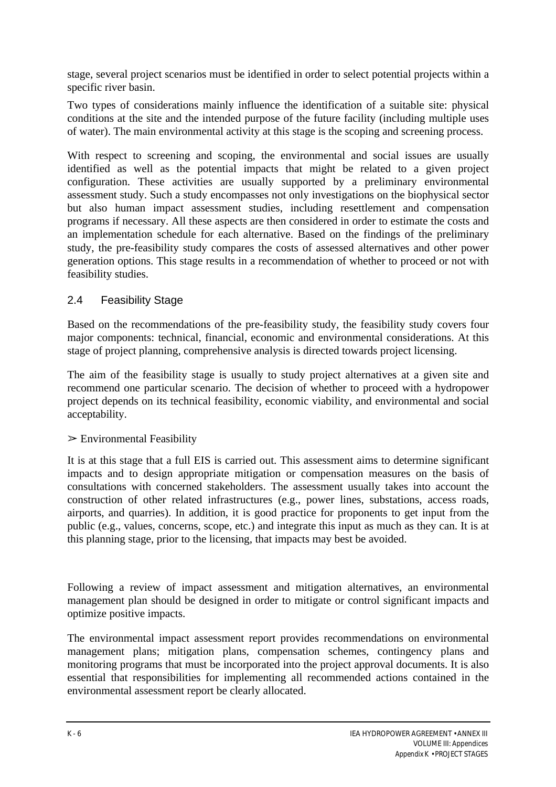stage, several project scenarios must be identified in order to select potential projects within a specific river basin.

Two types of considerations mainly influence the identification of a suitable site: physical conditions at the site and the intended purpose of the future facility (including multiple uses of water). The main environmental activity at this stage is the scoping and screening process.

With respect to screening and scoping, the environmental and social issues are usually identified as well as the potential impacts that might be related to a given project configuration. These activities are usually supported by a preliminary environmental assessment study. Such a study encompasses not only investigations on the biophysical sector but also human impact assessment studies, including resettlement and compensation programs if necessary. All these aspects are then considered in order to estimate the costs and an implementation schedule for each alternative. Based on the findings of the preliminary study, the pre-feasibility study compares the costs of assessed alternatives and other power generation options. This stage results in a recommendation of whether to proceed or not with feasibility studies.

#### 2.4 Feasibility Stage

Based on the recommendations of the pre-feasibility study, the feasibility study covers four major components: technical, financial, economic and environmental considerations. At this stage of project planning, comprehensive analysis is directed towards project licensing.

The aim of the feasibility stage is usually to study project alternatives at a given site and recommend one particular scenario. The decision of whether to proceed with a hydropower project depends on its technical feasibility, economic viability, and environmental and social acceptability.

#### $\triangleright$  Environmental Feasibility

It is at this stage that a full EIS is carried out. This assessment aims to determine significant impacts and to design appropriate mitigation or compensation measures on the basis of consultations with concerned stakeholders. The assessment usually takes into account the construction of other related infrastructures (e.g., power lines, substations, access roads, airports, and quarries). In addition, it is good practice for proponents to get input from the public (e.g., values, concerns, scope, etc.) and integrate this input as much as they can. It is at this planning stage, prior to the licensing, that impacts may best be avoided.

Following a review of impact assessment and mitigation alternatives, an environmental management plan should be designed in order to mitigate or control significant impacts and optimize positive impacts.

The environmental impact assessment report provides recommendations on environmental management plans; mitigation plans, compensation schemes, contingency plans and monitoring programs that must be incorporated into the project approval documents. It is also essential that responsibilities for implementing all recommended actions contained in the environmental assessment report be clearly allocated.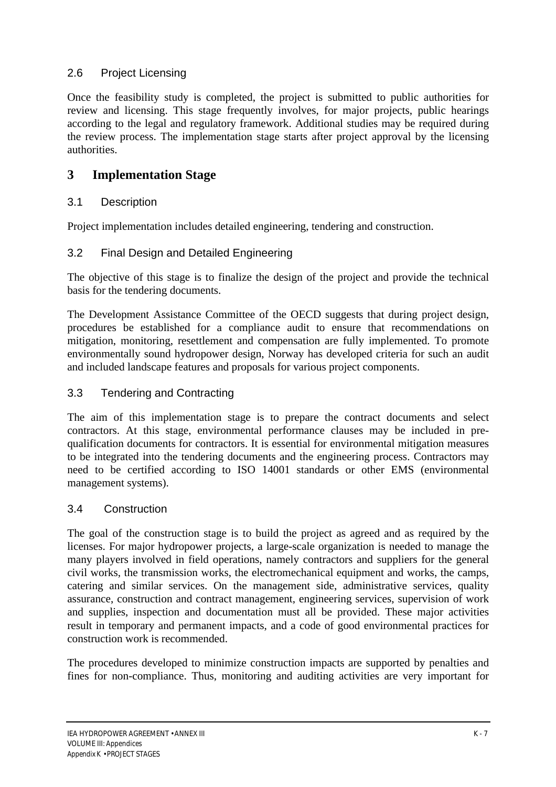#### 2.6 Project Licensing

Once the feasibility study is completed, the project is submitted to public authorities for review and licensing. This stage frequently involves, for major projects, public hearings according to the legal and regulatory framework. Additional studies may be required during the review process. The implementation stage starts after project approval by the licensing authorities.

## **3 Implementation Stage**

### 3.1 Description

Project implementation includes detailed engineering, tendering and construction.

#### 3.2 Final Design and Detailed Engineering

The objective of this stage is to finalize the design of the project and provide the technical basis for the tendering documents.

The Development Assistance Committee of the OECD suggests that during project design, procedures be established for a compliance audit to ensure that recommendations on mitigation, monitoring, resettlement and compensation are fully implemented. To promote environmentally sound hydropower design, Norway has developed criteria for such an audit and included landscape features and proposals for various project components.

#### 3.3 Tendering and Contracting

The aim of this implementation stage is to prepare the contract documents and select contractors. At this stage, environmental performance clauses may be included in prequalification documents for contractors. It is essential for environmental mitigation measures to be integrated into the tendering documents and the engineering process. Contractors may need to be certified according to ISO 14001 standards or other EMS (environmental management systems).

#### 3.4 Construction

The goal of the construction stage is to build the project as agreed and as required by the licenses. For major hydropower projects, a large-scale organization is needed to manage the many players involved in field operations, namely contractors and suppliers for the general civil works, the transmission works, the electromechanical equipment and works, the camps, catering and similar services. On the management side, administrative services, quality assurance, construction and contract management, engineering services, supervision of work and supplies, inspection and documentation must all be provided. These major activities result in temporary and permanent impacts, and a code of good environmental practices for construction work is recommended.

The procedures developed to minimize construction impacts are supported by penalties and fines for non-compliance. Thus, monitoring and auditing activities are very important for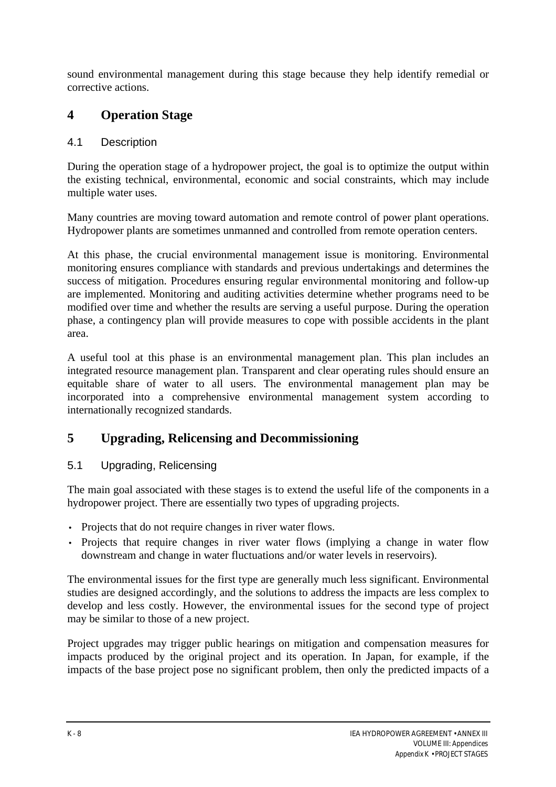sound environmental management during this stage because they help identify remedial or corrective actions.

## **4 Operation Stage**

#### 4.1 Description

During the operation stage of a hydropower project, the goal is to optimize the output within the existing technical, environmental, economic and social constraints, which may include multiple water uses.

Many countries are moving toward automation and remote control of power plant operations. Hydropower plants are sometimes unmanned and controlled from remote operation centers.

At this phase, the crucial environmental management issue is monitoring. Environmental monitoring ensures compliance with standards and previous undertakings and determines the success of mitigation. Procedures ensuring regular environmental monitoring and follow-up are implemented. Monitoring and auditing activities determine whether programs need to be modified over time and whether the results are serving a useful purpose. During the operation phase, a contingency plan will provide measures to cope with possible accidents in the plant area.

A useful tool at this phase is an environmental management plan. This plan includes an integrated resource management plan. Transparent and clear operating rules should ensure an equitable share of water to all users. The environmental management plan may be incorporated into a comprehensive environmental management system according to internationally recognized standards.

## **5 Upgrading, Relicensing and Decommissioning**

### 5.1 Upgrading, Relicensing

The main goal associated with these stages is to extend the useful life of the components in a hydropower project. There are essentially two types of upgrading projects.

- Projects that do not require changes in river water flows.
- Projects that require changes in river water flows (implying a change in water flow downstream and change in water fluctuations and/or water levels in reservoirs).

The environmental issues for the first type are generally much less significant. Environmental studies are designed accordingly, and the solutions to address the impacts are less complex to develop and less costly. However, the environmental issues for the second type of project may be similar to those of a new project.

Project upgrades may trigger public hearings on mitigation and compensation measures for impacts produced by the original project and its operation. In Japan, for example, if the impacts of the base project pose no significant problem, then only the predicted impacts of a